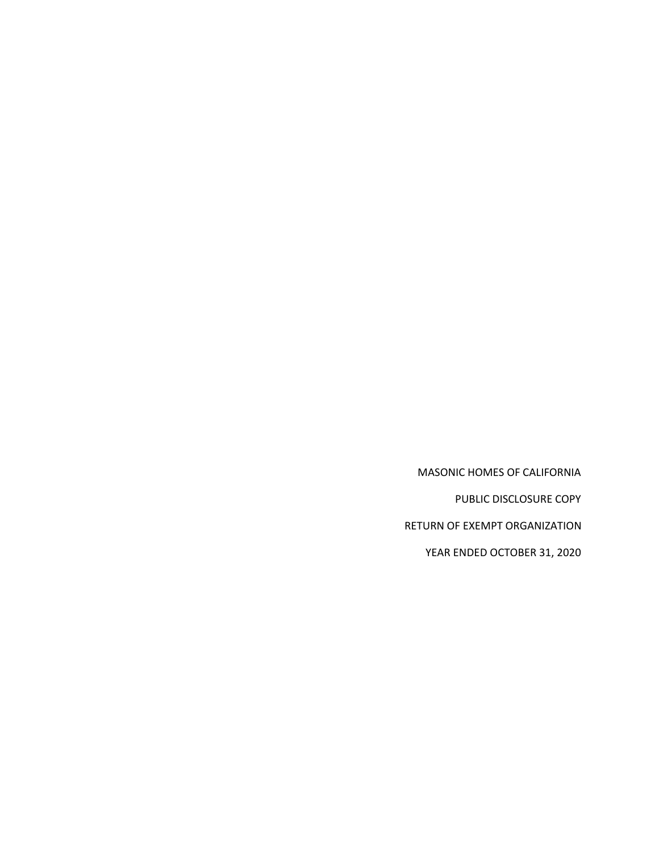MASONIC HOMES OF CALIFORNIA

PUBLIC DISCLOSURE COPY

RETURN OF EXEMPT ORGANIZATION

YEAR ENDED OCTOBER 31, 2020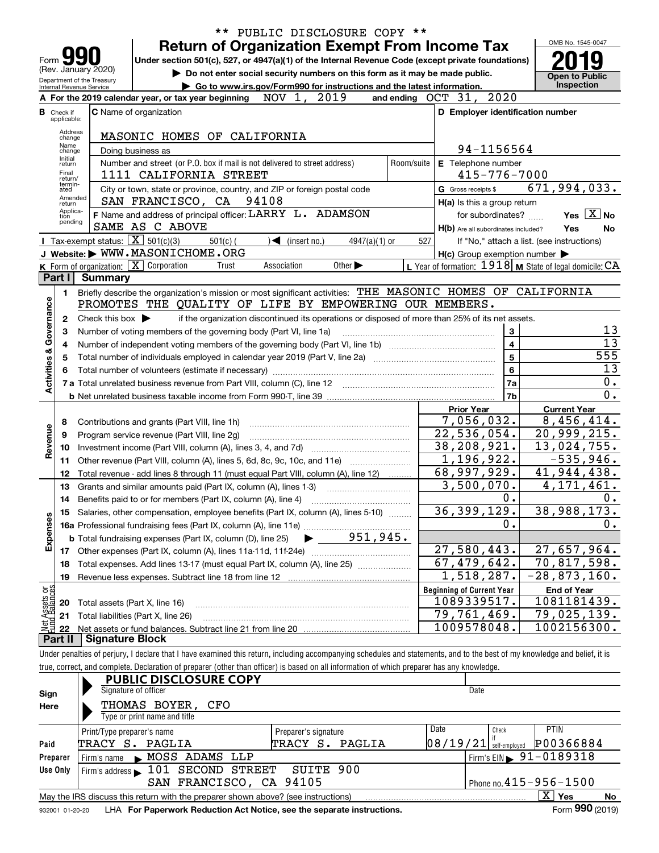|                           |                                  |                                                   | ** PUBLIC DISCLOSURE COPY **                                                                                                                                                                                                   |                                                           |                                            |
|---------------------------|----------------------------------|---------------------------------------------------|--------------------------------------------------------------------------------------------------------------------------------------------------------------------------------------------------------------------------------|-----------------------------------------------------------|--------------------------------------------|
|                           |                                  |                                                   | <b>Return of Organization Exempt From Income Tax</b>                                                                                                                                                                           |                                                           | OMB No. 1545-0047                          |
| Form                      |                                  |                                                   | Under section 501(c), 527, or 4947(a)(1) of the Internal Revenue Code (except private foundations)                                                                                                                             |                                                           |                                            |
|                           |                                  | (Rev. January 2020)<br>Department of the Treasury | Do not enter social security numbers on this form as it may be made public.                                                                                                                                                    |                                                           | <b>Open to Public</b>                      |
|                           |                                  | Internal Revenue Service                          | ► Go to www.irs.gov/Form990 for instructions and the latest information.                                                                                                                                                       |                                                           | <b>Inspection</b>                          |
|                           |                                  |                                                   | NOV 1, 2019<br>and ending<br>A For the 2019 calendar year, or tax year beginning                                                                                                                                               | 2020<br>OCT 31,                                           |                                            |
|                           | <b>B</b> Check if<br>applicable: |                                                   | <b>C</b> Name of organization                                                                                                                                                                                                  | D Employer identification number                          |                                            |
|                           | Address<br>change                |                                                   | MASONIC HOMES OF CALIFORNIA                                                                                                                                                                                                    |                                                           |                                            |
|                           | Name<br>change                   |                                                   | Doing business as                                                                                                                                                                                                              | 94-1156564                                                |                                            |
|                           | Initial<br>return                |                                                   | Number and street (or P.O. box if mail is not delivered to street address)<br>Room/suite                                                                                                                                       | E Telephone number                                        |                                            |
|                           | Final<br>return/                 |                                                   | 1111 CALIFORNIA STREET                                                                                                                                                                                                         | 415-776-7000                                              |                                            |
|                           | termin-<br>ated                  |                                                   | City or town, state or province, country, and ZIP or foreign postal code                                                                                                                                                       | G Gross receipts \$                                       | 671,994,033.                               |
|                           | Amended<br>return                |                                                   | SAN FRANCISCO, CA<br>94108                                                                                                                                                                                                     | $H(a)$ is this a group return                             |                                            |
|                           | Applica-<br>tion                 |                                                   | F Name and address of principal officer: LARRY L. ADAMSON                                                                                                                                                                      | for subordinates?                                         | Yes $X$ No                                 |
|                           | pending                          |                                                   | SAME AS C ABOVE                                                                                                                                                                                                                | H(b) Are all subordinates included?                       | Yes<br>No                                  |
|                           |                                  | Tax-exempt status: $\boxed{\mathbf{X}}$ 501(c)(3) | $501(c)$ (<br>$\sqrt{\frac{1}{1}}$ (insert no.)<br>$4947(a)(1)$ or                                                                                                                                                             | 527                                                       | If "No," attach a list. (see instructions) |
|                           |                                  |                                                   | J Website: WWW.MASONICHOME.ORG                                                                                                                                                                                                 | $H(c)$ Group exemption number $\blacktriangleright$       |                                            |
|                           | Part I                           |                                                   | <b>K</b> Form of organization: $\boxed{\mathbf{X}}$ Corporation<br>Other $\blacktriangleright$<br>Trust<br>Association                                                                                                         | L Year of formation: $1918$ M State of legal domicile: CA |                                            |
|                           |                                  | <b>Summary</b>                                    |                                                                                                                                                                                                                                |                                                           |                                            |
|                           | 1.                               |                                                   | Briefly describe the organization's mission or most significant activities: THE MASONIC HOMES OF CALIFORNIA<br>PROMOTES THE QUALITY OF LIFE BY EMPOWERING OUR MEMBERS.                                                         |                                                           |                                            |
| Governance                |                                  |                                                   |                                                                                                                                                                                                                                |                                                           |                                            |
|                           | $\mathbf{2}$                     | Check this box $\blacktriangleright$              | if the organization discontinued its operations or disposed of more than 25% of its net assets.                                                                                                                                |                                                           | 13                                         |
|                           | 3                                |                                                   | Number of voting members of the governing body (Part VI, line 1a)                                                                                                                                                              | 3<br>4                                                    | $\overline{13}$                            |
|                           | 4<br>5                           |                                                   |                                                                                                                                                                                                                                | 5                                                         | 555                                        |
|                           | 6                                |                                                   |                                                                                                                                                                                                                                | 6                                                         | 13                                         |
| <b>Activities &amp;</b>   |                                  |                                                   | Total number of volunteers (estimate if necessary) manufacture content content content of volunteers (estimate if necessary) manufacture content content content of the state of the state of the state of the state of the st | 7a                                                        | 0.                                         |
|                           |                                  |                                                   |                                                                                                                                                                                                                                | 7b                                                        | 0.                                         |
|                           |                                  |                                                   |                                                                                                                                                                                                                                | <b>Prior Year</b>                                         | <b>Current Year</b>                        |
|                           | 8                                |                                                   | Contributions and grants (Part VIII, line 1h)                                                                                                                                                                                  | 7,056,032.                                                | 8,456,414.                                 |
|                           | 9                                |                                                   | Program service revenue (Part VIII, line 2g)                                                                                                                                                                                   | 22,536,054.                                               | 20,999,215.                                |
| Revenue                   | 10                               |                                                   |                                                                                                                                                                                                                                | 38,208,921.                                               | 13,024,755.                                |
|                           | 11                               |                                                   | Other revenue (Part VIII, column (A), lines 5, 6d, 8c, 9c, 10c, and 11e)                                                                                                                                                       | 1,196,922.                                                | $-535,946.$                                |
|                           | 12                               |                                                   | Total revenue - add lines 8 through 11 (must equal Part VIII, column (A), line 12)                                                                                                                                             | 68,997,929.                                               | 41,944,438.                                |
|                           | 13                               |                                                   | Grants and similar amounts paid (Part IX, column (A), lines 1-3)                                                                                                                                                               | $\overline{3,500,070}$ .                                  | 4, 171, 461.                               |
|                           | 14                               |                                                   |                                                                                                                                                                                                                                | 0.                                                        | 0.                                         |
|                           |                                  |                                                   | 15 Salaries, other compensation, employee benefits (Part IX, column (A), lines 5-10)                                                                                                                                           | 36,399,129.                                               | 38,988,173.                                |
|                           |                                  |                                                   |                                                                                                                                                                                                                                | 0.                                                        | 0.                                         |
| Expenses                  |                                  |                                                   | 951, 945.<br><b>b</b> Total fundraising expenses (Part IX, column (D), line 25)                                                                                                                                                |                                                           |                                            |
|                           |                                  |                                                   |                                                                                                                                                                                                                                | 27,580,443.                                               | 27,657,964.                                |
|                           | 18                               |                                                   | Total expenses. Add lines 13-17 (must equal Part IX, column (A), line 25)                                                                                                                                                      | $\overline{67, 479, 642}$ .                               | 70,817,598.                                |
|                           | 19                               |                                                   |                                                                                                                                                                                                                                | 1,518,287.                                                | $-28,873,160.$                             |
| : Assets or<br>d Balances |                                  |                                                   |                                                                                                                                                                                                                                | <b>Beginning of Current Year</b><br>1089339517.           | <b>End of Year</b>                         |
|                           | 20                               | Total assets (Part X, line 16)                    |                                                                                                                                                                                                                                | $\overline{79}$ , 761, 469.                               | 1081181439.<br>$\overline{79}$ , 025, 139. |
| Net                       | 21                               |                                                   | Total liabilities (Part X, line 26)                                                                                                                                                                                            | 1009578048.                                               | 1002156300.                                |
|                           | 22<br>Part II                    | Signature Block                                   |                                                                                                                                                                                                                                |                                                           |                                            |
|                           |                                  |                                                   | Under penalties of perjury, I declare that I have examined this return, including accompanying schedules and statements, and to the best of my knowledge and belief, it is                                                     |                                                           |                                            |
|                           |                                  |                                                   | true, correct, and complete. Declaration of preparer (other than officer) is based on all information of which preparer has any knowledge.                                                                                     |                                                           |                                            |
|                           |                                  |                                                   | <b>PUBLIC DISCLOSURE COPY</b>                                                                                                                                                                                                  |                                                           |                                            |
| Sign                      |                                  |                                                   | Signature of officer                                                                                                                                                                                                           | Date                                                      |                                            |
| Here                      |                                  |                                                   | THOMAS BOYER,<br>CFO                                                                                                                                                                                                           |                                                           |                                            |
|                           |                                  |                                                   | Type or print name and title                                                                                                                                                                                                   |                                                           |                                            |

|                 | Print/Type preparer's name                                                        | Preparer's signature | Date                                  | Check | <b>PTIN</b>                                             |    |
|-----------------|-----------------------------------------------------------------------------------|----------------------|---------------------------------------|-------|---------------------------------------------------------|----|
| Paid            | TRACY S. PAGLIA                                                                   | TRACY S. PAGLIA      | $\left[08/19/21\right]$ self-employed |       | P00366884                                               |    |
| Preparer        | MOSS ADAMS LLP<br>Firm's name                                                     |                      |                                       |       | $\left  \right $ Firm's EIN $\left  \right $ 91-0189318 |    |
| Use Only        | Firm's address 101 SECOND STREET SUITE 900                                        |                      |                                       |       |                                                         |    |
|                 | SAN FRANCISCO, CA 94105                                                           |                      |                                       |       | Phone no. $415 - 956 - 1500$                            |    |
|                 | May the IRS discuss this return with the preparer shown above? (see instructions) |                      |                                       |       | x<br>Yes                                                | No |
| 932001 01-20-20 | LHA For Paperwork Reduction Act Notice, see the separate instructions.            |                      |                                       |       | Form 990 (2019)                                         |    |

932001 01-20-20 **For Paperwork Reduction Act Notice, see the separate instructions.** LHA Form (2019)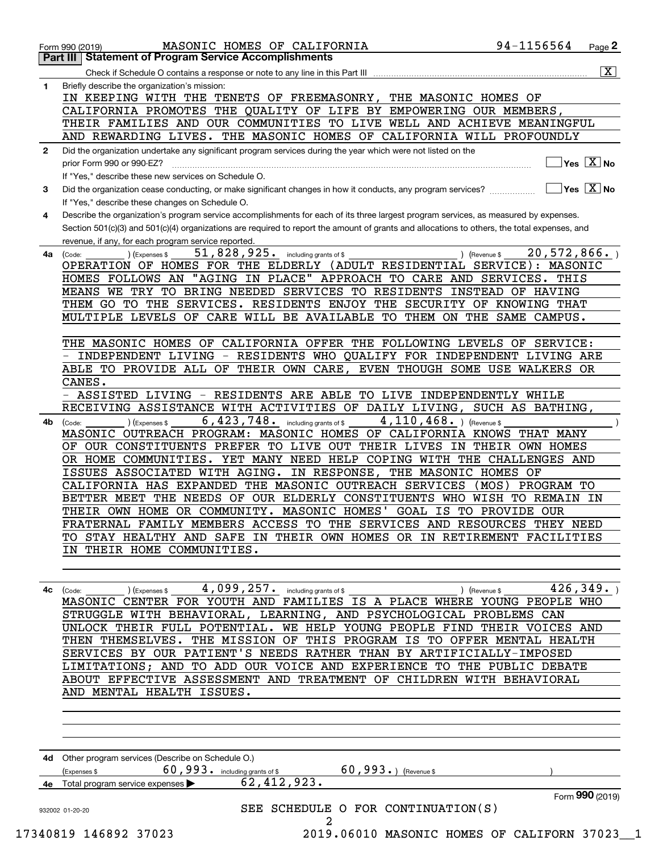|              | MASONIC HOMES OF CALIFORNIA<br>Form 990 (2019)                                                                                                  | 94-1156564          | Page 2                                 |
|--------------|-------------------------------------------------------------------------------------------------------------------------------------------------|---------------------|----------------------------------------|
|              | <b>Part III   Statement of Program Service Accomplishments</b>                                                                                  |                     |                                        |
|              | Check if Schedule O contains a response or note to any line in this Part III                                                                    |                     | $\overline{\mathbf{X}}$ $\overline{}$  |
| 1.           | Briefly describe the organization's mission:                                                                                                    |                     |                                        |
|              | IN KEEPING WITH THE TENETS OF FREEMASONRY, THE MASONIC HOMES OF                                                                                 |                     |                                        |
|              | CALIFORNIA PROMOTES THE QUALITY OF LIFE BY EMPOWERING OUR MEMBERS,                                                                              |                     |                                        |
|              | THEIR FAMILIES AND OUR COMMUNITIES TO LIVE WELL AND ACHIEVE MEANINGFUL                                                                          |                     |                                        |
|              | AND REWARDING LIVES. THE MASONIC HOMES OF CALIFORNIA WILL PROFOUNDLY                                                                            |                     |                                        |
| $\mathbf{2}$ | Did the organization undertake any significant program services during the year which were not listed on the                                    |                     |                                        |
|              | prior Form 990 or 990-EZ?                                                                                                                       |                     | $\sqrt{}$ Yes $\sqrt{}$ X $\sqrt{}$ No |
|              | If "Yes," describe these new services on Schedule O.                                                                                            |                     |                                        |
| 3            | Did the organization cease conducting, or make significant changes in how it conducts, any program services?                                    |                     | ∣Yes │X ∣No                            |
|              | If "Yes," describe these changes on Schedule O.                                                                                                 |                     |                                        |
| 4            | Describe the organization's program service accomplishments for each of its three largest program services, as measured by expenses.            |                     |                                        |
|              | Section 501(c)(3) and 501(c)(4) organizations are required to report the amount of grants and allocations to others, the total expenses, and    |                     |                                        |
|              | revenue, if any, for each program service reported<br>51,828,925. including grants of \$                                                        | 20,572,866.         |                                        |
| 4a           | ) (Revenue \$<br>) (Expenses \$<br>(Code:<br>OPERATION OF HOMES FOR THE ELDERLY (ADULT RESIDENTIAL SERVICE): MASONIC                            |                     |                                        |
|              | HOMES FOLLOWS AN "AGING IN PLACE" APPROACH TO CARE AND SERVICES. THIS                                                                           |                     |                                        |
|              | MEANS WE TRY TO BRING NEEDED SERVICES TO RESIDENTS INSTEAD OF HAVING                                                                            |                     |                                        |
|              | THEM GO TO THE SERVICES. RESIDENTS ENJOY THE SECURITY OF KNOWING THAT                                                                           |                     |                                        |
|              | MULTIPLE LEVELS OF CARE WILL BE AVAILABLE TO THEM ON THE SAME CAMPUS.                                                                           |                     |                                        |
|              |                                                                                                                                                 |                     |                                        |
|              | THE MASONIC HOMES OF CALIFORNIA OFFER THE FOLLOWING LEVELS OF SERVICE:                                                                          |                     |                                        |
|              | INDEPENDENT LIVING - RESIDENTS WHO QUALIFY FOR INDEPENDENT LIVING ARE                                                                           |                     |                                        |
|              | ABLE TO PROVIDE ALL OF THEIR OWN CARE, EVEN THOUGH SOME USE WALKERS OR                                                                          |                     |                                        |
|              | CANES.                                                                                                                                          |                     |                                        |
|              | ASSISTED LIVING - RESIDENTS ARE ABLE TO LIVE INDEPENDENTLY WHILE                                                                                |                     |                                        |
|              | RECEIVING ASSISTANCE WITH ACTIVITIES OF DAILY LIVING, SUCH AS BATHING,                                                                          |                     |                                        |
| 4b           | 6,423,748. including grants of \$<br>$4,110,468.$ (Revenue \$<br>) (Expenses \$<br>(Code:                                                       |                     |                                        |
|              | MASONIC OUTREACH PROGRAM: MASONIC HOMES OF CALIFORNIA KNOWS THAT MANY                                                                           |                     |                                        |
|              | OF OUR CONSTITUENTS PREFER TO LIVE OUT THEIR LIVES IN THEIR OWN HOMES                                                                           |                     |                                        |
|              | OR HOME COMMUNITIES. YET MANY NEED HELP COPING WITH THE CHALLENGES AND<br>ISSUES ASSOCIATED WITH AGING. IN RESPONSE, THE MASONIC HOMES OF       |                     |                                        |
|              | CALIFORNIA HAS EXPANDED THE MASONIC OUTREACH SERVICES                                                                                           | (MOS)<br>PROGRAM TO |                                        |
|              | BETTER MEET THE NEEDS OF OUR ELDERLY CONSTITUENTS WHO WISH TO REMAIN IN                                                                         |                     |                                        |
|              | THEIR OWN HOME OR COMMUNITY. MASONIC HOMES' GOAL IS TO PROVIDE OUR                                                                              |                     |                                        |
|              | FRATERNAL FAMILY MEMBERS ACCESS TO THE SERVICES AND RESOURCES THEY NEED                                                                         |                     |                                        |
|              | TO STAY HEALTHY AND SAFE IN THEIR OWN HOMES OR IN RETIREMENT FACILITIES                                                                         |                     |                                        |
|              | IN THEIR HOME COMMUNITIES.                                                                                                                      |                     |                                        |
|              |                                                                                                                                                 |                     |                                        |
|              |                                                                                                                                                 |                     |                                        |
|              | 4c (Code: ___________) (Expenses \$ ________4,099,257. including grants of \$ _______________________________) (Revenue \$ ___________426,349.) |                     |                                        |
|              | MASONIC CENTER FOR YOUTH AND FAMILIES IS A PLACE WHERE YOUNG PEOPLE WHO                                                                         |                     |                                        |
|              | STRUGGLE WITH BEHAVIORAL, LEARNING, AND PSYCHOLOGICAL PROBLEMS CAN                                                                              |                     |                                        |
|              | UNLOCK THEIR FULL POTENTIAL. WE HELP YOUNG PEOPLE FIND THEIR VOICES AND                                                                         |                     |                                        |
|              | THEN THEMSELVES. THE MISSION OF THIS PROGRAM IS TO OFFER MENTAL HEALTH                                                                          |                     |                                        |
|              | SERVICES BY OUR PATIENT'S NEEDS RATHER THAN BY ARTIFICIALLY-IMPOSED                                                                             |                     |                                        |
|              | LIMITATIONS; AND TO ADD OUR VOICE AND EXPERIENCE TO THE PUBLIC DEBATE                                                                           |                     |                                        |
|              | ABOUT EFFECTIVE ASSESSMENT AND TREATMENT OF CHILDREN WITH BEHAVIORAL                                                                            |                     |                                        |
|              | AND MENTAL HEALTH ISSUES.                                                                                                                       |                     |                                        |

| 4d | Other program services (Describe on Schedule O.) |                        |         |                                    |                 |
|----|--------------------------------------------------|------------------------|---------|------------------------------------|-----------------|
|    | 60,993.<br>(Expenses \$                          | including grants of \$ | 60,993. | (Revenue \$                        |                 |
| 4e | Total program service expenses >                 | 62,412,923.            |         |                                    |                 |
|    |                                                  |                        |         |                                    | Form 990 (2019) |
|    | 932002 01-20-20                                  |                        |         | SEE SCHEDULE O FOR CONTINUATION(S) |                 |
|    |                                                  |                        |         |                                    |                 |
|    |                                                  |                        |         |                                    |                 |

17340 17023 2019.06010 MASONIC HOMES OF CALIFORN 37023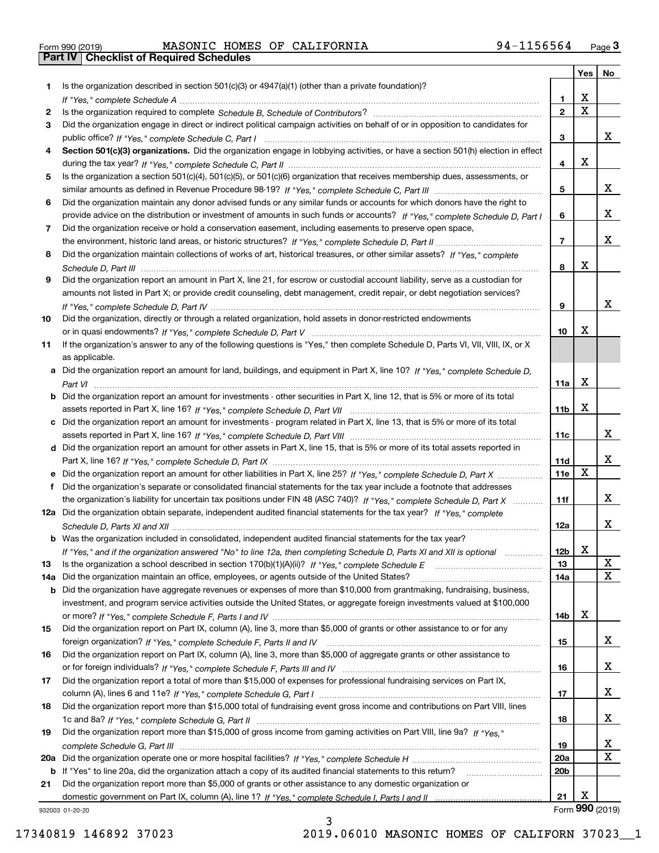| Form 990 (2019) |  |  |
|-----------------|--|--|

Form 990 (2019) MASONIC HOMES OF CALIFORNIA 94-1156564 <sub>Page</sub> 3<br>**Part IV | Checklist of Required Schedules** 

|     |                                                                                                                                       |                 | Yes $ $     | No              |
|-----|---------------------------------------------------------------------------------------------------------------------------------------|-----------------|-------------|-----------------|
| 1   | Is the organization described in section $501(c)(3)$ or $4947(a)(1)$ (other than a private foundation)?                               |                 |             |                 |
|     |                                                                                                                                       | 1.              | x           |                 |
| 2   |                                                                                                                                       | $\mathbf{2}$    | $\mathbf X$ |                 |
| 3   | Did the organization engage in direct or indirect political campaign activities on behalf of or in opposition to candidates for       |                 |             |                 |
|     |                                                                                                                                       | 3               |             | x               |
| 4   | Section 501(c)(3) organizations. Did the organization engage in lobbying activities, or have a section 501(h) election in effect      |                 |             |                 |
|     |                                                                                                                                       | 4               | x           |                 |
| 5   | Is the organization a section 501(c)(4), 501(c)(5), or 501(c)(6) organization that receives membership dues, assessments, or          |                 |             |                 |
|     |                                                                                                                                       | 5               |             | x               |
| 6   | Did the organization maintain any donor advised funds or any similar funds or accounts for which donors have the right to             |                 |             |                 |
|     | provide advice on the distribution or investment of amounts in such funds or accounts? If "Yes," complete Schedule D, Part I          | 6               |             | x               |
| 7   | Did the organization receive or hold a conservation easement, including easements to preserve open space,                             |                 |             |                 |
|     |                                                                                                                                       | $\overline{7}$  |             | x               |
| 8   | Did the organization maintain collections of works of art, historical treasures, or other similar assets? If "Yes," complete          |                 |             |                 |
|     |                                                                                                                                       | 8               | x           |                 |
| 9   | Did the organization report an amount in Part X, line 21, for escrow or custodial account liability, serve as a custodian for         |                 |             |                 |
|     | amounts not listed in Part X; or provide credit counseling, debt management, credit repair, or debt negotiation services?             |                 |             |                 |
|     |                                                                                                                                       | 9               |             | x               |
| 10  | Did the organization, directly or through a related organization, hold assets in donor-restricted endowments                          |                 |             |                 |
|     |                                                                                                                                       | 10              | x           |                 |
| 11  | If the organization's answer to any of the following questions is "Yes," then complete Schedule D, Parts VI, VII, VIII, IX, or X      |                 |             |                 |
|     | as applicable.                                                                                                                        |                 |             |                 |
|     | a Did the organization report an amount for land, buildings, and equipment in Part X, line 10? If "Yes." complete Schedule D.         |                 |             |                 |
|     |                                                                                                                                       | 11a             | х           |                 |
|     | <b>b</b> Did the organization report an amount for investments - other securities in Part X, line 12, that is 5% or more of its total |                 |             |                 |
|     |                                                                                                                                       | 11 <sub>b</sub> | x           |                 |
|     | c Did the organization report an amount for investments - program related in Part X, line 13, that is 5% or more of its total         |                 |             |                 |
|     |                                                                                                                                       | 11c             |             | x               |
|     | d Did the organization report an amount for other assets in Part X, line 15, that is 5% or more of its total assets reported in       |                 |             |                 |
|     |                                                                                                                                       | 11d             |             | x               |
|     |                                                                                                                                       | 11e             | X           |                 |
| f   | Did the organization's separate or consolidated financial statements for the tax year include a footnote that addresses               |                 |             |                 |
|     | the organization's liability for uncertain tax positions under FIN 48 (ASC 740)? If "Yes," complete Schedule D, Part X                | 11f             |             | x               |
|     | 12a Did the organization obtain separate, independent audited financial statements for the tax year? If "Yes," complete               |                 |             |                 |
|     |                                                                                                                                       | 12a             |             | x               |
|     | <b>b</b> Was the organization included in consolidated, independent audited financial statements for the tax year?                    |                 |             |                 |
|     | If "Yes," and if the organization answered "No" to line 12a, then completing Schedule D, Parts XI and XII is optional                 | 12 <sub>b</sub> | X           |                 |
| 13  | Is the organization a school described in section 170(b)(1)(A)(ii)? If "Yes," complete Schedule E                                     | 13              |             | X               |
| 14a | Did the organization maintain an office, employees, or agents outside of the United States?                                           | 14a             |             | X               |
| b   | Did the organization have aggregate revenues or expenses of more than \$10,000 from grantmaking, fundraising, business,               |                 |             |                 |
|     | investment, and program service activities outside the United States, or aggregate foreign investments valued at \$100,000            |                 |             |                 |
|     |                                                                                                                                       | 14b             | X           |                 |
| 15  | Did the organization report on Part IX, column (A), line 3, more than \$5,000 of grants or other assistance to or for any             |                 |             |                 |
|     |                                                                                                                                       | 15              |             | X               |
| 16  | Did the organization report on Part IX, column (A), line 3, more than \$5,000 of aggregate grants or other assistance to              |                 |             |                 |
|     |                                                                                                                                       | 16              |             | X               |
| 17  | Did the organization report a total of more than \$15,000 of expenses for professional fundraising services on Part IX,               |                 |             |                 |
|     |                                                                                                                                       | 17              |             | X               |
| 18  | Did the organization report more than \$15,000 total of fundraising event gross income and contributions on Part VIII, lines          |                 |             |                 |
|     |                                                                                                                                       | 18              |             | x               |
| 19  | Did the organization report more than \$15,000 of gross income from gaming activities on Part VIII, line 9a? If "Yes."                |                 |             |                 |
|     |                                                                                                                                       | 19              |             | x               |
|     |                                                                                                                                       | <b>20a</b>      |             | X               |
|     | b If "Yes" to line 20a, did the organization attach a copy of its audited financial statements to this return?                        | 20 <sub>b</sub> |             |                 |
| 21  | Did the organization report more than \$5,000 of grants or other assistance to any domestic organization or                           |                 |             |                 |
|     |                                                                                                                                       | 21              | X           |                 |
|     | 932003 01-20-20                                                                                                                       |                 |             | Form 990 (2019) |
|     | ٦                                                                                                                                     |                 |             |                 |

932003 01-20-20

3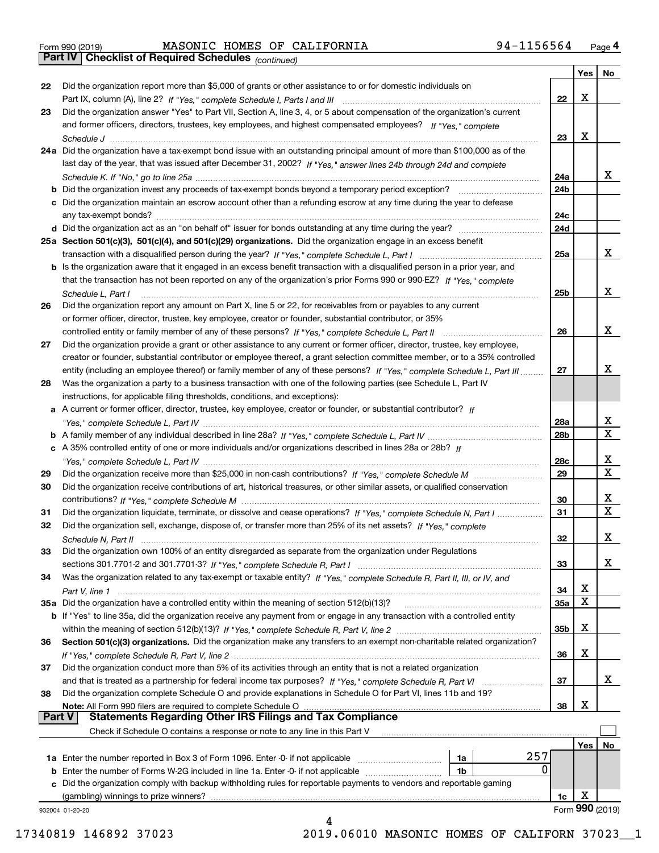| Form 990 (2019) |  |  |
|-----------------|--|--|

Form 990 (2019) MASONIC HOMES OF CALIFORNIA 94-1156564 <sub>Page</sub> 4<br>**Part IV | Checklist of Required Schedules** <sub>(continued)</sub>

*(continued)*

|               |                                                                                                                                   |            | Yes | No                      |
|---------------|-----------------------------------------------------------------------------------------------------------------------------------|------------|-----|-------------------------|
| 22            | Did the organization report more than \$5,000 of grants or other assistance to or for domestic individuals on                     |            |     |                         |
|               |                                                                                                                                   | 22         | x   |                         |
| 23            | Did the organization answer "Yes" to Part VII, Section A, line 3, 4, or 5 about compensation of the organization's current        |            |     |                         |
|               | and former officers, directors, trustees, key employees, and highest compensated employees? If "Yes," complete                    |            |     |                         |
|               |                                                                                                                                   | 23         | х   |                         |
|               | 24a Did the organization have a tax-exempt bond issue with an outstanding principal amount of more than \$100,000 as of the       |            |     |                         |
|               | last day of the year, that was issued after December 31, 2002? If "Yes," answer lines 24b through 24d and complete                |            |     |                         |
|               |                                                                                                                                   | 24a        |     | X.                      |
|               | b Did the organization invest any proceeds of tax-exempt bonds beyond a temporary period exception?                               | 24b        |     |                         |
|               | c Did the organization maintain an escrow account other than a refunding escrow at any time during the year to defease            |            |     |                         |
|               | any tax-exempt bonds?                                                                                                             | 24c        |     |                         |
|               | d Did the organization act as an "on behalf of" issuer for bonds outstanding at any time during the year?                         | 24d        |     |                         |
|               | 25a Section 501(c)(3), 501(c)(4), and 501(c)(29) organizations. Did the organization engage in an excess benefit                  |            |     |                         |
|               |                                                                                                                                   | 25a        |     | X.                      |
|               | b Is the organization aware that it engaged in an excess benefit transaction with a disqualified person in a prior year, and      |            |     |                         |
|               | that the transaction has not been reported on any of the organization's prior Forms 990 or 990-EZ? If "Yes." complete             |            |     |                         |
|               | Schedule L, Part I                                                                                                                | 25b        |     | X.                      |
| 26            | Did the organization report any amount on Part X, line 5 or 22, for receivables from or payables to any current                   |            |     |                         |
|               | or former officer, director, trustee, key employee, creator or founder, substantial contributor, or 35%                           |            |     |                         |
|               |                                                                                                                                   | 26         |     | x                       |
| 27            | Did the organization provide a grant or other assistance to any current or former officer, director, trustee, key employee,       |            |     |                         |
|               | creator or founder, substantial contributor or employee thereof, a grant selection committee member, or to a 35% controlled       |            |     |                         |
|               | entity (including an employee thereof) or family member of any of these persons? If "Yes," complete Schedule L, Part III          | 27         |     | x                       |
| 28            | Was the organization a party to a business transaction with one of the following parties (see Schedule L, Part IV                 |            |     |                         |
|               | instructions, for applicable filing thresholds, conditions, and exceptions):                                                      |            |     |                         |
|               | a A current or former officer, director, trustee, key employee, creator or founder, or substantial contributor? If                |            |     |                         |
|               |                                                                                                                                   | 28a        |     | x                       |
|               |                                                                                                                                   | 28b        |     | X                       |
|               | c A 35% controlled entity of one or more individuals and/or organizations described in lines 28a or 28b? If                       |            |     |                         |
|               |                                                                                                                                   | 28c        |     | x                       |
| 29            |                                                                                                                                   | 29         |     | $\overline{\mathbf{x}}$ |
| 30            | Did the organization receive contributions of art, historical treasures, or other similar assets, or qualified conservation       |            |     |                         |
|               |                                                                                                                                   | 30         |     | x                       |
| 31            | Did the organization liquidate, terminate, or dissolve and cease operations? If "Yes," complete Schedule N, Part I                | 31         |     | $\overline{\mathbf{x}}$ |
| 32            | Did the organization sell, exchange, dispose of, or transfer more than 25% of its net assets? If "Yes," complete                  |            |     |                         |
|               |                                                                                                                                   | 32         |     | x                       |
|               |                                                                                                                                   |            |     |                         |
| 33            | Did the organization own 100% of an entity disregarded as separate from the organization under Regulations                        |            |     | X                       |
|               |                                                                                                                                   | 33         |     |                         |
| 34            | Was the organization related to any tax-exempt or taxable entity? If "Yes," complete Schedule R, Part II, III, or IV, and         |            | х   |                         |
|               |                                                                                                                                   | 34         | X   |                         |
|               | 35a Did the organization have a controlled entity within the meaning of section 512(b)(13)?                                       | <b>35a</b> |     |                         |
|               | b If "Yes" to line 35a, did the organization receive any payment from or engage in any transaction with a controlled entity       |            | х   |                         |
|               |                                                                                                                                   | 35b        |     |                         |
| 36            | Section 501(c)(3) organizations. Did the organization make any transfers to an exempt non-charitable related organization?        |            |     |                         |
|               |                                                                                                                                   | 36         | х   |                         |
| 37            | Did the organization conduct more than 5% of its activities through an entity that is not a related organization                  |            |     |                         |
|               | and that is treated as a partnership for federal income tax purposes? If "Yes," complete Schedule R, Part VI                      | 37         |     | x                       |
| 38            | Did the organization complete Schedule O and provide explanations in Schedule O for Part VI, lines 11b and 19?                    |            |     |                         |
| <b>Part V</b> | Note: All Form 990 filers are required to complete Schedule O<br><b>Statements Regarding Other IRS Filings and Tax Compliance</b> | 38         | X   |                         |
|               |                                                                                                                                   |            |     |                         |
|               | Check if Schedule O contains a response or note to any line in this Part V                                                        |            |     |                         |
|               |                                                                                                                                   |            | Yes | No                      |
|               | 257<br>1a Enter the number reported in Box 3 of Form 1096. Enter -0- if not applicable<br>1a                                      |            |     |                         |
|               | 0<br><b>b</b> Enter the number of Forms W-2G included in line 1a. Enter -0- if not applicable<br>1b                               |            |     |                         |
|               | c Did the organization comply with backup withholding rules for reportable payments to vendors and reportable gaming              |            |     |                         |
|               | (gambling) winnings to prize winners?                                                                                             | 1c         | X   |                         |
|               | 932004 01-20-20                                                                                                                   |            |     | Form 990 (2019)         |
|               |                                                                                                                                   |            |     |                         |

17340819 146892 37023 2019.06010 MASONIC HOMES OF CALIFORN 37023\_\_1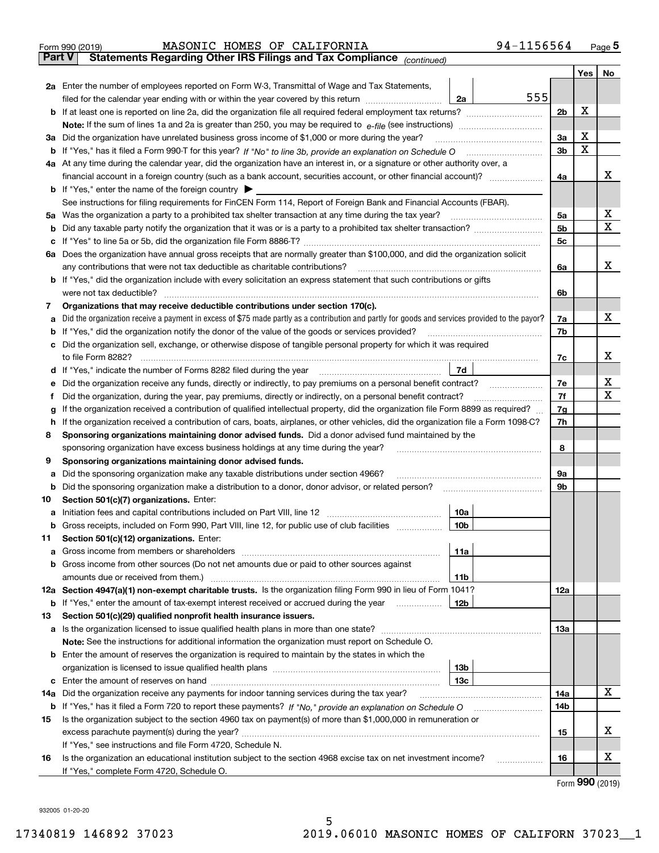|               | 94-1156564<br>MASONIC HOMES OF CALIFORNIA<br>Form 990 (2019)                                                                                    |                |     | $_{\text{Page}}$ 5 |
|---------------|-------------------------------------------------------------------------------------------------------------------------------------------------|----------------|-----|--------------------|
| <b>Part V</b> | Statements Regarding Other IRS Filings and Tax Compliance (continued)                                                                           |                |     |                    |
|               |                                                                                                                                                 |                | Yes | No                 |
|               | 2a Enter the number of employees reported on Form W-3, Transmittal of Wage and Tax Statements,                                                  |                |     |                    |
|               | 555<br>filed for the calendar year ending with or within the year covered by this return<br>2a                                                  |                |     |                    |
|               |                                                                                                                                                 | 2b             | x   |                    |
|               |                                                                                                                                                 |                |     |                    |
| За            | Did the organization have unrelated business gross income of \$1,000 or more during the year?                                                   | 3a             | х   |                    |
| b             |                                                                                                                                                 | 3 <sub>b</sub> | X   |                    |
|               | 4a At any time during the calendar year, did the organization have an interest in, or a signature or other authority over, a                    |                |     |                    |
|               |                                                                                                                                                 | 4a             |     | x                  |
|               | <b>b</b> If "Yes," enter the name of the foreign country $\blacktriangleright$                                                                  |                |     |                    |
|               | See instructions for filing requirements for FinCEN Form 114, Report of Foreign Bank and Financial Accounts (FBAR).                             |                |     |                    |
| 5a            | Was the organization a party to a prohibited tax shelter transaction at any time during the tax year?                                           | 5a             |     | х                  |
| b             |                                                                                                                                                 | 5 <sub>b</sub> |     | х                  |
| с             |                                                                                                                                                 | 5c             |     |                    |
|               | 6a Does the organization have annual gross receipts that are normally greater than \$100,000, and did the organization solicit                  |                |     |                    |
|               | any contributions that were not tax deductible as charitable contributions?                                                                     | 6a             |     | x                  |
|               | <b>b</b> If "Yes," did the organization include with every solicitation an express statement that such contributions or gifts                   |                |     |                    |
|               | were not tax deductible?                                                                                                                        | 6b             |     |                    |
| 7             | Organizations that may receive deductible contributions under section 170(c).                                                                   |                |     |                    |
| а             | Did the organization receive a payment in excess of \$75 made partly as a contribution and partly for goods and services provided to the payor? | 7a             |     | x                  |
| b             | If "Yes," did the organization notify the donor of the value of the goods or services provided?                                                 | 7b             |     |                    |
|               | Did the organization sell, exchange, or otherwise dispose of tangible personal property for which it was required                               |                |     |                    |
|               |                                                                                                                                                 | 7c             |     | x                  |
| d             | 7d                                                                                                                                              |                |     |                    |
| е             |                                                                                                                                                 | 7e             |     | х                  |
| f             | Did the organization, during the year, pay premiums, directly or indirectly, on a personal benefit contract?                                    | 7f             |     | х                  |
| g             | If the organization received a contribution of qualified intellectual property, did the organization file Form 8899 as required?                | 7g             |     |                    |
| h             | If the organization received a contribution of cars, boats, airplanes, or other vehicles, did the organization file a Form 1098-C?              | 7h             |     |                    |
| 8             | Sponsoring organizations maintaining donor advised funds. Did a donor advised fund maintained by the                                            |                |     |                    |
|               | sponsoring organization have excess business holdings at any time during the year?                                                              | 8              |     |                    |
| 9             | Sponsoring organizations maintaining donor advised funds.                                                                                       |                |     |                    |
| а             | Did the sponsoring organization make any taxable distributions under section 4966?                                                              | 9а             |     |                    |
| b             | Did the sponsoring organization make a distribution to a donor, donor advisor, or related person?                                               | 9b             |     |                    |
| 10            | Section 501(c)(7) organizations. Enter:                                                                                                         |                |     |                    |
| а             | 10a<br> 10b                                                                                                                                     |                |     |                    |
|               | Gross receipts, included on Form 990, Part VIII, line 12, for public use of club facilities                                                     |                |     |                    |
| 11            | Section 501(c)(12) organizations. Enter:                                                                                                        |                |     |                    |
| а             | 11a<br>Gross income from members or shareholders<br>Gross income from other sources (Do not net amounts due or paid to other sources against    |                |     |                    |
| b             | 11 <sub>b</sub><br>amounts due or received from them.)                                                                                          |                |     |                    |
|               | 12a Section 4947(a)(1) non-exempt charitable trusts. Is the organization filing Form 990 in lieu of Form 1041?                                  | 12a            |     |                    |
|               | <b>12b</b><br><b>b</b> If "Yes," enter the amount of tax-exempt interest received or accrued during the year                                    |                |     |                    |
| 13            | Section 501(c)(29) qualified nonprofit health insurance issuers.                                                                                |                |     |                    |
| a             | Is the organization licensed to issue qualified health plans in more than one state?                                                            | 13a            |     |                    |
|               | Note: See the instructions for additional information the organization must report on Schedule O.                                               |                |     |                    |
| b             | Enter the amount of reserves the organization is required to maintain by the states in which the                                                |                |     |                    |
|               | 13 <sub>b</sub>                                                                                                                                 |                |     |                    |
| с             | 13 <sub>c</sub>                                                                                                                                 |                |     |                    |
| 14a           | Did the organization receive any payments for indoor tanning services during the tax year?                                                      | 14a            |     | x                  |
|               | <b>b</b> If "Yes," has it filed a Form 720 to report these payments? If "No," provide an explanation on Schedule O                              | 14b            |     |                    |
| 15            | Is the organization subject to the section 4960 tax on payment(s) of more than \$1,000,000 in remuneration or                                   |                |     |                    |
|               | excess parachute payment(s) during the year?                                                                                                    | 15             |     | x                  |
|               | If "Yes," see instructions and file Form 4720, Schedule N.                                                                                      |                |     |                    |
| 16            | Is the organization an educational institution subject to the section 4968 excise tax on net investment income?                                 | 16             |     | х                  |
|               | If "Yes," complete Form 4720, Schedule O.                                                                                                       |                |     |                    |
|               |                                                                                                                                                 |                |     |                    |

Form (2019) **990**

932005 01-20-20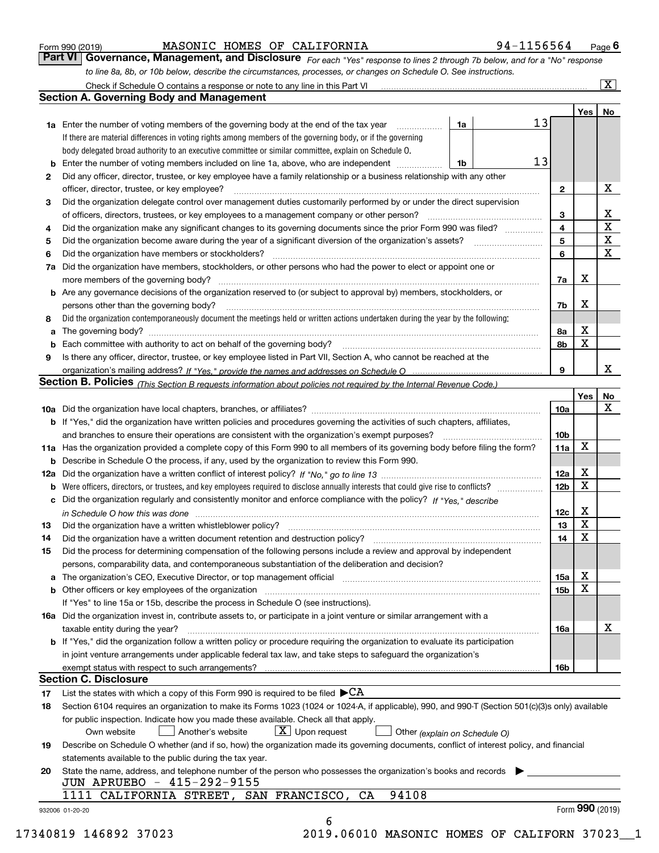| Form 990 (2019) |  |  |
|-----------------|--|--|
|                 |  |  |

MASONIC HOMES OF CALIFORNIA 94-1156564

*For each "Yes" response to lines 2 through 7b below, and for a "No" response to line 8a, 8b, or 10b below, describe the circumstances, processes, or changes on Schedule O. See instructions.* Form 990 (2019) **MASONIC HOMES OF CALIFORNIA** 94-1156564 Page 6<br>**Part VI Governance, Management, and Disclosure** For each "Yes" response to lines 2 through 7b below, and for a "No" response

|    | <b>1a</b> Enter the number of voting members of the governing body at the end of the tax year<br>.                                                                         | 1a | 13 |                 | Yes             | No                      |
|----|----------------------------------------------------------------------------------------------------------------------------------------------------------------------------|----|----|-----------------|-----------------|-------------------------|
|    | If there are material differences in voting rights among members of the governing body, or if the governing                                                                |    |    |                 |                 |                         |
|    | body delegated broad authority to an executive committee or similar committee, explain on Schedule O.                                                                      |    |    |                 |                 |                         |
| b  | Enter the number of voting members included on line 1a, above, who are independent                                                                                         | 1b | 13 |                 |                 |                         |
| 2  | Did any officer, director, trustee, or key employee have a family relationship or a business relationship with any other                                                   |    |    |                 |                 |                         |
|    | officer, director, trustee, or key employee?                                                                                                                               |    |    | $\mathbf{2}$    |                 | X                       |
| 3  | Did the organization delegate control over management duties customarily performed by or under the direct supervision                                                      |    |    |                 |                 |                         |
|    |                                                                                                                                                                            |    |    | 3               |                 | X                       |
| 4  | Did the organization make any significant changes to its governing documents since the prior Form 990 was filed?                                                           |    |    | 4               |                 | $\overline{\mathbf{x}}$ |
| 5  |                                                                                                                                                                            |    |    | 5               |                 | $\mathbf X$             |
| 6  | Did the organization have members or stockholders?                                                                                                                         |    |    | 6               |                 | X                       |
| 7a | Did the organization have members, stockholders, or other persons who had the power to elect or appoint one or                                                             |    |    |                 |                 |                         |
|    |                                                                                                                                                                            |    |    | 7a              | x               |                         |
|    | <b>b</b> Are any governance decisions of the organization reserved to (or subject to approval by) members, stockholders, or                                                |    |    |                 |                 |                         |
|    | persons other than the governing body?                                                                                                                                     |    |    | 7b              | X               |                         |
| 8  | Did the organization contemporaneously document the meetings held or written actions undertaken during the year by the following:                                          |    |    |                 |                 |                         |
| a  |                                                                                                                                                                            |    |    | 8a              | X               |                         |
| b  |                                                                                                                                                                            |    |    | 8b              | X               |                         |
| 9  | Is there any officer, director, trustee, or key employee listed in Part VII, Section A, who cannot be reached at the                                                       |    |    |                 |                 |                         |
|    |                                                                                                                                                                            |    |    | 9               |                 | х                       |
|    | <b>Section B. Policies</b> (This Section B requests information about policies not required by the Internal Revenue Code.)                                                 |    |    |                 |                 |                         |
|    |                                                                                                                                                                            |    |    |                 |                 | No                      |
|    |                                                                                                                                                                            |    |    |                 | Yes             | X                       |
|    |                                                                                                                                                                            |    |    | 10a             |                 |                         |
|    | <b>b</b> If "Yes," did the organization have written policies and procedures governing the activities of such chapters, affiliates,                                        |    |    |                 |                 |                         |
|    |                                                                                                                                                                            |    |    | 10 <sub>b</sub> | X               |                         |
|    | 11a Has the organization provided a complete copy of this Form 990 to all members of its governing body before filing the form?                                            |    |    | 11a             |                 |                         |
|    | <b>b</b> Describe in Schedule O the process, if any, used by the organization to review this Form 990.                                                                     |    |    |                 |                 |                         |
|    |                                                                                                                                                                            |    |    | 12a             | X               |                         |
| b  |                                                                                                                                                                            |    |    | 12b             | X               |                         |
|    | c Did the organization regularly and consistently monitor and enforce compliance with the policy? If "Yes," describe                                                       |    |    |                 |                 |                         |
|    | in Schedule O how this was done manufactured and continuum control of the state of the state of the state of t                                                             |    |    | 12c             | X               |                         |
| 13 |                                                                                                                                                                            |    |    | 13              | X               |                         |
| 14 | Did the organization have a written document retention and destruction policy? manufactured and the organization have a written document retention and destruction policy? |    |    | 14              | X               |                         |
| 15 | Did the process for determining compensation of the following persons include a review and approval by independent                                                         |    |    |                 |                 |                         |
|    | persons, comparability data, and contemporaneous substantiation of the deliberation and decision?                                                                          |    |    |                 |                 |                         |
|    |                                                                                                                                                                            |    |    | 15a             | X               |                         |
|    |                                                                                                                                                                            |    |    | 15b             | X               |                         |
|    | If "Yes" to line 15a or 15b, describe the process in Schedule O (see instructions).                                                                                        |    |    |                 |                 |                         |
|    | 16a Did the organization invest in, contribute assets to, or participate in a joint venture or similar arrangement with a                                                  |    |    |                 |                 |                         |
|    | taxable entity during the year?                                                                                                                                            |    |    | 16a             |                 | X                       |
|    | b If "Yes," did the organization follow a written policy or procedure requiring the organization to evaluate its participation                                             |    |    |                 |                 |                         |
|    | in joint venture arrangements under applicable federal tax law, and take steps to safequard the organization's                                                             |    |    |                 |                 |                         |
|    | exempt status with respect to such arrangements?                                                                                                                           |    |    | 16b             |                 |                         |
|    | <b>Section C. Disclosure</b>                                                                                                                                               |    |    |                 |                 |                         |
| 17 | List the states with which a copy of this Form 990 is required to be filed $\blacktriangleright$ CA                                                                        |    |    |                 |                 |                         |
| 18 | Section 6104 requires an organization to make its Forms 1023 (1024 or 1024-A, if applicable), 990, and 990-T (Section 501(c)(3)s only) available                           |    |    |                 |                 |                         |
|    | for public inspection. Indicate how you made these available. Check all that apply.                                                                                        |    |    |                 |                 |                         |
|    | $X$ Upon request<br>Another's website<br>Own website<br>Other (explain on Schedule O)                                                                                      |    |    |                 |                 |                         |
| 19 | Describe on Schedule O whether (and if so, how) the organization made its governing documents, conflict of interest policy, and financial                                  |    |    |                 |                 |                         |
|    | statements available to the public during the tax year.                                                                                                                    |    |    |                 |                 |                         |
| 20 | State the name, address, and telephone number of the person who possesses the organization's books and records<br>JUN APRUEBO - 415-292-9155                               |    |    |                 |                 |                         |
|    | 94108<br>1111 CALIFORNIA STREET, SAN FRANCISCO, CA                                                                                                                         |    |    |                 |                 |                         |
|    | 932006 01-20-20                                                                                                                                                            |    |    |                 | Form 990 (2019) |                         |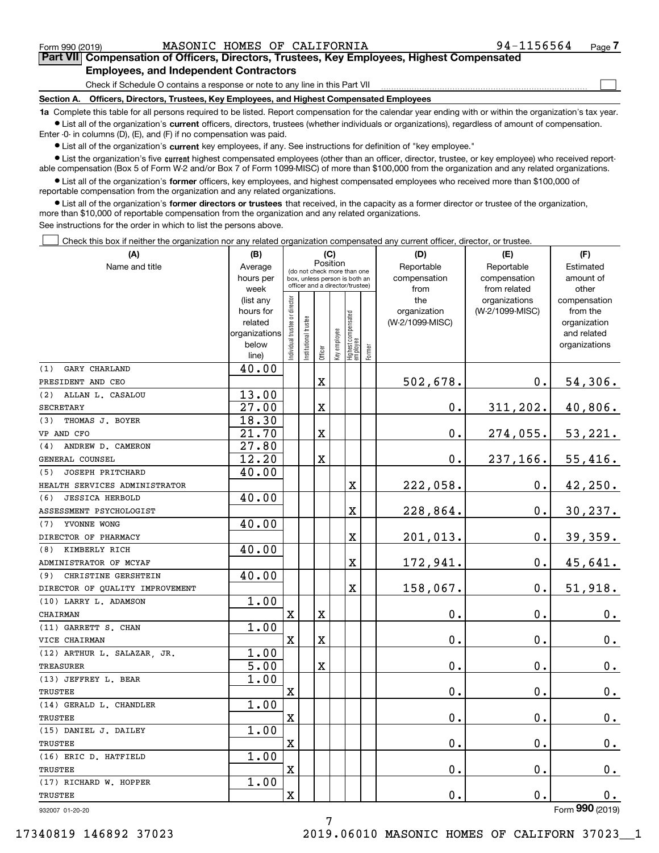$\mathcal{L}^{\text{max}}$ 

# **7Part VII Compensation of Officers, Directors, Trustees, Key Employees, Highest Compensated Employees, and Independent Contractors**

Check if Schedule O contains a response or note to any line in this Part VII

**Section A. Officers, Directors, Trustees, Key Employees, and Highest Compensated Employees**

**1a**  Complete this table for all persons required to be listed. Report compensation for the calendar year ending with or within the organization's tax year. **•** List all of the organization's current officers, directors, trustees (whether individuals or organizations), regardless of amount of compensation.

Enter -0- in columns (D), (E), and (F) if no compensation was paid.

 $\bullet$  List all of the organization's  $\,$ current key employees, if any. See instructions for definition of "key employee."

**•** List the organization's five current highest compensated employees (other than an officer, director, trustee, or key employee) who received reportable compensation (Box 5 of Form W-2 and/or Box 7 of Form 1099-MISC) of more than \$100,000 from the organization and any related organizations.

**•** List all of the organization's former officers, key employees, and highest compensated employees who received more than \$100,000 of reportable compensation from the organization and any related organizations.

**former directors or trustees**  ¥ List all of the organization's that received, in the capacity as a former director or trustee of the organization, more than \$10,000 of reportable compensation from the organization and any related organizations.

See instructions for the order in which to list the persons above.

Check this box if neither the organization nor any related organization compensated any current officer, director, or trustee.  $\mathcal{L}^{\text{max}}$ 

| (A)                             | (B)                    | (C)                           |                                                                  |                         |              |                                  | (D)       | (E)                 | (F)                              |                               |
|---------------------------------|------------------------|-------------------------------|------------------------------------------------------------------|-------------------------|--------------|----------------------------------|-----------|---------------------|----------------------------------|-------------------------------|
| Name and title                  | Average                |                               | Position<br>(do not check more than one                          |                         | Reportable   | Reportable                       | Estimated |                     |                                  |                               |
|                                 | hours per              |                               | box, unless person is both an<br>officer and a director/trustee) |                         | compensation | compensation                     | amount of |                     |                                  |                               |
|                                 | week                   |                               |                                                                  |                         |              |                                  |           | from                | from related                     | other                         |
|                                 | (list any<br>hours for |                               |                                                                  |                         |              |                                  |           | the<br>organization | organizations<br>(W-2/1099-MISC) | compensation<br>from the      |
|                                 | related                |                               |                                                                  |                         |              |                                  |           | (W-2/1099-MISC)     |                                  | organization                  |
|                                 | organizations          |                               |                                                                  |                         |              |                                  |           |                     |                                  | and related                   |
|                                 | below                  | ndividual trustee or director | Institutional trustee                                            |                         | Key employee |                                  |           |                     |                                  | organizations                 |
|                                 | line)                  |                               |                                                                  | Officer                 |              | Highest compensated<br> employee | Former    |                     |                                  |                               |
| GARY CHARLAND<br>(1)            | 40.00                  |                               |                                                                  |                         |              |                                  |           |                     |                                  |                               |
| PRESIDENT AND CEO               |                        |                               |                                                                  | X                       |              |                                  |           | 502,678.            | $0$ .                            | 54,306.                       |
| (2)<br>ALLAN L. CASALOU         | 13.00                  |                               |                                                                  |                         |              |                                  |           |                     |                                  |                               |
| <b>SECRETARY</b>                | 27.00                  |                               |                                                                  | X                       |              |                                  |           | 0.                  | 311, 202.                        | 40,806.                       |
| THOMAS J. BOYER<br>(3)          | 18.30                  |                               |                                                                  |                         |              |                                  |           |                     |                                  |                               |
| VP AND CFO                      | 21.70                  |                               |                                                                  | $\overline{\textbf{X}}$ |              |                                  |           | 0.                  | 274,055.                         | 53,221.                       |
| ANDREW D. CAMERON<br>(4)        | 27.80                  |                               |                                                                  |                         |              |                                  |           |                     |                                  |                               |
| GENERAL COUNSEL                 | 12.20                  |                               |                                                                  | $\overline{\textbf{X}}$ |              |                                  |           | $\mathbf 0$ .       | 237,166.                         | 55,416.                       |
| JOSEPH PRITCHARD<br>(5)         | 40.00                  |                               |                                                                  |                         |              |                                  |           |                     |                                  |                               |
| HEALTH SERVICES ADMINISTRATOR   |                        |                               |                                                                  |                         |              | X                                |           | 222,058.            | 0.                               | 42,250.                       |
| <b>JESSICA HERBOLD</b><br>(6)   | 40.00                  |                               |                                                                  |                         |              |                                  |           |                     |                                  |                               |
| ASSESSMENT PSYCHOLOGIST         |                        |                               |                                                                  |                         |              | X                                |           | 228,864.            | 0.                               | 30, 237.                      |
| (7)<br>YVONNE WONG              | 40.00                  |                               |                                                                  |                         |              |                                  |           |                     |                                  |                               |
| DIRECTOR OF PHARMACY            |                        |                               |                                                                  |                         |              | X                                |           | 201,013.            | $\mathbf 0$ .                    | 39,359.                       |
| KIMBERLY RICH<br>(8)            | 40.00                  |                               |                                                                  |                         |              |                                  |           |                     |                                  |                               |
| ADMINISTRATOR OF MCYAF          |                        |                               |                                                                  |                         |              | $\overline{\textbf{X}}$          |           | 172,941.            | $0$ .                            | 45,641.                       |
| (9)<br>CHRISTINE GERSHTEIN      | 40.00                  |                               |                                                                  |                         |              |                                  |           |                     |                                  |                               |
| DIRECTOR OF QUALITY IMPROVEMENT |                        |                               |                                                                  |                         |              | X                                |           | 158,067.            | $\mathbf 0$ .                    | 51,918.                       |
| (10) LARRY L. ADAMSON           | 1.00                   |                               |                                                                  |                         |              |                                  |           |                     |                                  |                               |
| CHAIRMAN                        |                        | $\mathbf X$                   |                                                                  | X                       |              |                                  |           | 0.                  | $\mathbf 0$ .                    | 0.                            |
| (11) GARRETT S. CHAN            | 1.00                   |                               |                                                                  |                         |              |                                  |           |                     |                                  |                               |
| VICE CHAIRMAN                   |                        | $\mathbf x$                   |                                                                  | X                       |              |                                  |           | 0.                  | $\mathbf 0$ .                    | 0.                            |
| (12) ARTHUR L. SALAZAR JR.      | 1.00                   |                               |                                                                  |                         |              |                                  |           |                     |                                  |                               |
| <b>TREASURER</b>                | 5.00                   |                               |                                                                  | X                       |              |                                  |           | 0.                  | $\mathbf 0$ .                    | $\mathbf 0$ .                 |
| (13) JEFFREY L. BEAR            | 1.00                   |                               |                                                                  |                         |              |                                  |           |                     |                                  |                               |
| TRUSTEE                         |                        | X                             |                                                                  |                         |              |                                  |           | 0.                  | $\mathbf{0}$ .                   | $\mathbf 0$ .                 |
| (14) GERALD L. CHANDLER         | 1.00                   |                               |                                                                  |                         |              |                                  |           |                     |                                  |                               |
| TRUSTEE                         |                        | $\mathbf X$                   |                                                                  |                         |              |                                  |           | 0.                  | $\mathbf 0$ .                    | 0.                            |
| (15) DANIEL J. DAILEY           | 1.00                   |                               |                                                                  |                         |              |                                  |           |                     |                                  |                               |
| TRUSTEE                         |                        | $\mathbf X$                   |                                                                  |                         |              |                                  |           | 0.                  | $\mathbf 0$ .                    | 0.                            |
| (16) ERIC D. HATFIELD           | 1.00                   |                               |                                                                  |                         |              |                                  |           |                     |                                  |                               |
| TRUSTEE                         |                        | $\mathbf X$                   |                                                                  |                         |              |                                  |           | 0.                  | $\mathbf 0$ .                    | $\mathbf 0$ .                 |
| (17) RICHARD W. HOPPER          | 1.00                   |                               |                                                                  |                         |              |                                  |           |                     |                                  |                               |
| TRUSTEE                         |                        | $\overline{\textbf{X}}$       |                                                                  |                         |              |                                  |           | 0.                  | 0.                               | 0.<br>$\overline{\mathbf{z}}$ |

932007 01-20-20

Form (2019) **990**

7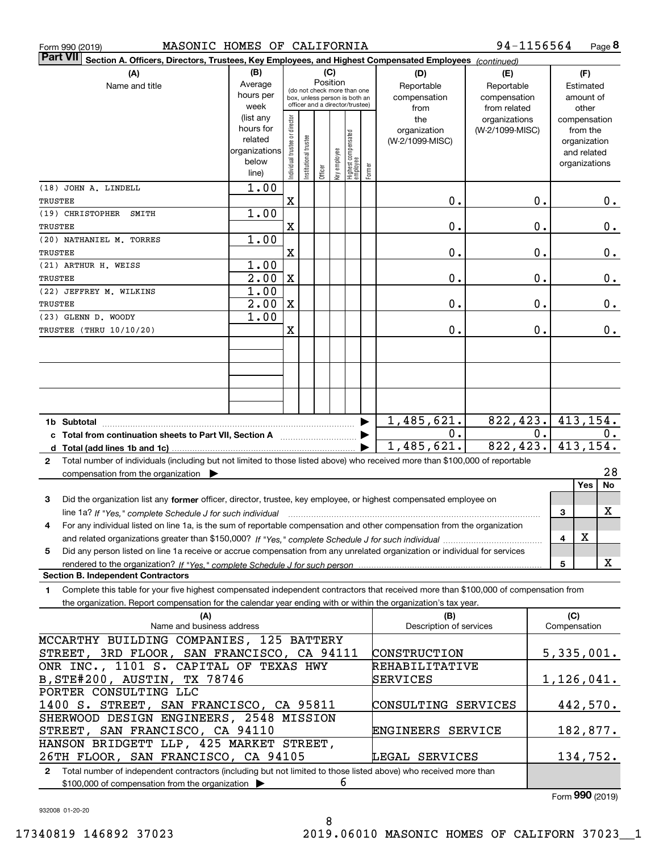| MASONIC HOMES OF CALIFORNIA<br>Form 990 (2019)                                                                                            |               |                                |                       |                                         |              |                                   |                     |                         | 94-1156564      |       |              |               | Page 8     |
|-------------------------------------------------------------------------------------------------------------------------------------------|---------------|--------------------------------|-----------------------|-----------------------------------------|--------------|-----------------------------------|---------------------|-------------------------|-----------------|-------|--------------|---------------|------------|
| ∣Part VII<br>Section A. Officers, Directors, Trustees, Key Employees, and Highest Compensated Employees (continued)                       |               |                                |                       |                                         |              |                                   |                     |                         |                 |       |              |               |            |
| (A)                                                                                                                                       | (B)           |                                |                       | (C)                                     |              |                                   |                     | (D)                     | (E)             |       |              | (F)           |            |
| Name and title                                                                                                                            | Average       |                                |                       | Position<br>(do not check more than one |              |                                   |                     | Reportable              | Reportable      |       |              | Estimated     |            |
|                                                                                                                                           | hours per     |                                |                       | box, unless person is both an           |              |                                   |                     | compensation            | compensation    |       |              | amount of     |            |
|                                                                                                                                           | week          |                                |                       | officer and a director/trustee)         |              |                                   |                     | from                    | from related    |       |              | other         |            |
|                                                                                                                                           | (list any     |                                |                       |                                         |              |                                   |                     | the                     | organizations   |       |              | compensation  |            |
|                                                                                                                                           | hours for     |                                |                       |                                         |              |                                   |                     | organization            | (W-2/1099-MISC) |       |              | from the      |            |
|                                                                                                                                           | related       |                                |                       |                                         |              |                                   |                     | (W-2/1099-MISC)         |                 |       |              | organization  |            |
|                                                                                                                                           | organizations |                                |                       |                                         |              |                                   |                     |                         |                 |       |              | and related   |            |
|                                                                                                                                           | below         | Individual trustee or director | Institutional trustee | Officer                                 | key employee | Highest compensated<br>  employee | Former              |                         |                 |       |              | organizations |            |
|                                                                                                                                           | line)         |                                |                       |                                         |              |                                   |                     |                         |                 |       |              |               |            |
| (18) JOHN A. LINDELL                                                                                                                      | 1.00          |                                |                       |                                         |              |                                   |                     |                         |                 |       |              |               |            |
| TRUSTEE                                                                                                                                   |               | $\mathbf X$                    |                       |                                         |              |                                   |                     | 0.                      |                 | 0.    |              |               | $0$ .      |
| (19) CHRISTOPHER<br>SMITH<br>TRUSTEE                                                                                                      | 1.00          | X                              |                       |                                         |              |                                   |                     | 0.                      |                 | 0.    |              |               | 0.         |
|                                                                                                                                           |               |                                |                       |                                         |              |                                   |                     |                         |                 |       |              |               |            |
| (20) NATHANIEL M. TORRES                                                                                                                  | 1.00          |                                |                       |                                         |              |                                   |                     |                         |                 | 0.    |              |               |            |
| TRUSTEE                                                                                                                                   |               | X                              |                       |                                         |              |                                   |                     | 0.                      |                 |       |              |               | $0$ .      |
| (21) ARTHUR H. WEISS                                                                                                                      | 1.00          |                                |                       |                                         |              |                                   |                     |                         |                 |       |              |               |            |
| TRUSTEE                                                                                                                                   | 2.00          | X                              |                       |                                         |              |                                   |                     | 0.                      |                 | 0.    |              |               | 0.         |
| (22) JEFFREY M. WILKINS                                                                                                                   | 1.00          |                                |                       |                                         |              |                                   |                     |                         |                 |       |              |               |            |
| TRUSTEE                                                                                                                                   | 2.00          | X                              |                       |                                         |              |                                   |                     | 0.                      |                 | 0.    |              |               | 0.         |
| (23) GLENN D. WOODY                                                                                                                       | 1.00          |                                |                       |                                         |              |                                   |                     |                         |                 |       |              |               |            |
| TRUSTEE (THRU 10/10/20)                                                                                                                   |               | X                              |                       |                                         |              |                                   |                     | 0.                      |                 | 0.    |              |               | $0$ .      |
|                                                                                                                                           |               |                                |                       |                                         |              |                                   |                     |                         |                 |       |              |               |            |
|                                                                                                                                           |               |                                |                       |                                         |              |                                   |                     |                         |                 |       |              |               |            |
|                                                                                                                                           |               |                                |                       |                                         |              |                                   |                     |                         |                 |       |              |               |            |
|                                                                                                                                           |               |                                |                       |                                         |              |                                   |                     |                         |                 |       |              |               |            |
|                                                                                                                                           |               |                                |                       |                                         |              |                                   |                     |                         |                 |       |              |               |            |
| 1b Subtotal                                                                                                                               |               |                                |                       |                                         |              |                                   |                     | 1,485,621.              | 822,423.        |       |              |               | 413, 154.  |
| c Total from continuation sheets to Part VII, Section A                                                                                   |               |                                |                       |                                         |              |                                   |                     | 0.                      |                 | $0$ . |              |               | $0$ .      |
|                                                                                                                                           |               |                                |                       |                                         |              |                                   |                     | 1,485,621.              | 822, 423.       |       |              |               | 413, 154.  |
|                                                                                                                                           |               |                                |                       |                                         |              |                                   |                     |                         |                 |       |              |               |            |
| Total number of individuals (including but not limited to those listed above) who received more than \$100,000 of reportable<br>2         |               |                                |                       |                                         |              |                                   |                     |                         |                 |       |              |               | 28         |
| compensation from the organization $\blacktriangleright$                                                                                  |               |                                |                       |                                         |              |                                   |                     |                         |                 |       |              |               |            |
|                                                                                                                                           |               |                                |                       |                                         |              |                                   |                     |                         |                 |       |              | Yes           | No         |
| Did the organization list any former officer, director, trustee, key employee, or highest compensated employee on<br>3                    |               |                                |                       |                                         |              |                                   |                     |                         |                 |       |              |               |            |
| line 1a? If "Yes," complete Schedule J for such individual material content in the fact of the New York of the                            |               |                                |                       |                                         |              |                                   |                     |                         |                 |       | 3            |               | X          |
| For any individual listed on line 1a, is the sum of reportable compensation and other compensation from the organization<br>4             |               |                                |                       |                                         |              |                                   |                     |                         |                 |       |              |               |            |
|                                                                                                                                           |               |                                |                       |                                         |              |                                   |                     |                         |                 |       | 4            | X             |            |
| Did any person listed on line 1a receive or accrue compensation from any unrelated organization or individual for services<br>5           |               |                                |                       |                                         |              |                                   |                     |                         |                 |       |              |               |            |
|                                                                                                                                           |               |                                |                       |                                         |              |                                   |                     |                         |                 |       | 5            |               | X          |
| <b>Section B. Independent Contractors</b>                                                                                                 |               |                                |                       |                                         |              |                                   |                     |                         |                 |       |              |               |            |
| Complete this table for your five highest compensated independent contractors that received more than \$100,000 of compensation from<br>1 |               |                                |                       |                                         |              |                                   |                     |                         |                 |       |              |               |            |
| the organization. Report compensation for the calendar year ending with or within the organization's tax year.                            |               |                                |                       |                                         |              |                                   |                     |                         |                 |       |              |               |            |
| (A)                                                                                                                                       |               |                                |                       |                                         |              |                                   |                     | (B)                     |                 |       | (C)          |               |            |
| Name and business address                                                                                                                 |               |                                |                       |                                         |              |                                   |                     | Description of services |                 |       | Compensation |               |            |
| MCCARTHY BUILDING COMPANIES, 125 BATTERY                                                                                                  |               |                                |                       |                                         |              |                                   |                     |                         |                 |       |              |               |            |
| STREET, 3RD FLOOR, SAN FRANCISCO, CA 94111                                                                                                |               |                                |                       |                                         |              |                                   |                     | CONSTRUCTION            |                 |       |              |               | 5,335,001. |
| ONR INC., 1101 S. CAPITAL OF TEXAS HWY                                                                                                    |               |                                |                       |                                         |              |                                   |                     | REHABILITATIVE          |                 |       |              |               |            |
|                                                                                                                                           |               |                                |                       |                                         |              |                                   |                     |                         |                 |       |              |               |            |
| B, STE#200, AUSTIN, TX 78746                                                                                                              |               |                                |                       |                                         |              |                                   |                     | SERVICES                |                 |       |              |               | 1,126,041. |
| PORTER CONSULTING LLC                                                                                                                     |               |                                |                       |                                         |              |                                   |                     |                         |                 |       |              |               |            |
| 1400 S. STREET, SAN FRANCISCO, CA 95811                                                                                                   |               |                                |                       |                                         |              |                                   | CONSULTING SERVICES |                         |                 |       |              | 442,570.      |            |
| SHERWOOD DESIGN ENGINEERS, 2548 MISSION                                                                                                   |               |                                |                       |                                         |              |                                   |                     |                         |                 |       |              |               |            |
| STREET, SAN FRANCISCO, CA 94110                                                                                                           |               |                                |                       |                                         |              |                                   |                     | ENGINEERS SERVICE       |                 |       |              |               | 182,877.   |
| HANSON BRIDGETT LLP, 425 MARKET STREET,                                                                                                   |               |                                |                       |                                         |              |                                   |                     |                         |                 |       |              |               |            |
| 26TH FLOOR, SAN FRANCISCO, CA 94105<br>LEGAL SERVICES                                                                                     |               |                                |                       |                                         |              |                                   |                     |                         | 134,752.        |       |              |               |            |
| Total number of independent contractors (including but not limited to those listed above) who received more than<br>$\mathbf{2}$          |               |                                |                       |                                         |              |                                   |                     |                         |                 |       |              |               |            |
| \$100,000 of compensation from the organization >                                                                                         |               |                                |                       |                                         | 6            |                                   |                     |                         |                 |       |              |               |            |

8

\$100,000 of compensation from the organization

Form (2019) **990**

932008 01-20-20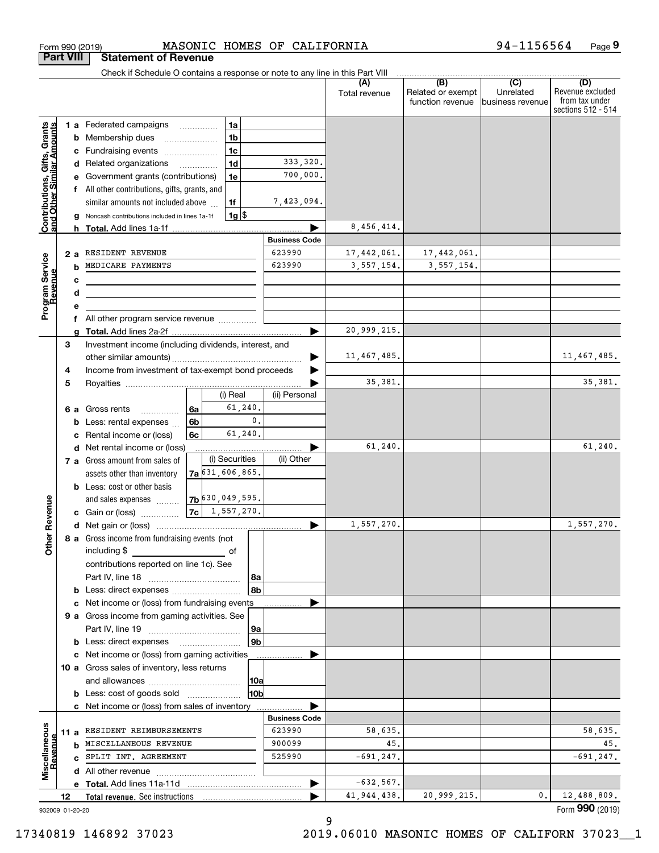|                                                            |                  |     | MASONIC HOMES OF CALIFORNIA<br>Form 990 (2019)                                     |                      |                      |                                                           | 94-1156564                                      | Page 9                                                          |
|------------------------------------------------------------|------------------|-----|------------------------------------------------------------------------------------|----------------------|----------------------|-----------------------------------------------------------|-------------------------------------------------|-----------------------------------------------------------------|
|                                                            | <b>Part VIII</b> |     | <b>Statement of Revenue</b>                                                        |                      |                      |                                                           |                                                 |                                                                 |
|                                                            |                  |     | Check if Schedule O contains a response or note to any line in this Part VIII      |                      |                      |                                                           |                                                 |                                                                 |
|                                                            |                  |     |                                                                                    |                      | (A)<br>Total revenue | $\overline{(B)}$<br>Related or exempt<br>function revenue | $\overline{C}$<br>Unrelated<br>business revenue | (D)<br>Revenue excluded<br>from tax under<br>sections 512 - 514 |
|                                                            |                  |     | 1a<br>1 a Federated campaigns                                                      |                      |                      |                                                           |                                                 |                                                                 |
| Contributions, Gifts, Grants<br>Iand Other Similar Amounts |                  |     | 1 <sub>b</sub><br><b>b</b> Membership dues<br>$\ldots \ldots \ldots \ldots \ldots$ |                      |                      |                                                           |                                                 |                                                                 |
|                                                            |                  |     | 1 <sub>c</sub><br>c Fundraising events                                             |                      |                      |                                                           |                                                 |                                                                 |
|                                                            |                  |     | 1 <sub>d</sub><br>d Related organizations                                          | 333,320.             |                      |                                                           |                                                 |                                                                 |
|                                                            |                  |     | e Government grants (contributions)<br>1e                                          | 700,000.             |                      |                                                           |                                                 |                                                                 |
|                                                            |                  |     | f All other contributions, gifts, grants, and                                      |                      |                      |                                                           |                                                 |                                                                 |
|                                                            |                  |     | similar amounts not included above<br>1f                                           | 7,423,094.           |                      |                                                           |                                                 |                                                                 |
|                                                            |                  |     | $1g$ \$<br>g Noncash contributions included in lines 1a-1f                         |                      |                      |                                                           |                                                 |                                                                 |
|                                                            |                  |     |                                                                                    |                      | 8,456,414.           |                                                           |                                                 |                                                                 |
|                                                            |                  |     |                                                                                    | <b>Business Code</b> |                      |                                                           |                                                 |                                                                 |
|                                                            |                  | 2 a | RESIDENT REVENUE                                                                   | 623990               | 17,442,061.          | 17,442,061.                                               |                                                 |                                                                 |
|                                                            |                  | b   | MEDICARE PAYMENTS                                                                  | 623990               | 3,557,154.           | 3,557,154.                                                |                                                 |                                                                 |
|                                                            |                  | с   | <u> 1989 - Johann Barbara, martxa alemaniar a</u>                                  |                      |                      |                                                           |                                                 |                                                                 |
|                                                            |                  | d   |                                                                                    |                      |                      |                                                           |                                                 |                                                                 |
| Program Service<br>Revenue                                 |                  | е   |                                                                                    |                      |                      |                                                           |                                                 |                                                                 |
|                                                            |                  |     |                                                                                    |                      |                      |                                                           |                                                 |                                                                 |
|                                                            |                  | g   |                                                                                    |                      | 20,999,215.          |                                                           |                                                 |                                                                 |
|                                                            | 3                |     | Investment income (including dividends, interest, and                              |                      |                      |                                                           |                                                 |                                                                 |
|                                                            |                  |     |                                                                                    | ▶                    | 11, 467, 485.        |                                                           |                                                 | 11,467,485.                                                     |
|                                                            | 4                |     | Income from investment of tax-exempt bond proceeds                                 |                      |                      |                                                           |                                                 |                                                                 |
|                                                            | 5                |     |                                                                                    |                      | 35, 381.             |                                                           |                                                 | 35, 381.                                                        |
|                                                            |                  |     | (i) Real                                                                           | (ii) Personal        |                      |                                                           |                                                 |                                                                 |
|                                                            |                  |     | 61,240.<br>6 a Gross rents<br>6а<br>.                                              |                      |                      |                                                           |                                                 |                                                                 |
|                                                            |                  | b   | $\mathbf{0}$ .<br>6b<br>Less: rental expenses                                      |                      |                      |                                                           |                                                 |                                                                 |
|                                                            |                  |     | 61,240.<br>6c<br>c Rental income or (loss)                                         |                      |                      |                                                           |                                                 |                                                                 |
|                                                            |                  |     | d Net rental income or (loss)                                                      |                      | 61,240.              |                                                           |                                                 | 61,240.                                                         |
|                                                            |                  |     | (i) Securities<br>7 a Gross amount from sales of                                   | (ii) Other           |                      |                                                           |                                                 |                                                                 |
|                                                            |                  |     | $7a$ $631, 606, 865$ .<br>assets other than inventory                              |                      |                      |                                                           |                                                 |                                                                 |
|                                                            |                  |     | <b>b</b> Less: cost or other basis                                                 |                      |                      |                                                           |                                                 |                                                                 |
|                                                            |                  |     | 7b 630, 049, 595.<br>and sales expenses                                            |                      |                      |                                                           |                                                 |                                                                 |
| anueve                                                     |                  |     | 7c   1, 557, 270.<br>c Gain or (loss)                                              |                      |                      |                                                           |                                                 |                                                                 |
| č                                                          |                  |     |                                                                                    |                      | 1,557,270.           |                                                           |                                                 | 1,557,270.                                                      |
| Other                                                      |                  |     | 8 a Gross income from fundraising events (not                                      |                      |                      |                                                           |                                                 |                                                                 |
|                                                            |                  |     | including \$<br>of                                                                 |                      |                      |                                                           |                                                 |                                                                 |
|                                                            |                  |     | contributions reported on line 1c). See                                            |                      |                      |                                                           |                                                 |                                                                 |
|                                                            |                  |     | 8a                                                                                 |                      |                      |                                                           |                                                 |                                                                 |
|                                                            |                  |     | 8b                                                                                 |                      |                      |                                                           |                                                 |                                                                 |
|                                                            |                  |     | c Net income or (loss) from fundraising events                                     |                      |                      |                                                           |                                                 |                                                                 |
|                                                            |                  |     | 9 a Gross income from gaming activities. See                                       |                      |                      |                                                           |                                                 |                                                                 |
|                                                            |                  |     | 9a                                                                                 |                      |                      |                                                           |                                                 |                                                                 |
|                                                            |                  |     | 9b                                                                                 |                      |                      |                                                           |                                                 |                                                                 |
|                                                            |                  |     | c Net income or (loss) from gaming activities                                      |                      |                      |                                                           |                                                 |                                                                 |
|                                                            |                  |     | 10 a Gross sales of inventory, less returns                                        |                      |                      |                                                           |                                                 |                                                                 |
|                                                            |                  |     | 10a                                                                                |                      |                      |                                                           |                                                 |                                                                 |
|                                                            |                  |     | 10b<br><b>b</b> Less: cost of goods sold                                           |                      |                      |                                                           |                                                 |                                                                 |
|                                                            |                  |     | c Net income or (loss) from sales of inventory                                     |                      |                      |                                                           |                                                 |                                                                 |
|                                                            |                  |     |                                                                                    | <b>Business Code</b> |                      |                                                           |                                                 |                                                                 |
|                                                            | 11 a             |     | RESIDENT REIMBURSEMENTS                                                            | 623990               | 58,635.              |                                                           |                                                 | 58,635.                                                         |
|                                                            |                  |     | <b>b</b> MISCELLANEOUS REVENUE                                                     | 900099               | 45.                  |                                                           |                                                 | 45.                                                             |
|                                                            |                  |     | C SPLIT INT. AGREEMENT                                                             | 525990               | $-691, 247.$         |                                                           |                                                 | $-691, 247.$                                                    |
| Miscellaneous<br>Revenue                                   |                  |     |                                                                                    |                      |                      |                                                           |                                                 |                                                                 |
|                                                            |                  |     |                                                                                    | ▶                    | $-632,567.$          |                                                           |                                                 |                                                                 |
|                                                            | 12               |     | Total revenue. See instructions                                                    |                      | 41, 944, 438.        | 20,999,215.                                               | 0.                                              | 12,488,809.                                                     |
| 932009 01-20-20                                            |                  |     |                                                                                    |                      |                      |                                                           |                                                 | Form 990 (2019)                                                 |
|                                                            |                  |     |                                                                                    |                      | a                    |                                                           |                                                 |                                                                 |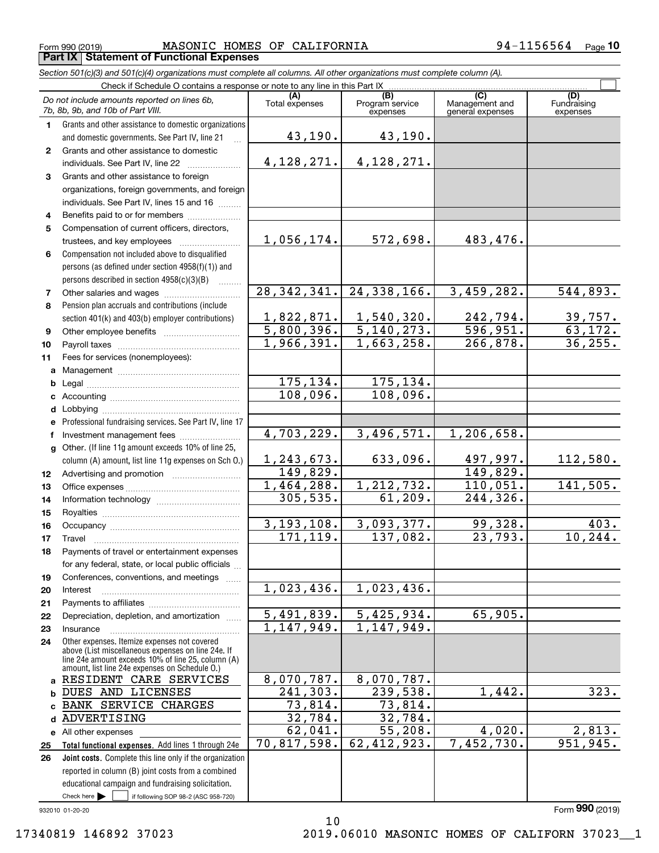$_{\rm Form}$   $_{990}$  (2019) <code>MASONIC</code> <code>HOMES OF CALIFORNIA</code>  $94-1156564$   $_{\rm Page}$ **Part IX Statement of Functional Expenses**

24,338,166. 3,459,282. 544,893.

1,540,320. 242,794. 39,757.  $5,140,273.$   $596,951.$  63,172. 1,663,258. 266,878. 36,255.

633,096. 497,997. 112,580. 149,829. 1,212,732. 110,051. 141,505.

3,093,377. 99,328. 403. 137,082. 23,793. 10,244.

 $239,538.$  1,442. 323.

55,208. 4,020. 2,813. 62,412,923. 7,452,730. 951,945.

 $\mathcal{L}^{\text{max}}$ 

|   | Section 501(c)(3) and 501(c)(4) organizations must complete all columns. All other organizations must complete column (A).             |                       |                                    |                                           |                                |
|---|----------------------------------------------------------------------------------------------------------------------------------------|-----------------------|------------------------------------|-------------------------------------------|--------------------------------|
|   | Check if Schedule O contains a response or note to any line in this Part IX                                                            |                       |                                    |                                           |                                |
|   | Do not include amounts reported on lines 6b,<br>7b, 8b, 9b, and 10b of Part VIII.                                                      | (A)<br>Total expenses | (B)<br>Program service<br>expenses | (C)<br>Management and<br>general expenses | (D)<br>Fundraising<br>expenses |
|   | Grants and other assistance to domestic organizations<br>and domestic governments. See Part IV, line 21                                | 43,190.               | 43,190.                            |                                           |                                |
|   | Grants and other assistance to domestic<br>individuals. See Part IV, line 22                                                           | 4,128,271.            | 4, 128, 271.                       |                                           |                                |
| 3 | Grants and other assistance to foreign<br>organizations, foreign governments, and foreign<br>individuals. See Part IV, lines 15 and 16 |                       |                                    |                                           |                                |
| 4 | Benefits paid to or for members                                                                                                        |                       |                                    |                                           |                                |
| 5 | Compensation of current officers, directors,<br>trustees, and key employees                                                            | 1,056,174.            | 572,698.                           | 483,476.                                  |                                |

28,342,341.

1,822,871. 5,800,396. 1,966,391.

> 175,134. 108,096.

175,134. 108,096.

1,023,436.

1,147,949.

8,070,787.

73,814. 32,784.

3,496,571. 1,206,658.

61,209. 244,326.

 $5,425,934.$  65,905.

1,243,673. 149,829. 1,464,288. 305,535.

4,703,229.

3,193,108. 171,119.

1,023,436.

5,491,839. 1,147,949.

8,070,787. 241,303. 73,814. 32,784. 62,041. 70,817,598.

**6** Compensation not included above to disqualified persons (as defined under section 4958(f)(1)) and persons described in section 4958(c)(3)(B)  $\quad \ldots \ldots \ldots$ 

**78**Pension plan accruals and contributions (include section 401(k) and 403(b) employer contributions) Other salaries and wages ~~~~~~~~~~

**910**Other employee benefits ~~~~~~~~~~ Payroll taxes ~~~~~~~~~~~~~~~~

**11abc**Fees for services (nonemployees): Management ~~~~~~~~~~~~~~~~ Legal ~~~~~~~~~~~~~~~~~~~~Accounting ~~~~~~~~~~~~~~~~~

**d**

**efg12131415**Professional fundraising services. See Part IV, line 17 Other. (If line 11g amount exceeds 10% of line 25, column (A) amount, list line 11g expenses on Sch O.) lnvestment management fees ....................... Advertising and promotion www.communication Office expenses ~~~~~~~~~~~~~~~ Information technology ~~~~~~~~~~~ Royalties ~~~~~~~~~~~~~~~~~~

Lobbying ~~~~~~~~~~~~~~~~~~

**16171819202122**Occupancy ~~~~~~~~~~~~~~~~~ Travel ……………………………………………… Payments of travel or entertainment expenses for any federal, state, or local public officials ... Conferences, conventions, and meetings Interest ……………………………………………… Payments to affiliates ~~~~~~~~~~~~ Depreciation, depletion, and amortization  $\,\,\ldots\,\,$ 

**2324a** RESIDENT CARE SERVICES **b**Other expenses. Itemize expenses not covered above (List miscellaneous expenses on line 24e. If line 24e amount exceeds 10% of line 25, column (A) amount, list line 24e expenses on Schedule O.) Insurance~~~~~~~~~~~~~~~~~DUES AND LICENSES

## **c**BANK SERVICE CHARGES **d**ADVERTISING **e** All other expenses

Check here  $\begin{array}{|c|c|c|c|c|}\hline \text{ } & \text{ if following SOP 98-2 (ASC 958-720)} \hline \end{array}$ **Total functional expenses.**  Add lines 1 through 24e **Joint costs.** Complete this line only if the organization **2526**reported in column (B) joint costs from a combined educational campaign and fundraising solicitation.

932010 01-20-20

Form (2019) **990**

10 17340819 146892 37023 2019.06010 MASONIC HOMES OF CALIFORN 37023\_\_1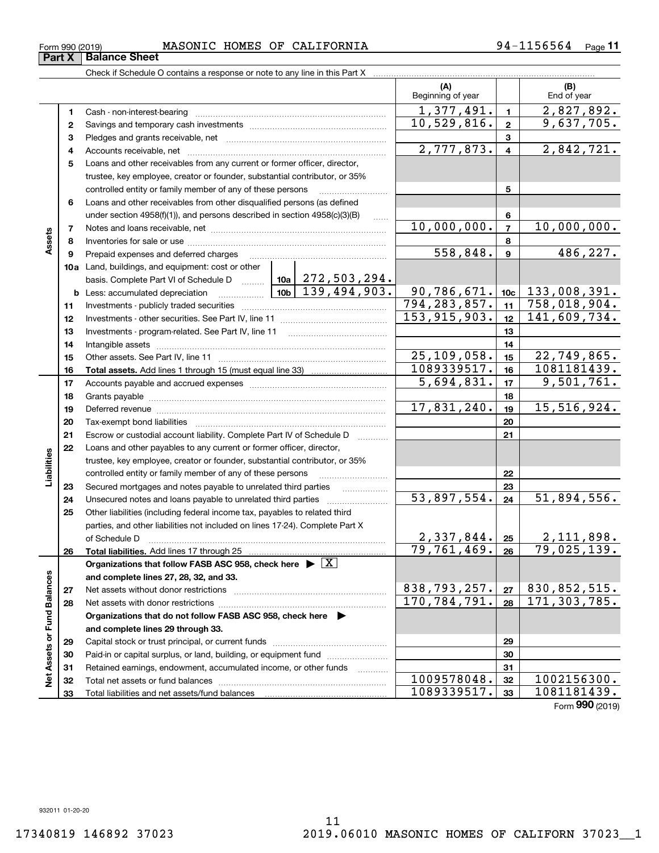**33**

### $_{\rm Form}$   $_{990}$  (2019) <code>MASONIC</code> <code>HOMES OF CALIFORNIA</code>  $94-1156564$   $_{\rm Page}$ **Part X** | Balance Sheet

Total liabilities and net assets/fund balances

|                             |              | Check if Schedule O contains a response or note to any line in this Part X         |                                                    |          |                            |                         |                            |
|-----------------------------|--------------|------------------------------------------------------------------------------------|----------------------------------------------------|----------|----------------------------|-------------------------|----------------------------|
|                             |              |                                                                                    |                                                    |          | (A)<br>Beginning of year   |                         | (B)<br>End of year         |
|                             | 1            |                                                                                    |                                                    |          | 1,377,491.                 | $\mathbf{1}$            | 2,827,892.                 |
|                             | $\mathbf{2}$ |                                                                                    |                                                    |          | 10,529,816.                | $\overline{\mathbf{2}}$ | 9,637,705.                 |
|                             | з            |                                                                                    |                                                    |          |                            | 3                       |                            |
|                             | 4            |                                                                                    |                                                    |          | 2,777,873.                 | $\overline{\mathbf{4}}$ | 2,842,721.                 |
|                             | 5            | Loans and other receivables from any current or former officer, director,          |                                                    |          |                            |                         |                            |
|                             |              | trustee, key employee, creator or founder, substantial contributor, or 35%         |                                                    |          |                            |                         |                            |
|                             |              | controlled entity or family member of any of these persons                         |                                                    |          |                            | 5                       |                            |
|                             | 6            | Loans and other receivables from other disqualified persons (as defined            |                                                    |          |                            |                         |                            |
|                             |              | under section 4958(f)(1)), and persons described in section 4958(c)(3)(B)          | $\ldots$                                           |          | 6                          |                         |                            |
|                             | 7            |                                                                                    |                                                    |          | 10,000,000.                | $\overline{7}$          | 10,000,000.                |
| Assets                      | 8            |                                                                                    |                                                    |          |                            | 8                       |                            |
|                             | 9            | Prepaid expenses and deferred charges                                              |                                                    |          | 558,848.                   | $\boldsymbol{9}$        | 486, 227.                  |
|                             |              | 10a Land, buildings, and equipment: cost or other                                  |                                                    |          |                            |                         |                            |
|                             |              | basis. Complete Part VI of Schedule D    10a   272, 503, 294.                      |                                                    |          |                            |                         |                            |
|                             |              | <b>b</b> Less: accumulated depreciation                                            | $\boxed{10b}$ $\boxed{139,494,903}$<br>90,786,671. | 10c      | 133,008,391.               |                         |                            |
|                             | 11           |                                                                                    | 794, 283, 857.                                     | 11       | 758,018,904.               |                         |                            |
|                             | 12           |                                                                                    | 153, 915, 903.                                     | 12       | 141,609,734.               |                         |                            |
|                             | 13           |                                                                                    |                                                    | 13       |                            |                         |                            |
|                             | 14           |                                                                                    |                                                    | 14       |                            |                         |                            |
|                             | 15           |                                                                                    |                                                    |          | 25,109,058.<br>1089339517. | 15                      | 22,749,865.<br>1081181439. |
|                             | 16           |                                                                                    |                                                    |          | 5,694,831.                 | 16                      | 9,501,761.                 |
|                             | 17           |                                                                                    |                                                    |          |                            | 17                      |                            |
|                             | 18<br>19     |                                                                                    | 17,831,240.                                        | 18<br>19 | 15,516,924.                |                         |                            |
|                             | 20           |                                                                                    |                                                    | 20       |                            |                         |                            |
|                             | 21           | Escrow or custodial account liability. Complete Part IV of Schedule D              |                                                    |          |                            | 21                      |                            |
|                             | 22           | Loans and other payables to any current or former officer, director,               |                                                    |          |                            |                         |                            |
| Liabilities                 |              | trustee, key employee, creator or founder, substantial contributor, or 35%         |                                                    |          |                            |                         |                            |
|                             |              | controlled entity or family member of any of these persons                         |                                                    |          |                            | 22                      |                            |
|                             | 23           | Secured mortgages and notes payable to unrelated third parties                     |                                                    |          |                            | 23                      |                            |
|                             | 24           | Unsecured notes and loans payable to unrelated third parties                       |                                                    |          | $\overline{53,897,554}$ .  | 24                      | 51,894,556.                |
|                             | 25           | Other liabilities (including federal income tax, payables to related third         |                                                    |          |                            |                         |                            |
|                             |              | parties, and other liabilities not included on lines 17-24). Complete Part X       |                                                    |          |                            |                         |                            |
|                             |              |                                                                                    |                                                    |          | 2,337,844.                 | 25                      | 2,111,898.                 |
|                             | 26           | Total liabilities. Add lines 17 through 25                                         |                                                    |          | 79,761,469.                | 26                      | 79,025,139.                |
|                             |              | Organizations that follow FASB ASC 958, check here $\blacktriangleright \boxed{X}$ |                                                    |          |                            |                         |                            |
|                             |              | and complete lines 27, 28, 32, and 33.                                             |                                                    |          |                            |                         |                            |
|                             | 27           | Net assets without donor restrictions                                              |                                                    |          | 838,793,257.               | 27                      | 830,852,515.               |
|                             | 28           |                                                                                    |                                                    |          | 170, 784, 791.             | 28                      | 171, 303, 785.             |
|                             |              | Organizations that do not follow FASB ASC 958, check here $\blacktriangleright$    |                                                    |          |                            |                         |                            |
| Net Assets or Fund Balances |              | and complete lines 29 through 33.                                                  |                                                    |          |                            |                         |                            |
|                             | 29           |                                                                                    |                                                    |          |                            | 29                      |                            |
|                             | 30           | Paid-in or capital surplus, or land, building, or equipment fund                   |                                                    |          |                            | 30                      |                            |
|                             | 31           | Retained earnings, endowment, accumulated income, or other funds                   |                                                    |          |                            | 31                      |                            |
|                             | 32           |                                                                                    |                                                    |          | 1009578048.                | 32                      | 1002156300.                |
|                             | 33           | Total liabilities and net assets/fund balances                                     |                                                    |          | 1089339517.                | 33                      | 1081181439.                |

Form (2019) **990** 1089339517. 1081181439.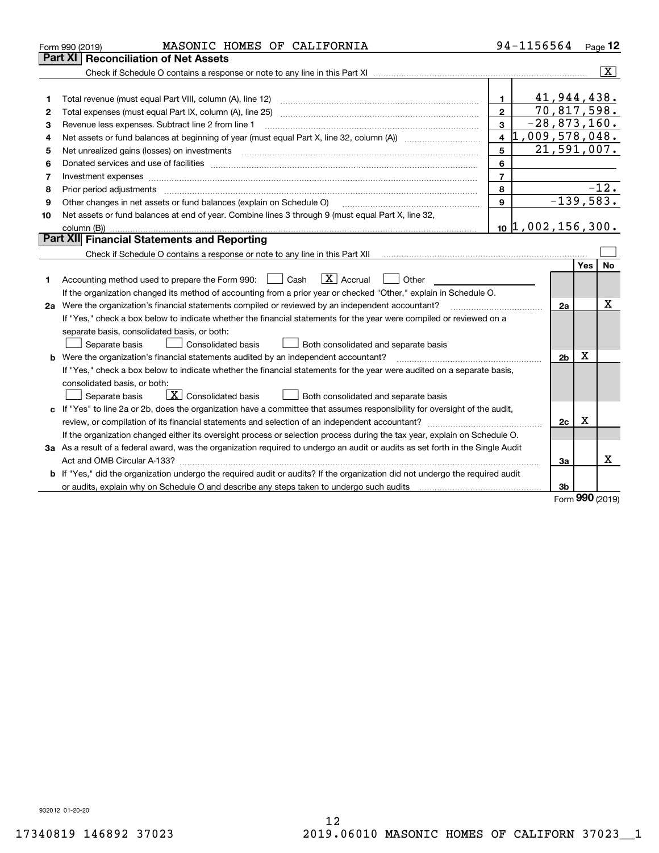|    | MASONIC HOMES OF CALIFORNIA<br>Form 990 (2019)                                                                                                                                                                                 |                | 94-1156564        |                |     | Page $12$               |
|----|--------------------------------------------------------------------------------------------------------------------------------------------------------------------------------------------------------------------------------|----------------|-------------------|----------------|-----|-------------------------|
|    | <b>Reconciliation of Net Assets</b><br>Part XI                                                                                                                                                                                 |                |                   |                |     |                         |
|    |                                                                                                                                                                                                                                |                |                   |                |     | $\overline{\mathtt{x}}$ |
|    |                                                                                                                                                                                                                                |                |                   |                |     |                         |
| 1  | Total revenue (must equal Part VIII, column (A), line 12)                                                                                                                                                                      | $\mathbf{1}$   | 41,944,438.       |                |     |                         |
| 2  | Total expenses (must equal Part IX, column (A), line 25)                                                                                                                                                                       | $\mathbf{2}$   | 70,817,598.       |                |     |                         |
| з  | Revenue less expenses. Subtract line 2 from line 1                                                                                                                                                                             | 3              | $-28,873,160.$    |                |     |                         |
| 4  |                                                                                                                                                                                                                                | 1,009,578,048. |                   |                |     |                         |
| 5  | Net unrealized gains (losses) on investments                                                                                                                                                                                   | 5              | 21,591,007.       |                |     |                         |
| 6  |                                                                                                                                                                                                                                | 6              |                   |                |     |                         |
| 7  | Investment expenses with an annual contract expenses and contract and contract expenses and contract expenses and contract expenses and contract expenses and contract expenses and contract expenses and contract expenses an | $\overline{7}$ |                   |                |     |                         |
| 8  | Prior period adjustments                                                                                                                                                                                                       | 8              |                   |                |     | $-12.$                  |
| 9  | Other changes in net assets or fund balances (explain on Schedule O)                                                                                                                                                           | $\mathbf{9}$   |                   |                |     | $-139,583.$             |
| 10 | Net assets or fund balances at end of year. Combine lines 3 through 9 (must equal Part X, line 32,                                                                                                                             |                |                   |                |     |                         |
|    | column (B))                                                                                                                                                                                                                    |                | 10 1,002,156,300. |                |     |                         |
|    | Part XII Financial Statements and Reporting                                                                                                                                                                                    |                |                   |                |     |                         |
|    |                                                                                                                                                                                                                                |                |                   |                |     |                         |
|    |                                                                                                                                                                                                                                |                |                   |                | Yes | No                      |
| 1. | $ X $ Accrual<br>Accounting method used to prepare the Form 990: <u>[</u> Cash<br>Other                                                                                                                                        |                |                   |                |     |                         |
|    | If the organization changed its method of accounting from a prior year or checked "Other," explain in Schedule O.                                                                                                              |                |                   |                |     |                         |
|    | 2a Were the organization's financial statements compiled or reviewed by an independent accountant?                                                                                                                             |                |                   | 2a             |     | х                       |
|    | If "Yes," check a box below to indicate whether the financial statements for the year were compiled or reviewed on a                                                                                                           |                |                   |                |     |                         |
|    | separate basis, consolidated basis, or both:                                                                                                                                                                                   |                |                   |                |     |                         |
|    | Separate basis<br><b>Consolidated basis</b><br>Both consolidated and separate basis                                                                                                                                            |                |                   |                |     |                         |
|    | <b>b</b> Were the organization's financial statements audited by an independent accountant?                                                                                                                                    |                |                   | 2 <sub>b</sub> | х   |                         |
|    | If "Yes," check a box below to indicate whether the financial statements for the year were audited on a separate basis,                                                                                                        |                |                   |                |     |                         |
|    | consolidated basis, or both:                                                                                                                                                                                                   |                |                   |                |     |                         |
|    | $\mid$ X $\mid$ Consolidated basis<br>Separate basis<br>Both consolidated and separate basis                                                                                                                                   |                |                   |                |     |                         |
|    | c If "Yes" to line 2a or 2b, does the organization have a committee that assumes responsibility for oversight of the audit,                                                                                                    |                |                   |                |     |                         |
|    | review, or compilation of its financial statements and selection of an independent accountant?                                                                                                                                 |                |                   | 2c             | x   |                         |
|    | If the organization changed either its oversight process or selection process during the tax year, explain on Schedule O.                                                                                                      |                |                   |                |     |                         |
|    | 3a As a result of a federal award, was the organization required to undergo an audit or audits as set forth in the Single Audit                                                                                                |                |                   |                |     |                         |
|    |                                                                                                                                                                                                                                |                |                   | За             |     | x                       |
|    | b If "Yes," did the organization undergo the required audit or audits? If the organization did not undergo the required audit                                                                                                  |                |                   |                |     |                         |
|    | or audits, explain why on Schedule O and describe any steps taken to undergo such audits                                                                                                                                       |                |                   | 3b             |     |                         |

Form (2019) **990**

932012 01-20-20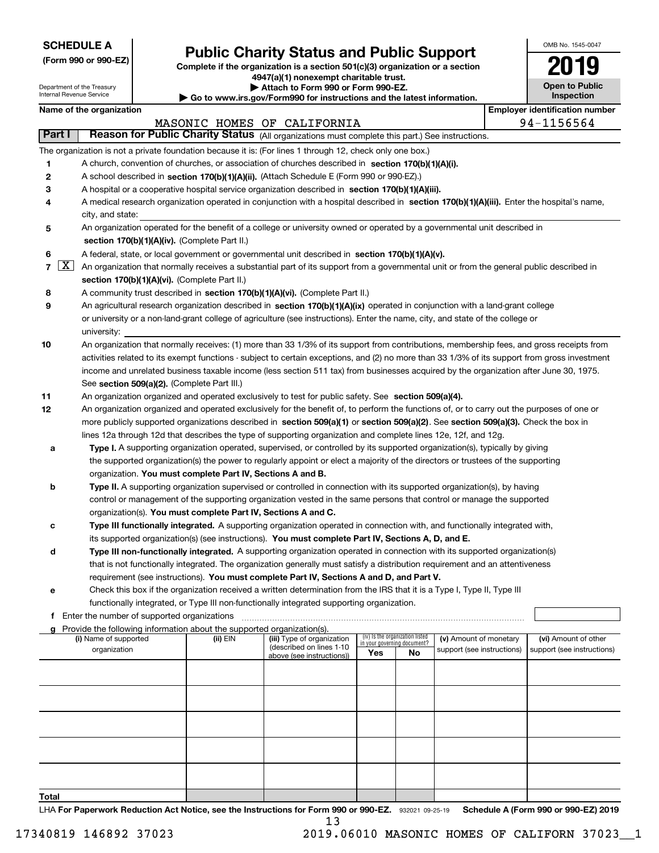Department of the Treasury Internal Revenue Service

|  |  |  | (Form 990 or 990-EZ) |  |
|--|--|--|----------------------|--|
|--|--|--|----------------------|--|

# **Public Charity Status and Public Support**

**Complete if the organization is a section 501(c)(3) organization or a section 4947(a)(1) nonexempt charitable trust.**

**| Attach to Form 990 or Form 990-EZ.** 

**| Go to www.irs.gov/Form990 for instructions and the latest information.**

| OMB No. 1545-0047                   |
|-------------------------------------|
| 1                                   |
| <b>Open to Public</b><br>Inspection |

|                | Name of the organization<br><b>Employer identification number</b>                                                                                                |                                                                                                                                                                                      |                                                        |                             |                                 |                            |  |                            |  |  |  |  |
|----------------|------------------------------------------------------------------------------------------------------------------------------------------------------------------|--------------------------------------------------------------------------------------------------------------------------------------------------------------------------------------|--------------------------------------------------------|-----------------------------|---------------------------------|----------------------------|--|----------------------------|--|--|--|--|
|                |                                                                                                                                                                  |                                                                                                                                                                                      | MASONIC HOMES OF CALIFORNIA                            |                             |                                 |                            |  | 94-1156564                 |  |  |  |  |
| Part I         | Reason for Public Charity Status (All organizations must complete this part.) See instructions.                                                                  |                                                                                                                                                                                      |                                                        |                             |                                 |                            |  |                            |  |  |  |  |
|                | The organization is not a private foundation because it is: (For lines 1 through 12, check only one box.)                                                        |                                                                                                                                                                                      |                                                        |                             |                                 |                            |  |                            |  |  |  |  |
| 1              | A church, convention of churches, or association of churches described in section $170(b)(1)(A)(i)$ .                                                            |                                                                                                                                                                                      |                                                        |                             |                                 |                            |  |                            |  |  |  |  |
| 2              | A school described in section 170(b)(1)(A)(ii). (Attach Schedule E (Form 990 or 990-EZ).)                                                                        |                                                                                                                                                                                      |                                                        |                             |                                 |                            |  |                            |  |  |  |  |
| 3              | A hospital or a cooperative hospital service organization described in section 170(b)(1)(A)(iii).                                                                |                                                                                                                                                                                      |                                                        |                             |                                 |                            |  |                            |  |  |  |  |
| 4              | A medical research organization operated in conjunction with a hospital described in section 170(b)(1)(A)(iii). Enter the hospital's name,                       |                                                                                                                                                                                      |                                                        |                             |                                 |                            |  |                            |  |  |  |  |
|                | city, and state:                                                                                                                                                 |                                                                                                                                                                                      |                                                        |                             |                                 |                            |  |                            |  |  |  |  |
| 5              | An organization operated for the benefit of a college or university owned or operated by a governmental unit described in                                        |                                                                                                                                                                                      |                                                        |                             |                                 |                            |  |                            |  |  |  |  |
|                | section 170(b)(1)(A)(iv). (Complete Part II.)                                                                                                                    |                                                                                                                                                                                      |                                                        |                             |                                 |                            |  |                            |  |  |  |  |
|                |                                                                                                                                                                  |                                                                                                                                                                                      |                                                        |                             |                                 |                            |  |                            |  |  |  |  |
| 6              | A federal, state, or local government or governmental unit described in section 170(b)(1)(A)(v).                                                                 |                                                                                                                                                                                      |                                                        |                             |                                 |                            |  |                            |  |  |  |  |
| $\overline{7}$ | $\lfloor x \rfloor$<br>An organization that normally receives a substantial part of its support from a governmental unit or from the general public described in |                                                                                                                                                                                      |                                                        |                             |                                 |                            |  |                            |  |  |  |  |
|                | section 170(b)(1)(A)(vi). (Complete Part II.)                                                                                                                    |                                                                                                                                                                                      |                                                        |                             |                                 |                            |  |                            |  |  |  |  |
| 8              |                                                                                                                                                                  | A community trust described in section 170(b)(1)(A)(vi). (Complete Part II.)                                                                                                         |                                                        |                             |                                 |                            |  |                            |  |  |  |  |
| 9              | An agricultural research organization described in section 170(b)(1)(A)(ix) operated in conjunction with a land-grant college                                    |                                                                                                                                                                                      |                                                        |                             |                                 |                            |  |                            |  |  |  |  |
|                | or university or a non-land-grant college of agriculture (see instructions). Enter the name, city, and state of the college or                                   |                                                                                                                                                                                      |                                                        |                             |                                 |                            |  |                            |  |  |  |  |
|                | university:                                                                                                                                                      |                                                                                                                                                                                      |                                                        |                             |                                 |                            |  |                            |  |  |  |  |
| 10             | An organization that normally receives: (1) more than 33 1/3% of its support from contributions, membership fees, and gross receipts from                        |                                                                                                                                                                                      |                                                        |                             |                                 |                            |  |                            |  |  |  |  |
|                | activities related to its exempt functions - subject to certain exceptions, and (2) no more than 33 1/3% of its support from gross investment                    |                                                                                                                                                                                      |                                                        |                             |                                 |                            |  |                            |  |  |  |  |
|                |                                                                                                                                                                  |                                                                                                                                                                                      |                                                        |                             |                                 |                            |  |                            |  |  |  |  |
|                |                                                                                                                                                                  | income and unrelated business taxable income (less section 511 tax) from businesses acquired by the organization after June 30, 1975.<br>See section 509(a)(2). (Complete Part III.) |                                                        |                             |                                 |                            |  |                            |  |  |  |  |
| 11             | An organization organized and operated exclusively to test for public safety. See section 509(a)(4).                                                             |                                                                                                                                                                                      |                                                        |                             |                                 |                            |  |                            |  |  |  |  |
| 12             | An organization organized and operated exclusively for the benefit of, to perform the functions of, or to carry out the purposes of one or                       |                                                                                                                                                                                      |                                                        |                             |                                 |                            |  |                            |  |  |  |  |
|                | more publicly supported organizations described in section 509(a)(1) or section 509(a)(2). See section 509(a)(3). Check the box in                               |                                                                                                                                                                                      |                                                        |                             |                                 |                            |  |                            |  |  |  |  |
|                | lines 12a through 12d that describes the type of supporting organization and complete lines 12e, 12f, and 12g.                                                   |                                                                                                                                                                                      |                                                        |                             |                                 |                            |  |                            |  |  |  |  |
| а              | <b>Type I.</b> A supporting organization operated, supervised, or controlled by its supported organization(s), typically by giving                               |                                                                                                                                                                                      |                                                        |                             |                                 |                            |  |                            |  |  |  |  |
|                |                                                                                                                                                                  |                                                                                                                                                                                      |                                                        |                             |                                 |                            |  |                            |  |  |  |  |
|                | the supported organization(s) the power to regularly appoint or elect a majority of the directors or trustees of the supporting                                  |                                                                                                                                                                                      |                                                        |                             |                                 |                            |  |                            |  |  |  |  |
|                | organization. You must complete Part IV, Sections A and B.                                                                                                       |                                                                                                                                                                                      |                                                        |                             |                                 |                            |  |                            |  |  |  |  |
| b              | Type II. A supporting organization supervised or controlled in connection with its supported organization(s), by having                                          |                                                                                                                                                                                      |                                                        |                             |                                 |                            |  |                            |  |  |  |  |
|                | control or management of the supporting organization vested in the same persons that control or manage the supported                                             |                                                                                                                                                                                      |                                                        |                             |                                 |                            |  |                            |  |  |  |  |
|                | organization(s). You must complete Part IV, Sections A and C.                                                                                                    |                                                                                                                                                                                      |                                                        |                             |                                 |                            |  |                            |  |  |  |  |
| с              | Type III functionally integrated. A supporting organization operated in connection with, and functionally integrated with,                                       |                                                                                                                                                                                      |                                                        |                             |                                 |                            |  |                            |  |  |  |  |
|                | its supported organization(s) (see instructions). You must complete Part IV, Sections A, D, and E.                                                               |                                                                                                                                                                                      |                                                        |                             |                                 |                            |  |                            |  |  |  |  |
| d              | Type III non-functionally integrated. A supporting organization operated in connection with its supported organization(s)                                        |                                                                                                                                                                                      |                                                        |                             |                                 |                            |  |                            |  |  |  |  |
|                | that is not functionally integrated. The organization generally must satisfy a distribution requirement and an attentiveness                                     |                                                                                                                                                                                      |                                                        |                             |                                 |                            |  |                            |  |  |  |  |
|                | requirement (see instructions). You must complete Part IV, Sections A and D, and Part V.                                                                         |                                                                                                                                                                                      |                                                        |                             |                                 |                            |  |                            |  |  |  |  |
|                | Check this box if the organization received a written determination from the IRS that it is a Type I, Type II, Type III                                          |                                                                                                                                                                                      |                                                        |                             |                                 |                            |  |                            |  |  |  |  |
|                | functionally integrated, or Type III non-functionally integrated supporting organization.                                                                        |                                                                                                                                                                                      |                                                        |                             |                                 |                            |  |                            |  |  |  |  |
|                | f Enter the number of supported organizations                                                                                                                    |                                                                                                                                                                                      |                                                        |                             |                                 |                            |  |                            |  |  |  |  |
|                | g Provide the following information about the supported organization(s).                                                                                         |                                                                                                                                                                                      |                                                        |                             |                                 |                            |  |                            |  |  |  |  |
|                | (i) Name of supported                                                                                                                                            | (ii) EIN                                                                                                                                                                             | (iii) Type of organization<br>(described on lines 1-10 | in your governing document? | (iv) Is the organization listed | (v) Amount of monetary     |  | (vi) Amount of other       |  |  |  |  |
|                | organization                                                                                                                                                     |                                                                                                                                                                                      | above (see instructions))                              | Yes                         | No                              | support (see instructions) |  | support (see instructions) |  |  |  |  |
|                |                                                                                                                                                                  |                                                                                                                                                                                      |                                                        |                             |                                 |                            |  |                            |  |  |  |  |
|                |                                                                                                                                                                  |                                                                                                                                                                                      |                                                        |                             |                                 |                            |  |                            |  |  |  |  |
|                |                                                                                                                                                                  |                                                                                                                                                                                      |                                                        |                             |                                 |                            |  |                            |  |  |  |  |
|                |                                                                                                                                                                  |                                                                                                                                                                                      |                                                        |                             |                                 |                            |  |                            |  |  |  |  |
|                |                                                                                                                                                                  |                                                                                                                                                                                      |                                                        |                             |                                 |                            |  |                            |  |  |  |  |
|                |                                                                                                                                                                  |                                                                                                                                                                                      |                                                        |                             |                                 |                            |  |                            |  |  |  |  |
|                |                                                                                                                                                                  |                                                                                                                                                                                      |                                                        |                             |                                 |                            |  |                            |  |  |  |  |
|                |                                                                                                                                                                  |                                                                                                                                                                                      |                                                        |                             |                                 |                            |  |                            |  |  |  |  |
|                |                                                                                                                                                                  |                                                                                                                                                                                      |                                                        |                             |                                 |                            |  |                            |  |  |  |  |
|                |                                                                                                                                                                  |                                                                                                                                                                                      |                                                        |                             |                                 |                            |  |                            |  |  |  |  |
|                |                                                                                                                                                                  |                                                                                                                                                                                      |                                                        |                             |                                 |                            |  |                            |  |  |  |  |

**Total**

LHA For Paperwork Reduction Act Notice, see the Instructions for Form 990 or 990-EZ. 932021 09-25-19 Schedule A (Form 990 or 990-EZ) 2019 13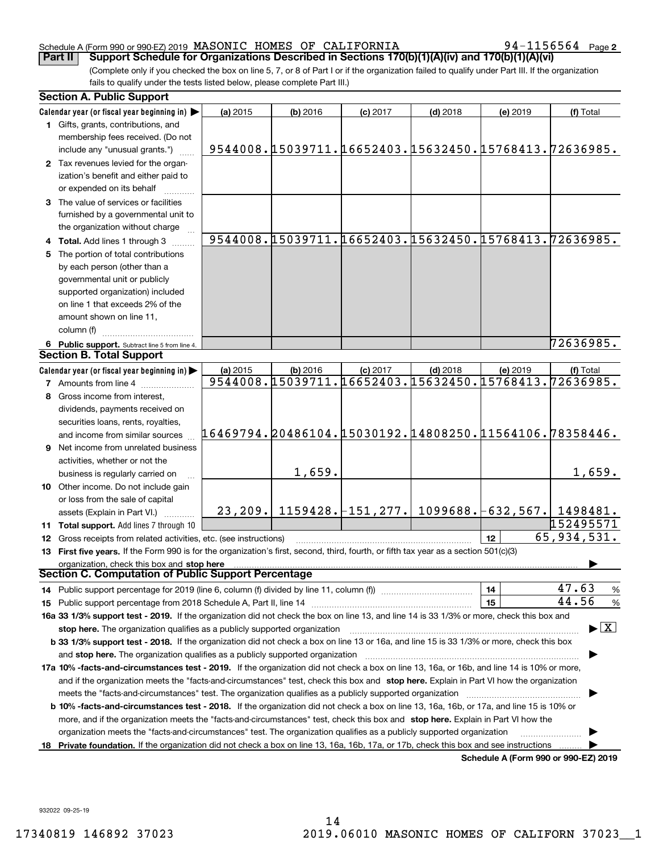### Schedule A (Form 990 or 990-EZ) 2019 Page MASONIC HOMES OF CALIFORNIA 94-1156564

**2**

(Complete only if you checked the box on line 5, 7, or 8 of Part I or if the organization failed to qualify under Part III. If the organization fails to qualify under the tests listed below, please complete Part III.) **Part II COPPORT Schedule for Organizations Described in Sections 170(b)(1)(A)(iv) and 170(b)(1)(A)(vi)** 

|    | <b>Section A. Public Support</b>                                                                                                               |                                                        |          |                                                                               |            |          |                                                       |  |  |  |
|----|------------------------------------------------------------------------------------------------------------------------------------------------|--------------------------------------------------------|----------|-------------------------------------------------------------------------------|------------|----------|-------------------------------------------------------|--|--|--|
|    | Calendar year (or fiscal year beginning in)                                                                                                    | (a) 2015                                               | (b) 2016 | $(c)$ 2017                                                                    | $(d)$ 2018 | (e) 2019 | (f) Total                                             |  |  |  |
|    | 1 Gifts, grants, contributions, and                                                                                                            |                                                        |          |                                                                               |            |          |                                                       |  |  |  |
|    | membership fees received. (Do not                                                                                                              |                                                        |          |                                                                               |            |          |                                                       |  |  |  |
|    | include any "unusual grants.")                                                                                                                 |                                                        |          | 9544008. [15039711. [16652403. [15632450. [15768413. 72636985.                |            |          |                                                       |  |  |  |
|    | 2 Tax revenues levied for the organ-                                                                                                           |                                                        |          |                                                                               |            |          |                                                       |  |  |  |
|    | ization's benefit and either paid to                                                                                                           |                                                        |          |                                                                               |            |          |                                                       |  |  |  |
|    | or expended on its behalf                                                                                                                      |                                                        |          |                                                                               |            |          |                                                       |  |  |  |
|    | 3 The value of services or facilities                                                                                                          |                                                        |          |                                                                               |            |          |                                                       |  |  |  |
|    | furnished by a governmental unit to                                                                                                            |                                                        |          |                                                                               |            |          |                                                       |  |  |  |
|    | the organization without charge                                                                                                                |                                                        |          |                                                                               |            |          |                                                       |  |  |  |
|    | 4 Total. Add lines 1 through 3                                                                                                                 |                                                        |          |                                                                               |            |          | 9544008.15039711.16652403.15632450.15768413.72636985. |  |  |  |
|    | 5 The portion of total contributions                                                                                                           |                                                        |          |                                                                               |            |          |                                                       |  |  |  |
|    | by each person (other than a                                                                                                                   |                                                        |          |                                                                               |            |          |                                                       |  |  |  |
|    | governmental unit or publicly                                                                                                                  |                                                        |          |                                                                               |            |          |                                                       |  |  |  |
|    | supported organization) included                                                                                                               |                                                        |          |                                                                               |            |          |                                                       |  |  |  |
|    | on line 1 that exceeds 2% of the                                                                                                               |                                                        |          |                                                                               |            |          |                                                       |  |  |  |
|    | amount shown on line 11,                                                                                                                       |                                                        |          |                                                                               |            |          |                                                       |  |  |  |
|    | column (f)                                                                                                                                     |                                                        |          |                                                                               |            |          |                                                       |  |  |  |
|    | 6 Public support. Subtract line 5 from line 4.                                                                                                 |                                                        |          |                                                                               |            |          | 72636985.                                             |  |  |  |
|    | <b>Section B. Total Support</b>                                                                                                                |                                                        |          |                                                                               |            |          |                                                       |  |  |  |
|    | Calendar year (or fiscal year beginning in)                                                                                                    | (a) 2015                                               | (b) 2016 | $(c)$ 2017                                                                    | $(d)$ 2018 | (e) 2019 | (f) Total                                             |  |  |  |
|    | <b>7</b> Amounts from line 4                                                                                                                   |                                                        |          |                                                                               |            |          | 9544008.15039711.16652403.15632450.15768413.72636985. |  |  |  |
|    | Gross income from interest,                                                                                                                    |                                                        |          |                                                                               |            |          |                                                       |  |  |  |
|    | dividends, payments received on                                                                                                                |                                                        |          |                                                                               |            |          |                                                       |  |  |  |
|    | securities loans, rents, royalties,                                                                                                            |                                                        |          |                                                                               |            |          |                                                       |  |  |  |
|    | and income from similar sources                                                                                                                | 16469794.20486104.15030192.14808250.11564106.78358446. |          |                                                                               |            |          |                                                       |  |  |  |
|    | <b>9</b> Net income from unrelated business                                                                                                    |                                                        |          |                                                                               |            |          |                                                       |  |  |  |
|    | activities, whether or not the                                                                                                                 |                                                        |          |                                                                               |            |          |                                                       |  |  |  |
|    | business is regularly carried on                                                                                                               |                                                        | 1,659.   |                                                                               |            |          | 1,659.                                                |  |  |  |
|    | 10 Other income. Do not include gain                                                                                                           |                                                        |          |                                                                               |            |          |                                                       |  |  |  |
|    | or loss from the sale of capital                                                                                                               |                                                        |          |                                                                               |            |          |                                                       |  |  |  |
|    | assets (Explain in Part VI.)                                                                                                                   |                                                        |          | $23, 209.$   1159428. $\mid$ 151, 277.   1099688. $\mid$ 632, 567.   1498481. |            |          |                                                       |  |  |  |
|    | 11 Total support. Add lines 7 through 10                                                                                                       |                                                        |          |                                                                               |            |          | 152495571                                             |  |  |  |
|    | 12 Gross receipts from related activities, etc. (see instructions)                                                                             |                                                        |          |                                                                               |            | 12       | 65,934,531.                                           |  |  |  |
|    | 13 First five years. If the Form 990 is for the organization's first, second, third, fourth, or fifth tax year as a section 501(c)(3)          |                                                        |          |                                                                               |            |          |                                                       |  |  |  |
|    | organization, check this box and stop here                                                                                                     |                                                        |          |                                                                               |            |          |                                                       |  |  |  |
|    | Section C. Computation of Public Support Percentage                                                                                            |                                                        |          |                                                                               |            |          |                                                       |  |  |  |
|    | 14 Public support percentage for 2019 (line 6, column (f) divided by line 11, column (f) <i>manumanomeron</i> entertain-                       |                                                        |          |                                                                               |            | 14       | 47.63<br>$\frac{9}{6}$                                |  |  |  |
|    |                                                                                                                                                |                                                        |          |                                                                               |            | 15       | 44.56<br>%                                            |  |  |  |
|    | 16a 33 1/3% support test - 2019. If the organization did not check the box on line 13, and line 14 is 33 1/3% or more, check this box and      |                                                        |          |                                                                               |            |          |                                                       |  |  |  |
|    | stop here. The organization qualifies as a publicly supported organization                                                                     |                                                        |          |                                                                               |            |          | $\blacktriangleright$ $\vert$ X $\vert$               |  |  |  |
|    | b 33 1/3% support test - 2018. If the organization did not check a box on line 13 or 16a, and line 15 is 33 1/3% or more, check this box       |                                                        |          |                                                                               |            |          |                                                       |  |  |  |
|    |                                                                                                                                                |                                                        |          |                                                                               |            |          |                                                       |  |  |  |
|    | 17a 10% -facts-and-circumstances test - 2019. If the organization did not check a box on line 13, 16a, or 16b, and line 14 is 10% or more,     |                                                        |          |                                                                               |            |          |                                                       |  |  |  |
|    | and if the organization meets the "facts-and-circumstances" test, check this box and stop here. Explain in Part VI how the organization        |                                                        |          |                                                                               |            |          |                                                       |  |  |  |
|    | meets the "facts-and-circumstances" test. The organization qualifies as a publicly supported organization <i>manumumumumum</i>                 |                                                        |          |                                                                               |            |          |                                                       |  |  |  |
|    | <b>b 10% -facts-and-circumstances test - 2018.</b> If the organization did not check a box on line 13, 16a, 16b, or 17a, and line 15 is 10% or |                                                        |          |                                                                               |            |          |                                                       |  |  |  |
|    | more, and if the organization meets the "facts-and-circumstances" test, check this box and stop here. Explain in Part VI how the               |                                                        |          |                                                                               |            |          |                                                       |  |  |  |
|    | organization meets the "facts-and-circumstances" test. The organization qualifies as a publicly supported organization                         |                                                        |          |                                                                               |            |          |                                                       |  |  |  |
| 18 | Private foundation. If the organization did not check a box on line 13, 16a, 16b, 17a, or 17b, check this box and see instructions             |                                                        |          |                                                                               |            |          |                                                       |  |  |  |
|    |                                                                                                                                                |                                                        |          |                                                                               |            |          | Schedule A (Form 990 or 990-EZ) 2019                  |  |  |  |

932022 09-25-19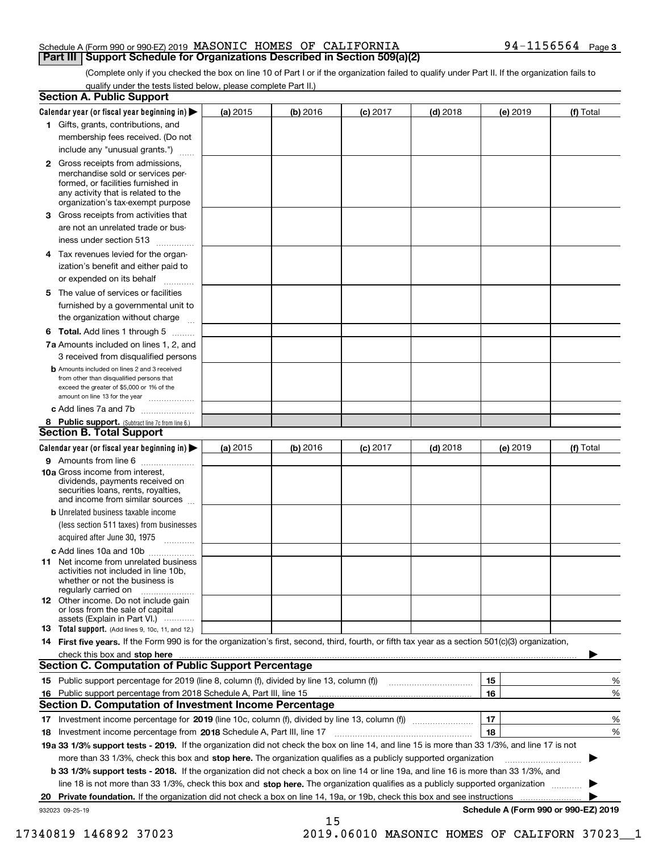### Schedule A (Form 990 or 990-EZ) 2019 Page MASONIC HOMES OF CALIFORNIA 94-1156564 **Part III** | Support Schedule for Organizations Described in Section 509(a)(2)

(Complete only if you checked the box on line 10 of Part I or if the organization failed to qualify under Part II. If the organization fails to qualify under the tests listed below, please complete Part II.)

| <b>Section A. Public Support</b>                                                                                                                                                                |          |            |            |            |          |                                      |
|-------------------------------------------------------------------------------------------------------------------------------------------------------------------------------------------------|----------|------------|------------|------------|----------|--------------------------------------|
| Calendar year (or fiscal year beginning in)                                                                                                                                                     | (a) 2015 | $(b)$ 2016 | $(c)$ 2017 | $(d)$ 2018 | (e) 2019 | (f) Total                            |
| 1 Gifts, grants, contributions, and                                                                                                                                                             |          |            |            |            |          |                                      |
| membership fees received. (Do not                                                                                                                                                               |          |            |            |            |          |                                      |
| include any "unusual grants.")                                                                                                                                                                  |          |            |            |            |          |                                      |
| <b>2</b> Gross receipts from admissions,<br>merchandise sold or services per-<br>formed, or facilities furnished in<br>any activity that is related to the<br>organization's tax-exempt purpose |          |            |            |            |          |                                      |
| 3 Gross receipts from activities that                                                                                                                                                           |          |            |            |            |          |                                      |
| are not an unrelated trade or bus-                                                                                                                                                              |          |            |            |            |          |                                      |
| iness under section 513                                                                                                                                                                         |          |            |            |            |          |                                      |
| 4 Tax revenues levied for the organ-                                                                                                                                                            |          |            |            |            |          |                                      |
| ization's benefit and either paid to                                                                                                                                                            |          |            |            |            |          |                                      |
| or expended on its behalf                                                                                                                                                                       |          |            |            |            |          |                                      |
| 5 The value of services or facilities                                                                                                                                                           |          |            |            |            |          |                                      |
| furnished by a governmental unit to                                                                                                                                                             |          |            |            |            |          |                                      |
| the organization without charge                                                                                                                                                                 |          |            |            |            |          |                                      |
| <b>6 Total.</b> Add lines 1 through 5                                                                                                                                                           |          |            |            |            |          |                                      |
| 7a Amounts included on lines 1, 2, and                                                                                                                                                          |          |            |            |            |          |                                      |
| 3 received from disqualified persons                                                                                                                                                            |          |            |            |            |          |                                      |
| <b>b</b> Amounts included on lines 2 and 3 received<br>from other than disqualified persons that<br>exceed the greater of \$5,000 or 1% of the<br>amount on line 13 for the year                |          |            |            |            |          |                                      |
| c Add lines 7a and 7b                                                                                                                                                                           |          |            |            |            |          |                                      |
| 8 Public support. (Subtract line 7c from line 6.)                                                                                                                                               |          |            |            |            |          |                                      |
| <b>Section B. Total Support</b>                                                                                                                                                                 |          |            |            |            |          |                                      |
| Calendar year (or fiscal year beginning in) >                                                                                                                                                   | (a) 2015 | (b) 2016   | $(c)$ 2017 | $(d)$ 2018 | (e) 2019 | (f) Total                            |
| <b>9</b> Amounts from line 6<br>$\overline{\phantom{a}}$                                                                                                                                        |          |            |            |            |          |                                      |
| 10a Gross income from interest,<br>dividends, payments received on<br>securities loans, rents, royalties,<br>and income from similar sources                                                    |          |            |            |            |          |                                      |
| <b>b</b> Unrelated business taxable income                                                                                                                                                      |          |            |            |            |          |                                      |
| (less section 511 taxes) from businesses                                                                                                                                                        |          |            |            |            |          |                                      |
| acquired after June 30, 1975<br>1.1.1.1.1.1.1.1.1.1                                                                                                                                             |          |            |            |            |          |                                      |
| c Add lines 10a and 10b                                                                                                                                                                         |          |            |            |            |          |                                      |
| 11 Net income from unrelated business<br>activities not included in line 10b,<br>whether or not the business is<br>regularly carried on                                                         |          |            |            |            |          |                                      |
| <b>12</b> Other income. Do not include gain<br>or loss from the sale of capital<br>assets (Explain in Part VI.)                                                                                 |          |            |            |            |          |                                      |
| <b>13</b> Total support. (Add lines 9, 10c, 11, and 12.)                                                                                                                                        |          |            |            |            |          |                                      |
| 14 First five years. If the Form 990 is for the organization's first, second, third, fourth, or fifth tax year as a section 501(c)(3) organization,                                             |          |            |            |            |          |                                      |
| check this box and stop here measurements are constructed as the state of the construction of the state of the                                                                                  |          |            |            |            |          |                                      |
| <b>Section C. Computation of Public Support Percentage</b>                                                                                                                                      |          |            |            |            |          |                                      |
| 15 Public support percentage for 2019 (line 8, column (f), divided by line 13, column (f))                                                                                                      |          |            |            |            | 15       | %                                    |
| 16 Public support percentage from 2018 Schedule A, Part III, line 15                                                                                                                            |          |            |            |            | 16       | %                                    |
| <b>Section D. Computation of Investment Income Percentage</b>                                                                                                                                   |          |            |            |            |          |                                      |
| 17 Investment income percentage for 2019 (line 10c, column (f), divided by line 13, column (f))                                                                                                 |          |            |            |            | 17       | %                                    |
| 18 Investment income percentage from 2018 Schedule A, Part III, line 17                                                                                                                         |          |            |            |            | 18       | %                                    |
| 19a 33 1/3% support tests - 2019. If the organization did not check the box on line 14, and line 15 is more than 33 1/3%, and line 17 is not                                                    |          |            |            |            |          |                                      |
| more than 33 1/3%, check this box and stop here. The organization qualifies as a publicly supported organization                                                                                |          |            |            |            |          |                                      |
| b 33 1/3% support tests - 2018. If the organization did not check a box on line 14 or line 19a, and line 16 is more than 33 1/3%, and                                                           |          |            |            |            |          |                                      |
| line 18 is not more than 33 1/3%, check this box and stop here. The organization qualifies as a publicly supported organization <i></i>                                                         |          |            |            |            |          |                                      |
| 20 Private foundation. If the organization did not check a box on line 14, 19a, or 19b, check this box and see instructions                                                                     |          |            |            |            |          |                                      |
| 932023 09-25-19                                                                                                                                                                                 |          |            |            |            |          | Schedule A (Form 990 or 990-EZ) 2019 |
|                                                                                                                                                                                                 |          | 15         |            |            |          |                                      |

17340819 146892 37023 2019.06010 MASONIC HOMES OF CALIFORN 37023\_\_1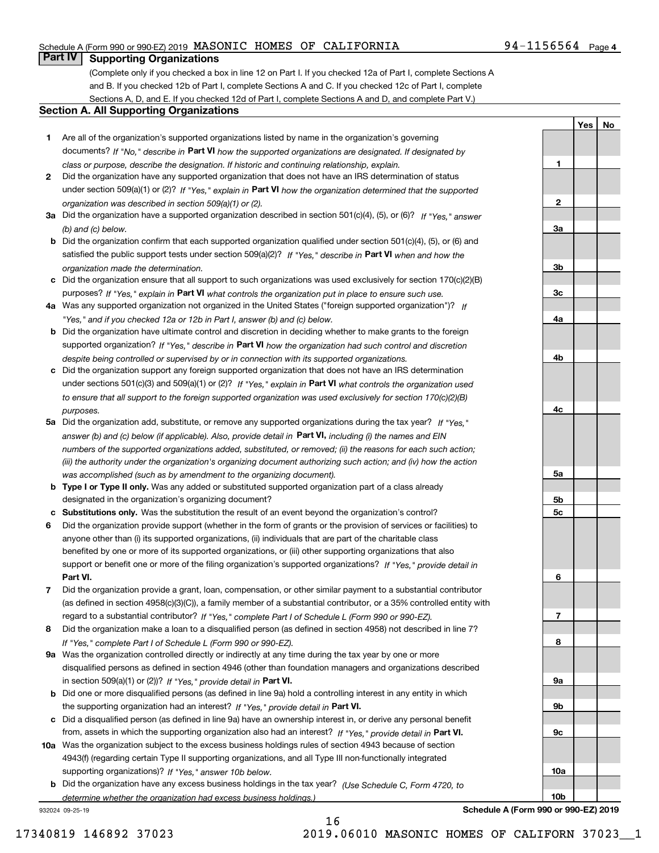### Schedule A (Form 990 or 990-EZ) 2019 Page MASONIC HOMES OF CALIFORNIA 94-1156564

## **Part IV Supporting Organizations**

(Complete only if you checked a box in line 12 on Part I. If you checked 12a of Part I, complete Sections A and B. If you checked 12b of Part I, complete Sections A and C. If you checked 12c of Part I, complete Sections A, D, and E. If you checked 12d of Part I, complete Sections A and D, and complete Part V.)

### **Section A. All Supporting Organizations**

- **1** Are all of the organization's supported organizations listed by name in the organization's governing documents? If "No," describe in **Part VI** how the supported organizations are designated. If designated by *class or purpose, describe the designation. If historic and continuing relationship, explain.*
- **2** Did the organization have any supported organization that does not have an IRS determination of status under section 509(a)(1) or (2)? If "Yes," explain in Part VI how the organization determined that the supported *organization was described in section 509(a)(1) or (2).*
- **3a** Did the organization have a supported organization described in section 501(c)(4), (5), or (6)? If "Yes," answer *(b) and (c) below.*
- **b** Did the organization confirm that each supported organization qualified under section 501(c)(4), (5), or (6) and satisfied the public support tests under section 509(a)(2)? If "Yes," describe in **Part VI** when and how the *organization made the determination.*
- **c**Did the organization ensure that all support to such organizations was used exclusively for section 170(c)(2)(B) purposes? If "Yes," explain in **Part VI** what controls the organization put in place to ensure such use.
- **4a***If* Was any supported organization not organized in the United States ("foreign supported organization")? *"Yes," and if you checked 12a or 12b in Part I, answer (b) and (c) below.*
- **b** Did the organization have ultimate control and discretion in deciding whether to make grants to the foreign supported organization? If "Yes," describe in **Part VI** how the organization had such control and discretion *despite being controlled or supervised by or in connection with its supported organizations.*
- **c** Did the organization support any foreign supported organization that does not have an IRS determination under sections 501(c)(3) and 509(a)(1) or (2)? If "Yes," explain in **Part VI** what controls the organization used *to ensure that all support to the foreign supported organization was used exclusively for section 170(c)(2)(B) purposes.*
- **5a***If "Yes,"* Did the organization add, substitute, or remove any supported organizations during the tax year? answer (b) and (c) below (if applicable). Also, provide detail in **Part VI,** including (i) the names and EIN *numbers of the supported organizations added, substituted, or removed; (ii) the reasons for each such action; (iii) the authority under the organization's organizing document authorizing such action; and (iv) how the action was accomplished (such as by amendment to the organizing document).*
- **b** Type I or Type II only. Was any added or substituted supported organization part of a class already designated in the organization's organizing document?
- **cSubstitutions only.**  Was the substitution the result of an event beyond the organization's control?
- **6** Did the organization provide support (whether in the form of grants or the provision of services or facilities) to **Part VI.** *If "Yes," provide detail in* support or benefit one or more of the filing organization's supported organizations? anyone other than (i) its supported organizations, (ii) individuals that are part of the charitable class benefited by one or more of its supported organizations, or (iii) other supporting organizations that also
- **7**Did the organization provide a grant, loan, compensation, or other similar payment to a substantial contributor *If "Yes," complete Part I of Schedule L (Form 990 or 990-EZ).* regard to a substantial contributor? (as defined in section 4958(c)(3)(C)), a family member of a substantial contributor, or a 35% controlled entity with
- **8** Did the organization make a loan to a disqualified person (as defined in section 4958) not described in line 7? *If "Yes," complete Part I of Schedule L (Form 990 or 990-EZ).*
- **9a** Was the organization controlled directly or indirectly at any time during the tax year by one or more in section 509(a)(1) or (2))? If "Yes," *provide detail in* <code>Part VI.</code> disqualified persons as defined in section 4946 (other than foundation managers and organizations described
- **b**the supporting organization had an interest? If "Yes," provide detail in P**art VI**. Did one or more disqualified persons (as defined in line 9a) hold a controlling interest in any entity in which
- **c**Did a disqualified person (as defined in line 9a) have an ownership interest in, or derive any personal benefit from, assets in which the supporting organization also had an interest? If "Yes," provide detail in P**art VI.**
- **10a** Was the organization subject to the excess business holdings rules of section 4943 because of section supporting organizations)? If "Yes," answer 10b below. 4943(f) (regarding certain Type II supporting organizations, and all Type III non-functionally integrated
- **b** Did the organization have any excess business holdings in the tax year? (Use Schedule C, Form 4720, to *determine whether the organization had excess business holdings.)*

932024 09-25-19

| 3a              |  |
|-----------------|--|
|                 |  |
|                 |  |
| 3 <sub>b</sub>  |  |
|                 |  |
|                 |  |
| $\frac{3c}{2}$  |  |
|                 |  |
| <u>4a</u>       |  |
|                 |  |
|                 |  |
| 4 <sub>b</sub>  |  |
|                 |  |
|                 |  |
|                 |  |
|                 |  |
| 4c              |  |
|                 |  |
|                 |  |
|                 |  |
|                 |  |
| <u>5a</u>       |  |
|                 |  |
| 5 <sub>b</sub>  |  |
| $\overline{5c}$ |  |
|                 |  |
|                 |  |
|                 |  |
|                 |  |
|                 |  |
| $6\phantom{1}$  |  |
|                 |  |
|                 |  |
| $\overline{1}$  |  |
|                 |  |
| 8               |  |
|                 |  |
|                 |  |
| <u>9a</u>       |  |
|                 |  |
| <u>9b</u>       |  |
|                 |  |
|                 |  |
| $\overline{9c}$ |  |
|                 |  |
|                 |  |
| 10a             |  |
|                 |  |

**1**

**2**

**YesNo**

**Schedule A (Form 990 or 990-EZ) 2019**

**10b**

16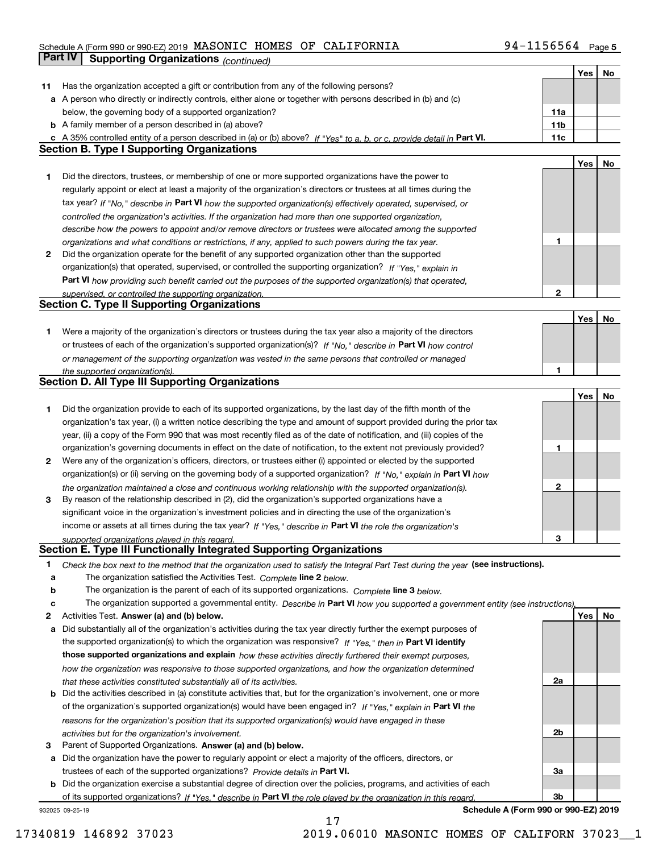### Schedule A (Form 990 or 990-EZ) 2019 MASONIC HOMES OF CALIFORNIA 94-II56564 Page MASONIC HOMES OF CALIFORNIA 94-1156564

|    | <b>Part IV</b><br><b>Supporting Organizations (continued)</b>                                                                     |                 |     |    |
|----|-----------------------------------------------------------------------------------------------------------------------------------|-----------------|-----|----|
|    |                                                                                                                                   |                 | Yes | No |
| 11 | Has the organization accepted a gift or contribution from any of the following persons?                                           |                 |     |    |
| а  | A person who directly or indirectly controls, either alone or together with persons described in (b) and (c)                      |                 |     |    |
|    | below, the governing body of a supported organization?                                                                            | 11a             |     |    |
|    | <b>b</b> A family member of a person described in (a) above?                                                                      | 11 <sub>b</sub> |     |    |
|    | c A 35% controlled entity of a person described in (a) or (b) above? If "Yes" to a, b, or c, provide detail in Part VI.           | 11c             |     |    |
|    | <b>Section B. Type I Supporting Organizations</b>                                                                                 |                 |     |    |
|    |                                                                                                                                   |                 | Yes | No |
| 1  | Did the directors, trustees, or membership of one or more supported organizations have the power to                               |                 |     |    |
|    | regularly appoint or elect at least a majority of the organization's directors or trustees at all times during the                |                 |     |    |
|    | tax year? If "No," describe in Part VI how the supported organization(s) effectively operated, supervised, or                     |                 |     |    |
|    | controlled the organization's activities. If the organization had more than one supported organization,                           |                 |     |    |
|    | describe how the powers to appoint and/or remove directors or trustees were allocated among the supported                         |                 |     |    |
|    | organizations and what conditions or restrictions, if any, applied to such powers during the tax year.                            | 1               |     |    |
| 2  | Did the organization operate for the benefit of any supported organization other than the supported                               |                 |     |    |
|    | organization(s) that operated, supervised, or controlled the supporting organization? If "Yes," explain in                        |                 |     |    |
|    | Part VI how providing such benefit carried out the purposes of the supported organization(s) that operated,                       |                 |     |    |
|    | supervised, or controlled the supporting organization.                                                                            | 2               |     |    |
|    | <b>Section C. Type II Supporting Organizations</b>                                                                                |                 |     |    |
|    |                                                                                                                                   |                 | Yes | No |
| 1  | Were a majority of the organization's directors or trustees during the tax year also a majority of the directors                  |                 |     |    |
|    | or trustees of each of the organization's supported organization(s)? If "No," describe in Part VI how control                     |                 |     |    |
|    | or management of the supporting organization was vested in the same persons that controlled or managed                            |                 |     |    |
|    | the supported organization(s).                                                                                                    | 1               |     |    |
|    | <b>Section D. All Type III Supporting Organizations</b>                                                                           |                 |     |    |
|    |                                                                                                                                   |                 | Yes | No |
| 1  | Did the organization provide to each of its supported organizations, by the last day of the fifth month of the                    |                 |     |    |
|    | organization's tax year, (i) a written notice describing the type and amount of support provided during the prior tax             |                 |     |    |
|    | year, (ii) a copy of the Form 990 that was most recently filed as of the date of notification, and (iii) copies of the            |                 |     |    |
|    | organization's governing documents in effect on the date of notification, to the extent not previously provided?                  | 1               |     |    |
| 2  | Were any of the organization's officers, directors, or trustees either (i) appointed or elected by the supported                  |                 |     |    |
|    | organization(s) or (ii) serving on the governing body of a supported organization? If "No," explain in Part VI how                |                 |     |    |
|    | the organization maintained a close and continuous working relationship with the supported organization(s).                       | 2               |     |    |
| з  | By reason of the relationship described in (2), did the organization's supported organizations have a                             |                 |     |    |
|    | significant voice in the organization's investment policies and in directing the use of the organization's                        |                 |     |    |
|    | income or assets at all times during the tax year? If "Yes," describe in Part VI the role the organization's                      |                 |     |    |
|    | supported organizations played in this regard.                                                                                    | 3               |     |    |
|    | Section E. Type III Functionally Integrated Supporting Organizations                                                              |                 |     |    |
| 1  | Check the box next to the method that the organization used to satisfy the Integral Part Test during the year (see instructions). |                 |     |    |
| а  | The organization satisfied the Activities Test. Complete line 2 below.                                                            |                 |     |    |
| b  | The organization is the parent of each of its supported organizations. Complete line 3 below.                                     |                 |     |    |
| c  | The organization supported a governmental entity. Describe in Part VI how you supported a government entity (see instructions),   |                 |     |    |
| 2  | Activities Test. Answer (a) and (b) below.                                                                                        |                 | Yes | No |
| а  | Did substantially all of the organization's activities during the tax year directly further the exempt purposes of                |                 |     |    |
|    | the supported organization(s) to which the organization was responsive? If "Yes," then in Part VI identify                        |                 |     |    |
|    | those supported organizations and explain how these activities directly furthered their exempt purposes,                          |                 |     |    |
|    | how the organization was responsive to those supported organizations, and how the organization determined                         |                 |     |    |
|    | that these activities constituted substantially all of its activities.                                                            | 2a              |     |    |
| b  | Did the activities described in (a) constitute activities that, but for the organization's involvement, one or more               |                 |     |    |
|    | of the organization's supported organization(s) would have been engaged in? If "Yes," explain in Part VI the                      |                 |     |    |
|    | reasons for the organization's position that its supported organization(s) would have engaged in these                            |                 |     |    |
|    | activities but for the organization's involvement.                                                                                | 2b              |     |    |
| з  | Parent of Supported Organizations. Answer (a) and (b) below.                                                                      |                 |     |    |
| а  | Did the organization have the power to regularly appoint or elect a majority of the officers, directors, or                       |                 |     |    |
|    | trustees of each of the supported organizations? Provide details in Part VI.                                                      | 3a              |     |    |
| b  | Did the organization exercise a substantial degree of direction over the policies, programs, and activities of each               |                 |     |    |
|    | of its supported organizations? If "Yes," describe in Part VI the role played by the organization in this regard.                 | 3b              |     |    |

17

932025 09-25-19

**Schedule A (Form 990 or 990-EZ) 2019**

17340819 146892 37023 2019.06010 MASONIC HOMES OF CALIFORN 37023\_\_1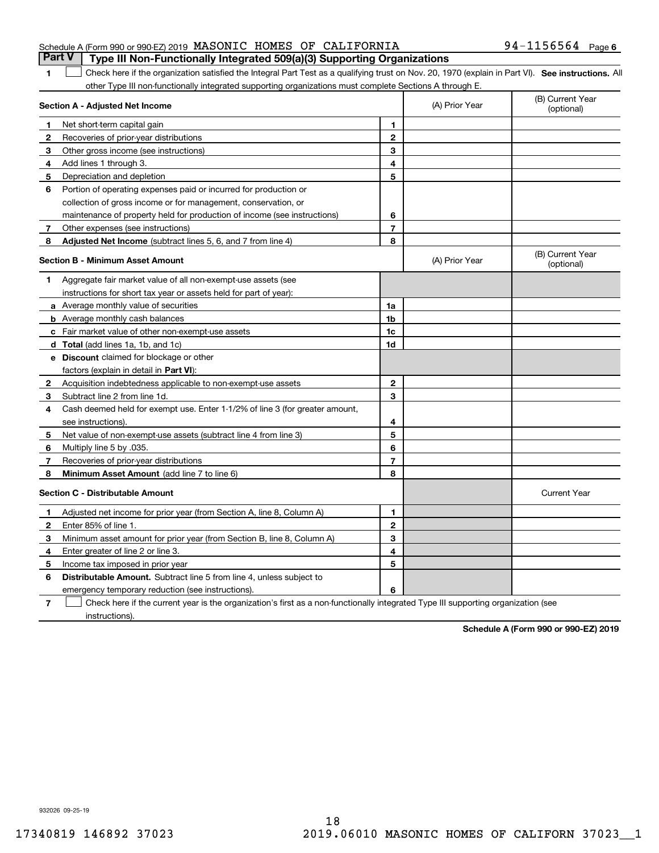|  | Schedule A (Form 990 or 990-EZ) 2019 MASONIC HOMES OF CALIFORNIA |  | <b>Part V</b> Type III Non-Functionally Integrated 509(a)(3) Supporting Organizations | $94 - 1156564$ Page 6 |  |
|--|------------------------------------------------------------------|--|---------------------------------------------------------------------------------------|-----------------------|--|
|  |                                                                  |  |                                                                                       |                       |  |

1 Check here if the organization satisfied the Integral Part Test as a qualifying trust on Nov. 20, 1970 (explain in Part VI). See instructions. All other Type III non-functionally integrated supporting organizations must complete Sections A through E.

|              | Section A - Adjusted Net Income                                              |                | (A) Prior Year | (B) Current Year<br>(optional) |
|--------------|------------------------------------------------------------------------------|----------------|----------------|--------------------------------|
| 1.           | Net short-term capital gain                                                  | 1              |                |                                |
| $\mathbf{2}$ | Recoveries of prior-year distributions                                       | $\mathbf{2}$   |                |                                |
| 3            | Other gross income (see instructions)                                        | 3              |                |                                |
| 4            | Add lines 1 through 3.                                                       | 4              |                |                                |
| 5            | Depreciation and depletion                                                   | 5              |                |                                |
| 6            | Portion of operating expenses paid or incurred for production or             |                |                |                                |
|              | collection of gross income or for management, conservation, or               |                |                |                                |
|              | maintenance of property held for production of income (see instructions)     | 6              |                |                                |
| 7            | Other expenses (see instructions)                                            | $\overline{7}$ |                |                                |
| 8            | <b>Adjusted Net Income</b> (subtract lines 5, 6, and 7 from line 4)          | 8              |                |                                |
|              | <b>Section B - Minimum Asset Amount</b>                                      |                | (A) Prior Year | (B) Current Year<br>(optional) |
| 1.           | Aggregate fair market value of all non-exempt-use assets (see                |                |                |                                |
|              | instructions for short tax year or assets held for part of year):            |                |                |                                |
|              | a Average monthly value of securities                                        | 1a             |                |                                |
|              | <b>b</b> Average monthly cash balances                                       | 1 <sub>b</sub> |                |                                |
|              | c Fair market value of other non-exempt-use assets                           | 1c             |                |                                |
|              | d Total (add lines 1a, 1b, and 1c)                                           | 1d             |                |                                |
|              | <b>e</b> Discount claimed for blockage or other                              |                |                |                                |
|              | factors (explain in detail in Part VI):                                      |                |                |                                |
| 2            | Acquisition indebtedness applicable to non-exempt-use assets                 | $\mathbf{2}$   |                |                                |
| 3            | Subtract line 2 from line 1d.                                                | 3              |                |                                |
| 4            | Cash deemed held for exempt use. Enter 1-1/2% of line 3 (for greater amount, |                |                |                                |
|              | see instructions).                                                           | 4              |                |                                |
| 5.           | Net value of non-exempt-use assets (subtract line 4 from line 3)             | 5              |                |                                |
| 6            | Multiply line 5 by .035.                                                     | 6              |                |                                |
| 7            | Recoveries of prior-year distributions                                       | $\overline{7}$ |                |                                |
| 8            | Minimum Asset Amount (add line 7 to line 6)                                  | 8              |                |                                |
|              | <b>Section C - Distributable Amount</b>                                      |                |                | <b>Current Year</b>            |
| 1            | Adjusted net income for prior year (from Section A, line 8, Column A)        | 1              |                |                                |
| $\mathbf{2}$ | Enter 85% of line 1.                                                         | $\overline{2}$ |                |                                |
| 3            | Minimum asset amount for prior year (from Section B, line 8, Column A)       | 3              |                |                                |
| 4            | Enter greater of line 2 or line 3.                                           | 4              |                |                                |
| 5.           | Income tax imposed in prior year                                             | 5              |                |                                |
| 6            | <b>Distributable Amount.</b> Subtract line 5 from line 4, unless subject to  |                |                |                                |
|              | emergency temporary reduction (see instructions).                            | 6              |                |                                |
|              |                                                                              |                |                |                                |

**7**Check here if the current year is the organization's first as a non-functionally integrated Type III supporting organization (see instructions).

**Schedule A (Form 990 or 990-EZ) 2019**

932026 09-25-19

**1**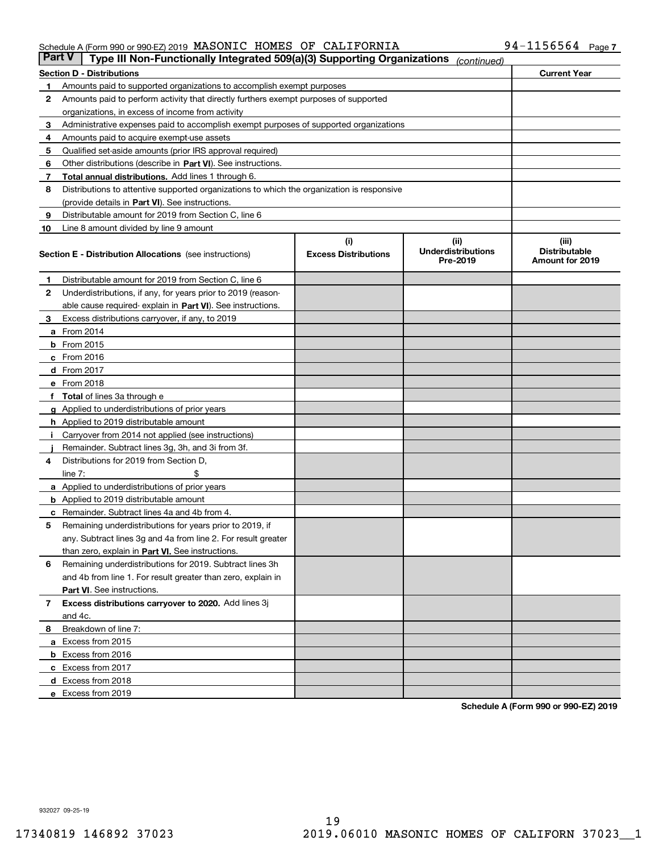### Schedule A (Form 990 or 990-EZ) 2019 Page MASONIC HOMES OF CALIFORNIA 94-1156564

| <b>Part V</b> | Type III Non-Functionally Integrated 509(a)(3) Supporting Organizations                    |                             | (continued)                           |                                         |  |  |  |
|---------------|--------------------------------------------------------------------------------------------|-----------------------------|---------------------------------------|-----------------------------------------|--|--|--|
|               | <b>Section D - Distributions</b>                                                           |                             |                                       | <b>Current Year</b>                     |  |  |  |
| 1             | Amounts paid to supported organizations to accomplish exempt purposes                      |                             |                                       |                                         |  |  |  |
| 2             | Amounts paid to perform activity that directly furthers exempt purposes of supported       |                             |                                       |                                         |  |  |  |
|               | organizations, in excess of income from activity                                           |                             |                                       |                                         |  |  |  |
| 3             | Administrative expenses paid to accomplish exempt purposes of supported organizations      |                             |                                       |                                         |  |  |  |
| 4             | Amounts paid to acquire exempt-use assets                                                  |                             |                                       |                                         |  |  |  |
| 5             | Qualified set-aside amounts (prior IRS approval required)                                  |                             |                                       |                                         |  |  |  |
| 6             | Other distributions (describe in Part VI). See instructions.                               |                             |                                       |                                         |  |  |  |
| 7             | <b>Total annual distributions.</b> Add lines 1 through 6.                                  |                             |                                       |                                         |  |  |  |
| 8             | Distributions to attentive supported organizations to which the organization is responsive |                             |                                       |                                         |  |  |  |
|               | (provide details in Part VI). See instructions.                                            |                             |                                       |                                         |  |  |  |
| 9             | Distributable amount for 2019 from Section C, line 6                                       |                             |                                       |                                         |  |  |  |
| 10            | Line 8 amount divided by line 9 amount                                                     |                             |                                       |                                         |  |  |  |
|               |                                                                                            | (i)                         | (iii)                                 | (iii)                                   |  |  |  |
|               | <b>Section E - Distribution Allocations</b> (see instructions)                             | <b>Excess Distributions</b> | <b>Underdistributions</b><br>Pre-2019 | <b>Distributable</b><br>Amount for 2019 |  |  |  |
| 1             | Distributable amount for 2019 from Section C, line 6                                       |                             |                                       |                                         |  |  |  |
| 2             | Underdistributions, if any, for years prior to 2019 (reason-                               |                             |                                       |                                         |  |  |  |
|               | able cause required- explain in Part VI). See instructions.                                |                             |                                       |                                         |  |  |  |
| З             | Excess distributions carryover, if any, to 2019                                            |                             |                                       |                                         |  |  |  |
|               | <b>a</b> From 2014                                                                         |                             |                                       |                                         |  |  |  |
|               | <b>b</b> From 2015                                                                         |                             |                                       |                                         |  |  |  |
|               | $c$ From 2016                                                                              |                             |                                       |                                         |  |  |  |
|               | d From 2017                                                                                |                             |                                       |                                         |  |  |  |
|               | e From 2018                                                                                |                             |                                       |                                         |  |  |  |
|               | Total of lines 3a through e                                                                |                             |                                       |                                         |  |  |  |
| g             | Applied to underdistributions of prior years                                               |                             |                                       |                                         |  |  |  |
|               | <b>h</b> Applied to 2019 distributable amount                                              |                             |                                       |                                         |  |  |  |
|               | Carryover from 2014 not applied (see instructions)                                         |                             |                                       |                                         |  |  |  |
|               | Remainder. Subtract lines 3g, 3h, and 3i from 3f.                                          |                             |                                       |                                         |  |  |  |
| 4             | Distributions for 2019 from Section D,                                                     |                             |                                       |                                         |  |  |  |
|               | line $7:$                                                                                  |                             |                                       |                                         |  |  |  |
|               | <b>a</b> Applied to underdistributions of prior years                                      |                             |                                       |                                         |  |  |  |
|               | <b>b</b> Applied to 2019 distributable amount                                              |                             |                                       |                                         |  |  |  |
|               | c Remainder. Subtract lines 4a and 4b from 4.                                              |                             |                                       |                                         |  |  |  |
| 5             | Remaining underdistributions for years prior to 2019, if                                   |                             |                                       |                                         |  |  |  |
|               | any. Subtract lines 3g and 4a from line 2. For result greater                              |                             |                                       |                                         |  |  |  |
|               | than zero, explain in Part VI. See instructions.                                           |                             |                                       |                                         |  |  |  |
| 6             | Remaining underdistributions for 2019. Subtract lines 3h                                   |                             |                                       |                                         |  |  |  |
|               | and 4b from line 1. For result greater than zero, explain in                               |                             |                                       |                                         |  |  |  |
|               | Part VI. See instructions.                                                                 |                             |                                       |                                         |  |  |  |
|               |                                                                                            |                             |                                       |                                         |  |  |  |
| 7             | Excess distributions carryover to 2020. Add lines 3j                                       |                             |                                       |                                         |  |  |  |
|               | and 4c.                                                                                    |                             |                                       |                                         |  |  |  |
| 8             | Breakdown of line 7:                                                                       |                             |                                       |                                         |  |  |  |
|               | a Excess from 2015                                                                         |                             |                                       |                                         |  |  |  |
|               | <b>b</b> Excess from 2016                                                                  |                             |                                       |                                         |  |  |  |
|               | c Excess from 2017                                                                         |                             |                                       |                                         |  |  |  |
|               | d Excess from 2018                                                                         |                             |                                       |                                         |  |  |  |
|               | e Excess from 2019                                                                         |                             |                                       |                                         |  |  |  |

**Schedule A (Form 990 or 990-EZ) 2019**

932027 09-25-19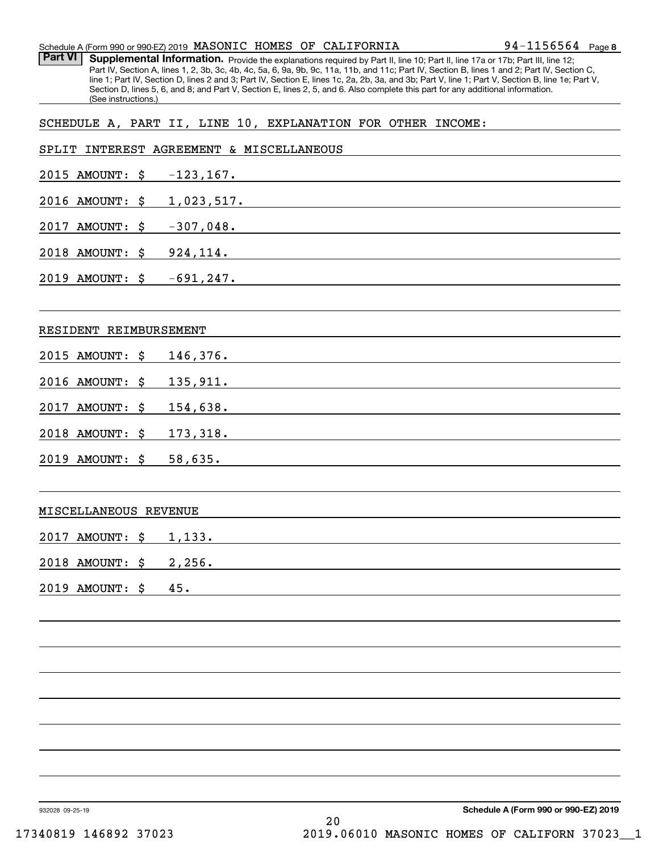| Schedule A (Form 990 or 990-EZ) 2019 MASONIC HOMES OF CALIFORNIA |  |  | $94 - 1156564$ Page 8 |  |
|------------------------------------------------------------------|--|--|-----------------------|--|
|                                                                  |  |  |                       |  |

Part VI | Supplemental Information. Provide the explanations required by Part II, line 10; Part II, line 17a or 17b; Part III, line 12; Part IV, Section A, lines 1, 2, 3b, 3c, 4b, 4c, 5a, 6, 9a, 9b, 9c, 11a, 11b, and 11c; Part IV, Section B, lines 1 and 2; Part IV, Section C, line 1; Part IV, Section D, lines 2 and 3; Part IV, Section E, lines 1c, 2a, 2b, 3a, and 3b; Part V, line 1; Part V, Section B, line 1e; Part V, Section D, lines 5, 6, and 8; and Part V, Section E, lines 2, 5, and 6. Also complete this part for any additional information. (See instructions.)

## SCHEDULE A, PART II, LINE 10, EXPLANATION FOR OTHER INCOME:

|                                     | SPLIT INTEREST AGREEMENT & MISCELLANEOUS                                                                                                                                                                                                 |
|-------------------------------------|------------------------------------------------------------------------------------------------------------------------------------------------------------------------------------------------------------------------------------------|
| $2015$ AMOUNT: $\frac{2015}{167}$ . |                                                                                                                                                                                                                                          |
|                                     | 2016 AMOUNT: \$ 1,023,517.                                                                                                                                                                                                               |
| 2017 AMOUNT: \$ -307,048.           | <u> 1989 - Johann Stoff, amerikansk politiker (d. 1989)</u>                                                                                                                                                                              |
|                                     | 2018 AMOUNT: \$924,114.                                                                                                                                                                                                                  |
| 2019 AMOUNT: \$ -691,247.           |                                                                                                                                                                                                                                          |
|                                     |                                                                                                                                                                                                                                          |
| RESIDENT REIMBURSEMENT              | the control of the control of the control of the control of the control of the control of the control of the control of the control of the control of the control of the control of the control of the control of the control            |
| 2015 AMOUNT: \$                     | 146,376.                                                                                                                                                                                                                                 |
| 2016 AMOUNT: \$                     | 135,911.                                                                                                                                                                                                                                 |
| 2017<br>AMOUNT: \$                  | 154,638.                                                                                                                                                                                                                                 |
| 2018 AMOUNT: \$                     | 173,318.                                                                                                                                                                                                                                 |
| 2019 AMOUNT: \$                     | 58,635.<br>the control of the control of the control of the control of the control of the control of the control of the control of the control of the control of the control of the control of the control of the control of the control |
|                                     | ,我们也不会有什么。""我们的人,我们也不会有什么?""我们的人,我们也不会有什么?""我们的人,我们也不会有什么?""我们的人,我们也不会有什么?""我们的人                                                                                                                                                         |
| MISCELLANEOUS REVENUE               |                                                                                                                                                                                                                                          |
| 2017 AMOUNT: \$                     | 1,133.                                                                                                                                                                                                                                   |
| 2018 AMOUNT: \$                     | 2,256.<br><u> 1989 - Andrea Station Barbara, amerikan personal di sebagai personal di sebagai personal di sebagai personal </u>                                                                                                          |
| 2019 AMOUNT: \$                     | 45.<br><u> 1989 - Johann Barn, mars ann an t-Amhain an t-Amhain ann an t-Amhain an t-Amhain an t-Amhain an t-Amhain an t-</u>                                                                                                            |
|                                     |                                                                                                                                                                                                                                          |
|                                     |                                                                                                                                                                                                                                          |
|                                     |                                                                                                                                                                                                                                          |
|                                     |                                                                                                                                                                                                                                          |
|                                     |                                                                                                                                                                                                                                          |
|                                     |                                                                                                                                                                                                                                          |
|                                     |                                                                                                                                                                                                                                          |
|                                     |                                                                                                                                                                                                                                          |

932028 09-25-19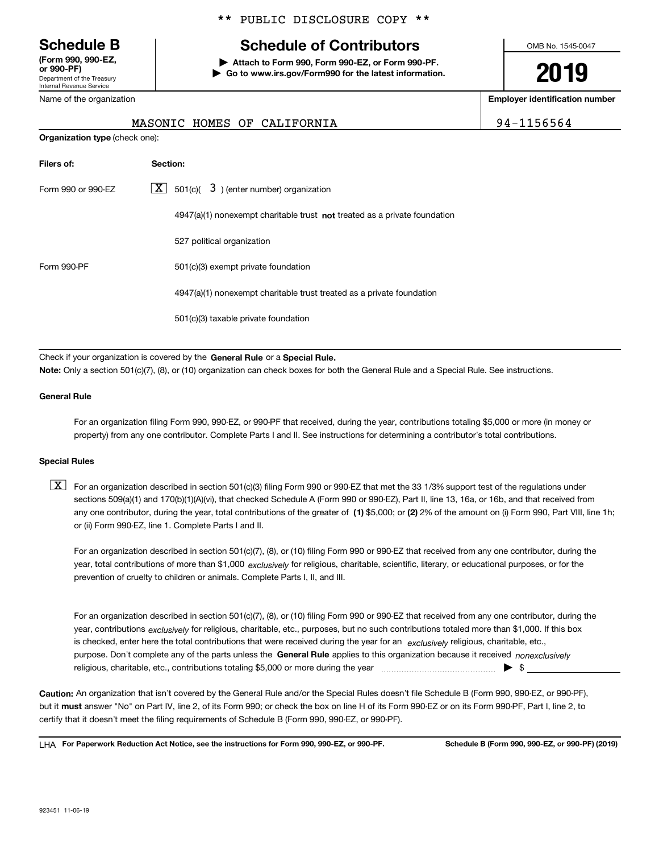Department of the Treasury Internal Revenue Service **(Form 990, 990-EZ, or 990-PF)**

### \*\* PUBLIC DISCLOSURE COPY \*\*

# **Schedule B Schedule of Contributors**

**| Attach to Form 990, Form 990-EZ, or Form 990-PF. | Go to www.irs.gov/Form990 for the latest information.** OMB No. 1545-0047

# **2019**

**Employer identification number**

| с<br>4<br>יו מיט<br>n<br>ריו |  |
|------------------------------|--|
|------------------------------|--|

| Name of the organization |  |  |                             |  |  |
|--------------------------|--|--|-----------------------------|--|--|
|                          |  |  | MASONIC HOMES OF CALIFORNIA |  |  |

**Organization type** (check one):

| Filers of:         | Section:                                                                           |
|--------------------|------------------------------------------------------------------------------------|
| Form 990 or 990-EZ | $\lfloor x \rfloor$ 501(c)( 3) (enter number) organization                         |
|                    | $4947(a)(1)$ nonexempt charitable trust <b>not</b> treated as a private foundation |
|                    | 527 political organization                                                         |
| Form 990-PF        | 501(c)(3) exempt private foundation                                                |
|                    | 4947(a)(1) nonexempt charitable trust treated as a private foundation              |
|                    | 501(c)(3) taxable private foundation                                               |

Check if your organization is covered by the **General Rule** or a **Special Rule.**<br>Nota: Only a section 501(c)(7), (8), or (10) erganization can chock boxes for be **Note:**  Only a section 501(c)(7), (8), or (10) organization can check boxes for both the General Rule and a Special Rule. See instructions.

### **General Rule**

For an organization filing Form 990, 990-EZ, or 990-PF that received, during the year, contributions totaling \$5,000 or more (in money or property) from any one contributor. Complete Parts I and II. See instructions for determining a contributor's total contributions.

### **Special Rules**

any one contributor, during the year, total contributions of the greater of  $\,$  (1) \$5,000; or **(2)** 2% of the amount on (i) Form 990, Part VIII, line 1h;  $\boxed{\textbf{X}}$  For an organization described in section 501(c)(3) filing Form 990 or 990-EZ that met the 33 1/3% support test of the regulations under sections 509(a)(1) and 170(b)(1)(A)(vi), that checked Schedule A (Form 990 or 990-EZ), Part II, line 13, 16a, or 16b, and that received from or (ii) Form 990-EZ, line 1. Complete Parts I and II.

year, total contributions of more than \$1,000 *exclusively* for religious, charitable, scientific, literary, or educational purposes, or for the For an organization described in section 501(c)(7), (8), or (10) filing Form 990 or 990-EZ that received from any one contributor, during the prevention of cruelty to children or animals. Complete Parts I, II, and III.

purpose. Don't complete any of the parts unless the **General Rule** applies to this organization because it received *nonexclusively* year, contributions <sub>exclusively</sub> for religious, charitable, etc., purposes, but no such contributions totaled more than \$1,000. If this box is checked, enter here the total contributions that were received during the year for an  $\;$ exclusively religious, charitable, etc., For an organization described in section 501(c)(7), (8), or (10) filing Form 990 or 990-EZ that received from any one contributor, during the religious, charitable, etc., contributions totaling \$5,000 or more during the year  $\Box$ — $\Box$   $\Box$ 

**Caution:**  An organization that isn't covered by the General Rule and/or the Special Rules doesn't file Schedule B (Form 990, 990-EZ, or 990-PF), but it **must** answer "No" on Part IV, line 2, of its Form 990; or check the box on line H of its Form 990-EZ or on its Form 990-PF, Part I, line 2, to<br>cortify that it doesn't meet the filipe requirements of Schodule B (Fer certify that it doesn't meet the filing requirements of Schedule B (Form 990, 990-EZ, or 990-PF).

**For Paperwork Reduction Act Notice, see the instructions for Form 990, 990-EZ, or 990-PF. Schedule B (Form 990, 990-EZ, or 990-PF) (2019)** LHA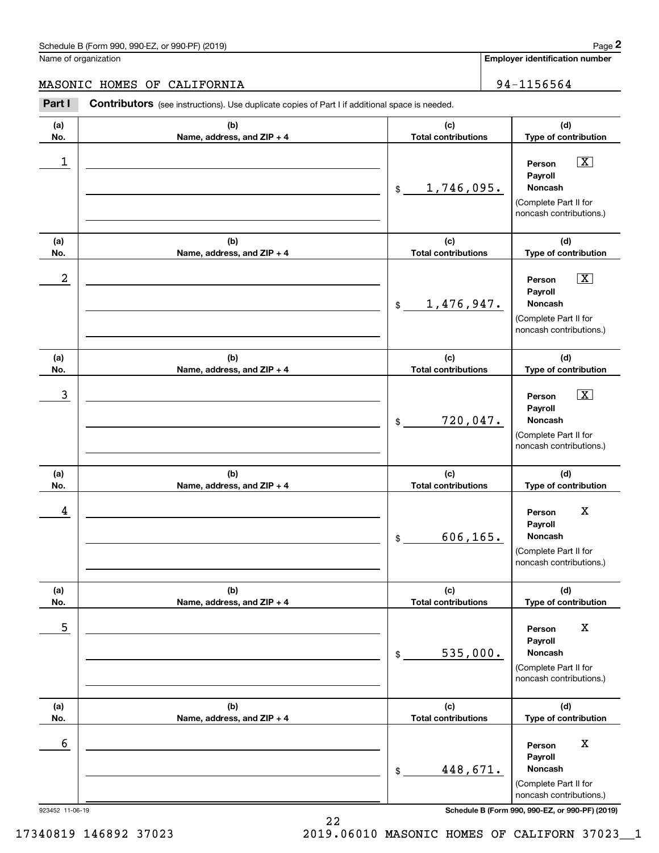**Employer identification number**

### MASONIC HOMES OF CALIFORNIA 194-1156564

923452 11-06-19 **Schedule B (Form 990, 990-EZ, or 990-PF) (2019) (a)No.(b)Name, address, and ZIP + 4 (c)Total contributions (d)Type of contribution PersonPayrollNoncash(a)No.(b)Name, address, and ZIP + 4 (c)Total contributions (d)Type of contribution PersonPayrollNoncash(a)No.(b)Name, address, and ZIP + 4 (c)Total contributions (d)Type of contribution PersonPayrollNoncash(a) No.(b) Name, address, and ZIP + 4 (c) Total contributions (d) Type of contribution PersonPayrollNoncash(a) No.(b)Name, address, and ZIP + 4 (c) Total contributions (d) Type of contribution PersonPayrollNoncash(a) No.(b)Name, address, and ZIP + 4 (c) Total contributions (d)Type of contribution PersonPayrollNoncashContributors** (see instructions). Use duplicate copies of Part I if additional space is needed. \$(Complete Part II for noncash contributions.) \$(Complete Part II for noncash contributions.) \$(Complete Part II for noncash contributions.) \$(Complete Part II for noncash contributions.) \$(Complete Part II for noncash contributions.) \$(Complete Part II for noncash contributions.) **2** Chedule B (Form 990, 990-EZ, or 990-PF) (2019)<br> **2Part I**<br> **2Part I Contributors** (see instructions). Use duplicate copies of Part I if additional space is needed.<br> **Part I Contributors** (see instructions). Use dup  $\boxed{\mathbf{X}}$  $\boxed{\mathbf{X}}$  $|\mathbf{X}|$  $\begin{array}{c|c|c|c|c|c} 1 & \hspace{1.5cm} & \hspace{1.5cm} & \hspace{1.5cm} & \hspace{1.5cm} & \hspace{1.5cm} & \hspace{1.5cm} & \hspace{1.5cm} & \hspace{1.5cm} & \hspace{1.5cm} & \hspace{1.5cm} & \hspace{1.5cm} & \hspace{1.5cm} & \hspace{1.5cm} & \hspace{1.5cm} & \hspace{1.5cm} & \hspace{1.5cm} & \hspace{1.5cm} & \hspace{1.5cm} & \hspace{1.5cm} & \hspace{1.5cm} &$ 1,746,095.  $2$  | Person  $\overline{\text{X}}$ 1,476,947.  $\overline{3}$  | Person  $\overline{X}$ 720,047. 4 Person X 606,165. <u>5 | Person X</u> 535,000. 6 Berson X Adventure Contract of the Contract of the Contract of the Contract of the Contract of the Contract of the Contract of the Contract of the Contract of the Contract of the Contract of the Contract of the Contract 448,671.

22 17340819 146892 37023 2019.06010 MASONIC HOMES OF CALIFORN 37023\_\_1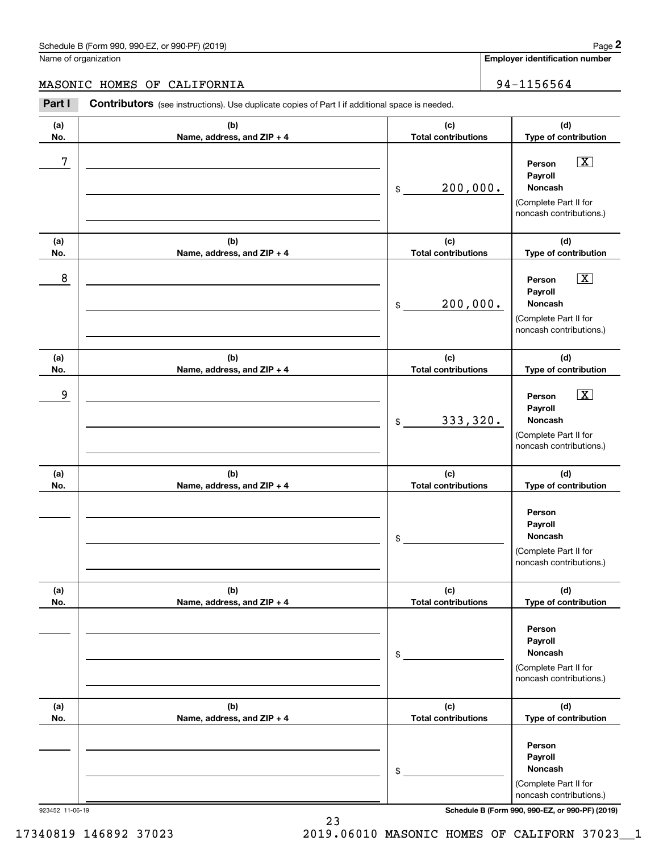**Employer identification number**

### MASONIC HOMES OF CALIFORNIA 94-1156564

**(a)No.(b)Name, address, and ZIP + 4 (c)Total contributions (d)Type of contribution PersonPayrollNoncash(a)No.(b)Name, address, and ZIP + 4 (c)Total contributions (d)Type of contribution PersonPayrollNoncash(a)No.(b)Name, address, and ZIP + 4 (c)Total contributions (d)Type of contribution Person PayrollNoncash(a) No.(b)Name, address, and ZIP + 4 (c) Total contributions (d) Type of contribution PersonPayrollNoncash(a) No.(b)Name, address, and ZIP + 4 (c) Total contributions (d) Type of contribution PersonPayrollNoncash(a) No.(b)Name, address, and ZIP + 4 (c) Total contributions (d)Type of contribution PersonPayrollNoncashContributors** (see instructions). Use duplicate copies of Part I if additional space is needed. \$(Complete Part II for noncash contributions.) \$(Complete Part II for noncash contributions.) \$(Complete Part II for noncash contributions.) \$(Complete Part II for noncash contributions.) \$(Complete Part II for noncash contributions.) \$(Complete Part II for noncash contributions.) **2** Chedule B (Form 990, 990-EZ, or 990-PF) (2019)<br> **2Part I**<br> **2Part I Contributors** (see instructions). Use duplicate copies of Part I if additional space is needed.<br> **Part I Contributors** (see instructions). Use dup  $\boxed{\mathbf{X}}$  $\boxed{\mathbf{X}}$  $|\mathbf{X}|$ 7 X 200,000. 8 X 200,000. example and the set of the set of the set of the set of the set of the set of the set of the set of the set of 333,320.

923452 11-06-19 **Schedule B (Form 990, 990-EZ, or 990-PF) (2019)**

17340819 146892 37023 2019.06010 MASONIC HOMES OF CALIFORN 37023\_\_1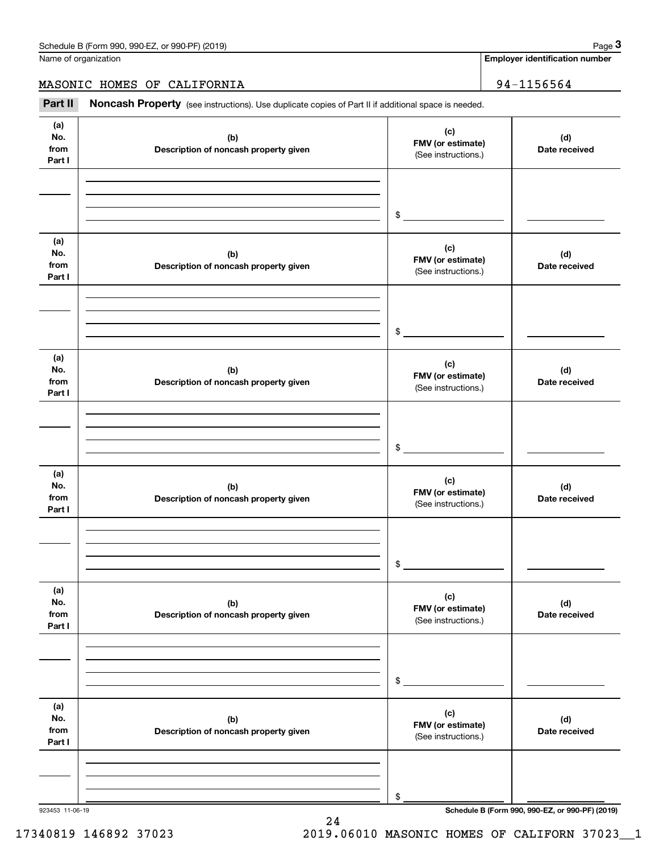|                              | Schedule B (Form 990, 990-EZ, or 990-PF) (2019)                                                     |                                                 | Page 3                                          |
|------------------------------|-----------------------------------------------------------------------------------------------------|-------------------------------------------------|-------------------------------------------------|
|                              | Name of organization                                                                                |                                                 | <b>Employer identification number</b>           |
|                              | MASONIC HOMES OF CALIFORNIA                                                                         |                                                 | 94-1156564                                      |
| Part II                      | Noncash Property (see instructions). Use duplicate copies of Part II if additional space is needed. |                                                 |                                                 |
| (a)<br>No.<br>from<br>Part I | (b)<br>Description of noncash property given                                                        | (c)<br>FMV (or estimate)<br>(See instructions.) | (d)<br>Date received                            |
|                              |                                                                                                     | \$                                              |                                                 |
| (a)<br>No.<br>from<br>Part I | (b)<br>Description of noncash property given                                                        | (c)<br>FMV (or estimate)<br>(See instructions.) | (d)<br>Date received                            |
|                              |                                                                                                     | \$                                              |                                                 |
| (a)<br>No.<br>from<br>Part I | (b)<br>Description of noncash property given                                                        | (c)<br>FMV (or estimate)<br>(See instructions.) | (d)<br>Date received                            |
|                              |                                                                                                     | \$                                              |                                                 |
| (a)<br>No.<br>from<br>Part I | (b)<br>Description of noncash property given                                                        | (c)<br>FMV (or estimate)<br>(See instructions.) | (d)<br>Date received                            |
|                              |                                                                                                     | \$                                              |                                                 |
| (a)<br>No.<br>from<br>Part I | (b)<br>Description of noncash property given                                                        | (c)<br>FMV (or estimate)<br>(See instructions.) | (d)<br>Date received                            |
|                              |                                                                                                     | \$                                              |                                                 |
| (a)<br>No.<br>from<br>Part I | (b)<br>Description of noncash property given                                                        | (c)<br>FMV (or estimate)<br>(See instructions.) | (d)<br>Date received                            |
|                              |                                                                                                     | \$                                              |                                                 |
| 923453 11-06-19              |                                                                                                     |                                                 | Schedule B (Form 990, 990-EZ, or 990-PF) (2019) |

24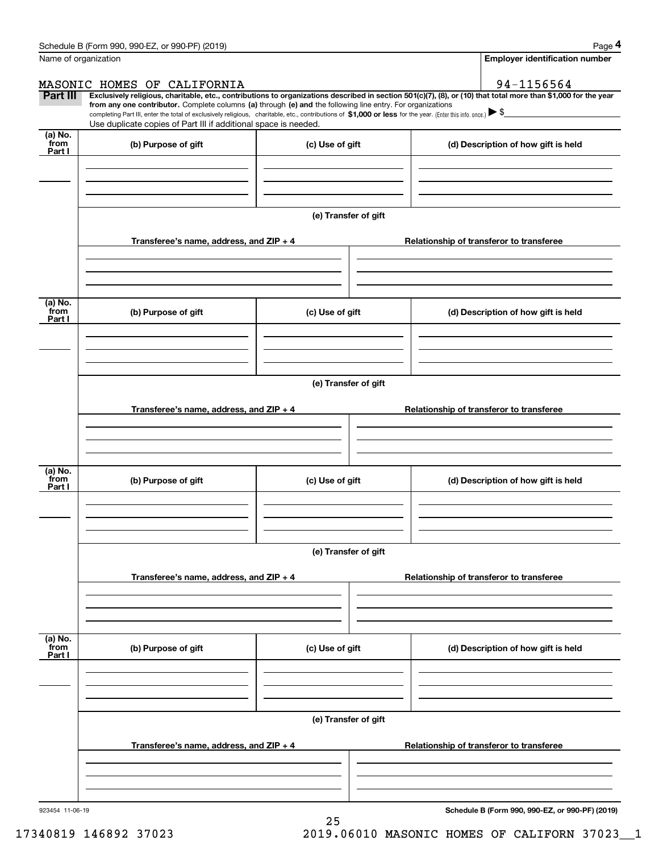|                           | Schedule B (Form 990, 990-EZ, or 990-PF) (2019)                                                                                                                               |                      | Page 4                                                                                                                                                                                                                                                                                                                                          |  |  |  |  |  |
|---------------------------|-------------------------------------------------------------------------------------------------------------------------------------------------------------------------------|----------------------|-------------------------------------------------------------------------------------------------------------------------------------------------------------------------------------------------------------------------------------------------------------------------------------------------------------------------------------------------|--|--|--|--|--|
| Name of organization      |                                                                                                                                                                               |                      | <b>Employer identification number</b>                                                                                                                                                                                                                                                                                                           |  |  |  |  |  |
|                           | MASONIC HOMES OF CALIFORNIA                                                                                                                                                   |                      | 94-1156564                                                                                                                                                                                                                                                                                                                                      |  |  |  |  |  |
| Part III                  | from any one contributor. Complete columns (a) through (e) and the following line entry. For organizations<br>Use duplicate copies of Part III if additional space is needed. |                      | Exclusively religious, charitable, etc., contributions to organizations described in section 501(c)(7), (8), or (10) that total more than \$1,000 for the year<br>completing Part III, enter the total of exclusively religious, charitable, etc., contributions of $$1,000$ or less for the year. (Enter this info. once.) $\triangleright$ \$ |  |  |  |  |  |
| (a) No.<br>from<br>Part I | (b) Purpose of gift                                                                                                                                                           | (c) Use of gift      | (d) Description of how gift is held                                                                                                                                                                                                                                                                                                             |  |  |  |  |  |
|                           |                                                                                                                                                                               |                      |                                                                                                                                                                                                                                                                                                                                                 |  |  |  |  |  |
|                           |                                                                                                                                                                               | (e) Transfer of gift |                                                                                                                                                                                                                                                                                                                                                 |  |  |  |  |  |
|                           | Transferee's name, address, and $ZIP + 4$                                                                                                                                     |                      | Relationship of transferor to transferee                                                                                                                                                                                                                                                                                                        |  |  |  |  |  |
|                           |                                                                                                                                                                               |                      |                                                                                                                                                                                                                                                                                                                                                 |  |  |  |  |  |
| (a) No.<br>from<br>Part I | (b) Purpose of gift                                                                                                                                                           | (c) Use of gift      | (d) Description of how gift is held                                                                                                                                                                                                                                                                                                             |  |  |  |  |  |
|                           |                                                                                                                                                                               |                      |                                                                                                                                                                                                                                                                                                                                                 |  |  |  |  |  |
|                           |                                                                                                                                                                               |                      |                                                                                                                                                                                                                                                                                                                                                 |  |  |  |  |  |
|                           | (e) Transfer of gift                                                                                                                                                          |                      |                                                                                                                                                                                                                                                                                                                                                 |  |  |  |  |  |
|                           | Transferee's name, address, and ZIP + 4                                                                                                                                       |                      | Relationship of transferor to transferee                                                                                                                                                                                                                                                                                                        |  |  |  |  |  |
|                           |                                                                                                                                                                               |                      |                                                                                                                                                                                                                                                                                                                                                 |  |  |  |  |  |
| (a) No.<br>from<br>Part I | (b) Purpose of gift                                                                                                                                                           | (c) Use of gift      | (d) Description of how gift is held                                                                                                                                                                                                                                                                                                             |  |  |  |  |  |
|                           |                                                                                                                                                                               |                      |                                                                                                                                                                                                                                                                                                                                                 |  |  |  |  |  |
|                           | (e) Transfer of gift                                                                                                                                                          |                      |                                                                                                                                                                                                                                                                                                                                                 |  |  |  |  |  |
|                           | Transferee's name, address, and ZIP + 4                                                                                                                                       |                      | Relationship of transferor to transferee                                                                                                                                                                                                                                                                                                        |  |  |  |  |  |
|                           |                                                                                                                                                                               |                      |                                                                                                                                                                                                                                                                                                                                                 |  |  |  |  |  |
| (a) No.<br>from<br>Part I | (b) Purpose of gift                                                                                                                                                           | (c) Use of gift      | (d) Description of how gift is held                                                                                                                                                                                                                                                                                                             |  |  |  |  |  |
|                           |                                                                                                                                                                               |                      |                                                                                                                                                                                                                                                                                                                                                 |  |  |  |  |  |
|                           | (e) Transfer of gift                                                                                                                                                          |                      |                                                                                                                                                                                                                                                                                                                                                 |  |  |  |  |  |
|                           | Transferee's name, address, and ZIP + 4                                                                                                                                       |                      | Relationship of transferor to transferee                                                                                                                                                                                                                                                                                                        |  |  |  |  |  |
|                           |                                                                                                                                                                               |                      |                                                                                                                                                                                                                                                                                                                                                 |  |  |  |  |  |
|                           |                                                                                                                                                                               |                      |                                                                                                                                                                                                                                                                                                                                                 |  |  |  |  |  |

25

923454 11-06-19

**Schedule B (Form 990, 990-EZ, or 990-PF) (2019)**

17340819 146892 37023 2019.06010 MASONIC HOMES OF CALIFORN 37023\_\_1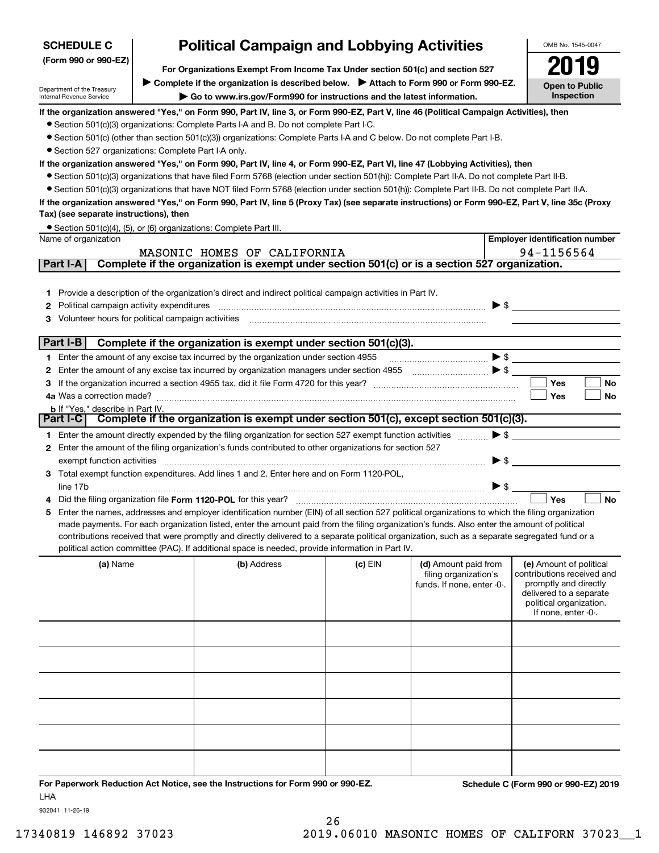| <b>SCHEDULE C</b>                                                                                       | <b>Political Campaign and Lobbying Activities</b>                                                                                                                                                      |                                                                                                                                                   |           |                                                                             |                          |                                                                                                                                                             |  |  |  |  |
|---------------------------------------------------------------------------------------------------------|--------------------------------------------------------------------------------------------------------------------------------------------------------------------------------------------------------|---------------------------------------------------------------------------------------------------------------------------------------------------|-----------|-----------------------------------------------------------------------------|--------------------------|-------------------------------------------------------------------------------------------------------------------------------------------------------------|--|--|--|--|
| (Form 990 or 990-EZ)                                                                                    | For Organizations Exempt From Income Tax Under section 501(c) and section 527                                                                                                                          |                                                                                                                                                   |           |                                                                             |                          |                                                                                                                                                             |  |  |  |  |
|                                                                                                         |                                                                                                                                                                                                        |                                                                                                                                                   |           |                                                                             |                          |                                                                                                                                                             |  |  |  |  |
| Department of the Treasury<br>Internal Revenue Service                                                  | Complete if the organization is described below. > Attach to Form 990 or Form 990-EZ.<br><b>Open to Public</b><br>Inspection<br>Go to www.irs.gov/Form990 for instructions and the latest information. |                                                                                                                                                   |           |                                                                             |                          |                                                                                                                                                             |  |  |  |  |
|                                                                                                         |                                                                                                                                                                                                        | If the organization answered "Yes," on Form 990, Part IV, line 3, or Form 990-EZ, Part V, line 46 (Political Campaign Activities), then           |           |                                                                             |                          |                                                                                                                                                             |  |  |  |  |
|                                                                                                         |                                                                                                                                                                                                        | • Section 501(c)(3) organizations: Complete Parts I-A and B. Do not complete Part I-C.                                                            |           |                                                                             |                          |                                                                                                                                                             |  |  |  |  |
|                                                                                                         |                                                                                                                                                                                                        | • Section 501(c) (other than section 501(c)(3)) organizations: Complete Parts I-A and C below. Do not complete Part I-B.                          |           |                                                                             |                          |                                                                                                                                                             |  |  |  |  |
| • Section 527 organizations: Complete Part I-A only.                                                    |                                                                                                                                                                                                        |                                                                                                                                                   |           |                                                                             |                          |                                                                                                                                                             |  |  |  |  |
|                                                                                                         |                                                                                                                                                                                                        | If the organization answered "Yes," on Form 990, Part IV, line 4, or Form 990-EZ, Part VI, line 47 (Lobbying Activities), then                    |           |                                                                             |                          |                                                                                                                                                             |  |  |  |  |
|                                                                                                         |                                                                                                                                                                                                        | • Section 501(c)(3) organizations that have filed Form 5768 (election under section 501(h)): Complete Part II-A. Do not complete Part II-B.       |           |                                                                             |                          |                                                                                                                                                             |  |  |  |  |
|                                                                                                         |                                                                                                                                                                                                        | • Section 501(c)(3) organizations that have NOT filed Form 5768 (election under section 501(h)): Complete Part II-B. Do not complete Part II-A.   |           |                                                                             |                          |                                                                                                                                                             |  |  |  |  |
| Tax) (see separate instructions), then                                                                  |                                                                                                                                                                                                        | If the organization answered "Yes," on Form 990, Part IV, line 5 (Proxy Tax) (see separate instructions) or Form 990-EZ, Part V, line 35c (Proxy  |           |                                                                             |                          |                                                                                                                                                             |  |  |  |  |
|                                                                                                         |                                                                                                                                                                                                        | • Section 501(c)(4), (5), or (6) organizations: Complete Part III.                                                                                |           |                                                                             |                          |                                                                                                                                                             |  |  |  |  |
| Name of organization                                                                                    |                                                                                                                                                                                                        |                                                                                                                                                   |           |                                                                             |                          | <b>Employer identification number</b>                                                                                                                       |  |  |  |  |
| Part I-A                                                                                                |                                                                                                                                                                                                        | MASONIC HOMES OF CALIFORNIA<br>Complete if the organization is exempt under section 501(c) or is a section 527 organization.                      |           |                                                                             |                          | 94-1156564                                                                                                                                                  |  |  |  |  |
|                                                                                                         |                                                                                                                                                                                                        |                                                                                                                                                   |           |                                                                             |                          |                                                                                                                                                             |  |  |  |  |
|                                                                                                         |                                                                                                                                                                                                        |                                                                                                                                                   |           |                                                                             |                          |                                                                                                                                                             |  |  |  |  |
|                                                                                                         |                                                                                                                                                                                                        | 1 Provide a description of the organization's direct and indirect political campaign activities in Part IV.                                       |           |                                                                             | $\blacktriangleright$ \$ |                                                                                                                                                             |  |  |  |  |
| Political campaign activity expenditures<br>2<br>Volunteer hours for political campaign activities<br>З |                                                                                                                                                                                                        |                                                                                                                                                   |           |                                                                             |                          |                                                                                                                                                             |  |  |  |  |
|                                                                                                         |                                                                                                                                                                                                        |                                                                                                                                                   |           |                                                                             |                          |                                                                                                                                                             |  |  |  |  |
| Part I-B                                                                                                |                                                                                                                                                                                                        | Complete if the organization is exempt under section 501(c)(3).                                                                                   |           |                                                                             |                          |                                                                                                                                                             |  |  |  |  |
|                                                                                                         |                                                                                                                                                                                                        | 1 Enter the amount of any excise tax incurred by the organization under section 4955                                                              |           |                                                                             |                          |                                                                                                                                                             |  |  |  |  |
| 2                                                                                                       |                                                                                                                                                                                                        | Enter the amount of any excise tax incurred by organization managers under section 4955                                                           |           |                                                                             |                          |                                                                                                                                                             |  |  |  |  |
| З                                                                                                       |                                                                                                                                                                                                        |                                                                                                                                                   |           |                                                                             |                          | Yes<br>No                                                                                                                                                   |  |  |  |  |
|                                                                                                         |                                                                                                                                                                                                        |                                                                                                                                                   |           |                                                                             |                          | Yes<br>No                                                                                                                                                   |  |  |  |  |
| <b>b</b> If "Yes," describe in Part IV.                                                                 |                                                                                                                                                                                                        | Part I-C Complete if the organization is exempt under section 501(c), except section 501(c)(3).                                                   |           |                                                                             |                          |                                                                                                                                                             |  |  |  |  |
|                                                                                                         |                                                                                                                                                                                                        |                                                                                                                                                   |           |                                                                             |                          |                                                                                                                                                             |  |  |  |  |
|                                                                                                         |                                                                                                                                                                                                        | 1 Enter the amount directly expended by the filing organization for section 527 exempt function activities                                        |           |                                                                             | $\blacktriangleright$ \$ |                                                                                                                                                             |  |  |  |  |
| 2                                                                                                       |                                                                                                                                                                                                        | Enter the amount of the filing organization's funds contributed to other organizations for section 527                                            |           |                                                                             |                          |                                                                                                                                                             |  |  |  |  |
| exempt function activities                                                                              |                                                                                                                                                                                                        | 3 Total exempt function expenditures. Add lines 1 and 2. Enter here and on Form 1120-POL,                                                         |           |                                                                             | $\blacktriangleright$ \$ |                                                                                                                                                             |  |  |  |  |
|                                                                                                         |                                                                                                                                                                                                        |                                                                                                                                                   |           |                                                                             | $\triangleright$ \$      |                                                                                                                                                             |  |  |  |  |
|                                                                                                         |                                                                                                                                                                                                        | Did the filing organization file Form 1120-POL for this year?                                                                                     |           |                                                                             |                          | Yes<br><b>No</b>                                                                                                                                            |  |  |  |  |
|                                                                                                         |                                                                                                                                                                                                        | 5 Enter the names, addresses and employer identification number (EIN) of all section 527 political organizations to which the filing organization |           |                                                                             |                          |                                                                                                                                                             |  |  |  |  |
|                                                                                                         |                                                                                                                                                                                                        | made payments. For each organization listed, enter the amount paid from the filing organization's funds. Also enter the amount of political       |           |                                                                             |                          |                                                                                                                                                             |  |  |  |  |
|                                                                                                         |                                                                                                                                                                                                        | contributions received that were promptly and directly delivered to a separate political organization, such as a separate segregated fund or a    |           |                                                                             |                          |                                                                                                                                                             |  |  |  |  |
|                                                                                                         |                                                                                                                                                                                                        | political action committee (PAC). If additional space is needed, provide information in Part IV.                                                  |           |                                                                             |                          |                                                                                                                                                             |  |  |  |  |
| (a) Name                                                                                                |                                                                                                                                                                                                        | (b) Address                                                                                                                                       | $(c)$ EIN | (d) Amount paid from<br>filing organization's<br>funds. If none, enter -0-. |                          | (e) Amount of political<br>contributions received and<br>promptly and directly<br>delivered to a separate<br>political organization.<br>If none, enter -0-. |  |  |  |  |
|                                                                                                         |                                                                                                                                                                                                        |                                                                                                                                                   |           |                                                                             |                          |                                                                                                                                                             |  |  |  |  |
|                                                                                                         |                                                                                                                                                                                                        |                                                                                                                                                   |           |                                                                             |                          |                                                                                                                                                             |  |  |  |  |
|                                                                                                         |                                                                                                                                                                                                        |                                                                                                                                                   |           |                                                                             |                          |                                                                                                                                                             |  |  |  |  |
|                                                                                                         |                                                                                                                                                                                                        |                                                                                                                                                   |           |                                                                             |                          |                                                                                                                                                             |  |  |  |  |
|                                                                                                         |                                                                                                                                                                                                        |                                                                                                                                                   |           |                                                                             |                          |                                                                                                                                                             |  |  |  |  |
|                                                                                                         |                                                                                                                                                                                                        |                                                                                                                                                   |           |                                                                             |                          |                                                                                                                                                             |  |  |  |  |
|                                                                                                         |                                                                                                                                                                                                        |                                                                                                                                                   |           |                                                                             |                          |                                                                                                                                                             |  |  |  |  |

**For Paperwork Reduction Act Notice, see the Instructions for Form 990 or 990-EZ. Schedule C (Form 990 or 990-EZ) 2019** LHA

932041 11-26-19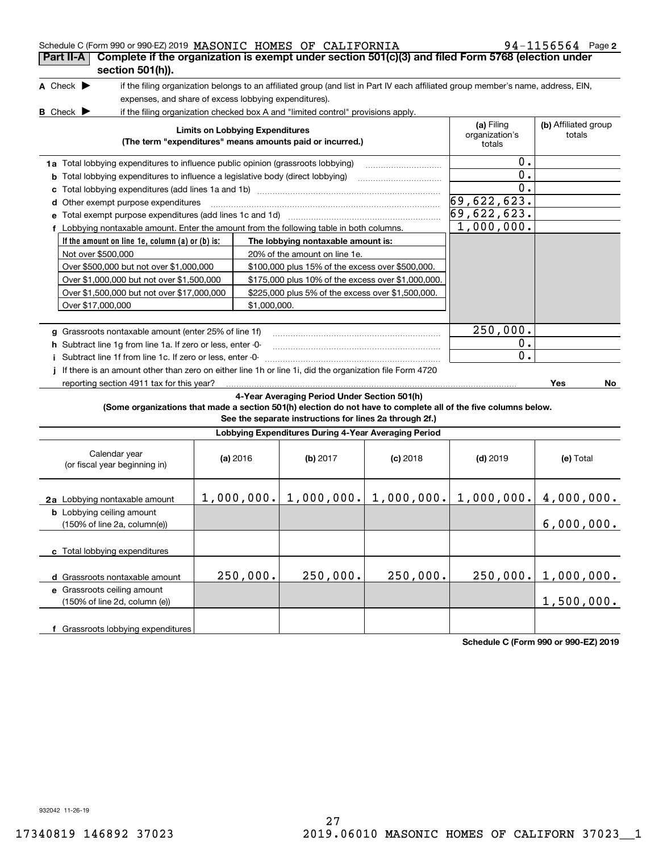| Schedule C (Form 990 or 990-EZ) 2019 MASONIC HOMES OF CALIFORNIA<br>Complete if the organization is exempt under section 501(c)(3) and filed Form 5768 (election under<br>Part II-A |                                        |                                                                                                                                   |            |               | $94 - 1156564$ Page 2 |
|-------------------------------------------------------------------------------------------------------------------------------------------------------------------------------------|----------------------------------------|-----------------------------------------------------------------------------------------------------------------------------------|------------|---------------|-----------------------|
| section 501(h)).                                                                                                                                                                    |                                        |                                                                                                                                   |            |               |                       |
| A Check $\blacktriangleright$                                                                                                                                                       |                                        | if the filing organization belongs to an affiliated group (and list in Part IV each affiliated group member's name, address, EIN, |            |               |                       |
| expenses, and share of excess lobbying expenditures).                                                                                                                               |                                        |                                                                                                                                   |            |               |                       |
| <b>B</b> Check $\blacktriangleright$                                                                                                                                                |                                        | if the filing organization checked box A and "limited control" provisions apply.                                                  |            |               |                       |
| <b>Limits on Lobbying Expenditures</b><br>(The term "expenditures" means amounts paid or incurred.)                                                                                 | (a) Filing<br>organization's<br>totals | (b) Affiliated group<br>totals                                                                                                    |            |               |                       |
| 1a Total lobbying expenditures to influence public opinion (grassroots lobbying)                                                                                                    |                                        |                                                                                                                                   |            | 0.            |                       |
| <b>b</b> Total lobbying expenditures to influence a legislative body (direct lobbying)                                                                                              |                                        |                                                                                                                                   |            | $0$ .         |                       |
| c                                                                                                                                                                                   |                                        |                                                                                                                                   |            | 0.            |                       |
| Other exempt purpose expenditures<br>d                                                                                                                                              |                                        |                                                                                                                                   |            | 69,622,623.   |                       |
|                                                                                                                                                                                     |                                        |                                                                                                                                   |            | 69,622,623.   |                       |
| f Lobbying nontaxable amount. Enter the amount from the following table in both columns.                                                                                            |                                        |                                                                                                                                   |            | 1,000,000.    |                       |
| If the amount on line 1e, column $(a)$ or $(b)$ is:                                                                                                                                 |                                        | The lobbying nontaxable amount is:                                                                                                |            |               |                       |
| Not over \$500,000                                                                                                                                                                  |                                        | 20% of the amount on line 1e.                                                                                                     |            |               |                       |
| Over \$500,000 but not over \$1,000,000                                                                                                                                             |                                        | \$100,000 plus 15% of the excess over \$500,000.                                                                                  |            |               |                       |
| Over \$1,000,000 but not over \$1,500,000                                                                                                                                           |                                        | \$175,000 plus 10% of the excess over \$1,000,000.                                                                                |            |               |                       |
| Over \$1,500,000 but not over \$17,000,000                                                                                                                                          |                                        | \$225,000 plus 5% of the excess over \$1,500,000.                                                                                 |            |               |                       |
| Over \$17,000,000                                                                                                                                                                   | \$1,000,000.                           |                                                                                                                                   |            |               |                       |
|                                                                                                                                                                                     |                                        |                                                                                                                                   |            |               |                       |
| g Grassroots nontaxable amount (enter 25% of line 1f)                                                                                                                               |                                        |                                                                                                                                   |            | 250,000.      |                       |
| h Subtract line 1g from line 1a. If zero or less, enter -0-                                                                                                                         |                                        |                                                                                                                                   |            | $0$ .         |                       |
| i Subtract line 1f from line 1c. If zero or less, enter -0-                                                                                                                         |                                        |                                                                                                                                   |            | $\mathbf 0$ . |                       |
| If there is an amount other than zero on either line 1h or line 1i, did the organization file Form 4720<br>j.                                                                       |                                        |                                                                                                                                   |            |               |                       |
| reporting section 4911 tax for this year?                                                                                                                                           |                                        |                                                                                                                                   |            |               | Yes<br>No             |
|                                                                                                                                                                                     |                                        | 4-Year Averaging Period Under Section 501(h)                                                                                      |            |               |                       |
| (Some organizations that made a section 501(h) election do not have to complete all of the five columns below.                                                                      |                                        | See the separate instructions for lines 2a through 2f.)                                                                           |            |               |                       |
|                                                                                                                                                                                     |                                        | Lobbying Expenditures During 4-Year Averaging Period                                                                              |            |               |                       |
| Calendar year<br>(or fiscal year beginning in)                                                                                                                                      | (a) 2016                               | (b) $2017$                                                                                                                        | $(c)$ 2018 | $(d)$ 2019    | (e) Total             |
| 2a Lobbying nontaxable amount                                                                                                                                                       |                                        | $1,000,000.$ $\mid 1,000,000.$ $\mid 1,000,000.$ $\mid 1,000,000.$ $\mid 4,000,000.$                                              |            |               |                       |
| <b>b</b> Lobbying ceiling amount<br>(150% of line 2a, column(e))                                                                                                                    |                                        |                                                                                                                                   |            |               | 6,000,000.            |
| c Total lobbying expenditures                                                                                                                                                       |                                        |                                                                                                                                   |            |               |                       |
|                                                                                                                                                                                     | 250,000.                               | 250,000.                                                                                                                          | 250,000.   | 250,000.      | 1,000,000.            |
| d Grassroots nontaxable amount                                                                                                                                                      |                                        |                                                                                                                                   |            |               |                       |
| e Grassroots ceiling amount<br>(150% of line 2d, column (e))                                                                                                                        |                                        |                                                                                                                                   |            |               | 1,500,000.            |
|                                                                                                                                                                                     |                                        |                                                                                                                                   |            |               |                       |
| f Grassroots lobbying expenditures                                                                                                                                                  |                                        |                                                                                                                                   |            |               |                       |

**Schedule C (Form 990 or 990-EZ) 2019**

932042 11-26-19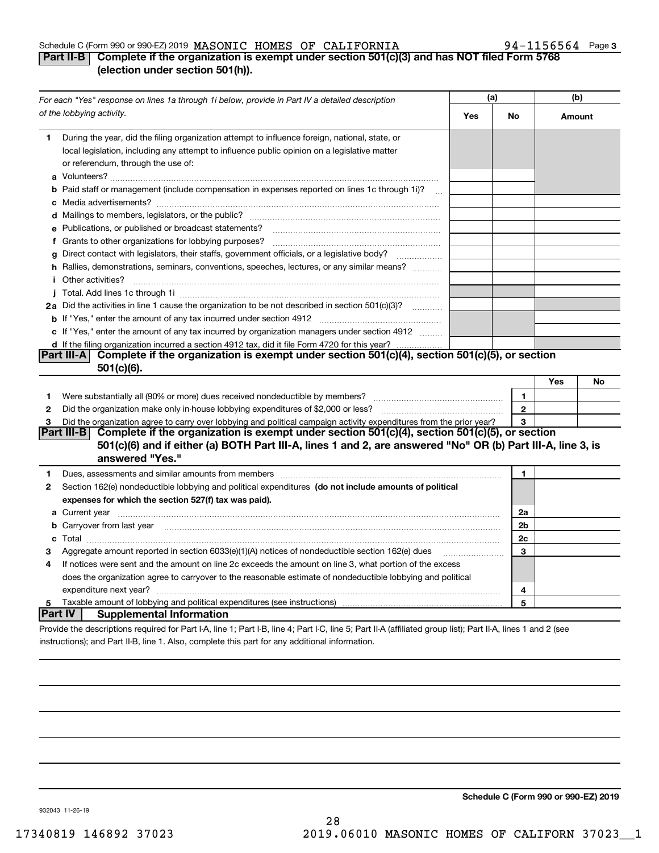### Schedule C (Form 990 or 990-EZ) 2019 Page MASONIC HOMES OF CALIFORNIA 94-1156564

## **3**

## **Part II-B** Complete if the organization is exempt under section 501(c)(3) and has NOT filed Form 5768 **(election under section 501(h)).**

|              | For each "Yes" response on lines 1a through 1i below, provide in Part IV a detailed description                                                                                                                                      | (a) |                | (b)    |    |
|--------------|--------------------------------------------------------------------------------------------------------------------------------------------------------------------------------------------------------------------------------------|-----|----------------|--------|----|
|              | of the lobbying activity.                                                                                                                                                                                                            | Yes | No             | Amount |    |
| 1            | During the year, did the filing organization attempt to influence foreign, national, state, or<br>local legislation, including any attempt to influence public opinion on a legislative matter<br>or referendum, through the use of: |     |                |        |    |
|              | <b>b</b> Paid staff or management (include compensation in expenses reported on lines 1c through 1i)?<br>$\sim$                                                                                                                      |     |                |        |    |
|              |                                                                                                                                                                                                                                      |     |                |        |    |
|              | e Publications, or published or broadcast statements?                                                                                                                                                                                |     |                |        |    |
|              | f Grants to other organizations for lobbying purposes?                                                                                                                                                                               |     |                |        |    |
| g            | Direct contact with legislators, their staffs, government officials, or a legislative body?                                                                                                                                          |     |                |        |    |
|              | h Rallies, demonstrations, seminars, conventions, speeches, lectures, or any similar means?                                                                                                                                          |     |                |        |    |
|              | <i>i</i> Other activities?                                                                                                                                                                                                           |     |                |        |    |
|              |                                                                                                                                                                                                                                      |     |                |        |    |
|              | 2a Did the activities in line 1 cause the organization to be not described in section 501(c)(3)?                                                                                                                                     |     |                |        |    |
|              |                                                                                                                                                                                                                                      |     |                |        |    |
|              | c If "Yes," enter the amount of any tax incurred by organization managers under section 4912                                                                                                                                         |     |                |        |    |
|              | d If the filing organization incurred a section 4912 tax, did it file Form 4720 for this year?                                                                                                                                       |     |                |        |    |
|              | Complete if the organization is exempt under section 501(c)(4), section 501(c)(5), or section<br> Part III-A                                                                                                                         |     |                |        |    |
|              | $501(c)(6)$ .                                                                                                                                                                                                                        |     |                |        |    |
|              |                                                                                                                                                                                                                                      |     |                | Yes    | No |
| 1            | Were substantially all (90% or more) dues received nondeductible by members?                                                                                                                                                         |     | 1              |        |    |
| $\mathbf{2}$ |                                                                                                                                                                                                                                      |     | $\mathbf{2}$   |        |    |
| 3            | Did the organization agree to carry over lobbying and political campaign activity expenditures from the prior year?                                                                                                                  |     | 3              |        |    |
|              | Part III-B<br>Complete if the organization is exempt under section 501(c)(4), section 501(c)(5), or section                                                                                                                          |     |                |        |    |
|              | 501(c)(6) and if either (a) BOTH Part III-A, lines 1 and 2, are answered "No" OR (b) Part III-A, line 3, is                                                                                                                          |     |                |        |    |
|              | answered "Yes."                                                                                                                                                                                                                      |     |                |        |    |
| 1            | Dues, assessments and similar amounts from members [11] matter content to assessments and similar amounts from members [11] matter content and similar amounts from members [11] matter content and a straight and straight an       |     | $\mathbf{1}$   |        |    |
| 2            | Section 162(e) nondeductible lobbying and political expenditures (do not include amounts of political                                                                                                                                |     |                |        |    |
|              | expenses for which the section 527(f) tax was paid).                                                                                                                                                                                 |     |                |        |    |
|              |                                                                                                                                                                                                                                      |     | 2a             |        |    |
|              | <b>b</b> Carryover from last year                                                                                                                                                                                                    |     | 2 <sub>b</sub> |        |    |
|              |                                                                                                                                                                                                                                      |     | 2c             |        |    |
| з            | Aggregate amount reported in section 6033(e)(1)(A) notices of nondeductible section 162(e) dues                                                                                                                                      |     | 3              |        |    |
| 4            | If notices were sent and the amount on line 2c exceeds the amount on line 3, what portion of the excess                                                                                                                              |     |                |        |    |
|              | does the organization agree to carryover to the reasonable estimate of nondeductible lobbying and political                                                                                                                          |     |                |        |    |
|              | expenditure next year?                                                                                                                                                                                                               |     | 4              |        |    |
| 5            | Taxable amount of lobbying and political expenditures (see instructions)                                                                                                                                                             |     | 5              |        |    |
| Part IV      | <b>Supplemental Information</b>                                                                                                                                                                                                      |     |                |        |    |
|              | Provide the descriptions required for Part I-A, line 1; Part I-B, line 4; Part I-C, line 5; Part II-A (affiliated group list); Part II-A, lines 1 and 2 (see                                                                         |     |                |        |    |

instructions); and Part II-B, line 1. Also, complete this part for any additional information.

**Schedule C (Form 990 or 990-EZ) 2019**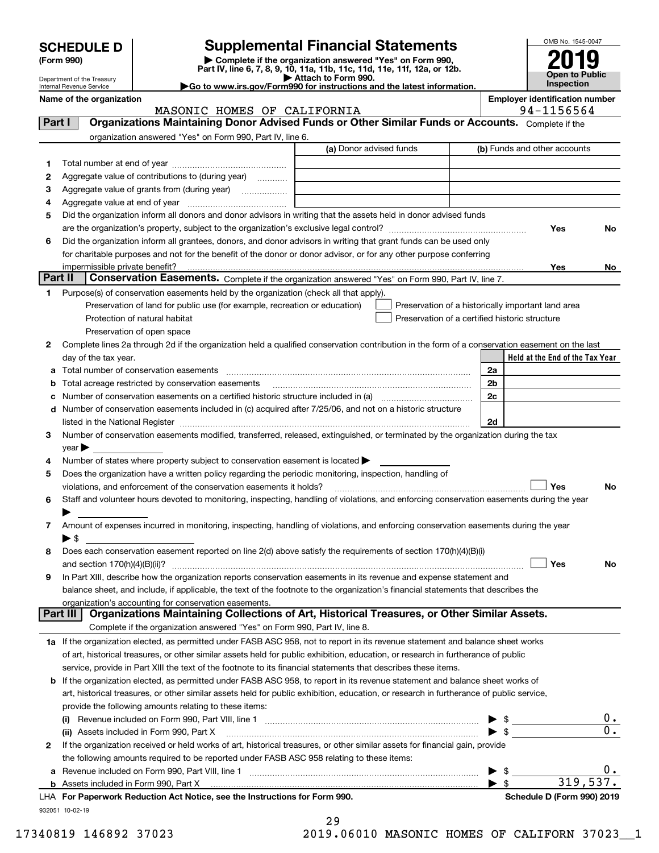Department of the Treasury

| (Form 990) |  |
|------------|--|
|------------|--|

# **Supplemental Financial Statements**

(Form 990)<br>
Pepartment of the Treasury<br>
Department of the Treasury<br>
Department of the Treasury<br>
Department of the Treasury<br> **Co to www.irs.gov/Form990 for instructions and the latest information.**<br> **Co to www.irs.gov/Form9** 



| Internal Revenue Service | ►Go |  |  |  |  |  |
|--------------------------|-----|--|--|--|--|--|
| Name of the organization |     |  |  |  |  |  |

MASONIC HOMES OF CALIFORNIA FOR SALL PARAGONIC HOMES

Name of the organization **Name of the organization** 

| Part I       | Organizations Maintaining Donor Advised Funds or Other Similar Funds or Accounts. Complete if the                                                                                                                             |                         |                                                    |                                 |
|--------------|-------------------------------------------------------------------------------------------------------------------------------------------------------------------------------------------------------------------------------|-------------------------|----------------------------------------------------|---------------------------------|
|              | organization answered "Yes" on Form 990, Part IV, line 6.                                                                                                                                                                     |                         |                                                    |                                 |
|              |                                                                                                                                                                                                                               | (a) Donor advised funds | (b) Funds and other accounts                       |                                 |
| 1.           |                                                                                                                                                                                                                               |                         |                                                    |                                 |
| 2            | Aggregate value of contributions to (during year)                                                                                                                                                                             |                         |                                                    |                                 |
| з            | Aggregate value of grants from (during year)                                                                                                                                                                                  |                         |                                                    |                                 |
| 4            |                                                                                                                                                                                                                               |                         |                                                    |                                 |
| 5            | Did the organization inform all donors and donor advisors in writing that the assets held in donor advised funds                                                                                                              |                         |                                                    |                                 |
|              |                                                                                                                                                                                                                               |                         |                                                    | Yes<br>No                       |
| 6            | Did the organization inform all grantees, donors, and donor advisors in writing that grant funds can be used only                                                                                                             |                         |                                                    |                                 |
|              | for charitable purposes and not for the benefit of the donor or donor advisor, or for any other purpose conferring                                                                                                            |                         |                                                    |                                 |
|              | impermissible private benefit?                                                                                                                                                                                                |                         |                                                    | Yes<br>No                       |
| Part II      | Conservation Easements. Complete if the organization answered "Yes" on Form 990, Part IV, line 7.                                                                                                                             |                         |                                                    |                                 |
| 1.           | Purpose(s) of conservation easements held by the organization (check all that apply).                                                                                                                                         |                         |                                                    |                                 |
|              | Preservation of land for public use (for example, recreation or education)                                                                                                                                                    |                         | Preservation of a historically important land area |                                 |
|              | Protection of natural habitat                                                                                                                                                                                                 |                         | Preservation of a certified historic structure     |                                 |
|              | Preservation of open space                                                                                                                                                                                                    |                         |                                                    |                                 |
| 2            | Complete lines 2a through 2d if the organization held a qualified conservation contribution in the form of a conservation easement on the last                                                                                |                         |                                                    |                                 |
|              | day of the tax year.                                                                                                                                                                                                          |                         |                                                    | Held at the End of the Tax Year |
|              |                                                                                                                                                                                                                               |                         | 2a                                                 |                                 |
|              | <b>b</b> Total acreage restricted by conservation easements                                                                                                                                                                   |                         | 2 <sub>b</sub>                                     |                                 |
|              | c Number of conservation easements on a certified historic structure included in (a)                                                                                                                                          |                         | 2c                                                 |                                 |
|              | d Number of conservation easements included in (c) acquired after 7/25/06, and not on a historic structure                                                                                                                    |                         |                                                    |                                 |
|              | listed in the National Register [111] Marshall Register [11] Marshall Register [11] Marshall Register [11] Marshall Register [11] Marshall Register [11] Marshall Register [11] Marshall Register [11] Marshall Register [11] |                         | 2d                                                 |                                 |
| 3            | Number of conservation easements modified, transferred, released, extinguished, or terminated by the organization during the tax                                                                                              |                         |                                                    |                                 |
|              | $year \blacktriangleright$<br>Number of states where property subject to conservation easement is located >                                                                                                                   |                         |                                                    |                                 |
| 4<br>5       | Does the organization have a written policy regarding the periodic monitoring, inspection, handling of                                                                                                                        |                         |                                                    |                                 |
|              | violations, and enforcement of the conservation easements it holds?                                                                                                                                                           |                         |                                                    | Yes<br>No                       |
| 6            | Staff and volunteer hours devoted to monitoring, inspecting, handling of violations, and enforcing conservation easements during the year                                                                                     |                         |                                                    |                                 |
|              |                                                                                                                                                                                                                               |                         |                                                    |                                 |
| 7            | Amount of expenses incurred in monitoring, inspecting, handling of violations, and enforcing conservation easements during the year                                                                                           |                         |                                                    |                                 |
|              | $\blacktriangleright$ \$                                                                                                                                                                                                      |                         |                                                    |                                 |
| 8            | Does each conservation easement reported on line 2(d) above satisfy the requirements of section 170(h)(4)(B)(i)                                                                                                               |                         |                                                    |                                 |
|              |                                                                                                                                                                                                                               |                         |                                                    | Yes<br>No                       |
| 9            | In Part XIII, describe how the organization reports conservation easements in its revenue and expense statement and                                                                                                           |                         |                                                    |                                 |
|              | balance sheet, and include, if applicable, the text of the footnote to the organization's financial statements that describes the                                                                                             |                         |                                                    |                                 |
|              | organization's accounting for conservation easements.                                                                                                                                                                         |                         |                                                    |                                 |
|              | Organizations Maintaining Collections of Art, Historical Treasures, or Other Similar Assets.<br>Part III                                                                                                                      |                         |                                                    |                                 |
|              | Complete if the organization answered "Yes" on Form 990, Part IV, line 8.                                                                                                                                                     |                         |                                                    |                                 |
|              | 1a If the organization elected, as permitted under FASB ASC 958, not to report in its revenue statement and balance sheet works                                                                                               |                         |                                                    |                                 |
|              | of art, historical treasures, or other similar assets held for public exhibition, education, or research in furtherance of public                                                                                             |                         |                                                    |                                 |
|              | service, provide in Part XIII the text of the footnote to its financial statements that describes these items.                                                                                                                |                         |                                                    |                                 |
|              | <b>b</b> If the organization elected, as permitted under FASB ASC 958, to report in its revenue statement and balance sheet works of                                                                                          |                         |                                                    |                                 |
|              | art, historical treasures, or other similar assets held for public exhibition, education, or research in furtherance of public service,                                                                                       |                         |                                                    |                                 |
|              | provide the following amounts relating to these items:                                                                                                                                                                        |                         |                                                    |                                 |
|              |                                                                                                                                                                                                                               |                         |                                                    | 0.                              |
|              | (ii) Assets included in Form 990, Part X                                                                                                                                                                                      |                         | $\blacktriangleright$ s                            | $\overline{0}$ .                |
| $\mathbf{2}$ | If the organization received or held works of art, historical treasures, or other similar assets for financial gain, provide                                                                                                  |                         |                                                    |                                 |
|              | the following amounts required to be reported under FASB ASC 958 relating to these items:                                                                                                                                     |                         |                                                    |                                 |
|              |                                                                                                                                                                                                                               |                         | \$                                                 | $0 \cdot$                       |
|              |                                                                                                                                                                                                                               |                         | $\blacktriangleright$ \$                           | 319,537.                        |
|              | LHA For Paperwork Reduction Act Notice, see the Instructions for Form 990.                                                                                                                                                    |                         |                                                    | Schedule D (Form 990) 2019      |

29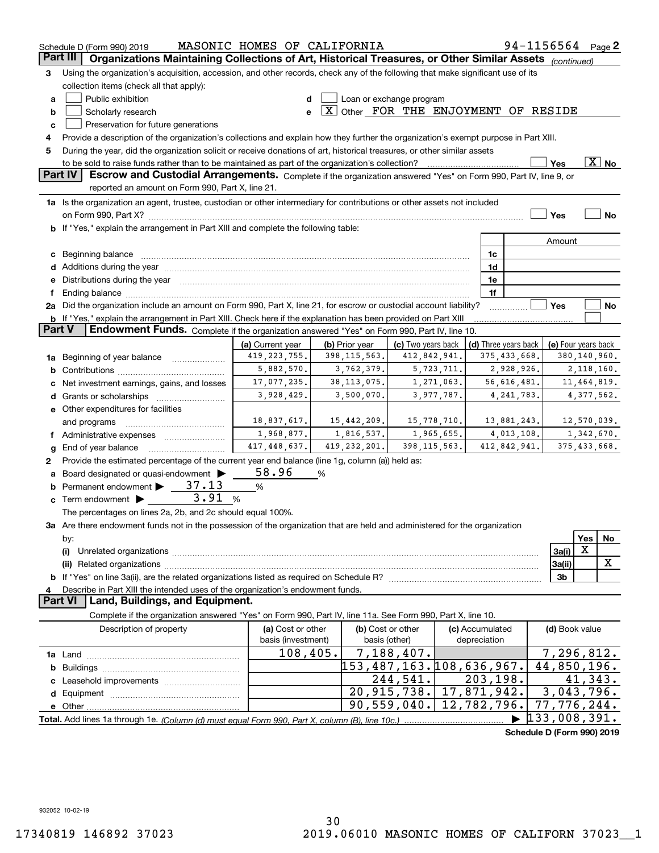|               | 94-1156564 Page 2<br>MASONIC HOMES OF CALIFORNIA<br>Schedule D (Form 990) 2019                                                                                                                                                 |                    |   |                                               |                          |             |              |                            |  |                             |                |                       |
|---------------|--------------------------------------------------------------------------------------------------------------------------------------------------------------------------------------------------------------------------------|--------------------|---|-----------------------------------------------|--------------------------|-------------|--------------|----------------------------|--|-----------------------------|----------------|-----------------------|
|               | Part III<br>Organizations Maintaining Collections of Art, Historical Treasures, or Other Similar Assets (continued)                                                                                                            |                    |   |                                               |                          |             |              |                            |  |                             |                |                       |
| з             | Using the organization's acquisition, accession, and other records, check any of the following that make significant use of its                                                                                                |                    |   |                                               |                          |             |              |                            |  |                             |                |                       |
|               | collection items (check all that apply):                                                                                                                                                                                       |                    |   |                                               |                          |             |              |                            |  |                             |                |                       |
| a             | Public exhibition                                                                                                                                                                                                              | d                  |   | Loan or exchange program                      |                          |             |              |                            |  |                             |                |                       |
| b             | Scholarly research                                                                                                                                                                                                             | e                  |   | $\boxed{X}$ Other FOR THE ENJOYMENT OF RESIDE |                          |             |              |                            |  |                             |                |                       |
| с             | Preservation for future generations                                                                                                                                                                                            |                    |   |                                               |                          |             |              |                            |  |                             |                |                       |
| 4             | Provide a description of the organization's collections and explain how they further the organization's exempt purpose in Part XIII.                                                                                           |                    |   |                                               |                          |             |              |                            |  |                             |                |                       |
| 5             | During the year, did the organization solicit or receive donations of art, historical treasures, or other similar assets                                                                                                       |                    |   |                                               |                          |             |              |                            |  |                             |                |                       |
|               | to be sold to raise funds rather than to be maintained as part of the organization's collection?                                                                                                                               |                    |   |                                               |                          |             |              |                            |  | Yes                         |                | $\boxed{\text{X}}$ No |
|               | Escrow and Custodial Arrangements. Complete if the organization answered "Yes" on Form 990, Part IV, line 9, or<br><b>Part IV</b>                                                                                              |                    |   |                                               |                          |             |              |                            |  |                             |                |                       |
|               | reported an amount on Form 990, Part X, line 21.                                                                                                                                                                               |                    |   |                                               |                          |             |              |                            |  |                             |                |                       |
|               | 1a Is the organization an agent, trustee, custodian or other intermediary for contributions or other assets not included                                                                                                       |                    |   |                                               |                          |             |              |                            |  |                             |                |                       |
|               |                                                                                                                                                                                                                                |                    |   |                                               |                          |             |              |                            |  | Yes                         |                | <b>No</b>             |
|               | <b>b</b> If "Yes," explain the arrangement in Part XIII and complete the following table:                                                                                                                                      |                    |   |                                               |                          |             |              |                            |  |                             |                |                       |
|               |                                                                                                                                                                                                                                |                    |   |                                               |                          |             |              |                            |  | Amount                      |                |                       |
|               | c Beginning balance entrance and the contract of the balance of the contract of the contract of the contract of the contract of the contract of the contract of the contract of the contract of the contract of the contract o |                    |   |                                               |                          |             |              | 1c                         |  |                             |                |                       |
|               |                                                                                                                                                                                                                                |                    |   |                                               |                          |             |              | 1d                         |  |                             |                |                       |
|               | e Distributions during the year manufactured and continuum and contact the control of the Distributions during the year                                                                                                        |                    |   |                                               |                          |             |              | 1e                         |  |                             |                |                       |
| f             |                                                                                                                                                                                                                                |                    |   |                                               |                          |             |              | 1f                         |  |                             |                |                       |
|               | 2a Did the organization include an amount on Form 990, Part X, line 21, for escrow or custodial account liability?                                                                                                             |                    |   |                                               |                          |             |              |                            |  | Yes                         |                | No                    |
|               | b If "Yes," explain the arrangement in Part XIII. Check here if the explanation has been provided on Part XIII                                                                                                                 |                    |   |                                               |                          |             |              |                            |  |                             |                |                       |
| <b>Part V</b> | Endowment Funds. Complete if the organization answered "Yes" on Form 990, Part IV, line 10.                                                                                                                                    |                    |   |                                               |                          |             |              |                            |  |                             |                |                       |
|               |                                                                                                                                                                                                                                | (a) Current year   |   | (b) Prior year                                | (c) Two years back       |             |              | (d) Three years back       |  | (e) Four years back         |                |                       |
|               | 1a Beginning of year balance                                                                                                                                                                                                   | 419, 223, 755.     |   | 398, 115, 563.                                | 412,842,941.             |             |              | 375,433,668.               |  |                             | 380,140,960.   |                       |
| b             |                                                                                                                                                                                                                                | 5,882,570.         |   | 3,762,379.                                    |                          | 5,723,711.  |              | 2,928,926.                 |  |                             | 2,118,160.     |                       |
|               |                                                                                                                                                                                                                                | 17,077,235.        |   | 38, 113, 075.                                 |                          | 1,271,063.  |              | 56,616,481.                |  |                             | 11,464,819.    |                       |
|               | Net investment earnings, gains, and losses                                                                                                                                                                                     | 3,928,429.         |   | 3,500,070.                                    |                          | 3,977,787.  |              | 4, 241, 783.               |  |                             | 4,377,562.     |                       |
|               |                                                                                                                                                                                                                                |                    |   |                                               |                          |             |              |                            |  |                             |                |                       |
|               | e Other expenditures for facilities                                                                                                                                                                                            | 18,837,617.        |   | 15,442,209.                                   |                          | 15,778,710. |              | 13,881,243.                |  |                             | 12,570,039.    |                       |
|               | and programs                                                                                                                                                                                                                   | 1,968,877.         |   | 1,816,537.                                    |                          | 1,965,655.  |              |                            |  |                             | 1,342,670.     |                       |
|               | f Administrative expenses <i></i>                                                                                                                                                                                              | 417,448,637.       |   | 419, 232, 201.                                | 398, 115, 563.           |             |              | 4,013,108.<br>412,842,941. |  |                             | 375, 433, 668. |                       |
| g             | End of year balance                                                                                                                                                                                                            |                    |   |                                               |                          |             |              |                            |  |                             |                |                       |
| 2             | Provide the estimated percentage of the current year end balance (line 1g, column (a)) held as:                                                                                                                                |                    |   |                                               |                          |             |              |                            |  |                             |                |                       |
| а             | Board designated or quasi-endowment                                                                                                                                                                                            | 58.96              | % |                                               |                          |             |              |                            |  |                             |                |                       |
|               | <b>b</b> Permanent endowment $\triangleright$ 37.13<br>3.91                                                                                                                                                                    | $\%$               |   |                                               |                          |             |              |                            |  |                             |                |                       |
|               | <b>c</b> Term endowment $\blacktriangleright$                                                                                                                                                                                  | %                  |   |                                               |                          |             |              |                            |  |                             |                |                       |
|               | The percentages on lines 2a, 2b, and 2c should equal 100%.                                                                                                                                                                     |                    |   |                                               |                          |             |              |                            |  |                             |                |                       |
|               | 3a Are there endowment funds not in the possession of the organization that are held and administered for the organization                                                                                                     |                    |   |                                               |                          |             |              |                            |  |                             |                |                       |
|               | by:                                                                                                                                                                                                                            |                    |   |                                               |                          |             |              |                            |  |                             | Yes            | No                    |
|               | X<br>3a(i)<br>(i)                                                                                                                                                                                                              |                    |   |                                               |                          |             |              |                            |  |                             |                |                       |
|               |                                                                                                                                                                                                                                |                    |   |                                               |                          |             |              |                            |  | 3a(ii)                      |                | X                     |
|               |                                                                                                                                                                                                                                |                    |   |                                               |                          |             |              |                            |  | 3b                          |                |                       |
|               | Describe in Part XIII the intended uses of the organization's endowment funds.<br>4<br>Part VI                                                                                                                                 |                    |   |                                               |                          |             |              |                            |  |                             |                |                       |
|               | Land, Buildings, and Equipment.                                                                                                                                                                                                |                    |   |                                               |                          |             |              |                            |  |                             |                |                       |
|               | Complete if the organization answered "Yes" on Form 990, Part IV, line 11a. See Form 990, Part X, line 10.                                                                                                                     |                    |   |                                               |                          |             |              |                            |  |                             |                |                       |
|               | Description of property                                                                                                                                                                                                        | (a) Cost or other  |   |                                               | (b) Cost or other        |             |              | (c) Accumulated            |  | (d) Book value              |                |                       |
|               |                                                                                                                                                                                                                                | basis (investment) |   | basis (other)                                 |                          |             | depreciation |                            |  |                             |                |                       |
|               |                                                                                                                                                                                                                                | 108,405.           |   |                                               | 7,188,407.               |             |              |                            |  | 7,296,812.                  |                |                       |
| b             |                                                                                                                                                                                                                                |                    |   |                                               | 153,487,163.108,636,967. |             |              |                            |  | 44,850,196.                 |                |                       |
|               |                                                                                                                                                                                                                                |                    |   |                                               | 244,541.                 |             |              | 203, 198.                  |  |                             | 41,343.        |                       |
|               |                                                                                                                                                                                                                                |                    |   |                                               | 20,915,738.              | 17,871,942. |              |                            |  | 3,043,796.                  |                |                       |
|               |                                                                                                                                                                                                                                |                    |   |                                               | 90,559,040.              | 12,782,796. |              |                            |  | $\overline{77}$ , 776, 244. |                |                       |
|               |                                                                                                                                                                                                                                |                    |   |                                               |                          |             |              |                            |  | 133,008,391.                |                |                       |
|               |                                                                                                                                                                                                                                |                    |   |                                               |                          |             |              |                            |  | Schedule D (Form 990) 2019  |                |                       |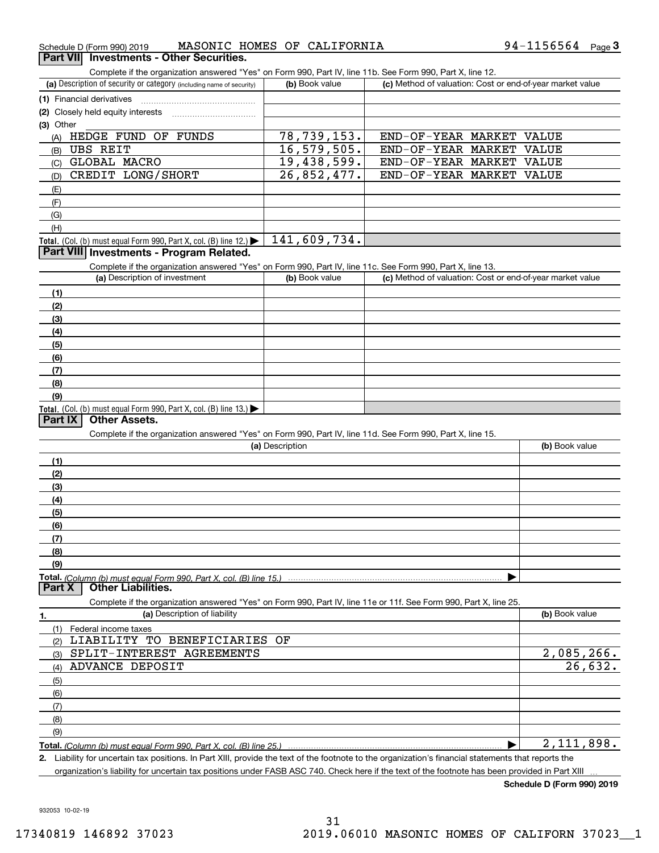| Schedule D (Form 990) 2019               |  | MASONIC HOMES OF CALIFORNIA                                                                                | 94-1156564 | $P$ aqe $3$ |
|------------------------------------------|--|------------------------------------------------------------------------------------------------------------|------------|-------------|
| Part VII Investments - Other Securities. |  |                                                                                                            |            |             |
|                                          |  | Complete if the organization answered "Yes" on Form 990. Part IV. line 11h. See Form 990. Part X. line 12. |            |             |

Complete if the organization answered "Yes" on Form 990, Part IV, line 11b. See Form 990, Part X, line 12.

| (a) Description of security or category (including name of security)                          | (b) Book value | (c) Method of valuation: Cost or end-of-year market value |  |  |  |  |
|-----------------------------------------------------------------------------------------------|----------------|-----------------------------------------------------------|--|--|--|--|
| (1) Financial derivatives                                                                     |                |                                                           |  |  |  |  |
| (2) Closely held equity interests                                                             |                |                                                           |  |  |  |  |
| $(3)$ Other                                                                                   |                |                                                           |  |  |  |  |
| FUNDS<br>HEDGE FUND OF<br>(A)                                                                 | 78,739,153.    | END-OF-YEAR MARKET<br>VALUE                               |  |  |  |  |
| UBS REIT<br>(B)                                                                               | 16, 579, 505.  | END-OF-YEAR MARKET<br>VALUE                               |  |  |  |  |
| <b>GLOBAL MACRO</b><br>(C)                                                                    | 19,438,599.    | END-OF-YEAR MARKET<br>VALUE                               |  |  |  |  |
| CREDIT LONG/SHORT<br>(D)                                                                      | 26,852,477.    | END-OF-YEAR MARKET VALUE                                  |  |  |  |  |
| (E)                                                                                           |                |                                                           |  |  |  |  |
| (F)                                                                                           |                |                                                           |  |  |  |  |
| (G)                                                                                           |                |                                                           |  |  |  |  |
| (H)                                                                                           |                |                                                           |  |  |  |  |
| <b>Total.</b> (Col. (b) must equal Form 990, Part X, col. (B) line 12.) $\blacktriangleright$ | 141,609,734.   |                                                           |  |  |  |  |

### **Part VIII Investments - Program Related.**

Complete if the organization answered "Yes" on Form 990, Part IV, line 11c. See Form 990, Part X, line 13.

| (a) Description of investment                                    | (b) Book value | (c) Method of valuation: Cost or end-of-year market value |
|------------------------------------------------------------------|----------------|-----------------------------------------------------------|
| (1)                                                              |                |                                                           |
| (2)                                                              |                |                                                           |
| $\frac{1}{2}$                                                    |                |                                                           |
| (4)                                                              |                |                                                           |
| $\frac{1}{2}$                                                    |                |                                                           |
| (6)                                                              |                |                                                           |
| (7)                                                              |                |                                                           |
| (8)                                                              |                |                                                           |
| (9)                                                              |                |                                                           |
| Total. (Col. (b) must equal Form 990, Part X, col. (B) line 13.) |                |                                                           |

### **Part IX Other Assets.**

Complete if the organization answered "Yes" on Form 990, Part IV, line 11d. See Form 990, Part X, line 15.

| (a) Description                                                                                                   | (b) Book value |
|-------------------------------------------------------------------------------------------------------------------|----------------|
| (1)                                                                                                               |                |
| (2)                                                                                                               |                |
| (3)                                                                                                               |                |
| (4)                                                                                                               |                |
| (5)                                                                                                               |                |
| (6)                                                                                                               |                |
| (7)                                                                                                               |                |
| (8)                                                                                                               |                |
| (9)                                                                                                               |                |
|                                                                                                                   |                |
| <b>Part X</b><br><b>Other Liabilities.</b>                                                                        |                |
| Complete if the organization answered "Yes" on Form 990, Part IV, line 11e or 11f. See Form 990, Part X, line 25. |                |
| (a) Description of liability<br>1.                                                                                | (b) Book value |

| (a) Description of Ilability         | ( <b>b</b> ) BOOK Value      |
|--------------------------------------|------------------------------|
| Federal income taxes                 |                              |
| LIABILITY TO BENEFICIARIES OF<br>(2) |                              |
| SPLIT-INTEREST AGREEMENTS<br>(3)     | $\frac{2,085,266.}{26,632.}$ |
| ADVANCE DEPOSIT<br>(4)               |                              |
| (5)                                  |                              |
| (6)                                  |                              |
| (7)                                  |                              |
| (8)                                  |                              |
| (9)                                  |                              |
|                                      | 2,111,898.                   |

**2.**| Liability for uncertain tax positions. In Part XIII, provide the text of the footnote to the organization's financial statements that reports the

organization's liability for uncertain tax positions under FASB ASC 740. Check here if the text of the footnote has been provided in Part XIII

**Schedule D (Form 990) 2019**

932053 10-02-19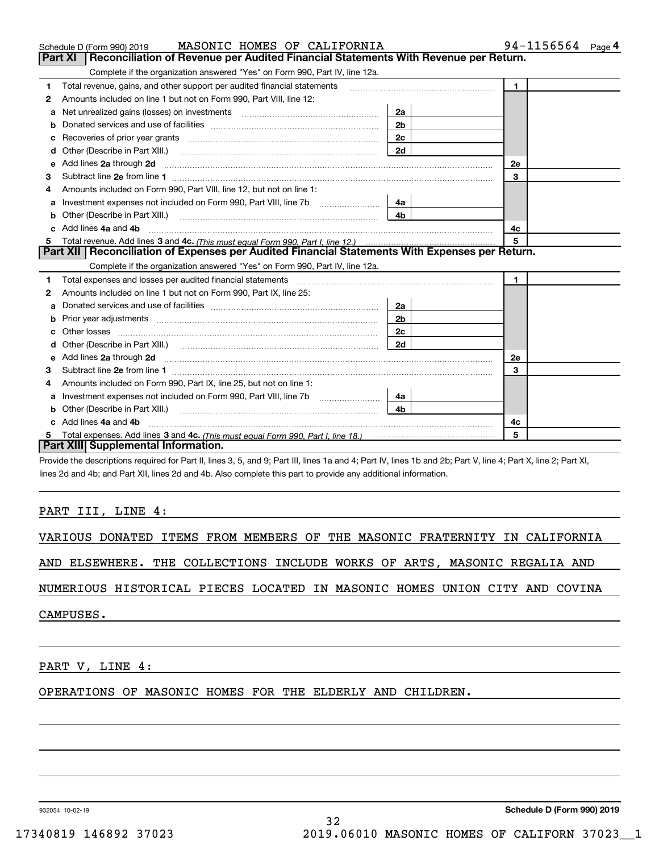|   | MASONIC HOMES OF CALIFORNIA<br>Schedule D (Form 990) 2019                                                                                                                                                                           |                | $94 - 1156564$ Page 4 |
|---|-------------------------------------------------------------------------------------------------------------------------------------------------------------------------------------------------------------------------------------|----------------|-----------------------|
|   | <b>Part XI</b><br>Reconciliation of Revenue per Audited Financial Statements With Revenue per Return.                                                                                                                               |                |                       |
|   | Complete if the organization answered "Yes" on Form 990, Part IV, line 12a.                                                                                                                                                         |                |                       |
| 1 | Total revenue, gains, and other support per audited financial statements                                                                                                                                                            |                | $\mathbf{1}$          |
| 2 | Amounts included on line 1 but not on Form 990, Part VIII, line 12:                                                                                                                                                                 |                |                       |
| a |                                                                                                                                                                                                                                     | 2a             |                       |
| b |                                                                                                                                                                                                                                     | 2 <sub>b</sub> |                       |
| с |                                                                                                                                                                                                                                     | 2c             |                       |
| d |                                                                                                                                                                                                                                     | 2d             |                       |
| е | Add lines 2a through 2d                                                                                                                                                                                                             |                | <b>2e</b>             |
| 3 |                                                                                                                                                                                                                                     |                | 3                     |
| 4 | Amounts included on Form 990, Part VIII, line 12, but not on line 1:                                                                                                                                                                |                |                       |
| a |                                                                                                                                                                                                                                     | 4a             |                       |
| b |                                                                                                                                                                                                                                     | 4b             |                       |
|   | c Add lines 4a and 4b                                                                                                                                                                                                               |                | 4c                    |
| 5 |                                                                                                                                                                                                                                     |                | 5                     |
|   | Part XII   Reconciliation of Expenses per Audited Financial Statements With Expenses per Return.                                                                                                                                    |                |                       |
|   | Complete if the organization answered "Yes" on Form 990, Part IV, line 12a.                                                                                                                                                         |                |                       |
| 1 | Total expenses and losses per audited financial statements [11] [12] manuscription control expenses and losses per audited financial statements [11] [12] manuscription of the statements [12] manuscription of the statements      |                | $\mathbf{1}$          |
| 2 | Amounts included on line 1 but not on Form 990, Part IX, line 25:                                                                                                                                                                   |                |                       |
| a |                                                                                                                                                                                                                                     | 2a             |                       |
|   |                                                                                                                                                                                                                                     | 2 <sub>b</sub> |                       |
|   |                                                                                                                                                                                                                                     | 2c             |                       |
| d |                                                                                                                                                                                                                                     | 2d             |                       |
| е | Add lines 2a through 2d <b>must be a constructed as the constant of the S2a</b> through 2d must be a constructed as a construction of the set of the set of the set of the set of the set of the set of the set of the set of the s |                | <b>2e</b>             |
| 3 |                                                                                                                                                                                                                                     |                | 3                     |
| 4 | Amounts included on Form 990, Part IX, line 25, but not on line 1:                                                                                                                                                                  |                |                       |
| a | Investment expenses not included on Form 990, Part VIII, line 7b [111] [11] Investment expenses not included on Form 990, Part VIII, line 7b                                                                                        | 4a             |                       |
| b | Other (Describe in Part XIII.) <b>Construction Contract Construction</b> Chemistry Chemistry Chemistry Chemistry Chemistry                                                                                                          | 4b             |                       |
|   | Add lines 4a and 4b                                                                                                                                                                                                                 |                | 4с                    |
| 5 |                                                                                                                                                                                                                                     |                | 5                     |
|   | Part XIII Supplemental Information.                                                                                                                                                                                                 |                |                       |
|   | Provide the descriptions required for Part II, lines 3, 5, and 9; Part III, lines 1a and 4; Part IV, lines 1b and 2b; Part V, line 4; Part X, line 2; Part XI,                                                                      |                |                       |

lines 2d and 4b; and Part XII, lines 2d and 4b. Also complete this part to provide any additional information.

### PART III, LINE 4:

|  |  |  |  |  |  |  |  | VARIOUS DONATED ITEMS FROM MEMBERS OF THE MASONIC FRATERNITY IN CALIFORNIA |  |  |
|--|--|--|--|--|--|--|--|----------------------------------------------------------------------------|--|--|
|--|--|--|--|--|--|--|--|----------------------------------------------------------------------------|--|--|

AND ELSEWHERE. THE COLLECTIONS INCLUDE WORKS OF ARTS, MASONIC REGALIA AND

NUMERIOUS HISTORICAL PIECES LOCATED IN MASONIC HOMES UNION CITY AND COVINA

CAMPUSES.

PART V, LINE 4:

OPERATIONS OF MASONIC HOMES FOR THE ELDERLY AND CHILDREN.

932054 10-02-19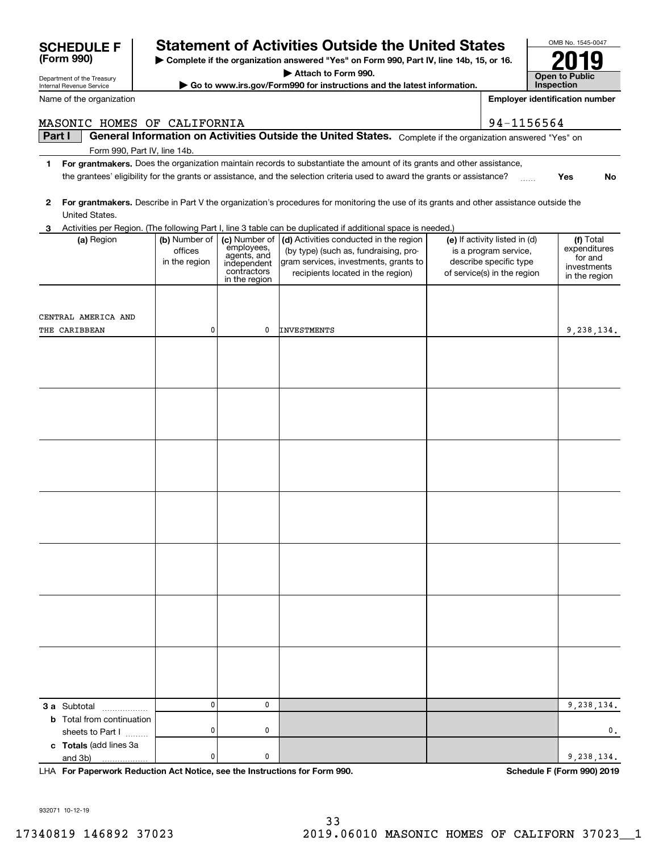**and 3b) For Paperwork Reduction Act Notice, see the Instructions for Form 990. Schedule F (Form 990) 2019** and 3b) LHA Subtotal ~~~~~~ sheets to Part I<br>Tetels (edd lines 3e (add lines 3a

Internal Revenue Service

 $\overline{\phantom{a}}$ 

**(Form 990)**

# Department of the Treasury

Name of the organization

# **SCHEDULE F Statement of Activities Outside the United States**

**| Complete if the organization answered "Yes" on Form 990, Part IV, line 14b, 15, or 16. | Attach to Form 990.**

**| Go to www.irs.gov/Form990 for instructions and the latest information.**

| 2 | United States.                   |                                           |                                                                                           | For grantmakers. Describe in Part V the organization's procedures for monitoring the use of its grants and other assistance outside the                       |                                                                                                                 |                                                                      |
|---|----------------------------------|-------------------------------------------|-------------------------------------------------------------------------------------------|---------------------------------------------------------------------------------------------------------------------------------------------------------------|-----------------------------------------------------------------------------------------------------------------|----------------------------------------------------------------------|
| 3 |                                  |                                           |                                                                                           | Activities per Region. (The following Part I, line 3 table can be duplicated if additional space is needed.)                                                  |                                                                                                                 |                                                                      |
|   | (a) Region                       | (b) Number of<br>offices<br>in the region | (c) Number of<br>employees,<br>agents, and<br>independent<br>contractors<br>in the region | (d) Activities conducted in the region<br>(by type) (such as, fundraising, pro-<br>gram services, investments, grants to<br>recipients located in the region) | (e) If activity listed in (d)<br>is a program service,<br>describe specific type<br>of service(s) in the region | (f) Total<br>expenditures<br>for and<br>investments<br>in the region |
|   |                                  |                                           |                                                                                           |                                                                                                                                                               |                                                                                                                 |                                                                      |
|   |                                  |                                           |                                                                                           |                                                                                                                                                               |                                                                                                                 |                                                                      |
|   | CENTRAL AMERICA AND              |                                           |                                                                                           |                                                                                                                                                               |                                                                                                                 |                                                                      |
|   | <b>THE CARIBBEAN</b>             | 0                                         | $\mathbf 0$                                                                               | <b>INVESTMENTS</b>                                                                                                                                            |                                                                                                                 | 9,238,134.                                                           |
|   |                                  |                                           |                                                                                           |                                                                                                                                                               |                                                                                                                 |                                                                      |
|   |                                  |                                           |                                                                                           |                                                                                                                                                               |                                                                                                                 |                                                                      |
|   |                                  |                                           |                                                                                           |                                                                                                                                                               |                                                                                                                 |                                                                      |
|   |                                  |                                           |                                                                                           |                                                                                                                                                               |                                                                                                                 |                                                                      |
|   |                                  |                                           |                                                                                           |                                                                                                                                                               |                                                                                                                 |                                                                      |
|   |                                  |                                           |                                                                                           |                                                                                                                                                               |                                                                                                                 |                                                                      |
|   |                                  |                                           |                                                                                           |                                                                                                                                                               |                                                                                                                 |                                                                      |
|   |                                  |                                           |                                                                                           |                                                                                                                                                               |                                                                                                                 |                                                                      |
|   |                                  |                                           |                                                                                           |                                                                                                                                                               |                                                                                                                 |                                                                      |
|   |                                  |                                           |                                                                                           |                                                                                                                                                               |                                                                                                                 |                                                                      |
|   |                                  |                                           |                                                                                           |                                                                                                                                                               |                                                                                                                 |                                                                      |
|   |                                  |                                           |                                                                                           |                                                                                                                                                               |                                                                                                                 |                                                                      |
|   |                                  |                                           |                                                                                           |                                                                                                                                                               |                                                                                                                 |                                                                      |
|   |                                  |                                           |                                                                                           |                                                                                                                                                               |                                                                                                                 |                                                                      |
|   |                                  |                                           |                                                                                           |                                                                                                                                                               |                                                                                                                 |                                                                      |
|   |                                  |                                           |                                                                                           |                                                                                                                                                               |                                                                                                                 |                                                                      |
|   |                                  |                                           |                                                                                           |                                                                                                                                                               |                                                                                                                 |                                                                      |
|   |                                  |                                           |                                                                                           |                                                                                                                                                               |                                                                                                                 |                                                                      |
|   |                                  |                                           |                                                                                           |                                                                                                                                                               |                                                                                                                 |                                                                      |
|   |                                  |                                           |                                                                                           |                                                                                                                                                               |                                                                                                                 |                                                                      |
|   |                                  |                                           |                                                                                           |                                                                                                                                                               |                                                                                                                 |                                                                      |
|   |                                  |                                           |                                                                                           |                                                                                                                                                               |                                                                                                                 |                                                                      |
|   |                                  |                                           |                                                                                           |                                                                                                                                                               |                                                                                                                 |                                                                      |
|   |                                  |                                           |                                                                                           |                                                                                                                                                               |                                                                                                                 |                                                                      |
|   | <b>3 a</b> Subtotal              | 0                                         | $\mathbf 0$                                                                               |                                                                                                                                                               |                                                                                                                 | 9,238,134.                                                           |
|   | <b>b</b> Total from continuation |                                           |                                                                                           |                                                                                                                                                               |                                                                                                                 |                                                                      |
|   | sheets to Part I                 | $\pmb{0}$                                 | 0                                                                                         |                                                                                                                                                               |                                                                                                                 | $\mathbf{0}$ .                                                       |
|   | c Totals (add lines 3a           |                                           |                                                                                           |                                                                                                                                                               |                                                                                                                 |                                                                      |
|   | and 3b)                          | $\pmb{0}$                                 | $\pmb{0}$                                                                                 |                                                                                                                                                               |                                                                                                                 | 9,238,134.                                                           |

MASONIC HOMES OF CALIFORNIA 34-1156564

red "Yes" on

**1For grantmakers. Yes**Does the organization maintain records to substantiate the amount of its grants and other assistance, the grantees' eligibility for the grants or assistance, and the selection criteria used to award the grants or assistance?  $\quad....$ 

| Part I |                                                                                                                                                                                                                                                      |               |                             | General Information on Activities Outside the United States. Complete if the organization answe                             |                                                      |  |  |
|--------|------------------------------------------------------------------------------------------------------------------------------------------------------------------------------------------------------------------------------------------------------|---------------|-----------------------------|-----------------------------------------------------------------------------------------------------------------------------|------------------------------------------------------|--|--|
|        | Form 990, Part IV, line 14b.                                                                                                                                                                                                                         |               |                             |                                                                                                                             |                                                      |  |  |
| 1      | For grantmakers. Does the organization maintain records to substantiate the amount of its grants and other assistance,<br>the grantees' eligibility for the grants or assistance, and the selection criteria used to award the grants or assistance? |               |                             |                                                                                                                             |                                                      |  |  |
|        |                                                                                                                                                                                                                                                      |               |                             |                                                                                                                             |                                                      |  |  |
|        |                                                                                                                                                                                                                                                      |               |                             |                                                                                                                             |                                                      |  |  |
| 2      |                                                                                                                                                                                                                                                      |               |                             | For grantmakers. Describe in Part V the organization's procedures for monitoring the use of its grants and other assistance |                                                      |  |  |
|        | United States.                                                                                                                                                                                                                                       |               |                             |                                                                                                                             |                                                      |  |  |
| 3      |                                                                                                                                                                                                                                                      |               |                             | Activities per Region. (The following Part I, line 3 table can be duplicated if additional space is needed.)                |                                                      |  |  |
|        | (a) Region                                                                                                                                                                                                                                           | (b) Number of | (c) Number of<br>employees, | (d) Activities conducted in the region                                                                                      | (e) If activity listed in (c                         |  |  |
|        |                                                                                                                                                                                                                                                      | offices       | agents, and                 | (by type) (such as, fundraising, pro-                                                                                       | is a program service,                                |  |  |
|        |                                                                                                                                                                                                                                                      | in the region | independent<br>contractors  | gram services, investments, grants to<br>recipients located in the region)                                                  | describe specific type<br>of service(s) in the regio |  |  |
|        |                                                                                                                                                                                                                                                      |               | in the region               |                                                                                                                             |                                                      |  |  |
|        |                                                                                                                                                                                                                                                      |               |                             |                                                                                                                             |                                                      |  |  |
|        |                                                                                                                                                                                                                                                      |               |                             |                                                                                                                             |                                                      |  |  |
|        | ENTRAL AMERICA AND                                                                                                                                                                                                                                   |               |                             |                                                                                                                             |                                                      |  |  |
|        | <b>HE CARIBBEAN</b>                                                                                                                                                                                                                                  | 0             | 0                           | <b>INVESTMENTS</b>                                                                                                          |                                                      |  |  |
|        |                                                                                                                                                                                                                                                      |               |                             |                                                                                                                             |                                                      |  |  |
|        |                                                                                                                                                                                                                                                      |               |                             |                                                                                                                             |                                                      |  |  |
|        |                                                                                                                                                                                                                                                      |               |                             |                                                                                                                             |                                                      |  |  |
|        |                                                                                                                                                                                                                                                      |               |                             |                                                                                                                             |                                                      |  |  |
|        |                                                                                                                                                                                                                                                      |               |                             |                                                                                                                             |                                                      |  |  |
|        |                                                                                                                                                                                                                                                      |               |                             |                                                                                                                             |                                                      |  |  |
|        |                                                                                                                                                                                                                                                      |               |                             |                                                                                                                             |                                                      |  |  |
|        |                                                                                                                                                                                                                                                      |               |                             |                                                                                                                             |                                                      |  |  |
|        |                                                                                                                                                                                                                                                      |               |                             |                                                                                                                             |                                                      |  |  |
|        |                                                                                                                                                                                                                                                      |               |                             |                                                                                                                             |                                                      |  |  |
|        |                                                                                                                                                                                                                                                      |               |                             |                                                                                                                             |                                                      |  |  |
|        |                                                                                                                                                                                                                                                      |               |                             |                                                                                                                             |                                                      |  |  |
|        |                                                                                                                                                                                                                                                      |               |                             |                                                                                                                             |                                                      |  |  |
|        |                                                                                                                                                                                                                                                      |               |                             |                                                                                                                             |                                                      |  |  |
|        |                                                                                                                                                                                                                                                      |               |                             |                                                                                                                             |                                                      |  |  |
|        |                                                                                                                                                                                                                                                      |               |                             |                                                                                                                             |                                                      |  |  |
|        |                                                                                                                                                                                                                                                      |               |                             |                                                                                                                             |                                                      |  |  |
|        |                                                                                                                                                                                                                                                      |               |                             |                                                                                                                             |                                                      |  |  |
|        |                                                                                                                                                                                                                                                      |               |                             |                                                                                                                             |                                                      |  |  |
|        |                                                                                                                                                                                                                                                      |               |                             |                                                                                                                             |                                                      |  |  |
|        |                                                                                                                                                                                                                                                      |               |                             |                                                                                                                             |                                                      |  |  |

**Employer identification number**



 **No**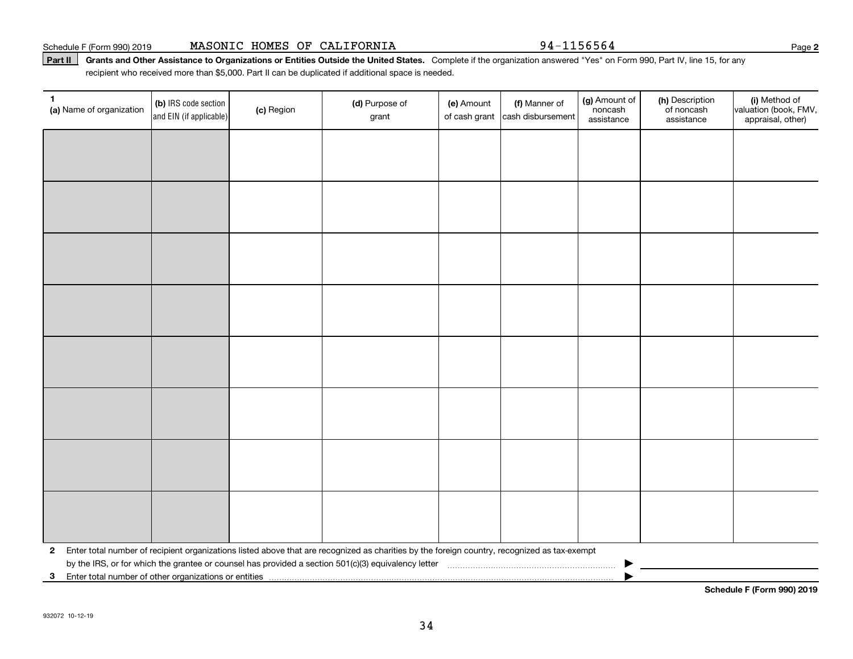Schedule F (Form 990) 2019 Page MASONIC HOMES OF CALIFORNIA 94-1156564

### Part II | Grants and Other Assistance to Organizations or Entities Outside the United States. Complete if the organization answered "Yes" on Form 990, Part IV, line 15, for any recipient who received more than \$5,000. Part II can be duplicated if additional space is needed.

| 1<br>(a) Name of organization                              | (b) IRS code section<br>and EIN (if applicable) | (c) Region | (d) Purpose of<br>grant                                                                                                                      | (e) Amount<br>of cash grant | (f) Manner of<br>cash disbursement | (g) Amount of<br>noncash<br>assistance | (h) Description<br>of noncash<br>assistance | (i) Method of<br>valuation (book, FMV,<br>appraisal, other) |
|------------------------------------------------------------|-------------------------------------------------|------------|----------------------------------------------------------------------------------------------------------------------------------------------|-----------------------------|------------------------------------|----------------------------------------|---------------------------------------------|-------------------------------------------------------------|
|                                                            |                                                 |            |                                                                                                                                              |                             |                                    |                                        |                                             |                                                             |
|                                                            |                                                 |            |                                                                                                                                              |                             |                                    |                                        |                                             |                                                             |
|                                                            |                                                 |            |                                                                                                                                              |                             |                                    |                                        |                                             |                                                             |
|                                                            |                                                 |            |                                                                                                                                              |                             |                                    |                                        |                                             |                                                             |
|                                                            |                                                 |            |                                                                                                                                              |                             |                                    |                                        |                                             |                                                             |
|                                                            |                                                 |            |                                                                                                                                              |                             |                                    |                                        |                                             |                                                             |
|                                                            |                                                 |            |                                                                                                                                              |                             |                                    |                                        |                                             |                                                             |
|                                                            |                                                 |            |                                                                                                                                              |                             |                                    |                                        |                                             |                                                             |
|                                                            |                                                 |            |                                                                                                                                              |                             |                                    |                                        |                                             |                                                             |
|                                                            |                                                 |            |                                                                                                                                              |                             |                                    |                                        |                                             |                                                             |
|                                                            |                                                 |            |                                                                                                                                              |                             |                                    |                                        |                                             |                                                             |
|                                                            |                                                 |            |                                                                                                                                              |                             |                                    |                                        |                                             |                                                             |
|                                                            |                                                 |            |                                                                                                                                              |                             |                                    |                                        |                                             |                                                             |
|                                                            |                                                 |            |                                                                                                                                              |                             |                                    |                                        |                                             |                                                             |
|                                                            |                                                 |            |                                                                                                                                              |                             |                                    |                                        |                                             |                                                             |
|                                                            |                                                 |            |                                                                                                                                              |                             |                                    |                                        |                                             |                                                             |
| $\mathbf{2}$                                               |                                                 |            | Enter total number of recipient organizations listed above that are recognized as charities by the foreign country, recognized as tax-exempt |                             |                                    |                                        |                                             |                                                             |
| Enter total number of other organizations or entities<br>3 |                                                 |            |                                                                                                                                              |                             |                                    |                                        |                                             |                                                             |

**Schedule F (Form 990) 2019**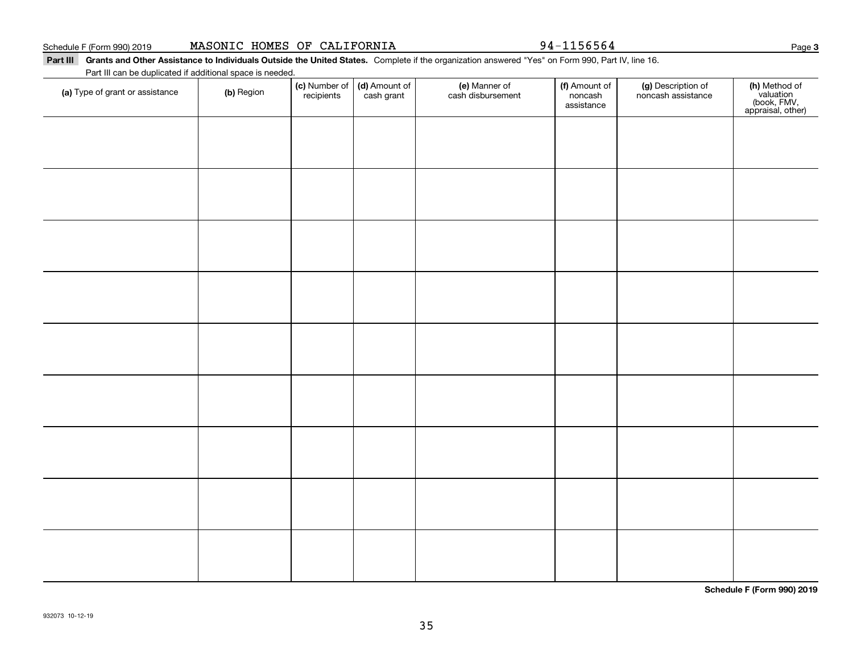| MASONIC HOMES OF CALIFORNIA<br>Schedule F (Form 990) 2019 |
|-----------------------------------------------------------|
|-----------------------------------------------------------|

94-1156564

**Part III Grants and Other Assistance to Individuals Outside the United States.**  Complete if the organization answered "Yes" on Form 990, Part IV, line 16. Part III can be duplicated if additional space is needed.

| (a) Type of grant or assistance | (b) Region | (c) Number of<br>recipients | (d) Amount of<br>cash grant | (e) Manner of<br>cash disbursement | (f) Amount of<br>noncash<br>assistance | (g) Description of<br>noncash assistance | (h) Method of<br>valuation<br>(book, FMV,<br>appraisal, other) |
|---------------------------------|------------|-----------------------------|-----------------------------|------------------------------------|----------------------------------------|------------------------------------------|----------------------------------------------------------------|
|                                 |            |                             |                             |                                    |                                        |                                          |                                                                |
|                                 |            |                             |                             |                                    |                                        |                                          |                                                                |
|                                 |            |                             |                             |                                    |                                        |                                          |                                                                |
|                                 |            |                             |                             |                                    |                                        |                                          |                                                                |
|                                 |            |                             |                             |                                    |                                        |                                          |                                                                |
|                                 |            |                             |                             |                                    |                                        |                                          |                                                                |
|                                 |            |                             |                             |                                    |                                        |                                          |                                                                |
|                                 |            |                             |                             |                                    |                                        |                                          |                                                                |
|                                 |            |                             |                             |                                    |                                        |                                          |                                                                |
|                                 |            |                             |                             |                                    |                                        |                                          |                                                                |
|                                 |            |                             |                             |                                    |                                        |                                          |                                                                |
|                                 |            |                             |                             |                                    |                                        |                                          |                                                                |
|                                 |            |                             |                             |                                    |                                        |                                          |                                                                |
|                                 |            |                             |                             |                                    |                                        |                                          |                                                                |
|                                 |            |                             |                             |                                    |                                        |                                          |                                                                |

**Schedule F (Form 990) 2019**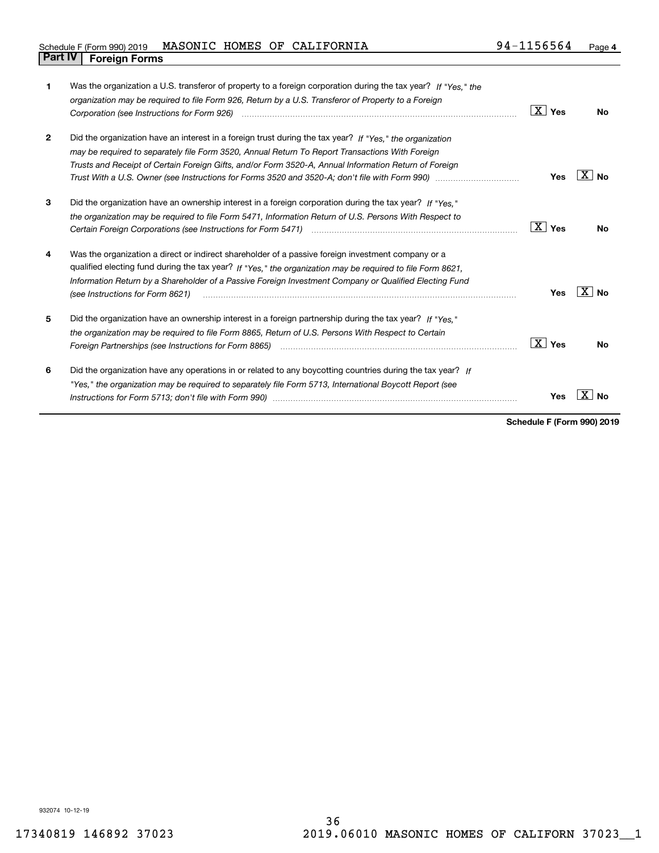| 1            | Was the organization a U.S. transferor of property to a foreign corporation during the tax year? If "Yes." the<br>organization may be required to file Form 926, Return by a U.S. Transferor of Property to a Foreign<br>Corporation (see Instructions for Form 926) <i>manual content content corporation</i> (see Instructions for Form 926)                                                                                                 | ∣X ∣ γes        | <b>No</b>       |
|--------------|------------------------------------------------------------------------------------------------------------------------------------------------------------------------------------------------------------------------------------------------------------------------------------------------------------------------------------------------------------------------------------------------------------------------------------------------|-----------------|-----------------|
| $\mathbf{2}$ | Did the organization have an interest in a foreign trust during the tax year? If "Yes," the organization<br>may be required to separately file Form 3520, Annual Return To Report Transactions With Foreign<br>Trusts and Receipt of Certain Foreign Gifts, and/or Form 3520-A, Annual Information Return of Foreign<br>Trust With a U.S. Owner (see Instructions for Forms 3520 and 3520-A; don't file with Form 990) manu-manu-manu-         | Yes             | ΧI<br><b>No</b> |
| 3            | Did the organization have an ownership interest in a foreign corporation during the tax year? If "Yes."<br>the organization may be required to file Form 5471, Information Return of U.S. Persons With Respect to                                                                                                                                                                                                                              | $\boxed{X}$ Yes | <b>No</b>       |
| 4            | Was the organization a direct or indirect shareholder of a passive foreign investment company or a<br>qualified electing fund during the tax year? If "Yes," the organization may be required to file Form 8621,<br>Information Return by a Shareholder of a Passive Foreign Investment Company or Qualified Electing Fund<br>(see Instructions for Form 8621)                                                                                 | Yes             | ΧI<br>No        |
| 5            | Did the organization have an ownership interest in a foreign partnership during the tax year? If "Yes."<br>the organization may be required to file Form 8865, Return of U.S. Persons With Respect to Certain<br>Foreign Partnerships (see Instructions for Form 8865) manufactured contain the control of the control of the control of the control of the control of the control of the control of the control of the control of the control | $\boxed{X}$ Yes | <b>No</b>       |
| 6            | Did the organization have any operations in or related to any boycotting countries during the tax year? If<br>"Yes," the organization may be required to separately file Form 5713, International Boycott Report (see                                                                                                                                                                                                                          | Yes             |                 |

**Schedule F (Form 990) 2019**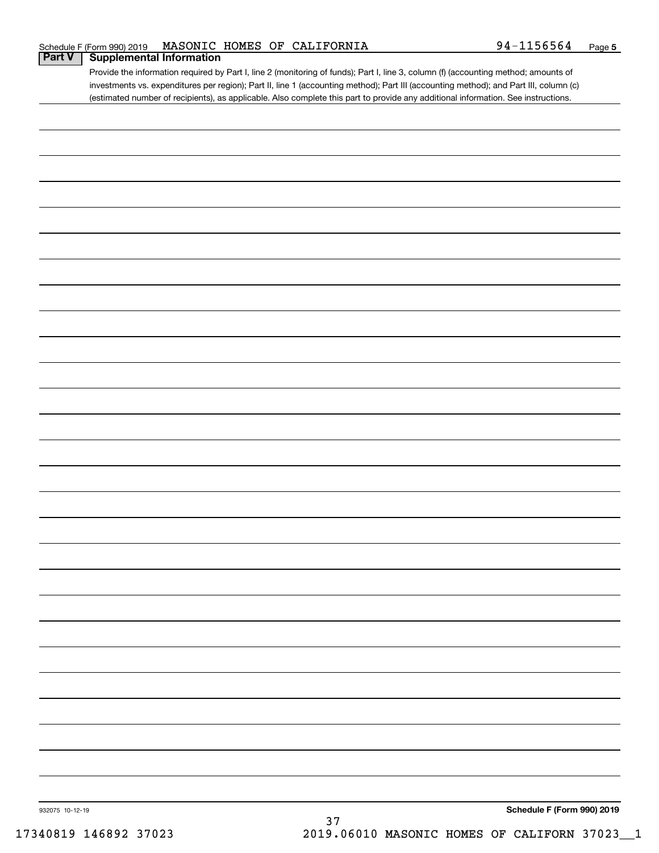| Schedule F (Form 990) 2019               |  | MASONIC HOMES OF CALIFORNIA | 94-1156564 | Page 5 |
|------------------------------------------|--|-----------------------------|------------|--------|
| <b>Part V</b>   Supplemental Information |  |                             |            |        |

| Provide the information required by Part I, line 2 (monitoring of funds); Part I, line 3, column (f) (accounting method; amounts of   |
|---------------------------------------------------------------------------------------------------------------------------------------|
| investments vs. expenditures per region); Part II, line 1 (accounting method); Part III (accounting method); and Part III, column (c) |
| (estimated number of recipients), as applicable. Also complete this part to provide any additional information. See instructions.     |

| 932075 10-12-19 |        | Schedule F (Form 990) 2019 |
|-----------------|--------|----------------------------|
|                 | $37\,$ |                            |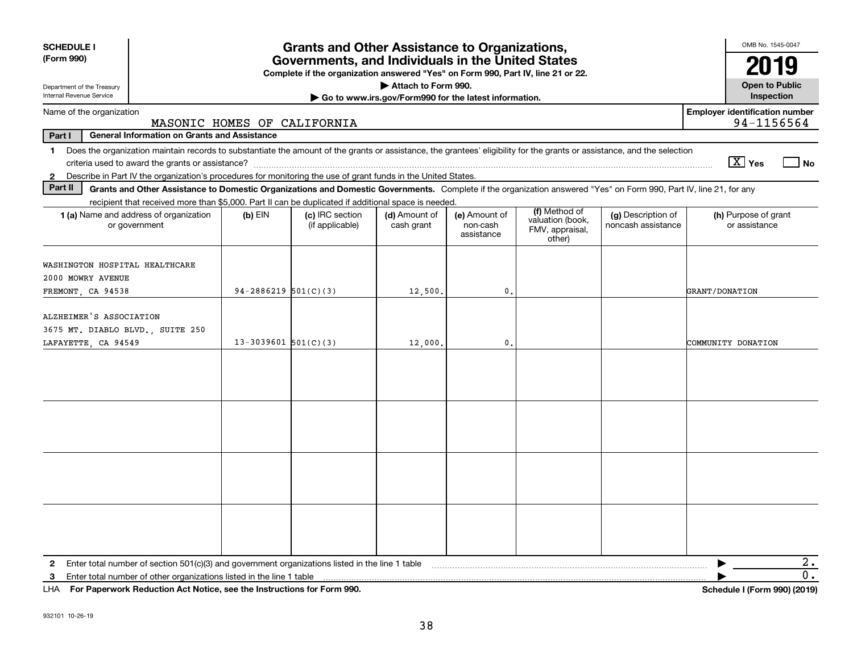| <b>SCHEDULE I</b><br>(Form 990)                                                                                                                                               |                             | <b>Grants and Other Assistance to Organizations,</b>                                                                                  |                                                       |                                         |                                                      |                                          | OMB No. 1545-0047                                   |
|-------------------------------------------------------------------------------------------------------------------------------------------------------------------------------|-----------------------------|---------------------------------------------------------------------------------------------------------------------------------------|-------------------------------------------------------|-----------------------------------------|------------------------------------------------------|------------------------------------------|-----------------------------------------------------|
|                                                                                                                                                                               |                             | Governments, and Individuals in the United States<br>Complete if the organization answered "Yes" on Form 990, Part IV, line 21 or 22. |                                                       |                                         |                                                      |                                          | 2019                                                |
| Department of the Treasury                                                                                                                                                    |                             |                                                                                                                                       | Attach to Form 990.                                   |                                         |                                                      |                                          | <b>Open to Public</b>                               |
| Internal Revenue Service                                                                                                                                                      |                             |                                                                                                                                       | Go to www.irs.gov/Form990 for the latest information. |                                         |                                                      |                                          | Inspection                                          |
| Name of the organization                                                                                                                                                      | MASONIC HOMES OF CALIFORNIA |                                                                                                                                       |                                                       |                                         |                                                      |                                          | <b>Employer identification number</b><br>94-1156564 |
| Part I<br><b>General Information on Grants and Assistance</b>                                                                                                                 |                             |                                                                                                                                       |                                                       |                                         |                                                      |                                          |                                                     |
| 1 Does the organization maintain records to substantiate the amount of the grants or assistance, the grantees' eligibility for the grants or assistance, and the selection    |                             |                                                                                                                                       |                                                       |                                         |                                                      |                                          | $\boxed{\text{X}}$ Yes<br>  No                      |
| Describe in Part IV the organization's procedures for monitoring the use of grant funds in the United States.<br>$\mathbf{2}$                                                 |                             |                                                                                                                                       |                                                       |                                         |                                                      |                                          |                                                     |
| Part II<br>Grants and Other Assistance to Domestic Organizations and Domestic Governments. Complete if the organization answered "Yes" on Form 990, Part IV, line 21, for any |                             |                                                                                                                                       |                                                       |                                         |                                                      |                                          |                                                     |
| recipient that received more than \$5,000. Part II can be duplicated if additional space is needed.<br>1 (a) Name and address of organization<br>or government                | $(b)$ EIN                   | (c) IRC section<br>(if applicable)                                                                                                    | (d) Amount of<br>cash grant                           | (e) Amount of<br>non-cash<br>assistance | (f) Method of<br>valuation (book,<br>FMV, appraisal, | (g) Description of<br>noncash assistance | (h) Purpose of grant<br>or assistance               |
|                                                                                                                                                                               |                             |                                                                                                                                       |                                                       |                                         | other)                                               |                                          |                                                     |
| WASHINGTON HOSPITAL HEALTHCARE<br>2000 MOWRY AVENUE                                                                                                                           |                             |                                                                                                                                       |                                                       |                                         |                                                      |                                          |                                                     |
| FREMONT, CA 94538                                                                                                                                                             | $94 - 2886219$ $501(C)(3)$  |                                                                                                                                       | 12,500.                                               | $\mathfrak{o}$ .                        |                                                      |                                          | GRANT/DONATION                                      |
|                                                                                                                                                                               |                             |                                                                                                                                       |                                                       |                                         |                                                      |                                          |                                                     |
| ALZHEIMER'S ASSOCIATION                                                                                                                                                       |                             |                                                                                                                                       |                                                       |                                         |                                                      |                                          |                                                     |
| 3675 MT. DIABLO BLVD., SUITE 250                                                                                                                                              |                             |                                                                                                                                       |                                                       |                                         |                                                      |                                          |                                                     |
| LAFAYETTE, CA 94549                                                                                                                                                           | $13-3039601$ 501(C)(3)      |                                                                                                                                       | 12,000.                                               | $\mathfrak{o}$ .                        |                                                      |                                          | COMMUNITY DONATION                                  |
|                                                                                                                                                                               |                             |                                                                                                                                       |                                                       |                                         |                                                      |                                          |                                                     |
|                                                                                                                                                                               |                             |                                                                                                                                       |                                                       |                                         |                                                      |                                          |                                                     |
|                                                                                                                                                                               |                             |                                                                                                                                       |                                                       |                                         |                                                      |                                          |                                                     |
|                                                                                                                                                                               |                             |                                                                                                                                       |                                                       |                                         |                                                      |                                          |                                                     |
|                                                                                                                                                                               |                             |                                                                                                                                       |                                                       |                                         |                                                      |                                          |                                                     |
|                                                                                                                                                                               |                             |                                                                                                                                       |                                                       |                                         |                                                      |                                          |                                                     |
|                                                                                                                                                                               |                             |                                                                                                                                       |                                                       |                                         |                                                      |                                          |                                                     |
|                                                                                                                                                                               |                             |                                                                                                                                       |                                                       |                                         |                                                      |                                          |                                                     |
|                                                                                                                                                                               |                             |                                                                                                                                       |                                                       |                                         |                                                      |                                          |                                                     |
|                                                                                                                                                                               |                             |                                                                                                                                       |                                                       |                                         |                                                      |                                          |                                                     |
|                                                                                                                                                                               |                             |                                                                                                                                       |                                                       |                                         |                                                      |                                          |                                                     |
|                                                                                                                                                                               |                             |                                                                                                                                       |                                                       |                                         |                                                      |                                          |                                                     |
|                                                                                                                                                                               |                             |                                                                                                                                       |                                                       |                                         |                                                      |                                          |                                                     |
|                                                                                                                                                                               |                             |                                                                                                                                       |                                                       |                                         |                                                      |                                          |                                                     |
|                                                                                                                                                                               |                             |                                                                                                                                       |                                                       |                                         |                                                      |                                          |                                                     |
| Enter total number of section 501(c)(3) and government organizations listed in the line 1 table<br>2                                                                          |                             |                                                                                                                                       |                                                       |                                         |                                                      |                                          | 2.<br>0.                                            |
| Enter total number of other organizations listed in the line 1 table<br>3<br>LHA For Paperwork Reduction Act Notice, see the Instructions for Form 990.                       |                             |                                                                                                                                       |                                                       |                                         |                                                      |                                          | Schedule I (Form 990) (2019)                        |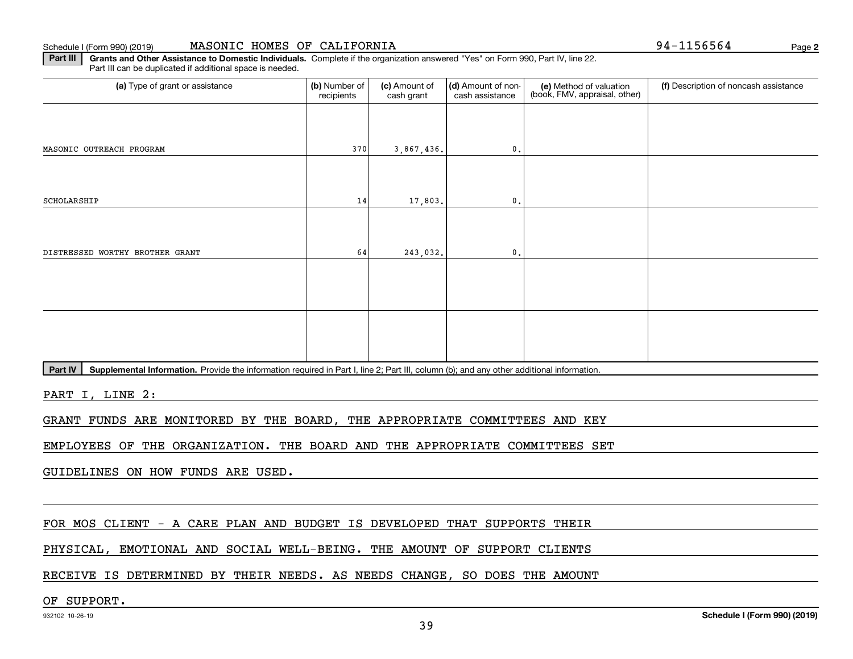### Schedule I (Form 990) (2019) **MASONIC HOMES OF CALIFORNIA** Page

**2**

**Part III | Grants and Other Assistance to Domestic Individuals. Complete if the organization answered "Yes" on Form 990, Part IV, line 22.** Part III can be duplicated if additional space is needed.

| (a) Type of grant or assistance                                                                                                                      | (b) Number of<br>recipients | (c) Amount of<br>cash grant | (d) Amount of non-<br>cash assistance | (e) Method of valuation<br>(book, FMV, appraisal, other) | (f) Description of noncash assistance |
|------------------------------------------------------------------------------------------------------------------------------------------------------|-----------------------------|-----------------------------|---------------------------------------|----------------------------------------------------------|---------------------------------------|
|                                                                                                                                                      |                             |                             |                                       |                                                          |                                       |
| MASONIC OUTREACH PROGRAM                                                                                                                             | 370                         | 3,867,436.                  | $\mathbf{0}$ .                        |                                                          |                                       |
|                                                                                                                                                      |                             |                             |                                       |                                                          |                                       |
| SCHOLARSHIP                                                                                                                                          | 14                          | 17,803.                     | $\mathfrak{o}$ .                      |                                                          |                                       |
|                                                                                                                                                      |                             |                             |                                       |                                                          |                                       |
| DISTRESSED WORTHY BROTHER GRANT                                                                                                                      | 64                          | 243,032.                    | $\mathfrak{o}$ .                      |                                                          |                                       |
|                                                                                                                                                      |                             |                             |                                       |                                                          |                                       |
|                                                                                                                                                      |                             |                             |                                       |                                                          |                                       |
|                                                                                                                                                      |                             |                             |                                       |                                                          |                                       |
|                                                                                                                                                      |                             |                             |                                       |                                                          |                                       |
| Supplemental Information. Provide the information required in Part I, line 2; Part III, column (b); and any other additional information.<br>Part IV |                             |                             |                                       |                                                          |                                       |
| PART I, LINE 2:                                                                                                                                      |                             |                             |                                       |                                                          |                                       |
| GRANT FUNDS ARE MONITORED BY THE BOARD, THE APPROPRIATE COMMITTEES AND KEY                                                                           |                             |                             |                                       |                                                          |                                       |

EMPLOYEES OF THE ORGANIZATION. THE BOARD AND THE APPROPRIATE COMMITTEES SET

GUIDELINES ON HOW FUNDS ARE USED.

FOR MOS CLIENT - A CARE PLAN AND BUDGET IS DEVELOPED THAT SUPPORTS THEIR

PHYSICAL, EMOTIONAL AND SOCIAL WELL-BEING. THE AMOUNT OF SUPPORT CLIENTS

RECEIVE IS DETERMINED BY THEIR NEEDS. AS NEEDS CHANGE, SO DOES THE AMOUNT

### OF SUPPORT.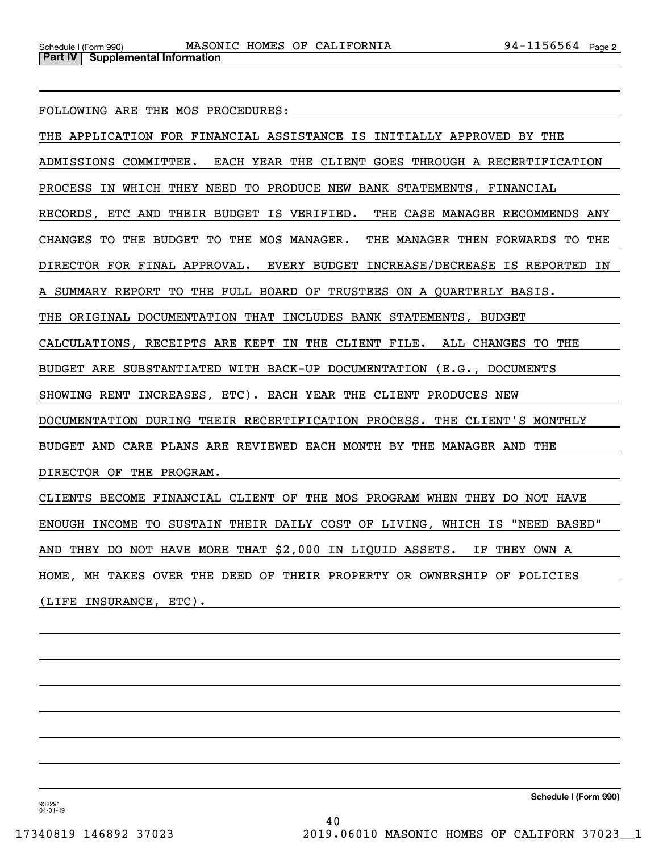FOLLOWING ARE THE MOS PROCEDURES:

THE APPLICATION FOR FINANCIAL ASSISTANCE IS INITIALLY APPROVED BY THE ADMISSIONS COMMITTEE. EACH YEAR THE CLIENT GOES THROUGH A RECERTIFICATION PROCESS IN WHICH THEY NEED TO PRODUCE NEW BANK STATEMENTS, FINANCIAL RECORDS, ETC AND THEIR BUDGET IS VERIFIED. THE CASE MANAGER RECOMMENDS ANY CHANGES TO THE BUDGET TO THE MOS MANAGER. THE MANAGER THEN FORWARDS TO THE DIRECTOR FOR FINAL APPROVAL. EVERY BUDGET INCREASE/DECREASE IS REPORTED IN A SUMMARY REPORT TO THE FULL BOARD OF TRUSTEES ON A QUARTERLY BASIS. THE ORIGINAL DOCUMENTATION THAT INCLUDES BANK STATEMENTS, BUDGET CALCULATIONS, RECEIPTS ARE KEPT IN THE CLIENT FILE. ALL CHANGES TO THE BUDGET ARE SUBSTANTIATED WITH BACK-UP DOCUMENTATION (E.G., DOCUMENTS SHOWING RENT INCREASES, ETC). EACH YEAR THE CLIENT PRODUCES NEW DOCUMENTATION DURING THEIR RECERTIFICATION PROCESS. THE CLIENT'S MONTHLY BUDGET AND CARE PLANS ARE REVIEWED EACH MONTH BY THE MANAGER AND THE DIRECTOR OF THE PROGRAM. CLIENTS BECOME FINANCIAL CLIENT OF THE MOS PROGRAM WHEN THEY DO NOT HAVE

ENOUGH INCOME TO SUSTAIN THEIR DAILY COST OF LIVING, WHICH IS "NEED BASED"

AND THEY DO NOT HAVE MORE THAT \$2,000 IN LIQUID ASSETS. IF THEY OWN A

HOME, MH TAKES OVER THE DEED OF THEIR PROPERTY OR OWNERSHIP OF POLICIES

(LIFE INSURANCE, ETC).

**Schedule I (Form 990)**

932291 04-01-19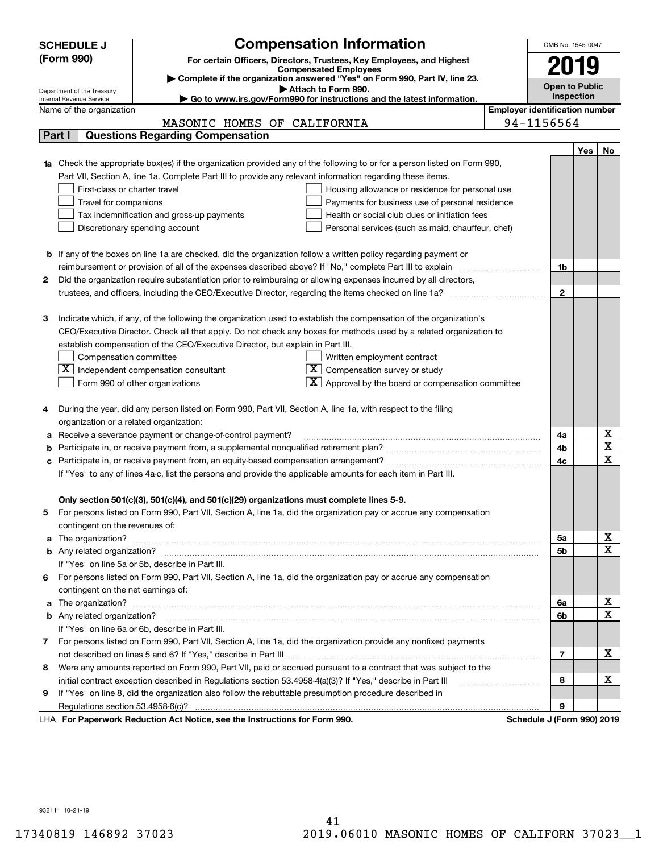| <b>SCHEDULE J</b>                                      | <b>Compensation Information</b>                                                                                                                                                                                                          |                                       | OMB No. 1545-0047          |     |             |
|--------------------------------------------------------|------------------------------------------------------------------------------------------------------------------------------------------------------------------------------------------------------------------------------------------|---------------------------------------|----------------------------|-----|-------------|
| (Form 990)                                             | For certain Officers, Directors, Trustees, Key Employees, and Highest                                                                                                                                                                    |                                       |                            |     |             |
|                                                        | <b>Compensated Employees</b>                                                                                                                                                                                                             |                                       |                            |     |             |
|                                                        | Complete if the organization answered "Yes" on Form 990, Part IV, line 23.<br>Attach to Form 990.                                                                                                                                        |                                       | <b>Open to Public</b>      |     |             |
| Department of the Treasury<br>Internal Revenue Service | Go to www.irs.gov/Form990 for instructions and the latest information.                                                                                                                                                                   |                                       | Inspection                 |     |             |
| Name of the organization                               |                                                                                                                                                                                                                                          | <b>Employer identification number</b> |                            |     |             |
|                                                        | MASONIC HOMES OF CALIFORNIA                                                                                                                                                                                                              |                                       | 94-1156564                 |     |             |
| Part I                                                 | <b>Questions Regarding Compensation</b>                                                                                                                                                                                                  |                                       |                            |     |             |
|                                                        |                                                                                                                                                                                                                                          |                                       |                            | Yes | No          |
|                                                        | <b>1a</b> Check the appropriate box(es) if the organization provided any of the following to or for a person listed on Form 990,                                                                                                         |                                       |                            |     |             |
|                                                        | Part VII, Section A, line 1a. Complete Part III to provide any relevant information regarding these items.                                                                                                                               |                                       |                            |     |             |
| First-class or charter travel                          | Housing allowance or residence for personal use                                                                                                                                                                                          |                                       |                            |     |             |
| Travel for companions                                  | Payments for business use of personal residence                                                                                                                                                                                          |                                       |                            |     |             |
|                                                        | Health or social club dues or initiation fees<br>Tax indemnification and gross-up payments                                                                                                                                               |                                       |                            |     |             |
|                                                        | Discretionary spending account<br>Personal services (such as maid, chauffeur, chef)                                                                                                                                                      |                                       |                            |     |             |
|                                                        |                                                                                                                                                                                                                                          |                                       |                            |     |             |
|                                                        | <b>b</b> If any of the boxes on line 1a are checked, did the organization follow a written policy regarding payment or                                                                                                                   |                                       |                            |     |             |
|                                                        | reimbursement or provision of all of the expenses described above? If "No," complete Part III to explain                                                                                                                                 |                                       | 1b                         |     |             |
| 2                                                      | Did the organization require substantiation prior to reimbursing or allowing expenses incurred by all directors,                                                                                                                         |                                       |                            |     |             |
|                                                        | trustees, and officers, including the CEO/Executive Director, regarding the items checked on line 1a?                                                                                                                                    |                                       | $\mathbf{2}$               |     |             |
| З                                                      |                                                                                                                                                                                                                                          |                                       |                            |     |             |
|                                                        | Indicate which, if any, of the following the organization used to establish the compensation of the organization's<br>CEO/Executive Director. Check all that apply. Do not check any boxes for methods used by a related organization to |                                       |                            |     |             |
|                                                        | establish compensation of the CEO/Executive Director, but explain in Part III.                                                                                                                                                           |                                       |                            |     |             |
| Compensation committee                                 | Written employment contract                                                                                                                                                                                                              |                                       |                            |     |             |
| X                                                      | Compensation survey or study<br>Independent compensation consultant                                                                                                                                                                      |                                       |                            |     |             |
|                                                        | $\lfloor \mathbf{X} \rfloor$ Approval by the board or compensation committee<br>Form 990 of other organizations                                                                                                                          |                                       |                            |     |             |
|                                                        |                                                                                                                                                                                                                                          |                                       |                            |     |             |
|                                                        | During the year, did any person listed on Form 990, Part VII, Section A, line 1a, with respect to the filing                                                                                                                             |                                       |                            |     |             |
| organization or a related organization:                |                                                                                                                                                                                                                                          |                                       |                            |     |             |
| а                                                      | Receive a severance payment or change-of-control payment?                                                                                                                                                                                |                                       | 4a                         |     | х           |
| b                                                      |                                                                                                                                                                                                                                          |                                       | 4b                         |     | X           |
|                                                        |                                                                                                                                                                                                                                          |                                       | 4c                         |     | X           |
|                                                        | If "Yes" to any of lines 4a-c, list the persons and provide the applicable amounts for each item in Part III.                                                                                                                            |                                       |                            |     |             |
|                                                        |                                                                                                                                                                                                                                          |                                       |                            |     |             |
|                                                        | Only section 501(c)(3), 501(c)(4), and 501(c)(29) organizations must complete lines 5-9.                                                                                                                                                 |                                       |                            |     |             |
| 5                                                      | For persons listed on Form 990, Part VII, Section A, line 1a, did the organization pay or accrue any compensation                                                                                                                        |                                       |                            |     |             |
| contingent on the revenues of:                         |                                                                                                                                                                                                                                          |                                       |                            |     |             |
|                                                        |                                                                                                                                                                                                                                          |                                       | 5а                         |     | х           |
|                                                        |                                                                                                                                                                                                                                          |                                       | 5b                         |     | $\mathbf X$ |
|                                                        | If "Yes" on line 5a or 5b, describe in Part III.                                                                                                                                                                                         |                                       |                            |     |             |
|                                                        | 6 For persons listed on Form 990, Part VII, Section A, line 1a, did the organization pay or accrue any compensation                                                                                                                      |                                       |                            |     |             |
| contingent on the net earnings of:                     |                                                                                                                                                                                                                                          |                                       |                            |     |             |
|                                                        |                                                                                                                                                                                                                                          |                                       | 6a                         |     | х           |
|                                                        |                                                                                                                                                                                                                                          |                                       | 6b                         |     | $\mathbf X$ |
|                                                        | If "Yes" on line 6a or 6b, describe in Part III.                                                                                                                                                                                         |                                       |                            |     |             |
|                                                        | 7 For persons listed on Form 990, Part VII, Section A, line 1a, did the organization provide any nonfixed payments                                                                                                                       |                                       |                            |     |             |
|                                                        |                                                                                                                                                                                                                                          |                                       | 7                          |     | х           |
| 8                                                      | Were any amounts reported on Form 990, Part VII, paid or accrued pursuant to a contract that was subject to the                                                                                                                          |                                       |                            |     |             |
|                                                        | initial contract exception described in Regulations section 53.4958-4(a)(3)? If "Yes," describe in Part III                                                                                                                              |                                       | 8                          |     | х           |
| 9                                                      | If "Yes" on line 8, did the organization also follow the rebuttable presumption procedure described in                                                                                                                                   |                                       |                            |     |             |
|                                                        |                                                                                                                                                                                                                                          |                                       | 9                          |     |             |
|                                                        | LHA For Paperwork Reduction Act Notice, see the Instructions for Form 990.                                                                                                                                                               |                                       | Schedule J (Form 990) 2019 |     |             |

932111 10-21-19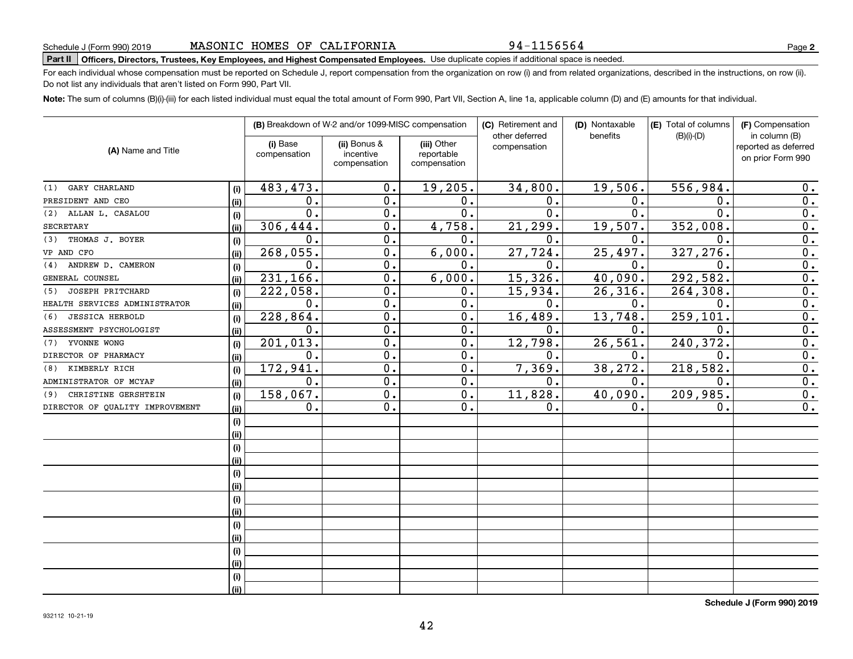94-1156564

**2**

# **Part II Officers, Directors, Trustees, Key Employees, and Highest Compensated Employees.**  Schedule J (Form 990) 2019 Page Use duplicate copies if additional space is needed.

For each individual whose compensation must be reported on Schedule J, report compensation from the organization on row (i) and from related organizations, described in the instructions, on row (ii). Do not list any individuals that aren't listed on Form 990, Part VII.

**Note:**  The sum of columns (B)(i)-(iii) for each listed individual must equal the total amount of Form 990, Part VII, Section A, line 1a, applicable column (D) and (E) amounts for that individual.

|                                 |      |                          | (B) Breakdown of W-2 and/or 1099-MISC compensation |                                           | (C) Retirement and<br>other deferred | (D) Nontaxable<br>benefits | (E) Total of columns<br>$(B)(i)-(D)$ | (F) Compensation<br>in column (B)         |
|---------------------------------|------|--------------------------|----------------------------------------------------|-------------------------------------------|--------------------------------------|----------------------------|--------------------------------------|-------------------------------------------|
| (A) Name and Title              |      | (i) Base<br>compensation | (ii) Bonus &<br>incentive<br>compensation          | (iii) Other<br>reportable<br>compensation | compensation                         |                            |                                      | reported as deferred<br>on prior Form 990 |
| GARY CHARLAND<br>(1)            | (i)  | 483,473.                 | 0.                                                 | 19,205.                                   | 34,800.                              | 19,506.                    | 556,984.                             | 0.                                        |
| PRESIDENT AND CEO               | (ii) | $\mathbf 0$ .            | 0.                                                 | 0.                                        | $\mathbf 0$ .                        | 0.                         | 0.                                   | 0.                                        |
| (2) ALLAN L. CASALOU            | (i)  | 0.                       | 0.                                                 | 0.                                        | $\mathbf{0}$ .                       | 0.                         | $\mathbf 0$ .                        | $\overline{0}$ .                          |
| <b>SECRETARY</b>                | (ii) | 306,444.                 | 0.                                                 | 4,758.                                    | 21,299.                              | 19,507.                    | 352,008.                             | 0.                                        |
| THOMAS J. BOYER<br>(3)          | (i)  | $\mathbf 0$ .            | 0.                                                 | 0.                                        | 0.                                   | 0.                         | 0.                                   | $\overline{0}$ .                          |
| VP AND CFO                      | (ii) | 268,055.                 | 0.                                                 | 6,000.                                    | 27,724.                              | 25,497.                    | 327,276.                             | 0.                                        |
| (4) ANDREW D. CAMERON           | (i)  | $\mathbf 0$ .            | 0.                                                 | 0.                                        | 0.                                   | 0.                         | 0.                                   | 0.                                        |
| GENERAL COUNSEL                 | (ii) | 231,166.                 | 0.                                                 | 6,000.                                    | 15,326.                              | 40,090.                    | 292,582.                             | 0.                                        |
| JOSEPH PRITCHARD<br>(5)         | (i)  | 222,058.                 | $\overline{0}$ .                                   | 0.                                        | 15,934.                              | 26, 316.                   | 264,308.                             | $\overline{0}$ .                          |
| HEALTH SERVICES ADMINISTRATOR   | (ii) | 0.                       | $\overline{0}$ .                                   | 0.                                        | $\mathbf{0}$ .                       | 0.                         | $\mathbf 0$ .                        | $\overline{0}$ .                          |
| <b>JESSICA HERBOLD</b><br>(6)   | (i)  | 228,864.                 | $\overline{0}$ .                                   | 0.                                        | 16,489.                              | 13,748.                    | 259,101                              | $\overline{0}$ .                          |
| ASSESSMENT PSYCHOLOGIST         | (ii) | $\mathbf 0$ .            | $\overline{0}$ .                                   | 0.                                        | 0.                                   | 0.                         | $\mathbf 0$                          | $\overline{0}$ .                          |
| YVONNE WONG<br>(7)              | (i)  | 201,013.                 | 0.                                                 | 0.                                        | 12,798.                              | 26,561.                    | 240, 372.                            | $\overline{0}$ .                          |
| DIRECTOR OF PHARMACY            | (ii) | $\mathbf 0$ .            | 0.                                                 | 0.                                        | 0.                                   | 0.                         | $\mathbf 0$                          | $\overline{0}$ .                          |
| KIMBERLY RICH<br>(8)            | (i)  | 172,941.                 | $\mathbf 0$ .                                      | 0.                                        | 7,369.                               | 38,272.                    | 218, 582.                            | 0.                                        |
| ADMINISTRATOR OF MCYAF          | (ii) | 0.                       | $\mathbf 0$ .                                      | 0.                                        | 0.                                   | 0.                         | $\mathbf 0$ .                        | $\overline{0}$ .                          |
| CHRISTINE GERSHTEIN<br>(9)      | (i)  | 158,067.                 | 0.                                                 | 0.                                        | 11,828.                              | 40,090.                    | 209,985.                             | 0.                                        |
| DIRECTOR OF QUALITY IMPROVEMENT | (ii) | 0.                       | 0.                                                 | 0.                                        | 0.                                   | 0.                         | 0.                                   | 0.                                        |
|                                 | (i)  |                          |                                                    |                                           |                                      |                            |                                      |                                           |
|                                 | (i)  |                          |                                                    |                                           |                                      |                            |                                      |                                           |
|                                 | (i)  |                          |                                                    |                                           |                                      |                            |                                      |                                           |
|                                 | (ii) |                          |                                                    |                                           |                                      |                            |                                      |                                           |
|                                 | (i)  |                          |                                                    |                                           |                                      |                            |                                      |                                           |
|                                 | (ii) |                          |                                                    |                                           |                                      |                            |                                      |                                           |
|                                 | (i)  |                          |                                                    |                                           |                                      |                            |                                      |                                           |
|                                 | (i)  |                          |                                                    |                                           |                                      |                            |                                      |                                           |
|                                 | (i)  |                          |                                                    |                                           |                                      |                            |                                      |                                           |
|                                 | (i)  |                          |                                                    |                                           |                                      |                            |                                      |                                           |
|                                 | (i)  |                          |                                                    |                                           |                                      |                            |                                      |                                           |
|                                 | (i)  |                          |                                                    |                                           |                                      |                            |                                      |                                           |
|                                 | (i)  |                          |                                                    |                                           |                                      |                            |                                      |                                           |
|                                 | (ii) |                          |                                                    |                                           |                                      |                            |                                      |                                           |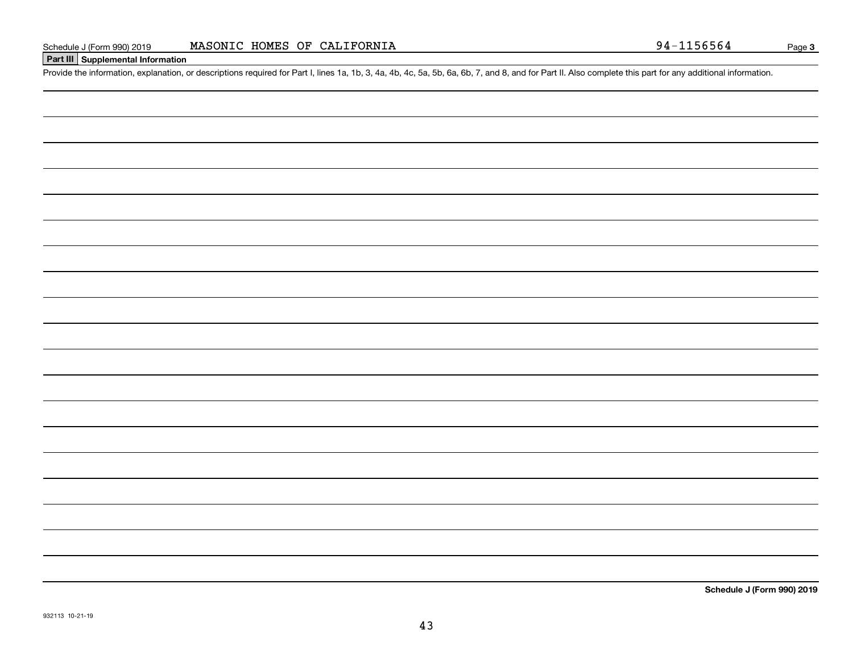### **Part III Supplemental Information**

Schedule J (Form 990) 2019 MASONIC HOMES OF CALIFORNIA<br>Part III Supplemental Information<br>Provide the information, explanation, or descriptions required for Part I, lines 1a, 1b, 3, 4a, 4b, 4c, 5a, 5b, 6a, 6b, 7, and 8, and

**Schedule J (Form 990) 2019**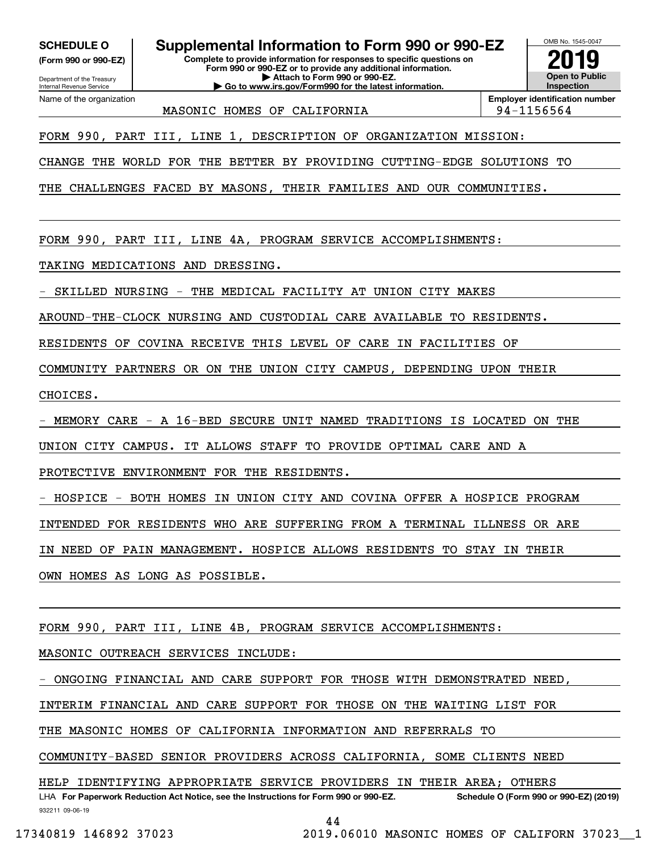**(Form 990 or 990-EZ)**

Department of the Treasury

Internal Revenue Service Name of the organization

**SCHEDULE O Supplemental Information to Form 990 or 990-EZ**

**Complete to provide information for responses to specific questions on Form 990 or 990-EZ or to provide any additional information. | Attach to Form 990 or 990-EZ. | Go to www.irs.gov/Form990 for the latest information.**



MASONIC HOMES OF CALIFORNIA FORDER RESOLUTION AND 194-1156564

**Employer identification number**

FORM 990, PART III, LINE 1, DESCRIPTION OF ORGANIZATION MISSION:

CHANGE THE WORLD FOR THE BETTER BY PROVIDING CUTTING-EDGE SOLUTIONS TO

THE CHALLENGES FACED BY MASONS, THEIR FAMILIES AND OUR COMMUNITIES.

FORM 990, PART III, LINE 4A, PROGRAM SERVICE ACCOMPLISHMENTS:

TAKING MEDICATIONS AND DRESSING.

SKILLED NURSING - THE MEDICAL FACILITY AT UNION CITY MAKES

AROUND-THE-CLOCK NURSING AND CUSTODIAL CARE AVAILABLE TO RESIDENTS.

RESIDENTS OF COVINA RECEIVE THIS LEVEL OF CARE IN FACILITIES OF

COMMUNITY PARTNERS OR ON THE UNION CITY CAMPUS, DEPENDING UPON THEIR

CHOICES.

MEMORY CARE - A 16-BED SECURE UNIT NAMED TRADITIONS IS LOCATED ON THE

UNION CITY CAMPUS. IT ALLOWS STAFF TO PROVIDE OPTIMAL CARE AND A

PROTECTIVE ENVIRONMENT FOR THE RESIDENTS.

HOSPICE - BOTH HOMES IN UNION CITY AND COVINA OFFER A HOSPICE PROGRAM

INTENDED FOR RESIDENTS WHO ARE SUFFERING FROM A TERMINAL ILLNESS OR ARE

IN NEED OF PAIN MANAGEMENT. HOSPICE ALLOWS RESIDENTS TO STAY IN THEIR

OWN HOMES AS LONG AS POSSIBLE.

FORM 990, PART III, LINE 4B, PROGRAM SERVICE ACCOMPLISHMENTS:

MASONIC OUTREACH SERVICES INCLUDE:

ONGOING FINANCIAL AND CARE SUPPORT FOR THOSE WITH DEMONSTRATED NEED,

INTERIM FINANCIAL AND CARE SUPPORT FOR THOSE ON THE WAITING LIST FOR

THE MASONIC HOMES OF CALIFORNIA INFORMATION AND REFERRALS TO

COMMUNITY-BASED SENIOR PROVIDERS ACROSS CALIFORNIA, SOME CLIENTS NEED

HELP IDENTIFYING APPROPRIATE SERVICE PROVIDERS IN THEIR AREA; OTHERS

932211 09-06-19 LHA For Paperwork Reduction Act Notice, see the Instructions for Form 990 or 990-EZ. Schedule O (Form 990 or 990-EZ) (2019)

```
44
```
17340819 146892 37023 2019.06010 MASONIC HOMES OF CALIFORN 37023\_\_1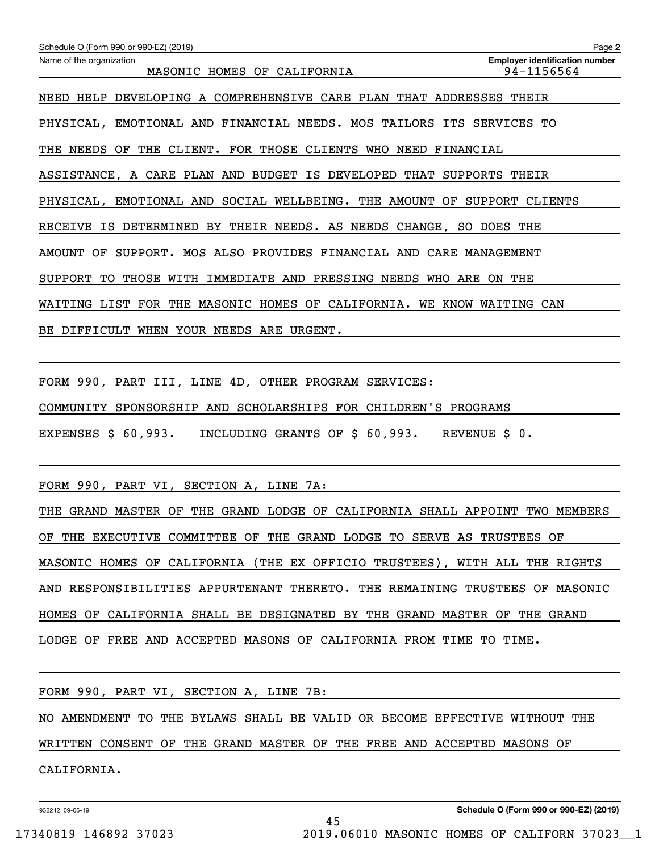| Schedule O (Form 990 or 990-EZ) (2019)                                                | Page 2                                              |
|---------------------------------------------------------------------------------------|-----------------------------------------------------|
| Name of the organization<br>MASONIC HOMES OF<br>CALIFORNIA                            | <b>Employer identification number</b><br>94-1156564 |
| DEVELOPING A COMPREHENSIVE CARE PLAN<br>HELP<br>THAT<br>ADDRESSES<br>NEED             | THEIR                                               |
| EMOTIONAL AND<br>FINANCIAL NEEDS. MOS<br>TAILORS<br>ITS<br>PHYSICAL,                  | SERVICES<br>TО                                      |
| NEEDS<br>CLIENT.<br>FOR THOSE CLIENTS<br>NEED<br>OF<br>THE<br>WHO<br>FINANCIAL<br>THE |                                                     |
| ASSISTANCE, A CARE PLAN AND BUDGET IS DEVELOPED<br>THAT<br><b>SUPPORTS</b>            | THEIR                                               |
| PHYSICAL,<br>EMOTIONAL AND<br>SOCIAL WELLBEING. THE<br>AMOUNT<br>OF.                  | <b>SUPPORT</b><br><b>CLIENTS</b>                    |
| DETERMINED<br>THEIR NEEDS. AS NEEDS<br>CHANGE,<br>RECEIVE<br>ΙS<br>BY<br>SO.          | DOES<br>THE                                         |
| MOS ALSO PROVIDES<br><b>AMOUNT</b><br>ОF<br>SUPPORT.<br>FINANCIAL AND                 | CARE MANAGEMENT                                     |
| THOSE<br>IMMEDIATE<br>AND<br>PRESSING<br>NEEDS<br>ARE<br>SUPPORT<br>TО<br>WITH<br>WHO | THE<br>ON.                                          |
| FOR<br>MASONIC HOMES OF<br>CALIFORNIA.<br>KNOW<br>WAITING<br>LIST<br>THE<br>WE        | WAITING<br>CAN                                      |
| DIFFICULT<br>WHEN<br>YOUR<br>NEEDS<br>ARE<br>URGENT.<br>BE.                           |                                                     |

FORM 990, PART III, LINE 4D, OTHER PROGRAM SERVICES: COMMUNITY SPONSORSHIP AND SCHOLARSHIPS FOR CHILDREN'S PROGRAMS EXPENSES \$ 60,993. INCLUDING GRANTS OF \$ 60,993. REVENUE \$ 0.

FORM 990, PART VI, SECTION A, LINE 7A:

THE GRAND MASTER OF THE GRAND LODGE OF CALIFORNIA SHALL APPOINT TWO MEMBERS OF THE EXECUTIVE COMMITTEE OF THE GRAND LODGE TO SERVE AS TRUSTEES OF MASONIC HOMES OF CALIFORNIA (THE EX OFFICIO TRUSTEES), WITH ALL THE RIGHTS AND RESPONSIBILITIES APPURTENANT THERETO. THE REMAINING TRUSTEES OF MASONIC HOMES OF CALIFORNIA SHALL BE DESIGNATED BY THE GRAND MASTER OF THE GRAND LODGE OF FREE AND ACCEPTED MASONS OF CALIFORNIA FROM TIME TO TIME.

FORM 990, PART VI, SECTION A, LINE 7B: NO AMENDMENT TO THE BYLAWS SHALL BE VALID OR BECOME EFFECTIVE WITHOUT THE WRITTEN CONSENT OF THE GRAND MASTER OF THE FREE AND ACCEPTED MASONS OF CALIFORNIA.

45

932212 09-06-19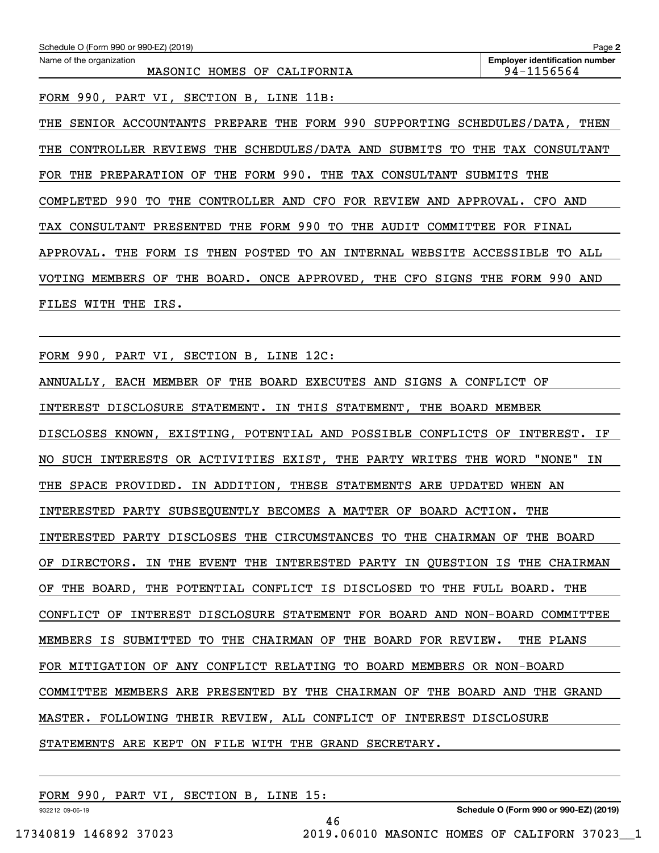| Schedule O (Form 990 or 990-EZ) (2019)                                            | Page 2                                              |
|-----------------------------------------------------------------------------------|-----------------------------------------------------|
| Name of the organization<br>MASONIC HOMES OF<br>CALIFORNIA                        | <b>Employer identification number</b><br>94-1156564 |
| 990, PART VI,<br>SECTION B, LINE 11B:<br>FORM                                     |                                                     |
| SENIOR ACCOUNTANTS PREPARE THE FORM 990<br>SUPPORTING SCHEDULES/DATA,<br>THE      | THEN                                                |
| CONTROLLER REVIEWS THE SCHEDULES/DATA AND SUBMITS<br>THE<br>TO                    | THE<br>TAX CONSULTANT                               |
| THE FORM 990. THE TAX CONSULTANT<br>FOR THE<br>PREPARATION<br>OF                  | SUBMITS THE                                         |
| 990<br>CONTROLLER AND CFO FOR REVIEW<br>TО<br>THE<br>AND APPROVAL.<br>COMPLETED   | CFO AND                                             |
| FORM 990<br>THE<br>TО<br>THE<br>AUDIT<br>COMMITTEE<br>TAX CONSULTANT<br>PRESENTED | <b>FOR</b><br>FINAL                                 |
| FORM IS<br>POSTED<br>TО<br>AN<br>WEBSITE<br>APPROVAL.<br>THE<br>THEN<br>INTERNAL  | ACCESSIBLE<br>TO ALL                                |
| MEMBERS<br>BOARD.<br>ONCE APPROVED, THE CFO<br>SIGNS<br>VOTING<br>OF<br>THE       | FORM<br>990<br>THE<br>AND                           |
| THE<br>FILES<br>WITH<br>IRS.                                                      |                                                     |

FORM 990, PART VI, SECTION B, LINE 12C:

ANNUALLY, EACH MEMBER OF THE BOARD EXECUTES AND SIGNS A CONFLICT OF INTEREST DISCLOSURE STATEMENT. IN THIS STATEMENT, THE BOARD MEMBER DISCLOSES KNOWN, EXISTING, POTENTIAL AND POSSIBLE CONFLICTS OF INTEREST. IF NO SUCH INTERESTS OR ACTIVITIES EXIST, THE PARTY WRITES THE WORD "NONE" IN THE SPACE PROVIDED. IN ADDITION, THESE STATEMENTS ARE UPDATED WHEN AN INTERESTED PARTY SUBSEQUENTLY BECOMES A MATTER OF BOARD ACTION. THE INTERESTED PARTY DISCLOSES THE CIRCUMSTANCES TO THE CHAIRMAN OF THE BOARD OF DIRECTORS. IN THE EVENT THE INTERESTED PARTY IN QUESTION IS THE CHAIRMAN OF THE BOARD, THE POTENTIAL CONFLICT IS DISCLOSED TO THE FULL BOARD. THE CONFLICT OF INTEREST DISCLOSURE STATEMENT FOR BOARD AND NON-BOARD COMMITTEE MEMBERS IS SUBMITTED TO THE CHAIRMAN OF THE BOARD FOR REVIEW. THE PLANS FOR MITIGATION OF ANY CONFLICT RELATING TO BOARD MEMBERS OR NON-BOARD COMMITTEE MEMBERS ARE PRESENTED BY THE CHAIRMAN OF THE BOARD AND THE GRAND MASTER. FOLLOWING THEIR REVIEW, ALL CONFLICT OF INTEREST DISCLOSURE STATEMENTS ARE KEPT ON FILE WITH THE GRAND SECRETARY.

46

FORM 990, PART VI, SECTION B, LINE 15:

932212 09-06-19

**Schedule O (Form 990 or 990-EZ) (2019)**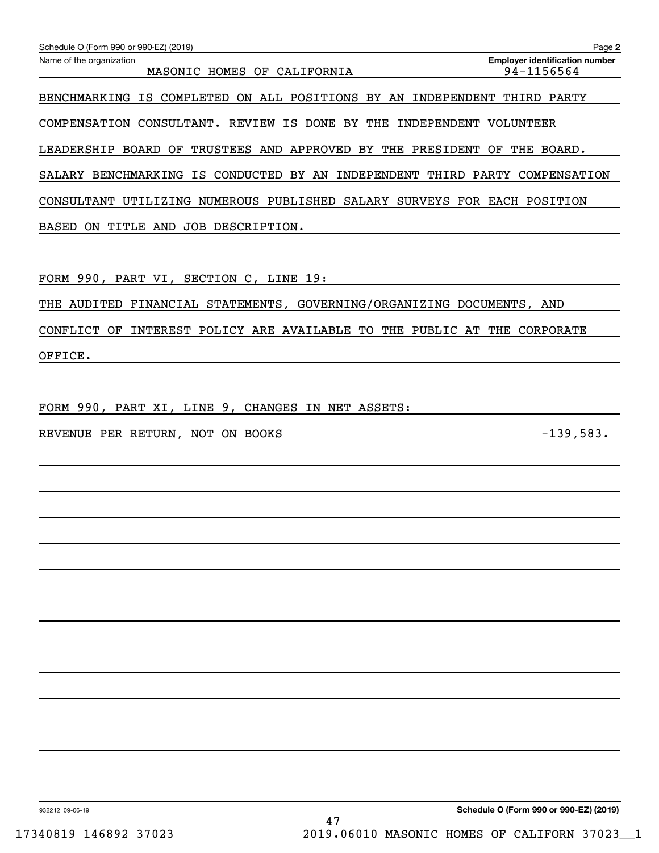| Schedule O (Form 990 or 990-EZ) (2019)                                      | Page 2                                              |
|-----------------------------------------------------------------------------|-----------------------------------------------------|
| Name of the organization<br>MASONIC HOMES OF CALIFORNIA                     | <b>Employer identification number</b><br>94-1156564 |
| BENCHMARKING IS COMPLETED ON ALL POSITIONS BY AN INDEPENDENT THIRD PARTY    |                                                     |
| COMPENSATION CONSULTANT. REVIEW IS DONE BY THE INDEPENDENT VOLUNTEER        |                                                     |
| LEADERSHIP BOARD OF TRUSTEES AND APPROVED BY THE PRESIDENT OF THE BOARD.    |                                                     |
| SALARY BENCHMARKING IS CONDUCTED BY AN INDEPENDENT THIRD PARTY COMPENSATION |                                                     |
| CONSULTANT UTILIZING NUMEROUS PUBLISHED SALARY SURVEYS FOR EACH POSITION    |                                                     |
| BASED ON TITLE AND JOB DESCRIPTION.                                         |                                                     |
|                                                                             |                                                     |
| FORM 990, PART VI, SECTION C, LINE 19:                                      |                                                     |
| THE AUDITED FINANCIAL STATEMENTS, GOVERNING/ORGANIZING DOCUMENTS, AND       |                                                     |
| CONFLICT OF INTEREST POLICY ARE AVAILABLE TO THE PUBLIC AT THE CORPORATE    |                                                     |
| OFFICE.                                                                     |                                                     |
|                                                                             |                                                     |
| FORM 990, PART XI, LINE 9, CHANGES IN NET ASSETS:                           |                                                     |
| REVENUE PER RETURN, NOT ON BOOKS                                            | $-139,583.$                                         |
|                                                                             |                                                     |
|                                                                             |                                                     |
|                                                                             |                                                     |
|                                                                             |                                                     |
|                                                                             |                                                     |
|                                                                             |                                                     |
|                                                                             |                                                     |
|                                                                             |                                                     |
|                                                                             |                                                     |
|                                                                             |                                                     |
|                                                                             |                                                     |
|                                                                             |                                                     |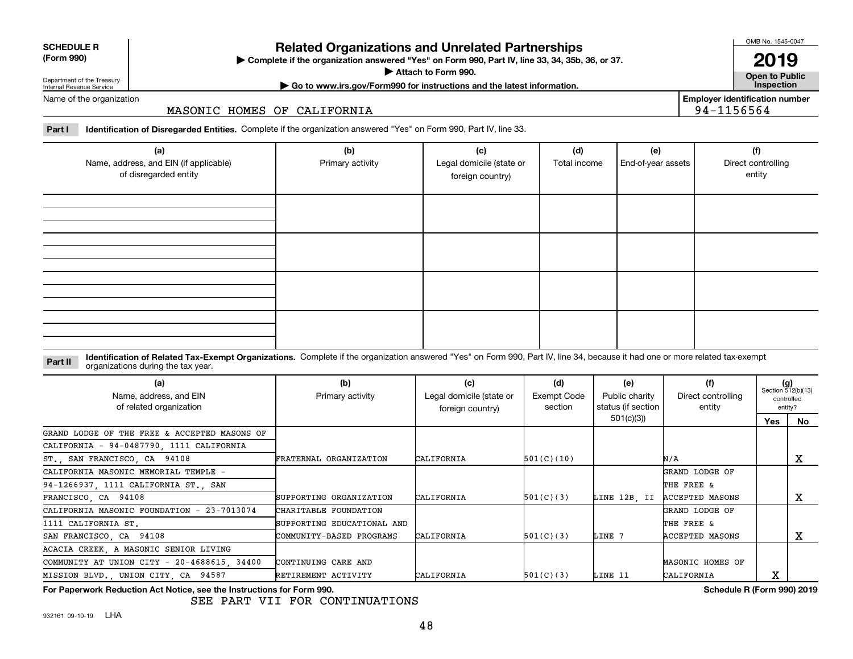| <b>SCHEDULE R</b>                          |  |
|--------------------------------------------|--|
| $\mathbf{r}$ , $\mathbf{r}$ , $\mathbf{r}$ |  |

### **(Form 990)**

## **Related Organizations and Unrelated Partnerships**

**Complete if the organization answered "Yes" on Form 990, Part IV, line 33, 34, 35b, 36, or 37.** |

**Attach to Form 990.**  |

OMB No. 1545-0047 **2019**

**Open to Public | Go to www.irs.gov/Form990 for instructions and the latest information. Inspection**

**Employer identification number**

94-1156564

Department of the Treasury Internal Revenue Service Name of the organization

MASONIC HOMES OF CALIFORNIA

**Part I Identification of Disregarded Entities.**  Complete if the organization answered "Yes" on Form 990, Part IV, line 33.

| (a)<br>Name, address, and EIN (if applicable)<br>of disregarded entity | (b)<br>Primary activity | (c)<br>Legal domicile (state or<br>foreign country) | (d)<br>Total income | (e)<br>End-of-year assets | (f)<br>Direct controlling<br>entity |
|------------------------------------------------------------------------|-------------------------|-----------------------------------------------------|---------------------|---------------------------|-------------------------------------|
|                                                                        |                         |                                                     |                     |                           |                                     |
|                                                                        |                         |                                                     |                     |                           |                                     |
|                                                                        |                         |                                                     |                     |                           |                                     |
|                                                                        |                         |                                                     |                     |                           |                                     |

**Identification of Related Tax-Exempt Organizations.** Complete if the organization answered "Yes" on Form 990, Part IV, line 34, because it had one or more related tax-exempt **Part II** organizations during the tax year.

| (a)<br>Name, address, and EIN<br>of related organization | (b)<br>Primary activity    | (c)<br>Legal domicile (state or<br>foreign country) | (d)<br>Exempt Code<br>section | (e)<br>Public charity<br>status (if section | (f)<br>Direct controlling<br>entity |     | $(g)$<br>Section 512(b)(13)<br>controlled<br>entity? |
|----------------------------------------------------------|----------------------------|-----------------------------------------------------|-------------------------------|---------------------------------------------|-------------------------------------|-----|------------------------------------------------------|
|                                                          |                            |                                                     |                               | 501(c)(3))                                  |                                     | Yes | No                                                   |
| GRAND LODGE OF THE FREE & ACCEPTED MASONS OF             |                            |                                                     |                               |                                             |                                     |     |                                                      |
| CALIFORNIA - 94-0487790, 1111 CALIFORNIA                 |                            |                                                     |                               |                                             |                                     |     |                                                      |
| ST., SAN FRANCISCO, CA 94108                             | FRATERNAL ORGANIZATION     | CALIFORNIA                                          | 501(C)(10)                    |                                             | N/A                                 |     | х                                                    |
| CALIFORNIA MASONIC MEMORIAL TEMPLE -                     |                            |                                                     |                               |                                             | GRAND LODGE OF                      |     |                                                      |
| 94-1266937, 1111 CALIFORNIA ST., SAN                     |                            |                                                     |                               |                                             | THE FREE &                          |     |                                                      |
| FRANCISCO, CA 94108                                      | SUPPORTING ORGANIZATION    | CALIFORNIA                                          | 501(C)(3)                     | LINE 12B. II                                | <b>ACCEPTED MASONS</b>              |     | x                                                    |
| CALIFORNIA MASONIC FOUNDATION - 23-7013074               | CHARITABLE FOUNDATION      |                                                     |                               |                                             | GRAND LODGE OF                      |     |                                                      |
| 1111 CALIFORNIA ST.                                      | SUPPORTING EDUCATIONAL AND |                                                     |                               |                                             | THE FREE &                          |     |                                                      |
| SAN FRANCISCO, CA 94108                                  | COMMUNITY-BASED PROGRAMS   | CALIFORNIA                                          | 501(C)(3)                     | LINE 7                                      | <b>ACCEPTED MASONS</b>              |     | x                                                    |
| ACACIA CREEK, A MASONIC SENIOR LIVING                    |                            |                                                     |                               |                                             |                                     |     |                                                      |
| COMMUNITY AT UNION CITY - 20-4688615, 34400              | CONTINUING CARE AND        |                                                     |                               |                                             | MASONIC HOMES OF                    |     |                                                      |
| MISSION BLVD., UNION CITY, CA 94587                      | RETIREMENT ACTIVITY        | CALIFORNIA                                          | 501(C)(3)                     | LINE 11                                     | CALIFORNIA                          | х   |                                                      |

**For Paperwork Reduction Act Notice, see the Instructions for Form 990. Schedule R (Form 990) 2019**

SEE PART VII FOR CONTINUATIONS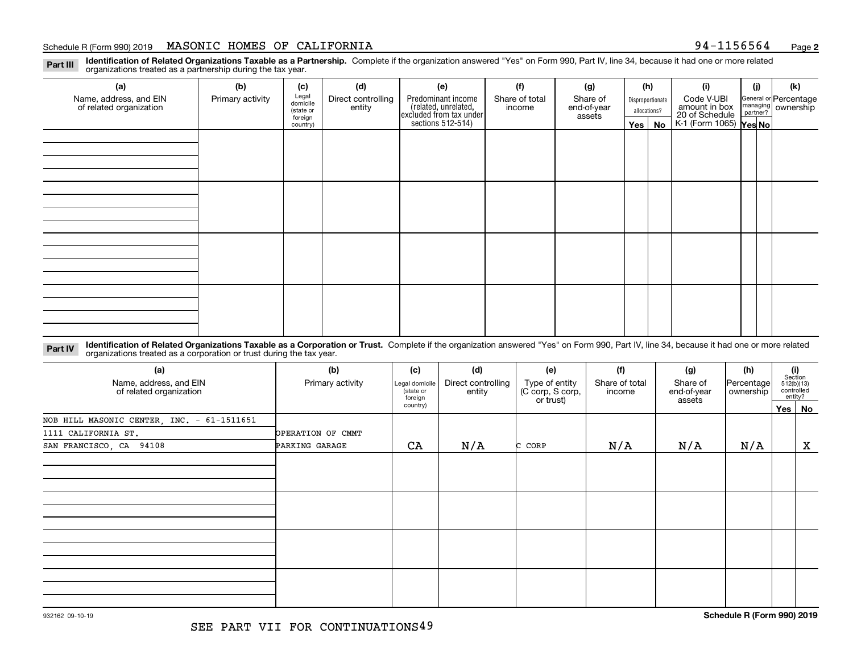### Schedule R (Form 990) 2019  ${\tt MASONIC}$   ${\tt HOMES}$   ${\tt OF}$   ${\tt CALIFORMIA}$   ${\tt SCH}$   ${\tt SCH}$   ${\tt SCH}$   ${\tt SCH}$   ${\tt SCH}$   ${\tt SCH}$   ${\tt Page}$

**2**

**Identification of Related Organizations Taxable as a Partnership.** Complete if the organization answered "Yes" on Form 990, Part IV, line 34, because it had one or more related **Part III** organizations treated as a partnership during the tax year.

| (a)                                               | (b)              | (c)                  | (d)                          | (e)                                                                 | (f)                      | (g)                     |            | (h)              | (i)                                       | (i) | (k)                                                     |
|---------------------------------------------------|------------------|----------------------|------------------------------|---------------------------------------------------------------------|--------------------------|-------------------------|------------|------------------|-------------------------------------------|-----|---------------------------------------------------------|
| Name, address, and EIN<br>of related organization | Primary activity | Legal<br>domicile    | Direct controlling<br>entity | Predominant income                                                  | Share of total<br>income | Share of<br>end-of-year |            | Disproportionate | Code V-UBI<br>amount in box               |     | General or Percentage<br>managing ownership<br>partner? |
|                                                   |                  | (state or<br>foreign |                              |                                                                     |                          | assets                  |            | allocations?     |                                           |     |                                                         |
|                                                   |                  | country)             |                              | related, unrelated,<br>excluded from tax under<br>sections 512-514) |                          |                         | $Yes \mid$ | No               | 20 of Schedule<br>K-1 (Form 1065) Yes No. |     |                                                         |
|                                                   |                  |                      |                              |                                                                     |                          |                         |            |                  |                                           |     |                                                         |
|                                                   |                  |                      |                              |                                                                     |                          |                         |            |                  |                                           |     |                                                         |
|                                                   |                  |                      |                              |                                                                     |                          |                         |            |                  |                                           |     |                                                         |
|                                                   |                  |                      |                              |                                                                     |                          |                         |            |                  |                                           |     |                                                         |
|                                                   |                  |                      |                              |                                                                     |                          |                         |            |                  |                                           |     |                                                         |
|                                                   |                  |                      |                              |                                                                     |                          |                         |            |                  |                                           |     |                                                         |
|                                                   |                  |                      |                              |                                                                     |                          |                         |            |                  |                                           |     |                                                         |
|                                                   |                  |                      |                              |                                                                     |                          |                         |            |                  |                                           |     |                                                         |
|                                                   |                  |                      |                              |                                                                     |                          |                         |            |                  |                                           |     |                                                         |
|                                                   |                  |                      |                              |                                                                     |                          |                         |            |                  |                                           |     |                                                         |
|                                                   |                  |                      |                              |                                                                     |                          |                         |            |                  |                                           |     |                                                         |
|                                                   |                  |                      |                              |                                                                     |                          |                         |            |                  |                                           |     |                                                         |
|                                                   |                  |                      |                              |                                                                     |                          |                         |            |                  |                                           |     |                                                         |
|                                                   |                  |                      |                              |                                                                     |                          |                         |            |                  |                                           |     |                                                         |
|                                                   |                  |                      |                              |                                                                     |                          |                         |            |                  |                                           |     |                                                         |
|                                                   |                  |                      |                              |                                                                     |                          |                         |            |                  |                                           |     |                                                         |
|                                                   |                  |                      |                              |                                                                     |                          |                         |            |                  |                                           |     |                                                         |

**Identification of Related Organizations Taxable as a Corporation or Trust.** Complete if the organization answered "Yes" on Form 990, Part IV, line 34, because it had one or more related **Part IV** organizations treated as a corporation or trust during the tax year.

| (a)<br>Name, address, and EIN<br>of related organization | (b)<br>Primary activity | (c)<br>Legal domicile<br>state or<br>foreign | (d)<br>Direct controlling<br>entity | (e)<br>Type of entity<br>(C corp, S corp,<br>or trust) | (f)<br>Share of total<br>income | (g)<br>Share of<br>end-of-year<br>assets | (h)<br> Percentage <br>ownership |         | $\begin{array}{c} \textbf{(i)}\\ \text{Section}\\ 512 \text{(b)} \text{(13)}\\ \text{controlled}\end{array}$<br>entity? |
|----------------------------------------------------------|-------------------------|----------------------------------------------|-------------------------------------|--------------------------------------------------------|---------------------------------|------------------------------------------|----------------------------------|---------|-------------------------------------------------------------------------------------------------------------------------|
|                                                          |                         | country)                                     |                                     |                                                        |                                 |                                          |                                  | Yes $ $ | No                                                                                                                      |
| NOB HILL MASONIC CENTER, INC. - 61-1511651               |                         |                                              |                                     |                                                        |                                 |                                          |                                  |         |                                                                                                                         |
| 1111 CALIFORNIA ST.                                      | OPERATION OF CMMT       |                                              |                                     |                                                        |                                 |                                          |                                  |         |                                                                                                                         |
| SAN FRANCISCO, CA 94108                                  | PARKING GARAGE          | CA                                           | N/A                                 | C CORP                                                 | N/A                             | N/A                                      | N/A                              |         | $\mathbf X$                                                                                                             |
|                                                          |                         |                                              |                                     |                                                        |                                 |                                          |                                  |         |                                                                                                                         |
|                                                          |                         |                                              |                                     |                                                        |                                 |                                          |                                  |         |                                                                                                                         |
|                                                          |                         |                                              |                                     |                                                        |                                 |                                          |                                  |         |                                                                                                                         |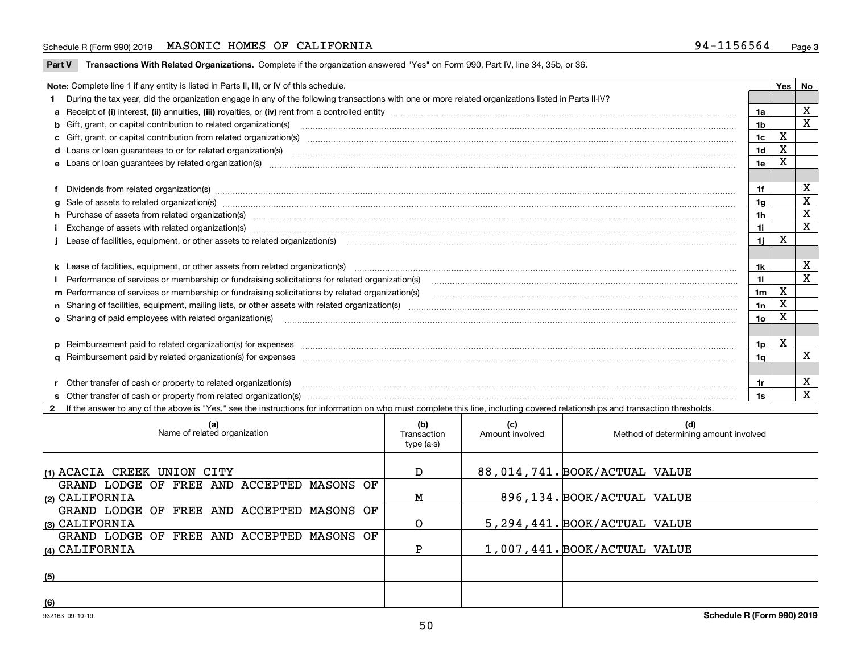### Schedule R (Form 990) 2019  ${\tt MASONIC}$   ${\tt HOMES}$   ${\tt OF}$   ${\tt CALIFORMIA}$   ${\tt SCH}$   ${\tt SCH}$   ${\tt SCH}$   ${\tt SCH}$   ${\tt SCH}$   ${\tt SCH}$   ${\tt Page}$

**Part V** T**ransactions With Related Organizations.** Complete if the organization answered "Yes" on Form 990, Part IV, line 34, 35b, or 36.

| Note: Complete line 1 if any entity is listed in Parts II, III, or IV of this schedule.                                                                                                                                        |                | Yes I | No          |
|--------------------------------------------------------------------------------------------------------------------------------------------------------------------------------------------------------------------------------|----------------|-------|-------------|
| 1 During the tax year, did the organization engage in any of the following transactions with one or more related organizations listed in Parts II-IV?                                                                          |                |       |             |
|                                                                                                                                                                                                                                | 1a             |       | X           |
| b Gift, grant, or capital contribution to related organization(s) material contracts and contribution to related organization(s)                                                                                               | 1 <sub>b</sub> |       | X           |
| c Gift, grant, or capital contribution from related organization(s) material contents and contribution from related organization(s) material contents and content of the content of the content of content of content of the c | 1c             | X     |             |
| d Loans or loan guarantees to or for related organization(s) committion contracts are constructed as a contract or contract or contract or contract or contract or contract or contract or contract or contract or contract or | 1 <sub>d</sub> | X     |             |
|                                                                                                                                                                                                                                | 1e             | X     |             |
|                                                                                                                                                                                                                                |                |       |             |
| f Dividends from related organization(s) material contents and content to contract and content of the content of the content of the content of the content of the content of the content of the content of the content of the  | 1f             |       | х           |
| g Sale of assets to related organization(s) www.assettion.com/www.assettion.com/www.assettion.com/www.assettion.com/www.assettion.com/www.assettion.com/www.assettion.com/www.assettion.com/www.assettion.com/www.assettion.co | 1a             |       | X           |
|                                                                                                                                                                                                                                | 1h             |       | X           |
| Exchange of assets with related organization(s) www.assettion.com/www.assettion.com/www.assettion.com/www.assettion.com/www.assettion.com/www.assettion.com/www.assettion.com/www.assettion.com/www.assettion.com/www.assettio | 1i.            |       | $\mathbf x$ |
|                                                                                                                                                                                                                                | 1i             | X     |             |
|                                                                                                                                                                                                                                |                |       |             |
| k Lease of facilities, equipment, or other assets from related organization(s) manufaction content and content to the content of facilities, equipment, or other assets from related organization(s) manufaction content and c | 1k             |       | X           |
|                                                                                                                                                                                                                                | 11             |       | X           |
| m Performance of services or membership or fundraising solicitations by related organization(s)                                                                                                                                | 1 <sub>m</sub> | X     |             |
|                                                                                                                                                                                                                                | 1n             | X     |             |
| <b>o</b> Sharing of paid employees with related organization(s)                                                                                                                                                                | 10             | х     |             |
|                                                                                                                                                                                                                                |                |       |             |
| p Reimbursement paid to related organization(s) for expenses [1111] and the content of the content of the content of the content of the content of the content of the content of the content of the content of the content of  | 1p             | х     |             |
|                                                                                                                                                                                                                                | 1a             |       | X           |
|                                                                                                                                                                                                                                |                |       |             |
| r Other transfer of cash or property to related organization(s)                                                                                                                                                                | 1r             |       | X           |
|                                                                                                                                                                                                                                | 1s             |       | X           |
| 2 If the answer to any of the above is "Yes," see the instructions for information on who must complete this line, including covered relationships and transaction thresholds.                                                 |                |       |             |

| (a)<br>Name of related organization                          | (b)<br>Transaction<br>type (a-s) | (c)<br>Amount involved | (d)<br>Method of determining amount involved |
|--------------------------------------------------------------|----------------------------------|------------------------|----------------------------------------------|
| (1) ACACIA CREEK UNION CITY                                  | D                                |                        | 88,014,741. BOOK/ACTUAL VALUE                |
| GRAND LODGE OF FREE AND ACCEPTED MASONS OF<br>(2) CALIFORNIA | М                                |                        | 896,134. BOOK/ACTUAL VALUE                   |
| GRAND LODGE OF FREE AND ACCEPTED MASONS OF<br>(3) CALIFORNIA | O                                |                        | 5, 294, 441. BOOK/ACTUAL VALUE               |
| GRAND LODGE OF FREE AND ACCEPTED MASONS OF<br>(4) CALIFORNIA |                                  |                        | 1,007,441. BOOK/ACTUAL VALUE                 |
| (5)                                                          |                                  |                        |                                              |
| (6)                                                          |                                  |                        |                                              |

 $\overline{\phantom{a}}$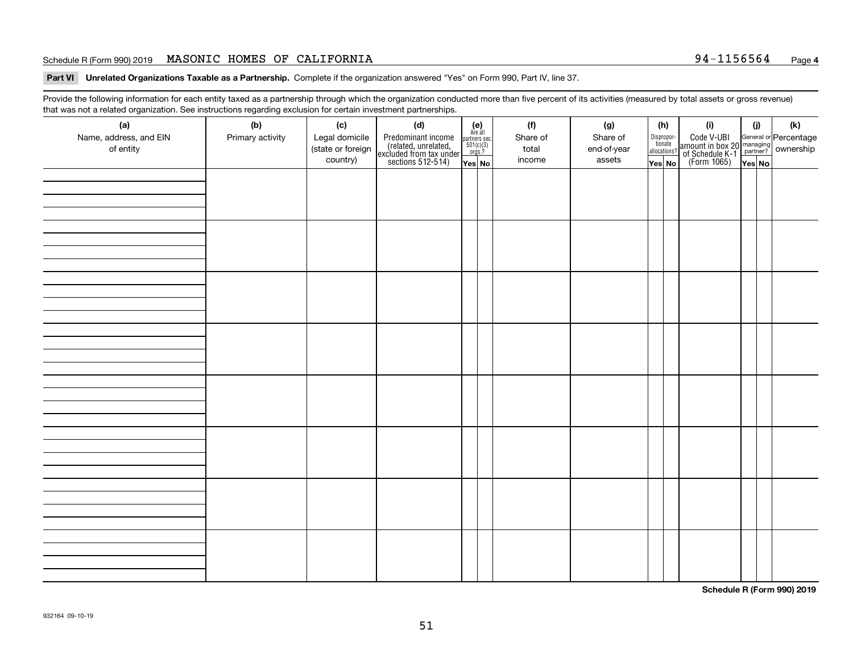### Schedule R (Form 990) 2019  ${\tt MASONIC}$   ${\tt HOMES}$   ${\tt OF}$   ${\tt CALIFORMIA}$   ${\tt SCH}$   ${\tt SCH}$   ${\tt SCH}$   ${\tt SCH}$   ${\tt SCH}$   ${\tt SCH}$   ${\tt Page}$

**Part VI Unrelated Organizations Taxable as a Partnership.**  Complete if the organization answered "Yes" on Form 990, Part IV, line 37.

Provide the following information for each entity taxed as a partnership through which the organization conducted more than five percent of its activities (measured by total assets or gross revenue) that was not a related organization. See instructions regarding exclusion for certain investment partnerships.

| - - - - -<br>(a)<br>Name, address, and EIN<br>of entity | ----- <del>-</del> -------<br>(b)<br>Primary activity | (c)<br>Legal domicile<br>(state or foreign<br>country) | (d)<br>Predominant income<br>(related, unrelated,<br>excluded from tax under<br>sections 512-514) | (e)<br>Are all<br>partners sec.<br>$501(c)(3)$<br>orgs.?<br>Yes No | (f)<br>Share of<br>total<br>income | (g)<br>Share of<br>end-of-year<br>assets | allocations? | (h)<br>Dispropor-<br>tionate<br>Yes No | (i)<br>Code V-UBI<br>amount in box 20 managing<br>of Schedule K-1<br>(Form 1065)<br>$\overline{Yes}$ No | (i)<br>Yes No | (k) |
|---------------------------------------------------------|-------------------------------------------------------|--------------------------------------------------------|---------------------------------------------------------------------------------------------------|--------------------------------------------------------------------|------------------------------------|------------------------------------------|--------------|----------------------------------------|---------------------------------------------------------------------------------------------------------|---------------|-----|
|                                                         |                                                       |                                                        |                                                                                                   |                                                                    |                                    |                                          |              |                                        |                                                                                                         |               |     |
|                                                         |                                                       |                                                        |                                                                                                   |                                                                    |                                    |                                          |              |                                        |                                                                                                         |               |     |
|                                                         |                                                       |                                                        |                                                                                                   |                                                                    |                                    |                                          |              |                                        |                                                                                                         |               |     |
|                                                         |                                                       |                                                        |                                                                                                   |                                                                    |                                    |                                          |              |                                        |                                                                                                         |               |     |
|                                                         |                                                       |                                                        |                                                                                                   |                                                                    |                                    |                                          |              |                                        |                                                                                                         |               |     |
|                                                         |                                                       |                                                        |                                                                                                   |                                                                    |                                    |                                          |              |                                        |                                                                                                         |               |     |
|                                                         |                                                       |                                                        |                                                                                                   |                                                                    |                                    |                                          |              |                                        |                                                                                                         |               |     |
|                                                         |                                                       |                                                        |                                                                                                   |                                                                    |                                    |                                          |              |                                        |                                                                                                         |               |     |

**Schedule R (Form 990) 2019**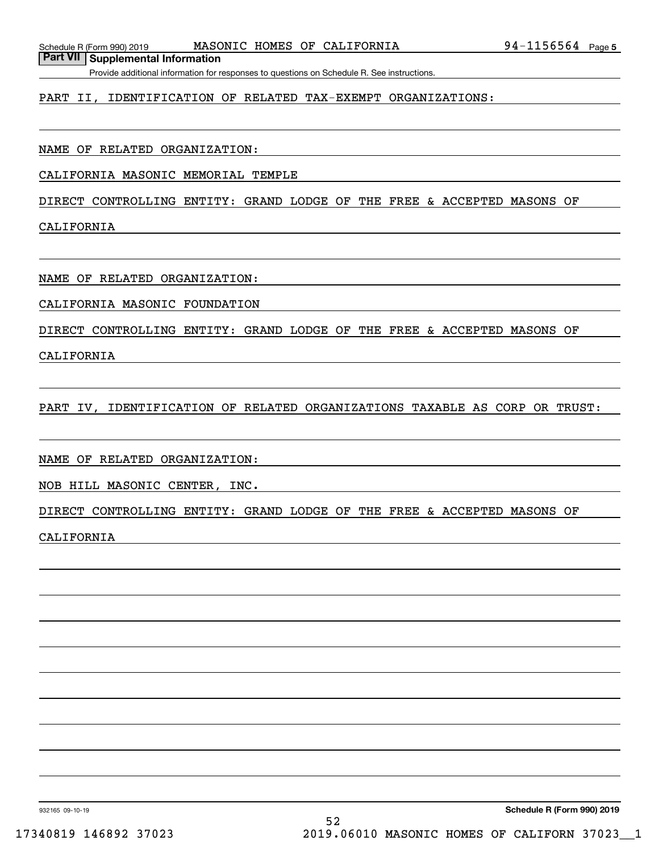**Part VII Supplemental Information**

Provide additional information for responses to questions on Schedule R. See instructions.

### PART II, IDENTIFICATION OF RELATED TAX-EXEMPT ORGANIZATIONS:

NAME OF RELATED ORGANIZATION:

CALIFORNIA MASONIC MEMORIAL TEMPLE

DIRECT CONTROLLING ENTITY: GRAND LODGE OF THE FREE & ACCEPTED MASONS OF

CALIFORNIA

NAME OF RELATED ORGANIZATION:

CALIFORNIA MASONIC FOUNDATION

DIRECT CONTROLLING ENTITY: GRAND LODGE OF THE FREE & ACCEPTED MASONS OF

CALIFORNIA

PART IV, IDENTIFICATION OF RELATED ORGANIZATIONS TAXABLE AS CORP OR TRUST:

NAME OF RELATED ORGANIZATION:

NOB HILL MASONIC CENTER, INC.

DIRECT CONTROLLING ENTITY: GRAND LODGE OF THE FREE & ACCEPTED MASONS OF

CALIFORNIA

932165 09-10-19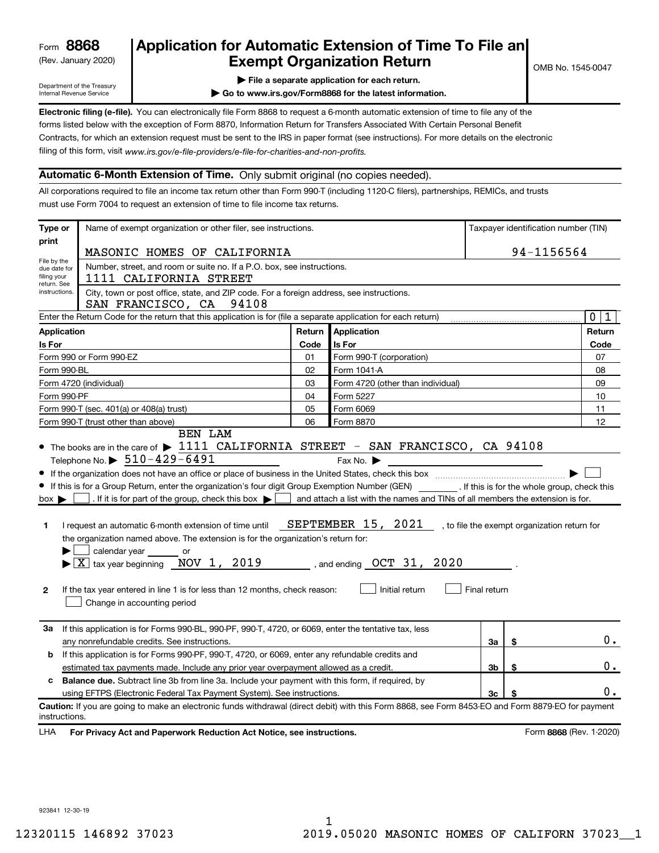# (Rev. January 2020) **Cxempt Organization Return** Manuary 2020) **Canadia Return 8868 Application for Automatic Extension of Time To File an**

Department of the Treasury Internal Revenue Service

**| File a separate application for each return.**

**| Go to www.irs.gov/Form8868 for the latest information.**

**Electronic filing (e-file).** You can electronically file Form 8868 to request a 6-month automatic extension of time to file any of the filing of this form, visit www.irs.gov/e-file-providers/e-file-for-charities-and-non-profits. forms listed below with the exception of Form 8870, Information Return for Transfers Associated With Certain Personal Benefit Contracts, for which an extension request must be sent to the IRS in paper format (see instructions). For more details on the electronic

### **Automatic 6-Month Extension of Time.** Only submit original (no copies needed).

All corporations required to file an income tax return other than Form 990-T (including 1120-C filers), partnerships, REMICs, and trusts must use Form 7004 to request an extension of time to file income tax returns.

| Type or                                                   | Name of exempt organization or other filer, see instructions.                                                                                                                                                                                                                                                                                                                                                                                                                                                                                                                                                |        |                                                                                                                                                                                                    |                | Taxpayer identification number (TIN) |
|-----------------------------------------------------------|--------------------------------------------------------------------------------------------------------------------------------------------------------------------------------------------------------------------------------------------------------------------------------------------------------------------------------------------------------------------------------------------------------------------------------------------------------------------------------------------------------------------------------------------------------------------------------------------------------------|--------|----------------------------------------------------------------------------------------------------------------------------------------------------------------------------------------------------|----------------|--------------------------------------|
| print                                                     | MASONIC HOMES OF CALIFORNIA                                                                                                                                                                                                                                                                                                                                                                                                                                                                                                                                                                                  |        |                                                                                                                                                                                                    |                | 94-1156564                           |
| File by the<br>due date for<br>filing your<br>return. See | Number, street, and room or suite no. If a P.O. box, see instructions.<br>1111 CALIFORNIA STREET                                                                                                                                                                                                                                                                                                                                                                                                                                                                                                             |        |                                                                                                                                                                                                    |                |                                      |
| instructions.                                             | City, town or post office, state, and ZIP code. For a foreign address, see instructions.<br>SAN FRANCISCO, CA 94108                                                                                                                                                                                                                                                                                                                                                                                                                                                                                          |        |                                                                                                                                                                                                    |                |                                      |
|                                                           | Enter the Return Code for the return that this application is for (file a separate application for each return)                                                                                                                                                                                                                                                                                                                                                                                                                                                                                              |        |                                                                                                                                                                                                    |                | $\mathbf 0$<br>$\mathbf{1}$          |
| <b>Application</b>                                        |                                                                                                                                                                                                                                                                                                                                                                                                                                                                                                                                                                                                              | Return | Application                                                                                                                                                                                        |                | Return                               |
| <b>Is For</b>                                             |                                                                                                                                                                                                                                                                                                                                                                                                                                                                                                                                                                                                              | Code   | Is For                                                                                                                                                                                             |                | Code                                 |
|                                                           | Form 990 or Form 990-EZ                                                                                                                                                                                                                                                                                                                                                                                                                                                                                                                                                                                      | 01     | Form 990-T (corporation)                                                                                                                                                                           |                | 07                                   |
| Form 990-BL                                               |                                                                                                                                                                                                                                                                                                                                                                                                                                                                                                                                                                                                              | 02     | Form 1041-A                                                                                                                                                                                        |                | 08                                   |
|                                                           | Form 4720 (individual)                                                                                                                                                                                                                                                                                                                                                                                                                                                                                                                                                                                       | 03     | Form 4720 (other than individual)                                                                                                                                                                  |                | 09                                   |
| Form 990-PF                                               |                                                                                                                                                                                                                                                                                                                                                                                                                                                                                                                                                                                                              | 04     | Form 5227                                                                                                                                                                                          |                | 10                                   |
|                                                           | Form 990-T (sec. 401(a) or 408(a) trust)                                                                                                                                                                                                                                                                                                                                                                                                                                                                                                                                                                     | 05     | Form 6069                                                                                                                                                                                          |                | 11                                   |
|                                                           | Form 990-T (trust other than above)                                                                                                                                                                                                                                                                                                                                                                                                                                                                                                                                                                          | 06     | Form 8870                                                                                                                                                                                          |                | 12                                   |
| $box \blacktriangleright$<br>1<br>2                       | If this is for a Group Return, enter the organization's four digit Group Exemption Number (GEN) _________. If this is for the whole group, check this<br>. If it is for part of the group, check this box $\blacktriangleright$<br>I request an automatic 6-month extension of time until<br>the organization named above. The extension is for the organization's return for:<br>calendar year or<br>$\blacktriangleright$ $\boxed{\text{X}}$ tax year beginning $\boxed{\text{NOV}}$ 1, 2019<br>If the tax year entered in line 1 is for less than 12 months, check reason:<br>Change in accounting period |        | and attach a list with the names and TINs of all members the extension is for.<br>SEPTEMBER 15, 2021 , to file the exempt organization return for<br>, and ending $OCT$ 31, 2020<br>Initial return | Final return   |                                      |
| За                                                        | If this application is for Forms 990-BL, 990-PF, 990-T, 4720, or 6069, enter the tentative tax, less<br>any nonrefundable credits. See instructions.                                                                                                                                                                                                                                                                                                                                                                                                                                                         |        |                                                                                                                                                                                                    | За             | \$<br>$0$ .                          |
| b                                                         | If this application is for Forms 990-PF, 990-T, 4720, or 6069, enter any refundable credits and                                                                                                                                                                                                                                                                                                                                                                                                                                                                                                              |        |                                                                                                                                                                                                    |                |                                      |
|                                                           | estimated tax payments made. Include any prior year overpayment allowed as a credit.                                                                                                                                                                                                                                                                                                                                                                                                                                                                                                                         |        |                                                                                                                                                                                                    | 3 <sub>b</sub> | \$<br>0.                             |
| c                                                         | <b>Balance due.</b> Subtract line 3b from line 3a. Include your payment with this form, if required, by                                                                                                                                                                                                                                                                                                                                                                                                                                                                                                      |        |                                                                                                                                                                                                    |                |                                      |
|                                                           | using EFTPS (Electronic Federal Tax Payment System). See instructions.                                                                                                                                                                                                                                                                                                                                                                                                                                                                                                                                       |        |                                                                                                                                                                                                    | 3 <sub>c</sub> | 0.                                   |
| instructions.                                             | Caution: If you are going to make an electronic funds withdrawal (direct debit) with this Form 8868, see Form 8453-EO and Form 8879-EO for payment                                                                                                                                                                                                                                                                                                                                                                                                                                                           |        |                                                                                                                                                                                                    |                |                                      |
| LHA                                                       | For Privacy Act and Paperwork Reduction Act Notice, see instructions.                                                                                                                                                                                                                                                                                                                                                                                                                                                                                                                                        |        |                                                                                                                                                                                                    |                | Form 8868 (Rev. 1-2020)              |

923841 12-30-19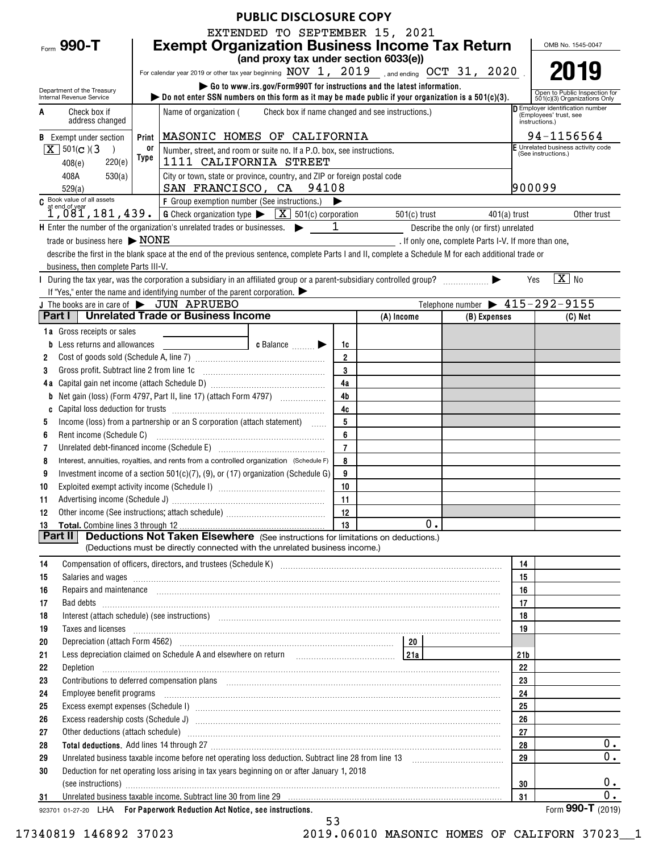| <b>PUBLIC DISCLOSURE COPY</b>                                                                                                                                                                                                                                                                                                                      |                                                                                                                         |                                                      |                                                     |          |                                                                  |  |  |  |  |  |
|----------------------------------------------------------------------------------------------------------------------------------------------------------------------------------------------------------------------------------------------------------------------------------------------------------------------------------------------------|-------------------------------------------------------------------------------------------------------------------------|------------------------------------------------------|-----------------------------------------------------|----------|------------------------------------------------------------------|--|--|--|--|--|
| EXTENDED TO SEPTEMBER 15, 2021                                                                                                                                                                                                                                                                                                                     |                                                                                                                         |                                                      |                                                     |          |                                                                  |  |  |  |  |  |
| <b>Exempt Organization Business Income Tax Return</b><br>Form 990-T                                                                                                                                                                                                                                                                                |                                                                                                                         |                                                      |                                                     |          | OMB No. 1545-0047                                                |  |  |  |  |  |
| (and proxy tax under section 6033(e))                                                                                                                                                                                                                                                                                                              |                                                                                                                         |                                                      |                                                     |          |                                                                  |  |  |  |  |  |
| For calendar year 2019 or other tax year beginning $\overline{\text{NOV}}$ 1, 2019 , and ending $\overline{\text{OCT}}$ 31, 2020                                                                                                                                                                                                                   |                                                                                                                         |                                                      |                                                     |          |                                                                  |  |  |  |  |  |
| Go to www.irs.gov/Form990T for instructions and the latest information.<br>Department of the Treasury                                                                                                                                                                                                                                              |                                                                                                                         |                                                      |                                                     |          | Open to Public Inspection for                                    |  |  |  |  |  |
| bo not enter SSN numbers on this form as it may be made public if your organization is a $501(c)(3)$ .<br>Internal Revenue Service                                                                                                                                                                                                                 |                                                                                                                         |                                                      |                                                     |          | 501(c)(3) Organizations Only<br>D Employer identification number |  |  |  |  |  |
| Name of organization (<br>Check box if<br>A<br>address changed                                                                                                                                                                                                                                                                                     |                                                                                                                         | Check box if name changed and see instructions.)     |                                                     |          | (Employees' trust, see<br>instructions.)                         |  |  |  |  |  |
|                                                                                                                                                                                                                                                                                                                                                    |                                                                                                                         |                                                      |                                                     |          | 94-1156564                                                       |  |  |  |  |  |
| MASONIC HOMES OF CALIFORNIA<br><b>B</b> Exempt under section<br>Print<br>$X \mid 501(c)$ (3<br>0ľ                                                                                                                                                                                                                                                  |                                                                                                                         |                                                      |                                                     |          | E Unrelated business activity code                               |  |  |  |  |  |
| Type<br>220(e)<br>408(e)                                                                                                                                                                                                                                                                                                                           | Number, street, and room or suite no. If a P.O. box, see instructions.<br>(See instructions.)<br>1111 CALIFORNIA STREET |                                                      |                                                     |          |                                                                  |  |  |  |  |  |
| 408A<br>530(a)<br>City or town, state or province, country, and ZIP or foreign postal code                                                                                                                                                                                                                                                         |                                                                                                                         |                                                      |                                                     |          |                                                                  |  |  |  |  |  |
| SAN FRANCISCO, CA 94108<br>529(a)                                                                                                                                                                                                                                                                                                                  |                                                                                                                         |                                                      |                                                     | 900099   |                                                                  |  |  |  |  |  |
| C Book value of all assets<br>F Group exemption number (See instructions.)<br>▶                                                                                                                                                                                                                                                                    |                                                                                                                         |                                                      |                                                     |          |                                                                  |  |  |  |  |  |
| $1,081,181,439$ .<br>$6$ Check organization type $\blacktriangleright$ $\boxed{X}$ 501(c) corporation                                                                                                                                                                                                                                              |                                                                                                                         | 501(c) trust                                         | $401(a)$ trust                                      |          | Other trust                                                      |  |  |  |  |  |
| $H$ Enter the number of the organization's unrelated trades or businesses. $\blacktriangleright$                                                                                                                                                                                                                                                   | $\mathbf{1}$                                                                                                            |                                                      | Describe the only (or first) unrelated              |          |                                                                  |  |  |  |  |  |
| trade or business here $\triangleright$ NONE                                                                                                                                                                                                                                                                                                       |                                                                                                                         | . If only one, complete Parts I-V. If more than one, |                                                     |          |                                                                  |  |  |  |  |  |
| describe the first in the blank space at the end of the previous sentence, complete Parts I and II, complete a Schedule M for each additional trade or                                                                                                                                                                                             |                                                                                                                         |                                                      |                                                     |          |                                                                  |  |  |  |  |  |
| business, then complete Parts III-V.                                                                                                                                                                                                                                                                                                               |                                                                                                                         |                                                      |                                                     |          |                                                                  |  |  |  |  |  |
|                                                                                                                                                                                                                                                                                                                                                    |                                                                                                                         |                                                      |                                                     | Yes      | $\boxed{\text{X}}$ No                                            |  |  |  |  |  |
| If "Yes," enter the name and identifying number of the parent corporation.                                                                                                                                                                                                                                                                         |                                                                                                                         |                                                      |                                                     |          |                                                                  |  |  |  |  |  |
| J The books are in care of $\triangleright$ JUN APRUEBO<br><b>Part I</b>   Unrelated Trade or Business Income                                                                                                                                                                                                                                      |                                                                                                                         |                                                      | Telephone number $\blacktriangleright$ 415-292-9155 |          |                                                                  |  |  |  |  |  |
|                                                                                                                                                                                                                                                                                                                                                    |                                                                                                                         | (A) Income                                           | (B) Expenses                                        |          | $(C)$ Net                                                        |  |  |  |  |  |
| <b>1a</b> Gross receipts or sales                                                                                                                                                                                                                                                                                                                  |                                                                                                                         |                                                      |                                                     |          |                                                                  |  |  |  |  |  |
| $\vert$ c Balance $\vert$<br><b>b</b> Less returns and allowances<br>2                                                                                                                                                                                                                                                                             | 1c<br>$\overline{2}$                                                                                                    |                                                      |                                                     |          |                                                                  |  |  |  |  |  |
| 3                                                                                                                                                                                                                                                                                                                                                  | 3                                                                                                                       |                                                      |                                                     |          |                                                                  |  |  |  |  |  |
|                                                                                                                                                                                                                                                                                                                                                    | 4a                                                                                                                      |                                                      |                                                     |          |                                                                  |  |  |  |  |  |
| Net gain (loss) (Form 4797, Part II, line 17) (attach Form 4797)<br>b                                                                                                                                                                                                                                                                              | 4 <sub>b</sub>                                                                                                          |                                                      |                                                     |          |                                                                  |  |  |  |  |  |
|                                                                                                                                                                                                                                                                                                                                                    | 4c                                                                                                                      |                                                      |                                                     |          |                                                                  |  |  |  |  |  |
| Income (loss) from a partnership or an S corporation (attach statement)<br>5                                                                                                                                                                                                                                                                       | 5                                                                                                                       |                                                      |                                                     |          |                                                                  |  |  |  |  |  |
| Rent income (Schedule C)<br>6                                                                                                                                                                                                                                                                                                                      | 6                                                                                                                       |                                                      |                                                     |          |                                                                  |  |  |  |  |  |
| Unrelated debt-financed income (Schedule E) [11] [2010] [2010] [2010] [2010] [2010] [2010] [2010] [2010] [2010<br>7                                                                                                                                                                                                                                | $\overline{7}$                                                                                                          |                                                      |                                                     |          |                                                                  |  |  |  |  |  |
| Interest, annuities, royalties, and rents from a controlled organization (Schedule F)<br>8                                                                                                                                                                                                                                                         | 8                                                                                                                       |                                                      |                                                     |          |                                                                  |  |  |  |  |  |
| Investment income of a section 501(c)(7), (9), or (17) organization (Schedule G)<br>9                                                                                                                                                                                                                                                              | 9                                                                                                                       |                                                      |                                                     |          |                                                                  |  |  |  |  |  |
| 10                                                                                                                                                                                                                                                                                                                                                 | 10                                                                                                                      |                                                      |                                                     |          |                                                                  |  |  |  |  |  |
| 11                                                                                                                                                                                                                                                                                                                                                 | 11                                                                                                                      |                                                      |                                                     |          |                                                                  |  |  |  |  |  |
| 12                                                                                                                                                                                                                                                                                                                                                 | 12                                                                                                                      |                                                      |                                                     |          |                                                                  |  |  |  |  |  |
| 13<br><b>Deductions Not Taken Elsewhere</b> (See instructions for limitations on deductions.)<br>Part II                                                                                                                                                                                                                                           | 13                                                                                                                      | 0.                                                   |                                                     |          |                                                                  |  |  |  |  |  |
| (Deductions must be directly connected with the unrelated business income.)                                                                                                                                                                                                                                                                        |                                                                                                                         |                                                      |                                                     |          |                                                                  |  |  |  |  |  |
| 14                                                                                                                                                                                                                                                                                                                                                 |                                                                                                                         |                                                      |                                                     | 14       |                                                                  |  |  |  |  |  |
| Salaries and wages information contains and contained a state of the state of the state of the state of the state of the state of the state of the state of the state of the state of the state of the state of the state of t<br>15                                                                                                               |                                                                                                                         |                                                      |                                                     | 15       |                                                                  |  |  |  |  |  |
| Repairs and maintenance <i>[1] [1] [1] [1] [1] [1] [1] [1] [1] [1]</i> [1] <b>[1]</b> [1] <b>[1]</b> [1] <b>[1] [1] [1] [1] [1] [1] [1] [1] [1] [1] [1] [1] [1] [1] [1] [1] [1] [1] [1] [1] [1] [1]</b><br>16                                                                                                                                      |                                                                                                                         |                                                      |                                                     | 16       |                                                                  |  |  |  |  |  |
| 17                                                                                                                                                                                                                                                                                                                                                 |                                                                                                                         |                                                      |                                                     | 17       |                                                                  |  |  |  |  |  |
| Interest (attach schedule) (see instructions) www.communically.communically.communically.communically.communically.communically.communically.communically.communically.communically.communically.communically.communically.com<br>18                                                                                                               |                                                                                                                         |                                                      |                                                     | 18       |                                                                  |  |  |  |  |  |
| Taxes and licenses <b>contractive and contract and contract and contract and contract and contract and contract and contract and contract and contract and contract and contract and contract and contract and contract and cont</b><br>19                                                                                                         |                                                                                                                         |                                                      |                                                     | 19       |                                                                  |  |  |  |  |  |
| 20                                                                                                                                                                                                                                                                                                                                                 |                                                                                                                         | 20                                                   |                                                     |          |                                                                  |  |  |  |  |  |
| Less depreciation claimed on Schedule A and elsewhere on return [1] [214]<br>21                                                                                                                                                                                                                                                                    |                                                                                                                         |                                                      |                                                     | 21b      |                                                                  |  |  |  |  |  |
| 22                                                                                                                                                                                                                                                                                                                                                 |                                                                                                                         |                                                      |                                                     | 22       |                                                                  |  |  |  |  |  |
| 23                                                                                                                                                                                                                                                                                                                                                 |                                                                                                                         |                                                      |                                                     | 23       |                                                                  |  |  |  |  |  |
| Employee benefit programs manufactured contains and contained a state of the contact of the contact of the contact of the contact of the contact of the contact of the contact of the contact of the contact of the contact of<br>24                                                                                                               |                                                                                                                         |                                                      |                                                     | 24       |                                                                  |  |  |  |  |  |
| 25                                                                                                                                                                                                                                                                                                                                                 | 25                                                                                                                      |                                                      |                                                     |          |                                                                  |  |  |  |  |  |
| Excess readership costs (Schedule J) <b>Marting Container Container Container Container Container Container Container</b><br>26<br>26                                                                                                                                                                                                              |                                                                                                                         |                                                      |                                                     |          |                                                                  |  |  |  |  |  |
| 27                                                                                                                                                                                                                                                                                                                                                 |                                                                                                                         |                                                      |                                                     | 27       | 0.                                                               |  |  |  |  |  |
| Total deductions. Add lines 14 through 27 [11] manufactures and the contract of the state of the contract of the contract of the contract of the contract of the contract of the contract of the contract of the contract of t<br>28<br>Unrelated business taxable income before net operating loss deduction. Subtract line 28 from line 13<br>29 |                                                                                                                         |                                                      |                                                     | 28<br>29 | 0.                                                               |  |  |  |  |  |
| Deduction for net operating loss arising in tax years beginning on or after January 1, 2018<br>30                                                                                                                                                                                                                                                  |                                                                                                                         |                                                      |                                                     |          |                                                                  |  |  |  |  |  |
| (see instructions) www.communications.com/interventions.com/interventions.com/interventions.com/interventions.                                                                                                                                                                                                                                     |                                                                                                                         |                                                      |                                                     | 30       | 0.                                                               |  |  |  |  |  |
| 31                                                                                                                                                                                                                                                                                                                                                 |                                                                                                                         |                                                      |                                                     | 31       | 0.                                                               |  |  |  |  |  |
| 923701 01-27-20 LHA For Paperwork Reduction Act Notice, see instructions.                                                                                                                                                                                                                                                                          |                                                                                                                         |                                                      |                                                     |          | Form 990-T (2019)                                                |  |  |  |  |  |

17340819 146892 37023 2019.06010 MASONIC HOMES OF CALIFORN 37023\_\_1

53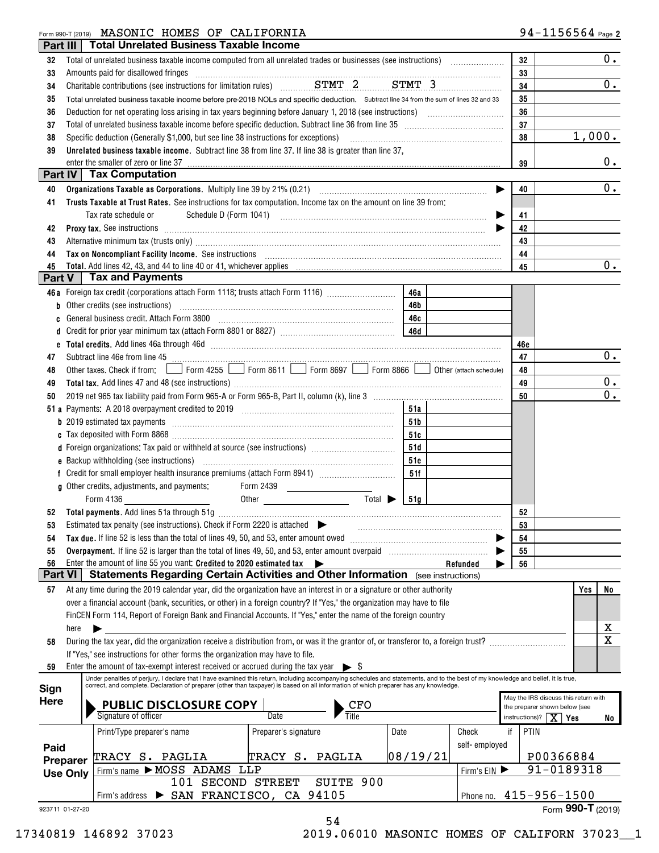### Form 990-T (2019) **MASUNIC HUMES OF CALIFUKNIA** 94-II)6)5)64 Page MASONIC HOMES OF CALIFORNIA

|                 |      | Part III   Total Unrelated Business Taxable Income                                                                                                                                                                                                                                                                                                                            |            |                        |            |                                                         |
|-----------------|------|-------------------------------------------------------------------------------------------------------------------------------------------------------------------------------------------------------------------------------------------------------------------------------------------------------------------------------------------------------------------------------|------------|------------------------|------------|---------------------------------------------------------|
| 32              |      |                                                                                                                                                                                                                                                                                                                                                                               |            |                        | 32         | 0.                                                      |
| 33              |      | Amounts paid for disallowed fringes<br>$\begin{bmatrix} \begin{bmatrix} 0 & 0 & 0 \\ 0 & 0 & 0 \\ 0 & 0 & 0 \\ 0 & 0 & 0 \\ 0 & 0 & 0 \\ 0 & 0 & 0 \\ 0 & 0 & 0 \\ 0 & 0 & 0 & 0 \\ 0 & 0 & 0 & 0 \\ 0 & 0 & 0 & 0 \\ 0 & 0 & 0 & 0 & 0 \\ 0 & 0 & 0 & 0 & 0 \\ 0 & 0 & 0 & 0 & 0 \\ 0 & 0 & 0 & 0 & 0 & 0 \\ 0 & 0 & 0 & 0 & 0 & 0 \\ 0 & 0 & 0 & 0 & 0 & 0 \\ 0 & 0 & 0 & $ |            |                        | 33         |                                                         |
| 34              |      |                                                                                                                                                                                                                                                                                                                                                                               |            |                        | 34         | 0.                                                      |
| 35              |      | Total unrelated business taxable income before pre-2018 NOLs and specific deduction. Subtract line 34 from the sum of lines 32 and 33                                                                                                                                                                                                                                         |            |                        | 35         |                                                         |
| 36              |      |                                                                                                                                                                                                                                                                                                                                                                               |            |                        | 36         |                                                         |
| 37              |      |                                                                                                                                                                                                                                                                                                                                                                               |            |                        | 37         |                                                         |
| 38              |      | Specific deduction (Generally \$1,000, but see line 38 instructions for exceptions)                                                                                                                                                                                                                                                                                           |            |                        | 38         | 1,000.                                                  |
| 39              |      | Unrelated business taxable income. Subtract line 38 from line 37. If line 38 is greater than line 37,                                                                                                                                                                                                                                                                         |            |                        |            |                                                         |
|                 |      | enter the smaller of zero or line 37                                                                                                                                                                                                                                                                                                                                          |            |                        | 39         | $0$ .                                                   |
|                 |      | <b>Part IV   Tax Computation</b>                                                                                                                                                                                                                                                                                                                                              |            |                        |            |                                                         |
| 40              |      |                                                                                                                                                                                                                                                                                                                                                                               |            | ▶                      | 40         | $0$ .                                                   |
| 41              |      | Trusts Taxable at Trust Rates. See instructions for tax computation. Income tax on the amount on line 39 from:                                                                                                                                                                                                                                                                |            |                        |            |                                                         |
|                 |      | Tax rate schedule or                                                                                                                                                                                                                                                                                                                                                          |            |                        | 41         |                                                         |
| 42              |      | Proxy tax. See instructions <i>material content content and all the set of the set of the set of the set of the set of the set of the set of the set of the set of the set of the set of the set of the set of the set of the se</i>                                                                                                                                          |            |                        | 42         |                                                         |
| 43              |      | Alternative minimum tax (trusts only) manufactured and an according term of the state of the state of the state of the state of the state of the state of the state of the state of the state of the state of the state of the                                                                                                                                                |            |                        | 43         |                                                         |
| 44              |      | Tax on Noncompliant Facility Income. See instructions [11] The manufacture in the contract of Noncompliant Facility Income. See instructions [11] The manufacture in the set of Noncompliant Facility Income See instructions                                                                                                                                                 |            |                        | 44         |                                                         |
| 45              |      |                                                                                                                                                                                                                                                                                                                                                                               |            |                        | 45         | $0$ .                                                   |
| Part V          |      | <b>Tax and Payments</b>                                                                                                                                                                                                                                                                                                                                                       |            |                        |            |                                                         |
|                 |      | 46a Foreign tax credit (corporations attach Form 1118; trusts attach Form 1116)                                                                                                                                                                                                                                                                                               | 46a        |                        |            |                                                         |
| b               |      | Other credits (see instructions) www.communically.communically.communically                                                                                                                                                                                                                                                                                                   | 46b        |                        |            |                                                         |
| c               |      | General business credit. Attach Form 3800                                                                                                                                                                                                                                                                                                                                     | 46c        |                        |            |                                                         |
| d               |      |                                                                                                                                                                                                                                                                                                                                                                               |            |                        |            |                                                         |
| e               |      |                                                                                                                                                                                                                                                                                                                                                                               |            |                        | 46e        |                                                         |
| 47              |      | Subtract line 46e from line 45 <b>manually constant and the formula</b> construction of the state of the state of the state of the state of the state of the state of the state of the state of the state of the state of the state                                                                                                                                           |            |                        | 47         | 0.                                                      |
| 48              |      | Other taxes. Check if from: Form 4255 Form 8611 Form 8697 Steve 866 Other (attach schedule)                                                                                                                                                                                                                                                                                   |            |                        | 48         |                                                         |
| 49              |      |                                                                                                                                                                                                                                                                                                                                                                               |            |                        | 49         | $0$ .<br>$0$ .                                          |
| 50              |      |                                                                                                                                                                                                                                                                                                                                                                               |            |                        | 50         |                                                         |
|                 |      |                                                                                                                                                                                                                                                                                                                                                                               | 51a        |                        |            |                                                         |
|                 |      |                                                                                                                                                                                                                                                                                                                                                                               | 51b        |                        |            |                                                         |
|                 |      | d Foreign organizations: Tax paid or withheld at source (see instructions) [                                                                                                                                                                                                                                                                                                  | 51c<br>51d |                        |            |                                                         |
|                 |      |                                                                                                                                                                                                                                                                                                                                                                               | 51e        |                        |            |                                                         |
| f               |      | Credit for small employer health insurance premiums (attach Form 8941) [11, 12, 13, 13, 13, 13, 13, 13, 13, 13                                                                                                                                                                                                                                                                | 51f        |                        |            |                                                         |
|                 |      | g Other credits, adjustments, and payments:<br>Form 2439                                                                                                                                                                                                                                                                                                                      |            |                        |            |                                                         |
|                 |      | Total $\blacktriangleright$<br>Form 4136<br>Other Committee Committee Committee Committee Committee Committee Committee Committee Committee Committee Comm                                                                                                                                                                                                                    | 51q        |                        |            |                                                         |
| 52              |      |                                                                                                                                                                                                                                                                                                                                                                               |            |                        | 52         |                                                         |
|                 |      | Estimated tax penalty (see instructions). Check if Form 2220 is attached $\blacktriangleright$                                                                                                                                                                                                                                                                                |            |                        | 53         |                                                         |
| 54              |      | Tax due. If line 52 is less than the total of lines 49, 50, and 53, enter amount owed                                                                                                                                                                                                                                                                                         |            |                        | 54         |                                                         |
| 55              |      |                                                                                                                                                                                                                                                                                                                                                                               |            |                        | 55         |                                                         |
| 56              |      | Enter the amount of line 55 you want: Credited to 2020 estimated tax                                                                                                                                                                                                                                                                                                          |            | Refunded               | 56         |                                                         |
| Part VI         |      | <b>Statements Regarding Certain Activities and Other Information</b> (see instructions)                                                                                                                                                                                                                                                                                       |            |                        |            |                                                         |
| 57              |      | At any time during the 2019 calendar year, did the organization have an interest in or a signature or other authority                                                                                                                                                                                                                                                         |            |                        |            | Yes<br>No                                               |
|                 |      | over a financial account (bank, securities, or other) in a foreign country? If "Yes," the organization may have to file                                                                                                                                                                                                                                                       |            |                        |            |                                                         |
|                 |      | FinCEN Form 114, Report of Foreign Bank and Financial Accounts. If "Yes," enter the name of the foreign country                                                                                                                                                                                                                                                               |            |                        |            |                                                         |
|                 | here |                                                                                                                                                                                                                                                                                                                                                                               |            |                        |            | х                                                       |
| 58              |      | During the tax year, did the organization receive a distribution from, or was it the grantor of, or transferor to, a foreign trust?                                                                                                                                                                                                                                           |            |                        |            | X                                                       |
|                 |      | If "Yes," see instructions for other forms the organization may have to file.                                                                                                                                                                                                                                                                                                 |            |                        |            |                                                         |
| 59              |      | Enter the amount of tax-exempt interest received or accrued during the tax year $\triangleright$ \$                                                                                                                                                                                                                                                                           |            |                        |            |                                                         |
| Sign            |      | Under penalties of perjury, I declare that I have examined this return, including accompanying schedules and statements, and to the best of my knowledge and belief, it is true,<br>correct, and complete. Declaration of preparer (other than taxpayer) is based on all information of which preparer has any knowledge.                                                     |            |                        |            |                                                         |
| Here            |      |                                                                                                                                                                                                                                                                                                                                                                               |            |                        |            | May the IRS discuss this return with                    |
|                 |      | <b>PUBLIC DISCLOSURE COPY</b><br>Signature of officer<br>CFO<br>Title<br>Date                                                                                                                                                                                                                                                                                                 |            |                        |            | the preparer shown below (see<br>instructions)? $X$ Yes |
|                 |      |                                                                                                                                                                                                                                                                                                                                                                               |            |                        |            | No                                                      |
|                 |      | Print/Type preparer's name<br>Preparer's signature<br>Date                                                                                                                                                                                                                                                                                                                    |            | Check<br>self-employed | PTIN<br>if |                                                         |
| Paid            |      | TRACY S. PAGLIA<br>TRACY S. PAGLIA                                                                                                                                                                                                                                                                                                                                            | 08/19/21   |                        |            | P00366884                                               |
| Preparer        |      |                                                                                                                                                                                                                                                                                                                                                                               | 91-0189318 |                        |            |                                                         |
| <b>Use Only</b> |      | Firm's name MOSS ADAMS LLP<br>101 SECOND STREET<br>SUITE 900                                                                                                                                                                                                                                                                                                                  |            | Firm's EIN             |            |                                                         |
|                 |      | SAN FRANCISCO, CA 94105<br>Firm's address                                                                                                                                                                                                                                                                                                                                     |            |                        |            | Phone no. 415-956-1500                                  |
| 923711 01-27-20 |      |                                                                                                                                                                                                                                                                                                                                                                               |            |                        |            | Form 990-T (2019)                                       |
|                 |      | 54                                                                                                                                                                                                                                                                                                                                                                            |            |                        |            |                                                         |

17340819 146892 37023 2019.06010 MASONIC HOMES OF CALIFORN 37023\_\_1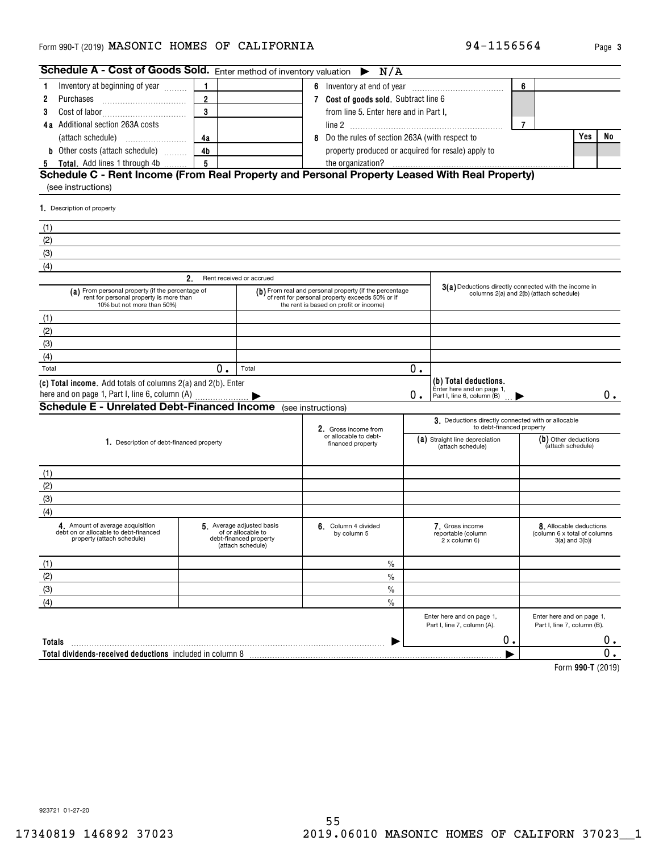### <code>Form</code> 990-T (2019) <code>MASONIC HOMES OF CALIFORNIA</code>  $94-1156564$   $_{\text{Page}}$

| Schedule A - Cost of Goods Sold. Enter method of inventory valuation                                                      |                 |                                                                                                                                                     |   | $\triangleright$ N/A                                  |    |                                                                                  |                                           |                                                                           |       |
|---------------------------------------------------------------------------------------------------------------------------|-----------------|-----------------------------------------------------------------------------------------------------------------------------------------------------|---|-------------------------------------------------------|----|----------------------------------------------------------------------------------|-------------------------------------------|---------------------------------------------------------------------------|-------|
| Inventory at beginning of year<br>1.                                                                                      | 1               |                                                                                                                                                     |   |                                                       |    |                                                                                  | 6                                         |                                                                           |       |
| 2                                                                                                                         | $\overline{2}$  |                                                                                                                                                     |   | 7 Cost of goods sold. Subtract line 6                 |    |                                                                                  |                                           |                                                                           |       |
| 3                                                                                                                         | 3               |                                                                                                                                                     |   | from line 5. Enter here and in Part I,                |    |                                                                                  |                                           |                                                                           |       |
| 4a Additional section 263A costs                                                                                          |                 |                                                                                                                                                     |   |                                                       |    |                                                                                  | $\overline{7}$                            |                                                                           |       |
|                                                                                                                           | 4a              |                                                                                                                                                     | 8 | Do the rules of section 263A (with respect to         |    |                                                                                  |                                           | Yes                                                                       | No    |
| <b>b</b> Other costs (attach schedule)                                                                                    | 4 <sub>b</sub>  |                                                                                                                                                     |   | property produced or acquired for resale) apply to    |    |                                                                                  |                                           |                                                                           |       |
| 5 Total. Add lines 1 through 4b                                                                                           | $5\overline{5}$ |                                                                                                                                                     |   |                                                       |    |                                                                                  |                                           |                                                                           |       |
| (see instructions)                                                                                                        |                 |                                                                                                                                                     |   |                                                       |    |                                                                                  |                                           |                                                                           |       |
| 1. Description of property                                                                                                |                 |                                                                                                                                                     |   |                                                       |    |                                                                                  |                                           |                                                                           |       |
| (1)                                                                                                                       |                 |                                                                                                                                                     |   |                                                       |    |                                                                                  |                                           |                                                                           |       |
| (2)                                                                                                                       |                 |                                                                                                                                                     |   |                                                       |    |                                                                                  |                                           |                                                                           |       |
| (3)                                                                                                                       |                 |                                                                                                                                                     |   |                                                       |    |                                                                                  |                                           |                                                                           |       |
| (4)                                                                                                                       |                 |                                                                                                                                                     |   |                                                       |    |                                                                                  |                                           |                                                                           |       |
|                                                                                                                           | 2.              | Rent received or accrued                                                                                                                            |   |                                                       |    |                                                                                  |                                           |                                                                           |       |
| (a) From personal property (if the percentage of<br>rent for personal property is more than<br>10% but not more than 50%) |                 | (b) From real and personal property (if the percentage<br>of rent for personal property exceeds 50% or if<br>the rent is based on profit or income) |   | 3(a) Deductions directly connected with the income in |    | columns 2(a) and 2(b) (attach schedule)                                          |                                           |                                                                           |       |
| (1)                                                                                                                       |                 |                                                                                                                                                     |   |                                                       |    |                                                                                  |                                           |                                                                           |       |
| (2)                                                                                                                       |                 |                                                                                                                                                     |   |                                                       |    |                                                                                  |                                           |                                                                           |       |
| (3)                                                                                                                       |                 |                                                                                                                                                     |   |                                                       |    |                                                                                  |                                           |                                                                           |       |
| (4)                                                                                                                       |                 |                                                                                                                                                     |   |                                                       |    |                                                                                  |                                           |                                                                           |       |
| Total                                                                                                                     | 0.              | Total                                                                                                                                               |   |                                                       | 0. |                                                                                  |                                           |                                                                           |       |
| (c) Total income. Add totals of columns 2(a) and 2(b). Enter<br>here and on page 1, Part I, line 6, column (A)            |                 |                                                                                                                                                     |   |                                                       | Ο. | (b) Total deductions.<br>Enter here and on page 1,<br>Part I, line 6, column (B) |                                           |                                                                           | $0$ . |
| <b>Schedule E - Unrelated Debt-Financed Income</b> (see instructions)                                                     |                 |                                                                                                                                                     |   |                                                       |    |                                                                                  |                                           |                                                                           |       |
|                                                                                                                           |                 |                                                                                                                                                     |   | 2. Gross income from                                  |    | 3. Deductions directly connected with or allocable<br>to debt-financed property  |                                           |                                                                           |       |
| 1. Description of debt-financed property                                                                                  |                 |                                                                                                                                                     |   | or allocable to debt-<br>financed property            |    | (a) Straight line depreciation<br>(attach schedule)                              | (b) Other deductions<br>(attach schedule) |                                                                           |       |
| (1)                                                                                                                       |                 |                                                                                                                                                     |   |                                                       |    |                                                                                  |                                           |                                                                           |       |
| (2)                                                                                                                       |                 |                                                                                                                                                     |   |                                                       |    |                                                                                  |                                           |                                                                           |       |
| (3)                                                                                                                       |                 |                                                                                                                                                     |   |                                                       |    |                                                                                  |                                           |                                                                           |       |
| (4)                                                                                                                       |                 |                                                                                                                                                     |   |                                                       |    |                                                                                  |                                           |                                                                           |       |
| 4. Amount of average acquisition<br>debt on or allocable to debt-financed<br>property (attach schedule)                   |                 | 5. Average adjusted basis<br>of or allocable to<br>debt-financed property<br>(attach schedule)                                                      |   | 6. Column 4 divided<br>by column 5                    |    | 7. Gross income<br>reportable (column<br>2 x column 6)                           |                                           | 8. Allocable deductions<br>(column 6 x total of columns<br>3(a) and 3(b)) |       |
| (1)                                                                                                                       |                 |                                                                                                                                                     |   | $\%$                                                  |    |                                                                                  |                                           |                                                                           |       |
| (2)                                                                                                                       |                 |                                                                                                                                                     |   | $\%$                                                  |    |                                                                                  |                                           |                                                                           |       |
| (3)                                                                                                                       |                 |                                                                                                                                                     |   | $\%$                                                  |    |                                                                                  |                                           |                                                                           |       |
| (4)                                                                                                                       |                 |                                                                                                                                                     |   | %                                                     |    |                                                                                  |                                           |                                                                           |       |
|                                                                                                                           |                 |                                                                                                                                                     |   |                                                       |    | Enter here and on page 1,<br>Part I, line 7, column (A).                         |                                           | Enter here and on page 1,<br>Part I, line 7, column (B).                  |       |
| Totals                                                                                                                    |                 |                                                                                                                                                     |   |                                                       |    | 0.                                                                               |                                           |                                                                           | $0$ . |
|                                                                                                                           |                 |                                                                                                                                                     |   |                                                       |    |                                                                                  |                                           |                                                                           | 0.    |
|                                                                                                                           |                 |                                                                                                                                                     |   |                                                       |    |                                                                                  |                                           | L <sub>orm</sub> 000.T/9010                                               |       |

**990-T**  Form (2019)

923721 01-27-20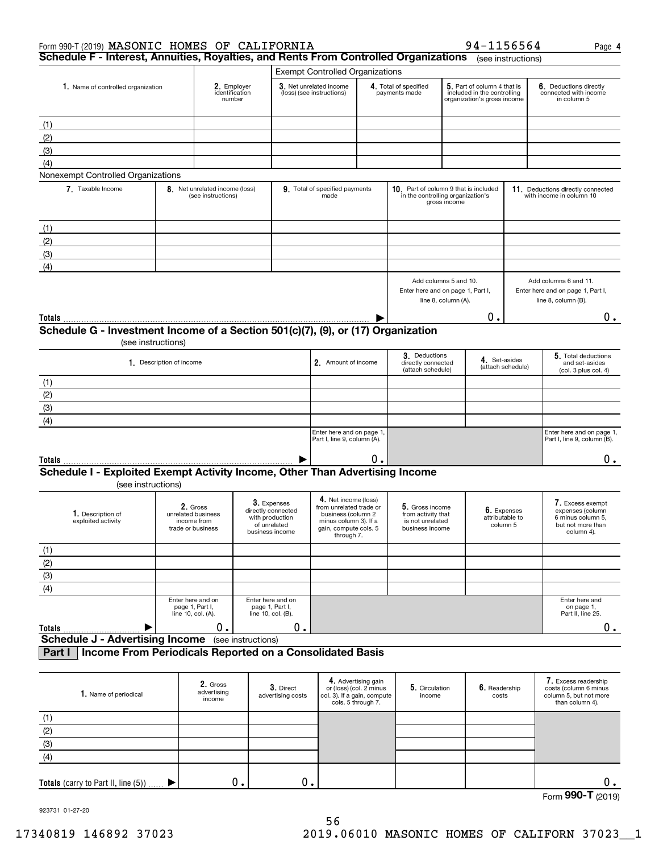| Form 990-T (2019) MASONIC HOMES OF CALIFORNIA                                                          |                                                            |                                                                                                                    |                                                            |                                |                                                          |                                                                                                                                       |                                                                                   |              | 94-1156564                                                                                |                    | Page 4                                                                                       |
|--------------------------------------------------------------------------------------------------------|------------------------------------------------------------|--------------------------------------------------------------------------------------------------------------------|------------------------------------------------------------|--------------------------------|----------------------------------------------------------|---------------------------------------------------------------------------------------------------------------------------------------|-----------------------------------------------------------------------------------|--------------|-------------------------------------------------------------------------------------------|--------------------|----------------------------------------------------------------------------------------------|
| Schedule F - Interest, Annuities, Royalties, and Rents From Controlled Organizations                   |                                                            |                                                                                                                    |                                                            |                                |                                                          |                                                                                                                                       |                                                                                   |              |                                                                                           | (see instructions) |                                                                                              |
|                                                                                                        |                                                            |                                                                                                                    |                                                            |                                | <b>Exempt Controlled Organizations</b>                   |                                                                                                                                       |                                                                                   |              |                                                                                           |                    |                                                                                              |
| 1. Name of controlled organization                                                                     | 2. Employer<br>identification<br>number                    |                                                                                                                    |                                                            |                                | 3. Net unrelated income<br>(loss) (see instructions)     |                                                                                                                                       | 4. Total of specified<br>payments made                                            |              | 5. Part of column 4 that is<br>included in the controlling<br>organization's gross income |                    | 6. Deductions directly<br>connected with income<br>in column 5                               |
| (1)                                                                                                    |                                                            |                                                                                                                    |                                                            |                                |                                                          |                                                                                                                                       |                                                                                   |              |                                                                                           |                    |                                                                                              |
| (2)                                                                                                    |                                                            |                                                                                                                    |                                                            |                                |                                                          |                                                                                                                                       |                                                                                   |              |                                                                                           |                    |                                                                                              |
| (3)                                                                                                    |                                                            |                                                                                                                    |                                                            |                                |                                                          |                                                                                                                                       |                                                                                   |              |                                                                                           |                    |                                                                                              |
| (4)                                                                                                    |                                                            |                                                                                                                    |                                                            |                                |                                                          |                                                                                                                                       |                                                                                   |              |                                                                                           |                    |                                                                                              |
| Nonexempt Controlled Organizations                                                                     |                                                            |                                                                                                                    |                                                            |                                |                                                          |                                                                                                                                       |                                                                                   |              |                                                                                           |                    |                                                                                              |
| 7. Taxable Income                                                                                      |                                                            | 8 Net unrelated income (loss)<br>(see instructions)                                                                |                                                            |                                | 9. Total of specified payments<br>made                   |                                                                                                                                       | 10. Part of column 9 that is included<br>in the controlling organization's        | gross income |                                                                                           |                    | 11. Deductions directly connected<br>with income in column 10                                |
| (1)                                                                                                    |                                                            |                                                                                                                    |                                                            |                                |                                                          |                                                                                                                                       |                                                                                   |              |                                                                                           |                    |                                                                                              |
| (2)                                                                                                    |                                                            |                                                                                                                    |                                                            |                                |                                                          |                                                                                                                                       |                                                                                   |              |                                                                                           |                    |                                                                                              |
| (3)                                                                                                    |                                                            |                                                                                                                    |                                                            |                                |                                                          |                                                                                                                                       |                                                                                   |              |                                                                                           |                    |                                                                                              |
| (4)                                                                                                    |                                                            |                                                                                                                    |                                                            |                                |                                                          |                                                                                                                                       |                                                                                   |              |                                                                                           |                    |                                                                                              |
|                                                                                                        |                                                            |                                                                                                                    |                                                            |                                |                                                          |                                                                                                                                       |                                                                                   |              |                                                                                           |                    |                                                                                              |
|                                                                                                        |                                                            |                                                                                                                    |                                                            |                                |                                                          |                                                                                                                                       | Add columns 5 and 10.<br>Enter here and on page 1, Part I,<br>line 8, column (A). |              |                                                                                           |                    | Add columns 6 and 11.<br>Enter here and on page 1, Part I,<br>line 8, column (B).            |
|                                                                                                        |                                                            |                                                                                                                    |                                                            |                                |                                                          |                                                                                                                                       |                                                                                   |              | Ο.                                                                                        |                    | 0.                                                                                           |
| Schedule G - Investment Income of a Section 501(c)(7), (9), or (17) Organization<br>(see instructions) |                                                            |                                                                                                                    |                                                            |                                |                                                          |                                                                                                                                       |                                                                                   |              |                                                                                           |                    |                                                                                              |
|                                                                                                        | 1. Description of income                                   |                                                                                                                    |                                                            |                                | 2. Amount of income                                      |                                                                                                                                       | 3. Deductions<br>directly connected<br>(attach schedule)                          |              | 4. Set-asides                                                                             | (attach schedule)  | 5. Total deductions<br>and set-asides<br>(col. 3 plus col. 4)                                |
| (1)                                                                                                    |                                                            |                                                                                                                    |                                                            |                                |                                                          |                                                                                                                                       |                                                                                   |              |                                                                                           |                    |                                                                                              |
| (2)                                                                                                    |                                                            |                                                                                                                    |                                                            |                                |                                                          |                                                                                                                                       |                                                                                   |              |                                                                                           |                    |                                                                                              |
| (3)                                                                                                    |                                                            |                                                                                                                    |                                                            |                                |                                                          |                                                                                                                                       |                                                                                   |              |                                                                                           |                    |                                                                                              |
| (4)                                                                                                    |                                                            |                                                                                                                    |                                                            |                                |                                                          |                                                                                                                                       |                                                                                   |              |                                                                                           |                    |                                                                                              |
|                                                                                                        |                                                            |                                                                                                                    |                                                            |                                | Enter here and on page 1,<br>Part I, line 9, column (A). |                                                                                                                                       |                                                                                   |              |                                                                                           |                    | Enter here and on page 1,<br>Part I, line 9, column (B).                                     |
| Totals                                                                                                 |                                                            |                                                                                                                    |                                                            | ▶                              |                                                          | 0.                                                                                                                                    |                                                                                   |              |                                                                                           |                    | 0.                                                                                           |
| Schedule I - Exploited Exempt Activity Income, Other Than Advertising Income<br>(see instructions)     |                                                            |                                                                                                                    |                                                            |                                |                                                          |                                                                                                                                       |                                                                                   |              |                                                                                           |                    |                                                                                              |
| 1. Description of<br>exploited activity                                                                | unrelated business<br>trade or business                    | 3. Expenses<br>2. Gross<br>directly connected<br>with production<br>income from<br>of unrelated<br>business income |                                                            |                                |                                                          | 4. Net income (loss)<br>from unrelated trade or<br>business (column 2<br>minus column 3). If a<br>gain, compute cols. 5<br>through 7. | 5. Gross income<br>from activity that<br>is not unrelated<br>business income      |              | 6. Expenses<br>attributable to<br>column 5                                                |                    | 7. Excess exempt<br>expenses (column<br>6 minus column 5,<br>but not more than<br>column 4). |
| (1)                                                                                                    |                                                            |                                                                                                                    |                                                            |                                |                                                          |                                                                                                                                       |                                                                                   |              |                                                                                           |                    |                                                                                              |
| (2)                                                                                                    |                                                            |                                                                                                                    |                                                            |                                |                                                          |                                                                                                                                       |                                                                                   |              |                                                                                           |                    |                                                                                              |
| (3)                                                                                                    |                                                            |                                                                                                                    |                                                            |                                |                                                          |                                                                                                                                       |                                                                                   |              |                                                                                           |                    |                                                                                              |
| (4)                                                                                                    |                                                            |                                                                                                                    |                                                            |                                |                                                          |                                                                                                                                       |                                                                                   |              |                                                                                           |                    |                                                                                              |
|                                                                                                        | Enter here and on<br>page 1, Part I,<br>line 10, col. (A). | $0$ .                                                                                                              | Enter here and on<br>page 1, Part I,<br>line 10, col. (B). |                                |                                                          |                                                                                                                                       |                                                                                   |              |                                                                                           |                    | Enter here and<br>on page 1,<br>Part II, line 25.                                            |
| Totals<br>▶<br><b>Schedule J - Advertising Income</b>                                                  |                                                            |                                                                                                                    | (see instructions)                                         | 0.                             |                                                          |                                                                                                                                       |                                                                                   |              |                                                                                           |                    | $0_{.}$                                                                                      |
| Income From Periodicals Reported on a Consolidated Basis<br>Part I                                     |                                                            |                                                                                                                    |                                                            |                                |                                                          |                                                                                                                                       |                                                                                   |              |                                                                                           |                    |                                                                                              |
|                                                                                                        |                                                            |                                                                                                                    |                                                            |                                |                                                          |                                                                                                                                       |                                                                                   |              |                                                                                           |                    |                                                                                              |
| 1. Name of periodical                                                                                  |                                                            | 2. Gross<br>advertising<br>income                                                                                  |                                                            | 3. Direct<br>advertising costs | col. 3). If a gain, compute                              | 4. Advertising gain<br>or (loss) (col. 2 minus<br>cols. 5 through 7.                                                                  | 5. Circulation<br>income                                                          |              | 6. Readership<br>costs                                                                    |                    | 7. Excess readership<br>costs (column 6 minus<br>column 5, but not more<br>than column 4).   |
| (1)                                                                                                    |                                                            |                                                                                                                    |                                                            |                                |                                                          |                                                                                                                                       |                                                                                   |              |                                                                                           |                    |                                                                                              |
| (2)                                                                                                    |                                                            |                                                                                                                    |                                                            |                                |                                                          |                                                                                                                                       |                                                                                   |              |                                                                                           |                    |                                                                                              |
| (3)                                                                                                    |                                                            |                                                                                                                    |                                                            |                                |                                                          |                                                                                                                                       |                                                                                   |              |                                                                                           |                    |                                                                                              |
| (4)                                                                                                    |                                                            |                                                                                                                    |                                                            |                                |                                                          |                                                                                                                                       |                                                                                   |              |                                                                                           |                    |                                                                                              |
|                                                                                                        |                                                            |                                                                                                                    |                                                            |                                |                                                          |                                                                                                                                       |                                                                                   |              |                                                                                           |                    |                                                                                              |

Form (2019) **990-T**

923731 01-27-20

**Totals** (carry to Part II, line (5))

 $\blacktriangleright$ 

0. 0. 0.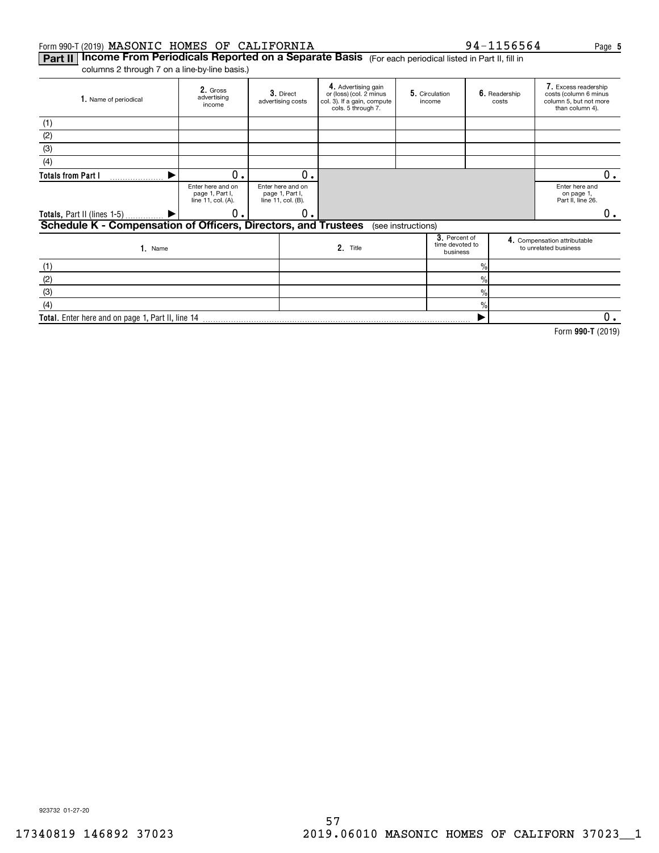### Form 990-T (2019)  $\mathtt{MASONIC}$   $\mathtt{HOMES}$  of  $\mathtt{CALIFORNIA}$  94-1156564 Page

**Part II | Income From Periodicals Reported on a Separate Basis** (For each periodical listed in Part II, fill in columns 2 through 7 on a line-by-line basis.)

| 1. Name of periodical                                          | 2. Gross<br>advertising<br>income                          | 3. Direct<br>advertising costs                             | 4. Advertising gain<br>or (loss) (col. 2 minus<br>col. 3). If a gain, compute<br>cols. 5 through 7. |                    | 5. Circulation<br>income                     |               | 6. Readership<br>costs                            | 7. Excess readership<br>costs (column 6 minus<br>column 5, but not more<br>than column 4). |    |
|----------------------------------------------------------------|------------------------------------------------------------|------------------------------------------------------------|-----------------------------------------------------------------------------------------------------|--------------------|----------------------------------------------|---------------|---------------------------------------------------|--------------------------------------------------------------------------------------------|----|
| (1)                                                            |                                                            |                                                            |                                                                                                     |                    |                                              |               |                                                   |                                                                                            |    |
| (2)                                                            |                                                            |                                                            |                                                                                                     |                    |                                              |               |                                                   |                                                                                            |    |
| (3)                                                            |                                                            |                                                            |                                                                                                     |                    |                                              |               |                                                   |                                                                                            |    |
| (4)                                                            |                                                            |                                                            |                                                                                                     |                    |                                              |               |                                                   |                                                                                            |    |
| <b>Totals from Part I</b>                                      | 0                                                          | о.                                                         |                                                                                                     |                    |                                              |               |                                                   |                                                                                            | 0. |
|                                                                | Enter here and on<br>page 1, Part I,<br>line 11, col. (A). | Enter here and on<br>page 1, Part I,<br>line 11, col. (B). |                                                                                                     |                    |                                              |               | Enter here and<br>on page 1,<br>Part II, line 26. |                                                                                            |    |
|                                                                |                                                            | 0.                                                         |                                                                                                     |                    |                                              |               |                                                   |                                                                                            | О. |
| Schedule K - Compensation of Officers, Directors, and Trustees |                                                            |                                                            |                                                                                                     | (see instructions) |                                              |               |                                                   |                                                                                            |    |
| 1. Name                                                        |                                                            |                                                            | 2. Title                                                                                            |                    | 3. Percent of<br>time devoted to<br>business |               |                                                   | 4. Compensation attributable<br>to unrelated business                                      |    |
| (1)                                                            |                                                            |                                                            |                                                                                                     |                    |                                              | $\frac{0}{0}$ |                                                   |                                                                                            |    |
| (2)                                                            |                                                            |                                                            |                                                                                                     |                    |                                              | $\frac{9}{6}$ |                                                   |                                                                                            |    |
| (3)                                                            |                                                            |                                                            |                                                                                                     |                    |                                              | $\%$          |                                                   |                                                                                            |    |
| (4)                                                            |                                                            |                                                            |                                                                                                     |                    |                                              | $\frac{9}{6}$ |                                                   |                                                                                            |    |

**Total.**  Enter here and on page 1, Part II, line 14  $\blacktriangleright$ 

**990-T**  Form (2019)

 $0.$ 

923732 01-27-20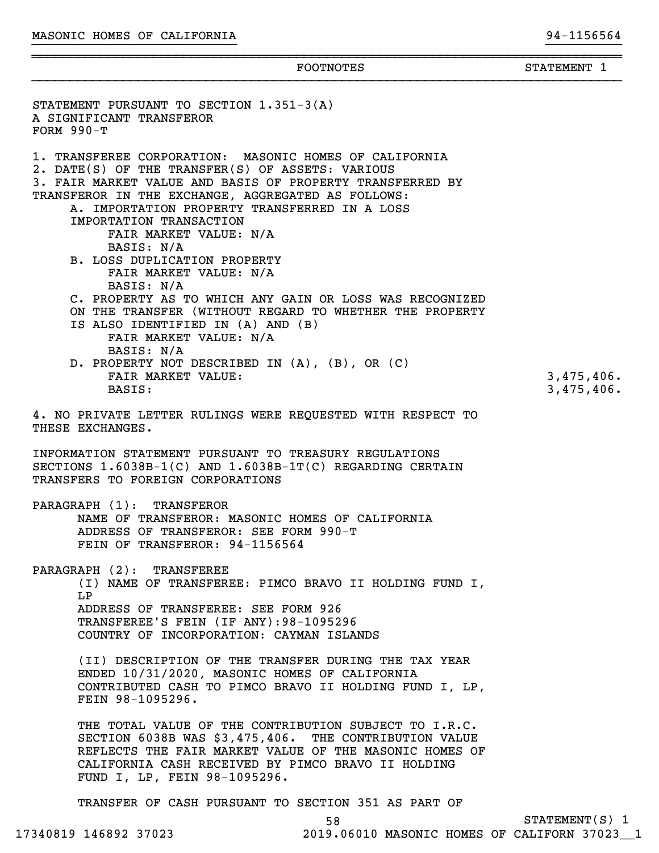STATEMENT PURSUANT TO SECTION 1.351-3(A)

~~~~~~~~~~~~~~~~~~~~~~~~~~~~~~~~~~~~~~~~~~~~~~~~~~~~~~~~~~~~~~~~~~~~~~~~~~~~~~FOOTNOTES STATEMENT 1

}}}}}}}}}}

A SIGNIFICANT TRANSFEROR FORM 990-T 1. TRANSFEREE CORPORATION: MASONIC HOMES OF CALIFORNIA 2. DATE(S) OF THE TRANSFER(S) OF ASSETS: VARIOUS 3. FAIR MARKET VALUE AND BASIS OF PROPERTY TRANSFERRED BY TRANSFEROR IN THE EXCHANGE, AGGREGATED AS FOLLOWS: A. IMPORTATION PROPERTY TRANSFERRED IN A LOSS IMPORTATION TRANSACTION FAIR MARKET VALUE: N/A BASIS: N/A B. LOSS DUPLICATION PROPERTY FAIR MARKET VALUE: N/A BASIS: N/A C. PROPERTY AS TO WHICH ANY GAIN OR LOSS WAS RECOGNIZED ON THE TRANSFER (WITHOUT REGARD TO WHETHER THE PROPERTY IS ALSO IDENTIFIED IN (A) AND (B) FAIR MARKET VALUE: N/A BASIS: N/A D. PROPERTY NOT DESCRIBED IN (A), (B), OR (C) FAIR MARKET VALUE: 3,475,406. BASIS: 3,475,406. 4. NO PRIVATE LETTER RULINGS WERE REQUESTED WITH RESPECT TO THESE EXCHANGES. INFORMATION STATEMENT PURSUANT TO TREASURY REGULATIONS SECTIONS 1.6038B-1(C) AND 1.6038B-1T(C) REGARDING CERTAIN TRANSFERS TO FOREIGN CORPORATIONS PARAGRAPH (1): TRANSFEROR NAME OF TRANSFEROR: MASONIC HOMES OF CALIFORNIA ADDRESS OF TRANSFEROR: SEE FORM 990-T FEIN OF TRANSFEROR: 94-1156564 PARAGRAPH (2): TRANSFEREE (I) NAME OF TRANSFEREE: PIMCO BRAVO II HOLDING FUND I, LP ADDRESS OF TRANSFEREE: SEE FORM 926 TRANSFEREE'S FEIN (IF ANY):98-1095296 COUNTRY OF INCORPORATION: CAYMAN ISLANDS (II) DESCRIPTION OF THE TRANSFER DURING THE TAX YEAR ENDED 10/31/2020, MASONIC HOMES OF CALIFORNIA CONTRIBUTED CASH TO PIMCO BRAVO II HOLDING FUND I, LP, FEIN 98-1095296. THE TOTAL VALUE OF THE CONTRIBUTION SUBJECT TO I.R.C. SECTION 6038B WAS \$3,475,406. THE CONTRIBUTION VALUE REFLECTS THE FAIR MARKET VALUE OF THE MASONIC HOMES OF CALIFORNIA CASH RECEIVED BY PIMCO BRAVO II HOLDING FUND I, LP, FEIN 98-1095296. TRANSFER OF CASH PURSUANT TO SECTION 351 AS PART OF 58 STATEMENT(S) 1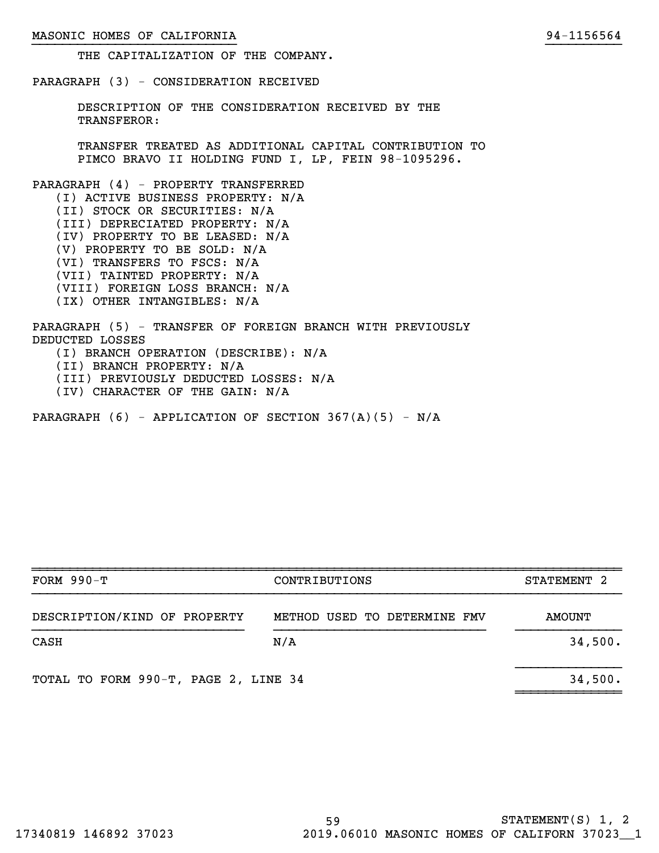### MASONIC HOMES OF CALIFORNIA 2008 and 2009 and 2012 and 2014 and 2014 and 2014 and 2014 and 2014 and 2014 and 20

}}}}}}}}}}

THE CAPITALIZATION OF THE COMPANY.

PARAGRAPH (3) - CONSIDERATION RECEIVED

DESCRIPTION OF THE CONSIDERATION RECEIVED BY THE TRANSFEROR:

TRANSFER TREATED AS ADDITIONAL CAPITAL CONTRIBUTION TO PIMCO BRAVO II HOLDING FUND I, LP, FEIN 98-1095296.

PARAGRAPH (4) - PROPERTY TRANSFERRED (I) ACTIVE BUSINESS PROPERTY: N/A (II) STOCK OR SECURITIES: N/A (III) DEPRECIATED PROPERTY: N/A (IV) PROPERTY TO BE LEASED: N/A (V) PROPERTY TO BE SOLD: N/A (VI) TRANSFERS TO FSCS: N/A (VII) TAINTED PROPERTY: N/A (VIII) FOREIGN LOSS BRANCH: N/A (IX) OTHER INTANGIBLES: N/A

PARAGRAPH (5) - TRANSFER OF FOREIGN BRANCH WITH PREVIOUSLY DEDUCTED LOSSES (I) BRANCH OPERATION (DESCRIBE): N/A (II) BRANCH PROPERTY: N/A (III) PREVIOUSLY DEDUCTED LOSSES: N/A (IV) CHARACTER OF THE GAIN: N/A

PARAGRAPH  $(6)$  - APPLICATION OF SECTION 367 $(A)(5)$  - N/A

| FORM $990-T$                         | CONTRIBUTIONS                | STATEMENT 2 |
|--------------------------------------|------------------------------|-------------|
| DESCRIPTION/KIND OF PROPERTY         | METHOD USED TO DETERMINE FMV | AMOUNT      |
| CASH                                 | N/A                          | 34,500.     |
| TOTAL TO FORM 990-T, PAGE 2, LINE 34 |                              | 34,500.     |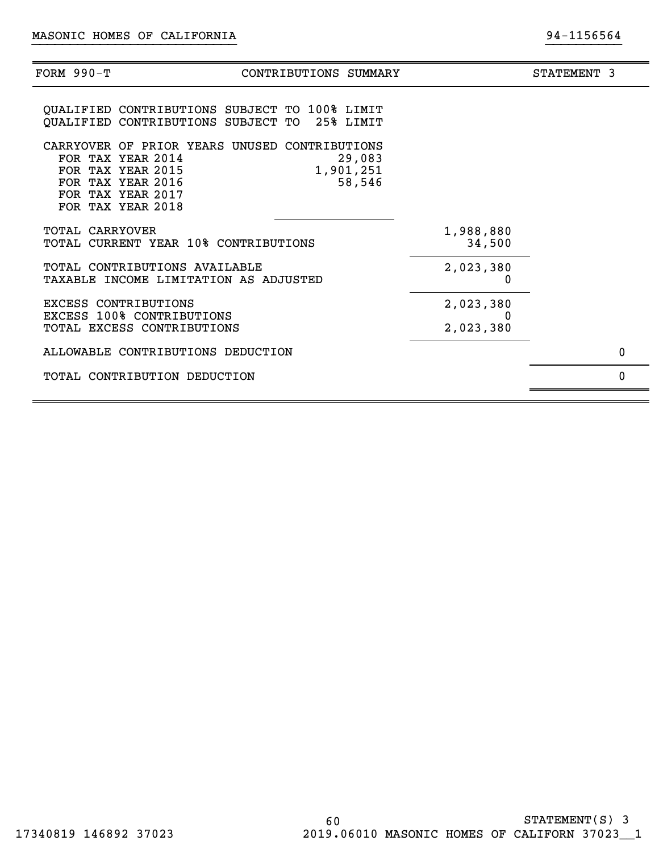| FORM 990-Т           | CONTRIBUTIONS SUMMARY                                                                                                                                                                   |                        | STATEMENT 3 |
|----------------------|-----------------------------------------------------------------------------------------------------------------------------------------------------------------------------------------|------------------------|-------------|
|                      | <b>OUALIFIED CONTRIBUTIONS SUBJECT TO 100% LIMIT</b><br>QUALIFIED CONTRIBUTIONS SUBJECT TO 25% LIMIT                                                                                    |                        |             |
|                      | CARRYOVER OF PRIOR YEARS UNUSED CONTRIBUTIONS<br>FOR TAX YEAR 2014<br>29,083<br>FOR TAX YEAR 2015<br>1,901,251<br>FOR TAX YEAR 2016<br>58,546<br>FOR TAX YEAR 2017<br>FOR TAX YEAR 2018 |                        |             |
| TOTAL CARRYOVER      | TOTAL CURRENT YEAR 10% CONTRIBUTIONS                                                                                                                                                    | 1,988,880<br>34,500    |             |
|                      | TOTAL CONTRIBUTIONS AVAILABLE<br>TAXABLE INCOME LIMITATION AS ADJUSTED                                                                                                                  | 2,023,380<br>0         |             |
| EXCESS CONTRIBUTIONS | EXCESS 100% CONTRIBUTIONS<br>TOTAL EXCESS CONTRIBUTIONS                                                                                                                                 | 2,023,380<br>2,023,380 |             |
|                      | ALLOWABLE CONTRIBUTIONS DEDUCTION                                                                                                                                                       |                        | 0           |
|                      | TOTAL CONTRIBUTION DEDUCTION                                                                                                                                                            |                        | $\Omega$    |
|                      |                                                                                                                                                                                         |                        |             |

}}}}}}}}}}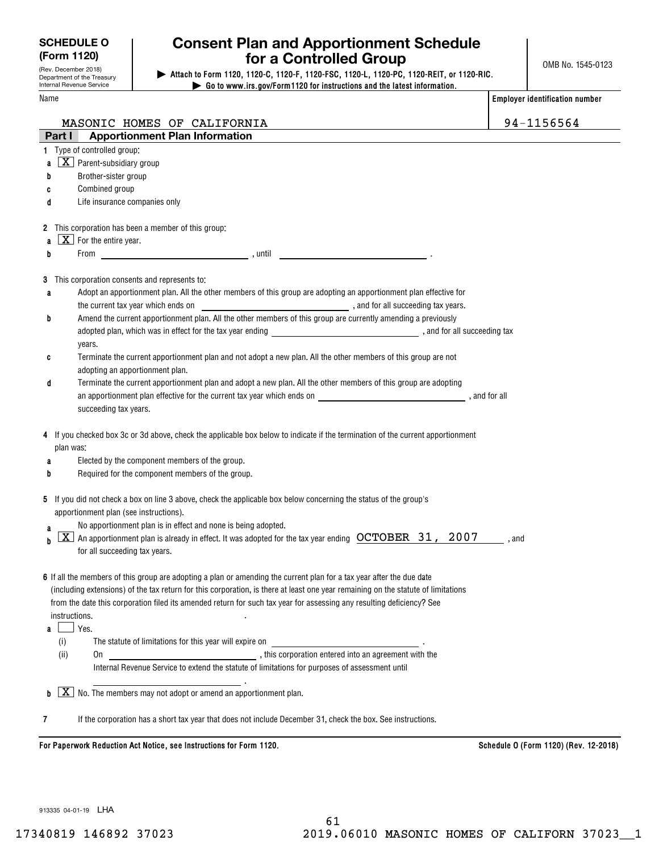**SCHEDULE O (Form 1120)**

(Rev. December 2018) Department of the Treasury

## **Consent Plan and Apportionment Schedule for a Controlled Group**

 **| Attach to Form 1120, 1120-C, 1120-F, 1120-FSC, 1120-L, 1120-PC, 1120-REIT, or 1120-RIC. | Go to www.irs.gov/Form1120 for instructions and the latest information.**

| Internal Revenue Service |                                                     |                                                                      | $\triangleright$ Go to www.irs.gov/Form1120 for instructions and the latest information.                                          |                                                                                                                                 |       |                                       |
|--------------------------|-----------------------------------------------------|----------------------------------------------------------------------|-----------------------------------------------------------------------------------------------------------------------------------|---------------------------------------------------------------------------------------------------------------------------------|-------|---------------------------------------|
| Name                     |                                                     |                                                                      |                                                                                                                                   |                                                                                                                                 |       | <b>Employer identification number</b> |
|                          |                                                     | MASONIC HOMES OF CALIFORNIA                                          |                                                                                                                                   |                                                                                                                                 |       | 94-1156564                            |
| Part I                   |                                                     | <b>Apportionment Plan Information</b>                                |                                                                                                                                   |                                                                                                                                 |       |                                       |
|                          | 1 Type of controlled group:                         |                                                                      |                                                                                                                                   |                                                                                                                                 |       |                                       |
| a                        | $\overline{\mathbf{X}}$ Parent-subsidiary group     |                                                                      |                                                                                                                                   |                                                                                                                                 |       |                                       |
| b                        | Brother-sister group                                |                                                                      |                                                                                                                                   |                                                                                                                                 |       |                                       |
| C                        | Combined group                                      |                                                                      |                                                                                                                                   |                                                                                                                                 |       |                                       |
| d                        | Life insurance companies only                       |                                                                      |                                                                                                                                   |                                                                                                                                 |       |                                       |
|                          |                                                     |                                                                      |                                                                                                                                   |                                                                                                                                 |       |                                       |
|                          | 2 This corporation has been a member of this group: |                                                                      |                                                                                                                                   |                                                                                                                                 |       |                                       |
| a                        | $X$ For the entire year.                            |                                                                      |                                                                                                                                   |                                                                                                                                 |       |                                       |
| b                        |                                                     |                                                                      | <u> 1990 - Johann Barbara, politik eta politik eta politika</u>                                                                   |                                                                                                                                 |       |                                       |
|                          |                                                     |                                                                      |                                                                                                                                   |                                                                                                                                 |       |                                       |
|                          | 3 This corporation consents and represents to:      |                                                                      |                                                                                                                                   |                                                                                                                                 |       |                                       |
| a                        |                                                     |                                                                      | Adopt an apportionment plan. All the other members of this group are adopting an apportionment plan effective for                 |                                                                                                                                 |       |                                       |
|                          |                                                     |                                                                      |                                                                                                                                   |                                                                                                                                 |       |                                       |
| b                        |                                                     |                                                                      | Amend the current apportionment plan. All the other members of this group are currently amending a previously                     |                                                                                                                                 |       |                                       |
|                          |                                                     |                                                                      |                                                                                                                                   |                                                                                                                                 |       |                                       |
|                          | years.                                              |                                                                      |                                                                                                                                   |                                                                                                                                 |       |                                       |
| c                        |                                                     |                                                                      | Terminate the current apportionment plan and not adopt a new plan. All the other members of this group are not                    |                                                                                                                                 |       |                                       |
|                          | adopting an apportionment plan.                     |                                                                      | Terminate the current apportionment plan and adopt a new plan. All the other members of this group are adopting                   |                                                                                                                                 |       |                                       |
| d                        |                                                     |                                                                      |                                                                                                                                   | an apportionment plan effective for the current tax year which ends on entity and the state of the state of all                 |       |                                       |
|                          | succeeding tax years.                               |                                                                      |                                                                                                                                   |                                                                                                                                 |       |                                       |
|                          |                                                     |                                                                      |                                                                                                                                   |                                                                                                                                 |       |                                       |
|                          |                                                     |                                                                      |                                                                                                                                   | 4 If you checked box 3c or 3d above, check the applicable box below to indicate if the termination of the current apportionment |       |                                       |
| plan was:                |                                                     |                                                                      |                                                                                                                                   |                                                                                                                                 |       |                                       |
| a                        | Elected by the component members of the group.      |                                                                      |                                                                                                                                   |                                                                                                                                 |       |                                       |
| b                        |                                                     | Required for the component members of the group.                     |                                                                                                                                   |                                                                                                                                 |       |                                       |
|                          |                                                     |                                                                      |                                                                                                                                   |                                                                                                                                 |       |                                       |
|                          |                                                     |                                                                      | 5 If you did not check a box on line 3 above, check the applicable box below concerning the status of the group's                 |                                                                                                                                 |       |                                       |
|                          | apportionment plan (see instructions).              |                                                                      |                                                                                                                                   |                                                                                                                                 |       |                                       |
| a                        |                                                     | No apportionment plan is in effect and none is being adopted.        |                                                                                                                                   |                                                                                                                                 |       |                                       |
| X.<br>h                  |                                                     |                                                                      |                                                                                                                                   | An apportionment plan is already in effect. It was adopted for the tax year ending $\rm\,OCTOBER$ 31, 2007                      | , and |                                       |
|                          | for all succeeding tax years.                       |                                                                      |                                                                                                                                   |                                                                                                                                 |       |                                       |
|                          |                                                     |                                                                      | 6 If all the members of this group are adopting a plan or amending the current plan for a tax year after the due date             |                                                                                                                                 |       |                                       |
|                          |                                                     |                                                                      | (including extensions) of the tax return for this corporation, is there at least one year remaining on the statute of limitations |                                                                                                                                 |       |                                       |
|                          |                                                     |                                                                      | from the date this corporation filed its amended return for such tax year for assessing any resulting deficiency? See             |                                                                                                                                 |       |                                       |
| instructions.            |                                                     |                                                                      |                                                                                                                                   |                                                                                                                                 |       |                                       |
| a                        | Yes.                                                |                                                                      |                                                                                                                                   |                                                                                                                                 |       |                                       |
| (i)                      |                                                     |                                                                      |                                                                                                                                   |                                                                                                                                 |       |                                       |
| (ii)                     | 0n                                                  |                                                                      |                                                                                                                                   |                                                                                                                                 |       |                                       |
|                          |                                                     |                                                                      | Internal Revenue Service to extend the statute of limitations for purposes of assessment until                                    |                                                                                                                                 |       |                                       |
|                          |                                                     |                                                                      |                                                                                                                                   |                                                                                                                                 |       |                                       |
| $b \mid X \mid$          |                                                     | $\mid$ No. The members may not adopt or amend an apportionment plan. |                                                                                                                                   |                                                                                                                                 |       |                                       |
|                          |                                                     |                                                                      |                                                                                                                                   |                                                                                                                                 |       |                                       |

**7**If the corporation has a short tax year that does not include December 31, check the box. See instructions.

For Paperwork Reduction Act Notice, see Instructions for Form 1120. *Schedule O (Form 1120)* (Rev. 12-2018)

913335 04-01-19 LHA